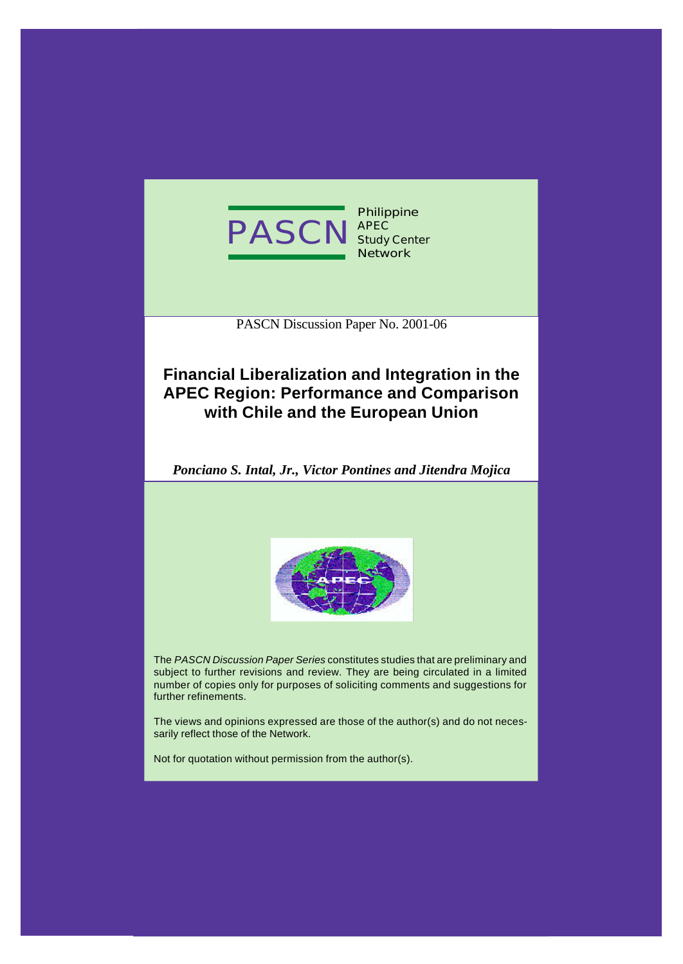

PASCN Discussion Paper No. 2001-06

# **Financial Liberalization and Integration in the APEC Region: Performance and Comparison with Chile and the European Union**

*Ponciano S. Intal, Jr., Victor Pontines and Jitendra Mojica*



The *PASCN Discussion Paper Series* constitutes studies that are preliminary and subject to further revisions and review. They are being circulated in a limited number of copies only for purposes of soliciting comments and suggestions for further refinements.

The views and opinions expressed are those of the author(s) and do not necessarily reflect those of the Network.

Not for quotation without permission from the author(s).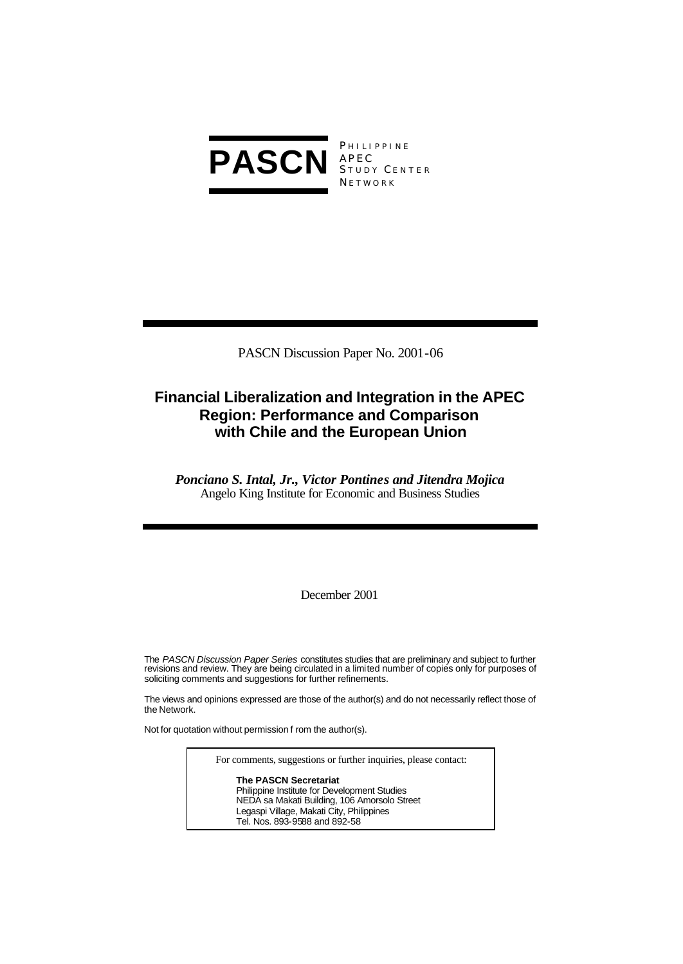

**PHILIPPINE** S TUDY C ENTER **NETWORK** 

PASCN Discussion Paper No. 2001-06

# **Financial Liberalization and Integration in the APEC Region: Performance and Comparison with Chile and the European Union**

*Ponciano S. Intal, Jr., Victor Pontines and Jitendra Mojica* Angelo King Institute for Economic and Business Studies

December 2001

The *PASCN Discussion Paper Series* constitutes studies that are preliminary and subject to further revisions and review. They are being circulated in a limited number of copies only for purposes of soliciting comments and suggestions for further refinements.

The views and opinions expressed are those of the author(s) and do not necessarily reflect those of the Network.

Not for quotation without permission f rom the author(s).

For comments, suggestions or further inquiries, please contact: **The PASCN Secretariat** Philippine Institute for Development Studies NEDA sa Makati Building, 106 Amorsolo Street Legaspi Village, Makati City, Philippines Tel. Nos. 893-9588 and 892-58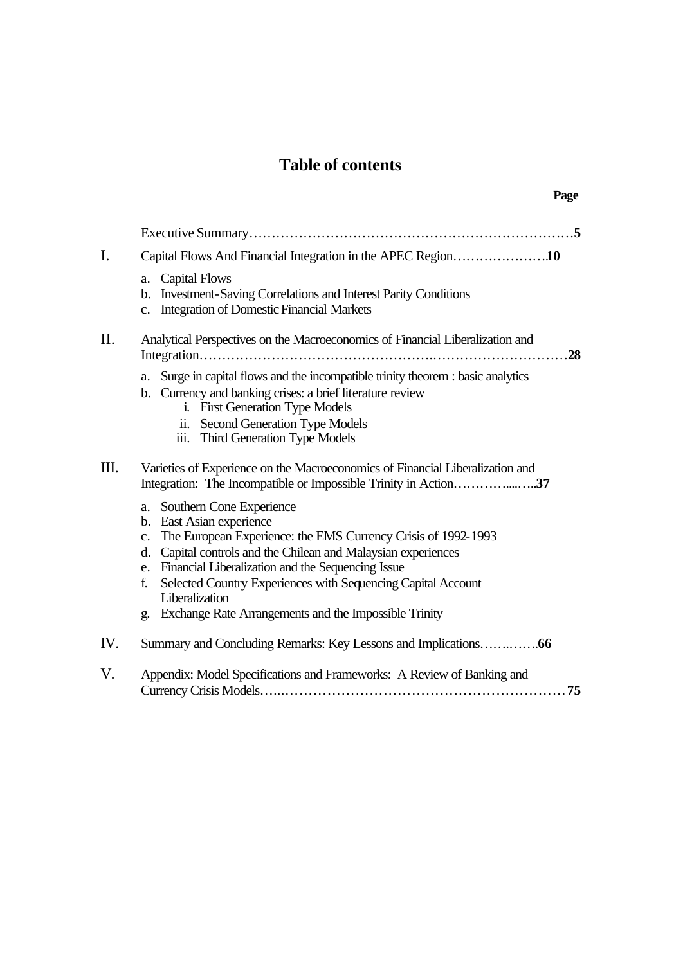# **Table of contents**

**Page**

| I.  | Capital Flows And Financial Integration in the APEC Region10                                                                                                                                                                                                                                                                                                                                                               |  |  |
|-----|----------------------------------------------------------------------------------------------------------------------------------------------------------------------------------------------------------------------------------------------------------------------------------------------------------------------------------------------------------------------------------------------------------------------------|--|--|
|     | a. Capital Flows<br><b>Investment-Saving Correlations and Interest Parity Conditions</b><br>b.<br><b>Integration of Domestic Financial Markets</b><br>c.                                                                                                                                                                                                                                                                   |  |  |
| II. | Analytical Perspectives on the Macroeconomics of Financial Liberalization and<br>.28                                                                                                                                                                                                                                                                                                                                       |  |  |
|     | Surge in capital flows and the incompatible trinity theorem : basic analytics<br>a.<br>b. Currency and banking crises: a brief literature review<br>i. First Generation Type Models<br>ii. Second Generation Type Models<br>iii. Third Generation Type Models                                                                                                                                                              |  |  |
| Ш.  | Varieties of Experience on the Macroeconomics of Financial Liberalization and<br>Integration: The Incompatible or Impossible Trinity in Action37                                                                                                                                                                                                                                                                           |  |  |
|     | a. Southern Cone Experience<br>b. East Asian experience<br>The European Experience: the EMS Currency Crisis of 1992-1993<br>$\mathbf{c}$ .<br>d. Capital controls and the Chilean and Malaysian experiences<br>e. Financial Liberalization and the Sequencing Issue<br>Selected Country Experiences with Sequencing Capital Account<br>f.<br>Liberalization<br>Exchange Rate Arrangements and the Impossible Trinity<br>g. |  |  |
| IV. |                                                                                                                                                                                                                                                                                                                                                                                                                            |  |  |
| V.  | Appendix: Model Specifications and Frameworks: A Review of Banking and                                                                                                                                                                                                                                                                                                                                                     |  |  |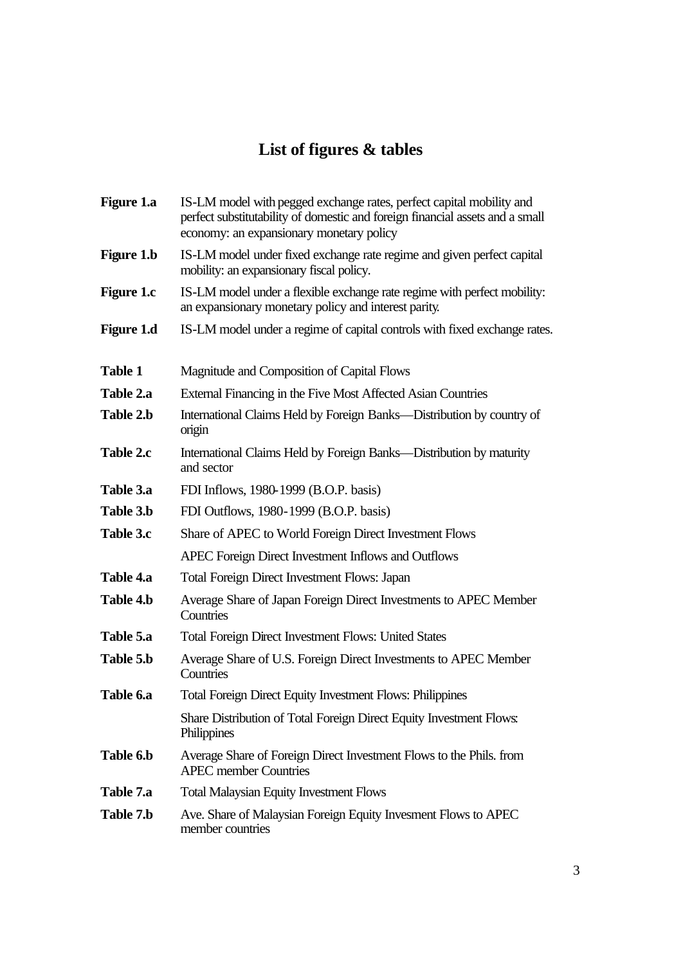# **List of figures & tables**

| <b>Figure 1.a</b> | IS-LM model with pegged exchange rates, perfect capital mobility and<br>perfect substitutability of domestic and foreign financial assets and a small<br>economy: an expansionary monetary policy |
|-------------------|---------------------------------------------------------------------------------------------------------------------------------------------------------------------------------------------------|
| <b>Figure 1.b</b> | IS-LM model under fixed exchange rate regime and given perfect capital<br>mobility: an expansionary fiscal policy.                                                                                |
| <b>Figure 1.c</b> | IS-LM model under a flexible exchange rate regime with perfect mobility:<br>an expansionary monetary policy and interest parity.                                                                  |
| <b>Figure 1.d</b> | IS-LM model under a regime of capital controls with fixed exchange rates.                                                                                                                         |
| <b>Table 1</b>    | Magnitude and Composition of Capital Flows                                                                                                                                                        |
| Table 2.a         | External Financing in the Five Most Affected Asian Countries                                                                                                                                      |
| Table 2.b         | International Claims Held by Foreign Banks—Distribution by country of<br>origin                                                                                                                   |
| Table 2.c         | International Claims Held by Foreign Banks—Distribution by maturity<br>and sector                                                                                                                 |
| Table 3.a         | FDI Inflows, 1980-1999 (B.O.P. basis)                                                                                                                                                             |
| Table 3.b         | FDI Outflows, 1980-1999 (B.O.P. basis)                                                                                                                                                            |
| Table 3.c         | Share of APEC to World Foreign Direct Investment Flows                                                                                                                                            |
|                   | APEC Foreign Direct Investment Inflows and Outflows                                                                                                                                               |
| Table 4.a         | <b>Total Foreign Direct Investment Flows: Japan</b>                                                                                                                                               |
| Table 4.b         | Average Share of Japan Foreign Direct Investments to APEC Member<br>Countries                                                                                                                     |
| Table 5.a         | <b>Total Foreign Direct Investment Flows: United States</b>                                                                                                                                       |
| Table 5.b         | Average Share of U.S. Foreign Direct Investments to APEC Member<br>Countries                                                                                                                      |
| Table 6.a         | <b>Total Foreign Direct Equity Investment Flows: Philippines</b>                                                                                                                                  |
|                   | Share Distribution of Total Foreign Direct Equity Investment Flows:<br>Philippines                                                                                                                |
| Table 6.b         | Average Share of Foreign Direct Investment Flows to the Phils. from<br><b>APEC</b> member Countries                                                                                               |
| Table 7.a         | <b>Total Malaysian Equity Investment Flows</b>                                                                                                                                                    |
| Table 7.b         | Ave. Share of Malaysian Foreign Equity Invesment Flows to APEC<br>member countries                                                                                                                |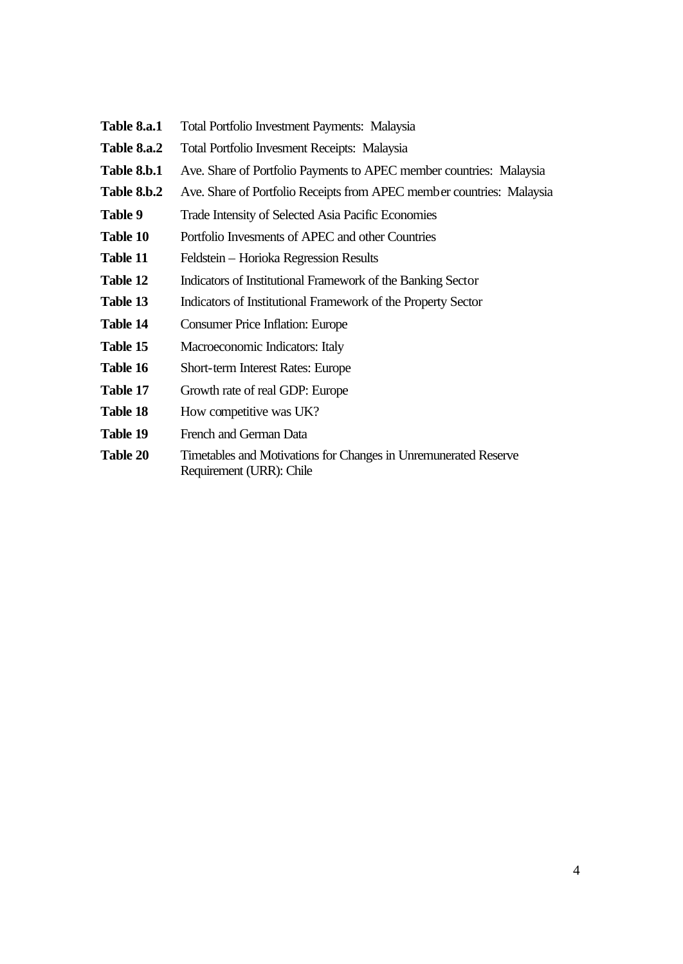| <b>Table 8.a.1</b> | Total Portfolio Investment Payments: Malaysia |  |
|--------------------|-----------------------------------------------|--|
|--------------------|-----------------------------------------------|--|

- **Table 8.a.2** Total Portfolio Invesment Receipts: Malaysia
- Table 8.b.1 Ave. Share of Portfolio Payments to APEC member countries: Malaysia
- Table 8.b.2 Ave. Share of Portfolio Receipts from APEC member countries: Malaysia
- Table 9 Trade Intensity of Selected Asia Pacific Economies
- Table 10 Portfolio Invesments of APEC and other Countries
- **Table 11** Feldstein Horioka Regression Results
- Table 12 Indicators of Institutional Framework of the Banking Sector
- Table 13 Indicators of Institutional Framework of the Property Sector
- **Table 14** Consumer Price Inflation: Europe
- Table 15 Macroeconomic Indicators: Italy
- **Table 16** Short-term Interest Rates: Europe
- Table 17 Growth rate of real GDP: Europe
- **Table 18** How competitive was UK?
- Table 19 French and German Data
- **Table 20** Timetables and Motivations for Changes in Unremunerated Reserve Requirement (URR): Chile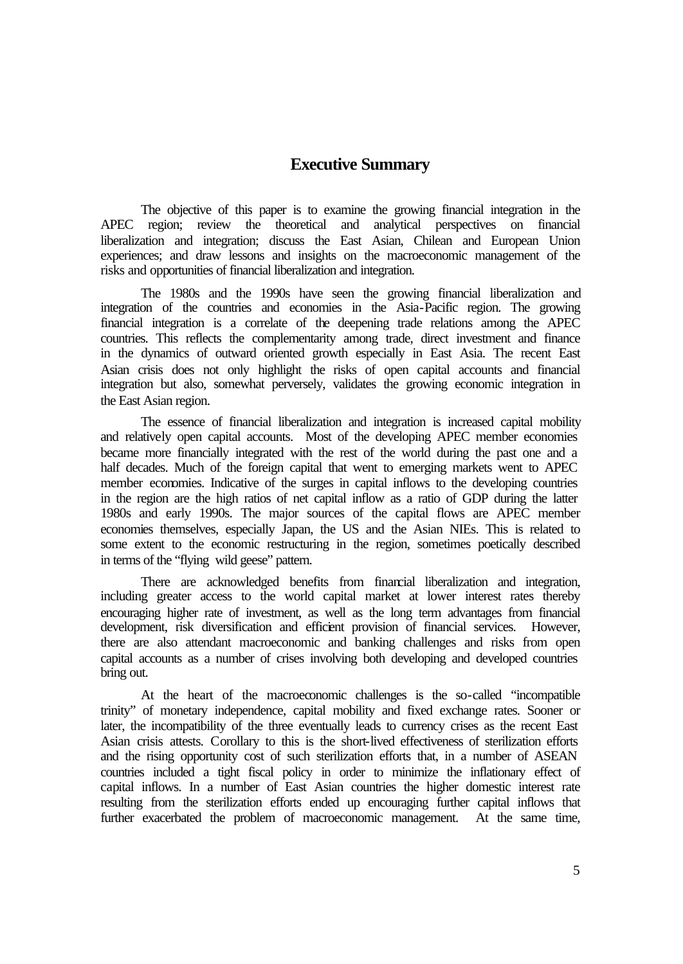## **Executive Summary**

The objective of this paper is to examine the growing financial integration in the APEC region; review the theoretical and analytical perspectives on financial liberalization and integration; discuss the East Asian, Chilean and European Union experiences; and draw lessons and insights on the macroeconomic management of the risks and opportunities of financial liberalization and integration.

The 1980s and the 1990s have seen the growing financial liberalization and integration of the countries and economies in the Asia-Pacific region. The growing financial integration is a correlate of the deepening trade relations among the APEC countries. This reflects the complementarity among trade, direct investment and finance in the dynamics of outward oriented growth especially in East Asia. The recent East Asian crisis does not only highlight the risks of open capital accounts and financial integration but also, somewhat perversely, validates the growing economic integration in the East Asian region.

The essence of financial liberalization and integration is increased capital mobility and relatively open capital accounts. Most of the developing APEC member economies became more financially integrated with the rest of the world during the past one and a half decades. Much of the foreign capital that went to emerging markets went to APEC member economies. Indicative of the surges in capital inflows to the developing countries in the region are the high ratios of net capital inflow as a ratio of GDP during the latter 1980s and early 1990s. The major sources of the capital flows are APEC member economies themselves, especially Japan, the US and the Asian NIEs. This is related to some extent to the economic restructuring in the region, sometimes poetically described in terms of the "flying wild geese" pattern.

There are acknowledged benefits from financial liberalization and integration, including greater access to the world capital market at lower interest rates thereby encouraging higher rate of investment, as well as the long term advantages from financial development, risk diversification and efficient provision of financial services. However, there are also attendant macroeconomic and banking challenges and risks from open capital accounts as a number of crises involving both developing and developed countries bring out.

At the heart of the macroeconomic challenges is the so-called "incompatible trinity" of monetary independence, capital mobility and fixed exchange rates. Sooner or later, the incompatibility of the three eventually leads to currency crises as the recent East Asian crisis attests. Corollary to this is the short-lived effectiveness of sterilization efforts and the rising opportunity cost of such sterilization efforts that, in a number of ASEAN countries included a tight fiscal policy in order to minimize the inflationary effect of capital inflows. In a number of East Asian countries the higher domestic interest rate resulting from the sterilization efforts ended up encouraging further capital inflows that further exacerbated the problem of macroeconomic management. At the same time,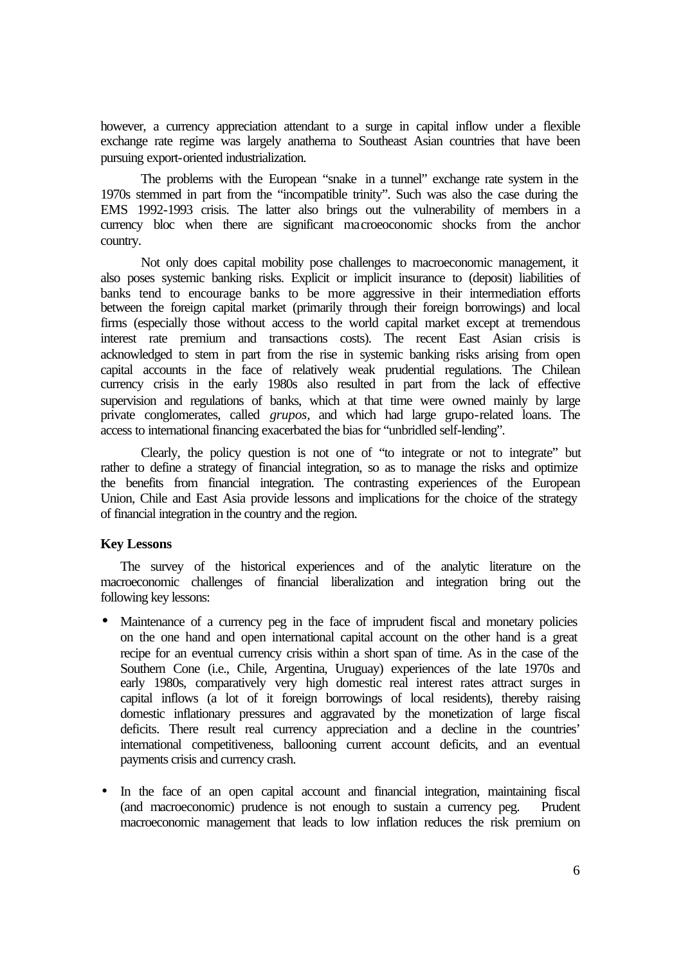however, a currency appreciation attendant to a surge in capital inflow under a flexible exchange rate regime was largely anathema to Southeast Asian countries that have been pursuing export-oriented industrialization.

The problems with the European "snake in a tunnel" exchange rate system in the 1970s stemmed in part from the "incompatible trinity". Such was also the case during the EMS 1992-1993 crisis. The latter also brings out the vulnerability of members in a currency bloc when there are significant macroeoconomic shocks from the anchor country.

Not only does capital mobility pose challenges to macroeconomic management, it also poses systemic banking risks. Explicit or implicit insurance to (deposit) liabilities of banks tend to encourage banks to be more aggressive in their intermediation efforts between the foreign capital market (primarily through their foreign borrowings) and local firms (especially those without access to the world capital market except at tremendous interest rate premium and transactions costs). The recent East Asian crisis is acknowledged to stem in part from the rise in systemic banking risks arising from open capital accounts in the face of relatively weak prudential regulations. The Chilean currency crisis in the early 1980s also resulted in part from the lack of effective supervision and regulations of banks, which at that time were owned mainly by large private conglomerates, called *grupos,* and which had large grupo-related loans. The access to international financing exacerbated the bias for "unbridled self-lending".

Clearly, the policy question is not one of "to integrate or not to integrate" but rather to define a strategy of financial integration, so as to manage the risks and optimize the benefits from financial integration. The contrasting experiences of the European Union, Chile and East Asia provide lessons and implications for the choice of the strategy of financial integration in the country and the region.

#### **Key Lessons**

The survey of the historical experiences and of the analytic literature on the macroeconomic challenges of financial liberalization and integration bring out the following key lessons:

- Maintenance of a currency peg in the face of imprudent fiscal and monetary policies on the one hand and open international capital account on the other hand is a great recipe for an eventual currency crisis within a short span of time. As in the case of the Southern Cone (i.e., Chile, Argentina, Uruguay) experiences of the late 1970s and early 1980s, comparatively very high domestic real interest rates attract surges in capital inflows (a lot of it foreign borrowings of local residents), thereby raising domestic inflationary pressures and aggravated by the monetization of large fiscal deficits. There result real currency appreciation and a decline in the countries' international competitiveness, ballooning current account deficits, and an eventual payments crisis and currency crash.
- In the face of an open capital account and financial integration, maintaining fiscal (and macroeconomic) prudence is not enough to sustain a currency peg. Prudent macroeconomic management that leads to low inflation reduces the risk premium on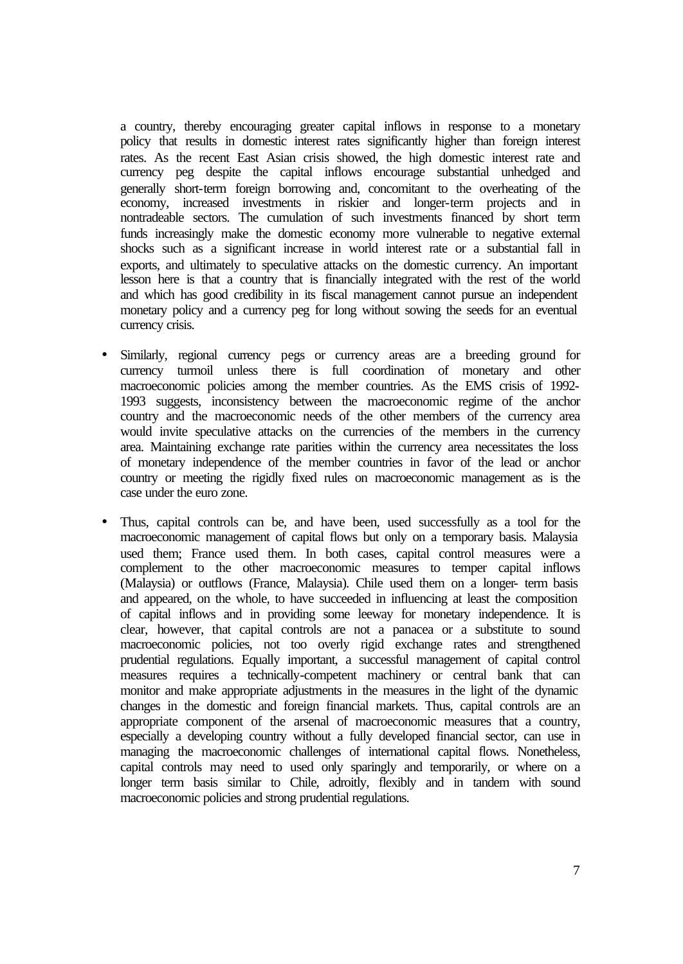a country, thereby encouraging greater capital inflows in response to a monetary policy that results in domestic interest rates significantly higher than foreign interest rates. As the recent East Asian crisis showed, the high domestic interest rate and currency peg despite the capital inflows encourage substantial unhedged and generally short-term foreign borrowing and, concomitant to the overheating of the economy, increased investments in riskier and longer-term projects and in nontradeable sectors. The cumulation of such investments financed by short term funds increasingly make the domestic economy more vulnerable to negative external shocks such as a significant increase in world interest rate or a substantial fall in exports, and ultimately to speculative attacks on the domestic currency. An important lesson here is that a country that is financially integrated with the rest of the world and which has good credibility in its fiscal management cannot pursue an independent monetary policy and a currency peg for long without sowing the seeds for an eventual currency crisis.

- Similarly, regional currency pegs or currency areas are a breeding ground for currency turmoil unless there is full coordination of monetary and other macroeconomic policies among the member countries. As the EMS crisis of 1992- 1993 suggests, inconsistency between the macroeconomic regime of the anchor country and the macroeconomic needs of the other members of the currency area would invite speculative attacks on the currencies of the members in the currency area. Maintaining exchange rate parities within the currency area necessitates the loss of monetary independence of the member countries in favor of the lead or anchor country or meeting the rigidly fixed rules on macroeconomic management as is the case under the euro zone.
- Thus, capital controls can be, and have been, used successfully as a tool for the macroeconomic management of capital flows but only on a temporary basis. Malaysia used them; France used them. In both cases, capital control measures were a complement to the other macroeconomic measures to temper capital inflows (Malaysia) or outflows (France, Malaysia). Chile used them on a longer- term basis and appeared, on the whole, to have succeeded in influencing at least the composition of capital inflows and in providing some leeway for monetary independence. It is clear, however, that capital controls are not a panacea or a substitute to sound macroeconomic policies, not too overly rigid exchange rates and strengthened prudential regulations. Equally important, a successful management of capital control measures requires a technically-competent machinery or central bank that can monitor and make appropriate adjustments in the measures in the light of the dynamic changes in the domestic and foreign financial markets. Thus, capital controls are an appropriate component of the arsenal of macroeconomic measures that a country, especially a developing country without a fully developed financial sector, can use in managing the macroeconomic challenges of international capital flows. Nonetheless, capital controls may need to used only sparingly and temporarily, or where on a longer term basis similar to Chile, adroitly, flexibly and in tandem with sound macroeconomic policies and strong prudential regulations.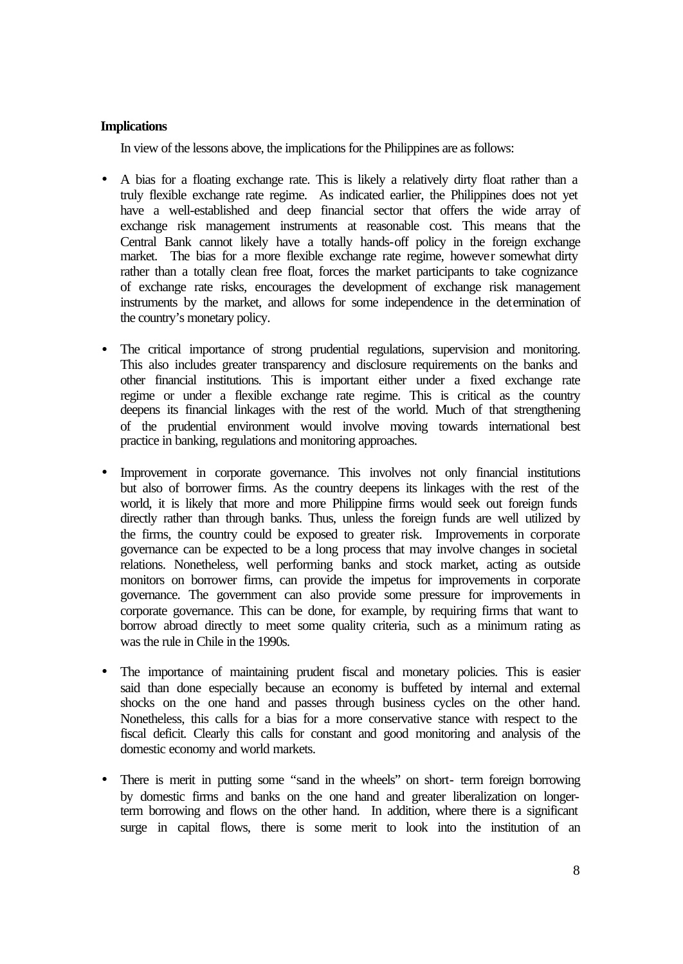#### **Implications**

In view of the lessons above, the implications for the Philippines are as follows:

- A bias for a floating exchange rate. This is likely a relatively dirty float rather than a truly flexible exchange rate regime. As indicated earlier, the Philippines does not yet have a well-established and deep financial sector that offers the wide array of exchange risk management instruments at reasonable cost. This means that the Central Bank cannot likely have a totally hands-off policy in the foreign exchange market. The bias for a more flexible exchange rate regime, however somewhat dirty rather than a totally clean free float, forces the market participants to take cognizance of exchange rate risks, encourages the development of exchange risk management instruments by the market, and allows for some independence in the determination of the country's monetary policy.
- The critical importance of strong prudential regulations, supervision and monitoring. This also includes greater transparency and disclosure requirements on the banks and other financial institutions. This is important either under a fixed exchange rate regime or under a flexible exchange rate regime. This is critical as the country deepens its financial linkages with the rest of the world. Much of that strengthening of the prudential environment would involve moving towards international best practice in banking, regulations and monitoring approaches.
- Improvement in corporate governance. This involves not only financial institutions but also of borrower firms. As the country deepens its linkages with the rest of the world, it is likely that more and more Philippine firms would seek out foreign funds directly rather than through banks. Thus, unless the foreign funds are well utilized by the firms, the country could be exposed to greater risk. Improvements in corporate governance can be expected to be a long process that may involve changes in societal relations. Nonetheless, well performing banks and stock market, acting as outside monitors on borrower firms, can provide the impetus for improvements in corporate governance. The government can also provide some pressure for improvements in corporate governance. This can be done, for example, by requiring firms that want to borrow abroad directly to meet some quality criteria, such as a minimum rating as was the rule in Chile in the 1990s.
- The importance of maintaining prudent fiscal and monetary policies. This is easier said than done especially because an economy is buffeted by internal and external shocks on the one hand and passes through business cycles on the other hand. Nonetheless, this calls for a bias for a more conservative stance with respect to the fiscal deficit. Clearly this calls for constant and good monitoring and analysis of the domestic economy and world markets.
- There is merit in putting some "sand in the wheels" on short- term foreign borrowing by domestic firms and banks on the one hand and greater liberalization on longerterm borrowing and flows on the other hand. In addition, where there is a significant surge in capital flows, there is some merit to look into the institution of an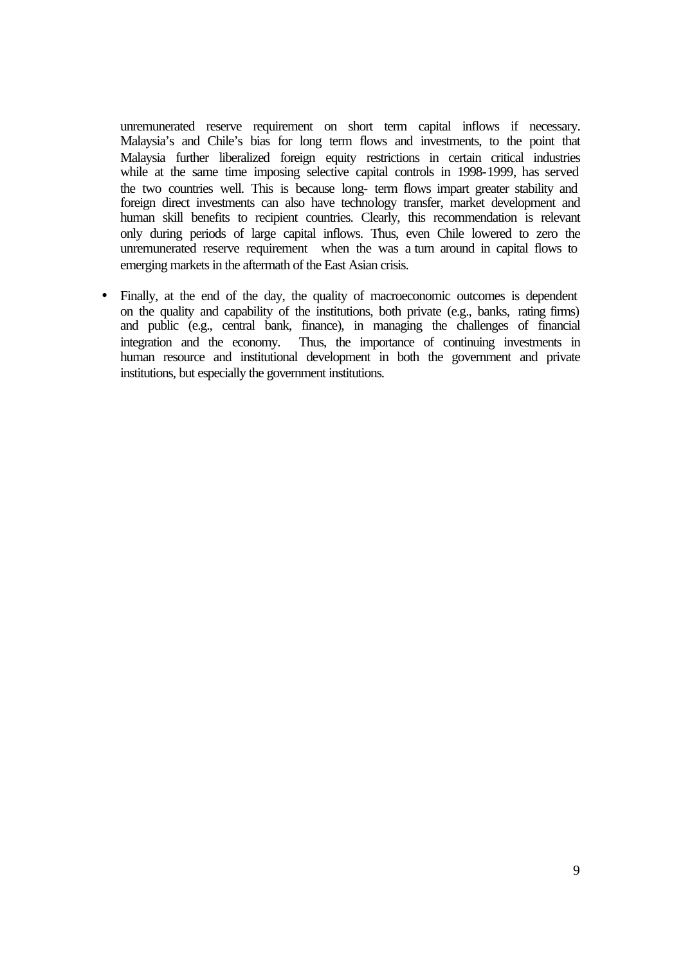unremunerated reserve requirement on short term capital inflows if necessary. Malaysia's and Chile's bias for long term flows and investments, to the point that Malaysia further liberalized foreign equity restrictions in certain critical industries while at the same time imposing selective capital controls in 1998-1999, has served the two countries well. This is because long- term flows impart greater stability and foreign direct investments can also have technology transfer, market development and human skill benefits to recipient countries. Clearly, this recommendation is relevant only during periods of large capital inflows. Thus, even Chile lowered to zero the unremunerated reserve requirement when the was a turn around in capital flows to emerging markets in the aftermath of the East Asian crisis.

• Finally, at the end of the day, the quality of macroeconomic outcomes is dependent on the quality and capability of the institutions, both private (e.g., banks, rating firms) and public (e.g., central bank, finance), in managing the challenges of financial integration and the economy. Thus, the importance of continuing investments in human resource and institutional development in both the government and private institutions, but especially the government institutions.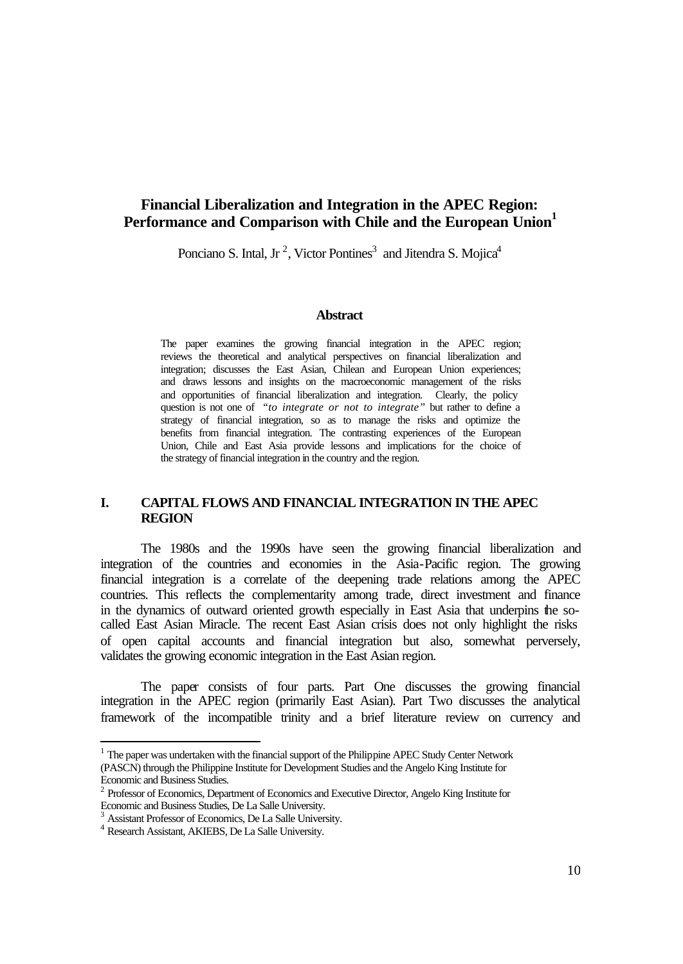### **Financial Liberalization and Integration in the APEC Region:**  Performance and Comparison with Chile and the European Union<sup>1</sup>

Ponciano S. Intal, Jr<sup>2</sup>, Victor Pontines<sup>3</sup> and Jitendra S. Mojica<sup>4</sup>

#### **Abstract**

The paper examines the growing financial integration in the APEC region; reviews the theoretical and analytical perspectives on financial liberalization and integration; discusses the East Asian, Chilean and European Union experiences; and draws lessons and insights on the macroeconomic management of the risks and opportunities of financial liberalization and integration. Clearly, the policy question is not one of *"to integrate or not to integrate"* but rather to define a strategy of financial integration, so as to manage the risks and optimize the benefits from financial integration. The contrasting experiences of the European Union, Chile and East Asia provide lessons and implications for the choice of the strategy of financial integration in the country and the region.

#### **I. CAPITAL FLOWS AND FINANCIAL INTEGRATION IN THE APEC REGION**

The 1980s and the 1990s have seen the growing financial liberalization and integration of the countries and economies in the Asia-Pacific region. The growing financial integration is a correlate of the deepening trade relations among the APEC countries. This reflects the complementarity among trade, direct investment and finance in the dynamics of outward oriented growth especially in East Asia that underpins the socalled East Asian Miracle. The recent East Asian crisis does not only highlight the risks of open capital accounts and financial integration but also, somewhat perversely, validates the growing economic integration in the East Asian region.

The paper consists of four parts. Part One discusses the growing financial integration in the APEC region (primarily East Asian). Part Two discusses the analytical framework of the incompatible trinity and a brief literature review on currency and

l

 $<sup>1</sup>$  The paper was undertaken with the financial support of the Philippine APEC Study Center Network</sup> (PASCN) through the Philippine Institute for Development Studies and the Angelo King Institute for Economic and Business Studies.

<sup>&</sup>lt;sup>2</sup> Professor of Economics, Department of Economics and Executive Director, Angelo King Institute for Economic and Business Studies, De La Salle University.

<sup>&</sup>lt;sup>3</sup> Assistant Professor of Economics, De La Salle University.

<sup>4</sup> Research Assistant, AKIEBS, De La Salle University.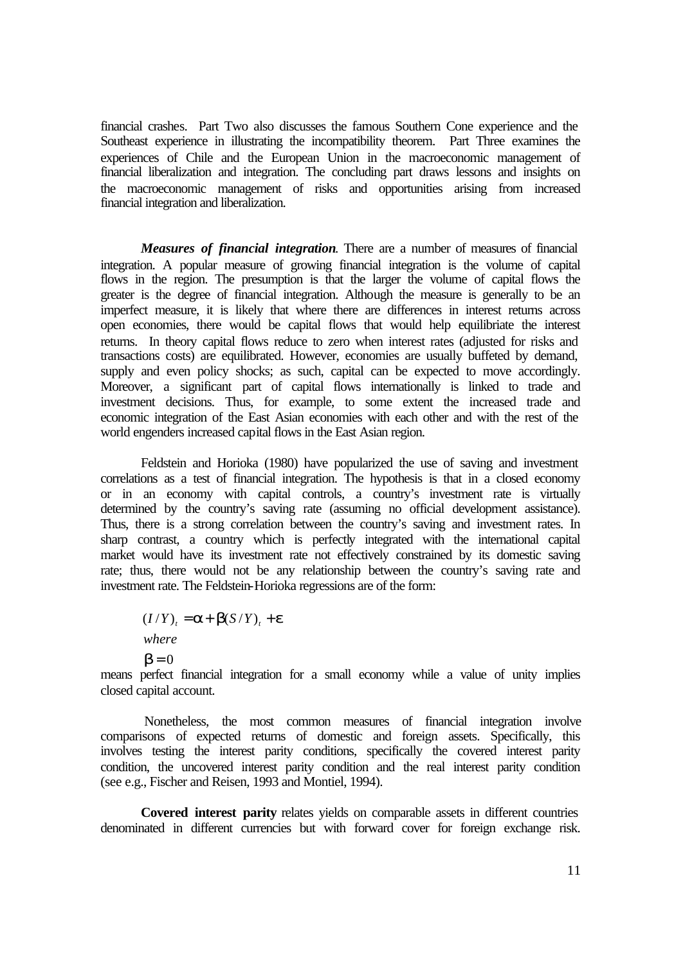financial crashes. Part Two also discusses the famous Southern Cone experience and the Southeast experience in illustrating the incompatibility theorem. Part Three examines the experiences of Chile and the European Union in the macroeconomic management of financial liberalization and integration. The concluding part draws lessons and insights on the macroeconomic management of risks and opportunities arising from increased financial integration and liberalization.

*Measures of financial integration*. There are a number of measures of financial integration. A popular measure of growing financial integration is the volume of capital flows in the region. The presumption is that the larger the volume of capital flows the greater is the degree of financial integration. Although the measure is generally to be an imperfect measure, it is likely that where there are differences in interest returns across open economies, there would be capital flows that would help equilibriate the interest returns. In theory capital flows reduce to zero when interest rates (adjusted for risks and transactions costs) are equilibrated. However, economies are usually buffeted by demand, supply and even policy shocks; as such, capital can be expected to move accordingly. Moreover, a significant part of capital flows internationally is linked to trade and investment decisions. Thus, for example, to some extent the increased trade and economic integration of the East Asian economies with each other and with the rest of the world engenders increased capital flows in the East Asian region.

Feldstein and Horioka (1980) have popularized the use of saving and investment correlations as a test of financial integration. The hypothesis is that in a closed economy or in an economy with capital controls, a country's investment rate is virtually determined by the country's saving rate (assuming no official development assistance). Thus, there is a strong correlation between the country's saving and investment rates. In sharp contrast, a country which is perfectly integrated with the international capital market would have its investment rate not effectively constrained by its domestic saving rate; thus, there would not be any relationship between the country's saving rate and investment rate. The Feldstein-Horioka regressions are of the form:

 $(I/Y)_t = a + b(S/Y)_t + e$ *where*

 $$ 

means perfect financial integration for a small economy while a value of unity implies closed capital account.

 Nonetheless, the most common measures of financial integration involve comparisons of expected returns of domestic and foreign assets. Specifically, this involves testing the interest parity conditions, specifically the covered interest parity condition, the uncovered interest parity condition and the real interest parity condition (see e.g., Fischer and Reisen, 1993 and Montiel, 1994).

**Covered interest parity** relates yields on comparable assets in different countries denominated in different currencies but with forward cover for foreign exchange risk.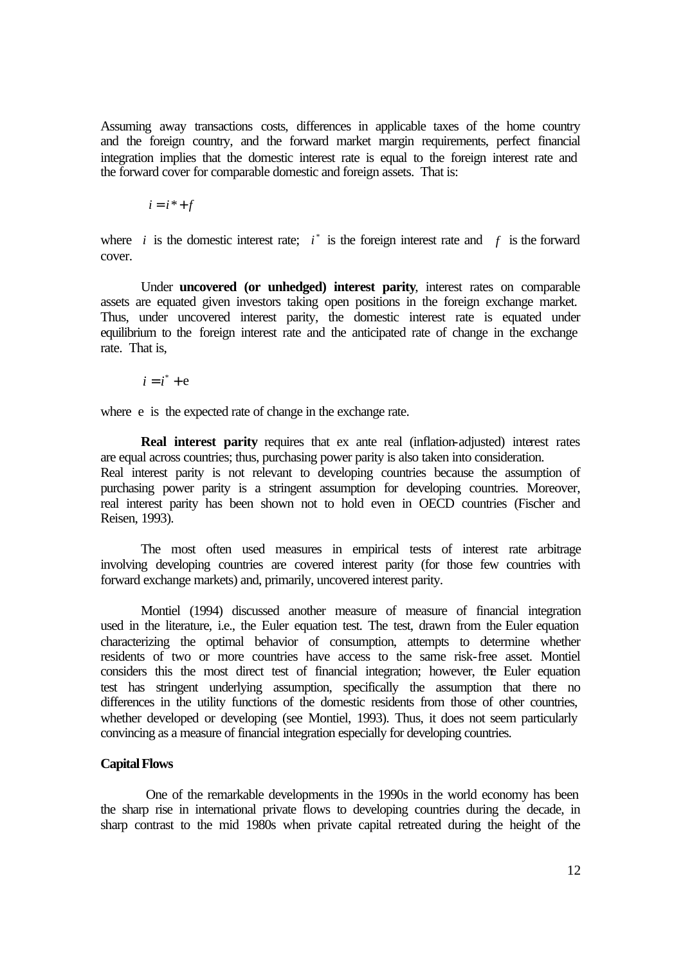Assuming away transactions costs, differences in applicable taxes of the home country and the foreign country, and the forward market margin requirements, perfect financial integration implies that the domestic interest rate is equal to the foreign interest rate and the forward cover for comparable domestic and foreign assets. That is:

 $i = i^* + f$ 

where *i* is the domestic interest rate;  $i^*$  is the foreign interest rate and  $f$  is the forward cover.

Under **uncovered (or unhedged) interest parity**, interest rates on comparable assets are equated given investors taking open positions in the foreign exchange market. Thus, under uncovered interest parity, the domestic interest rate is equated under equilibrium to the foreign interest rate and the anticipated rate of change in the exchange rate. That is,

$$
i = i^* + e
$$

where e is the expected rate of change in the exchange rate.

**Real interest parity** requires that ex ante real (inflation-adjusted) interest rates are equal across countries; thus, purchasing power parity is also taken into consideration. Real interest parity is not relevant to developing countries because the assumption of purchasing power parity is a stringent assumption for developing countries. Moreover, real interest parity has been shown not to hold even in OECD countries (Fischer and Reisen, 1993).

The most often used measures in empirical tests of interest rate arbitrage involving developing countries are covered interest parity (for those few countries with forward exchange markets) and, primarily, uncovered interest parity.

Montiel (1994) discussed another measure of measure of financial integration used in the literature, i.e., the Euler equation test. The test, drawn from the Euler equation characterizing the optimal behavior of consumption, attempts to determine whether residents of two or more countries have access to the same risk-free asset. Montiel considers this the most direct test of financial integration; however, the Euler equation test has stringent underlying assumption, specifically the assumption that there no differences in the utility functions of the domestic residents from those of other countries, whether developed or developing (see Montiel, 1993). Thus, it does not seem particularly convincing as a measure of financial integration especially for developing countries.

#### **Capital Flows**

 One of the remarkable developments in the 1990s in the world economy has been the sharp rise in international private flows to developing countries during the decade, in sharp contrast to the mid 1980s when private capital retreated during the height of the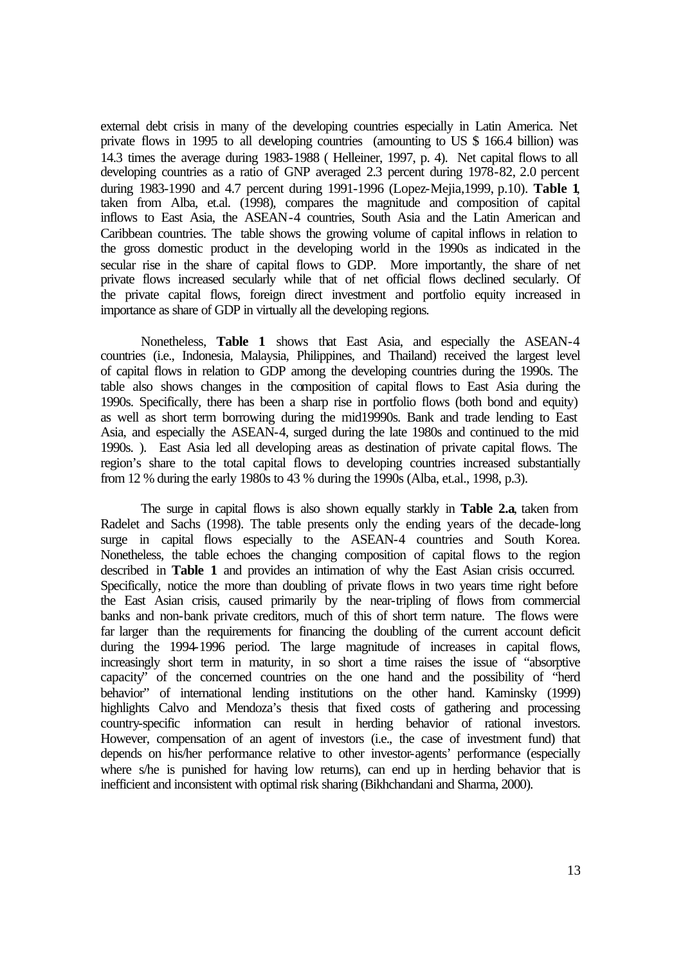external debt crisis in many of the developing countries especially in Latin America. Net private flows in 1995 to all developing countries (amounting to US \$ 166.4 billion) was 14.3 times the average during 1983-1988 ( Helleiner, 1997, p. 4). Net capital flows to all developing countries as a ratio of GNP averaged 2.3 percent during 1978-82, 2.0 percent during 1983-1990 and 4.7 percent during 1991-1996 (Lopez-Mejia,1999, p.10). **Table 1**, taken from Alba, et.al. (1998), compares the magnitude and composition of capital inflows to East Asia, the ASEAN-4 countries, South Asia and the Latin American and Caribbean countries. The table shows the growing volume of capital inflows in relation to the gross domestic product in the developing world in the 1990s as indicated in the secular rise in the share of capital flows to GDP. More importantly, the share of net private flows increased secularly while that of net official flows declined secularly. Of the private capital flows, foreign direct investment and portfolio equity increased in importance as share of GDP in virtually all the developing regions.

Nonetheless, **Table 1** shows that East Asia, and especially the ASEAN-4 countries (i.e., Indonesia, Malaysia, Philippines, and Thailand) received the largest level of capital flows in relation to GDP among the developing countries during the 1990s. The table also shows changes in the composition of capital flows to East Asia during the 1990s. Specifically, there has been a sharp rise in portfolio flows (both bond and equity) as well as short term borrowing during the mid19990s. Bank and trade lending to East Asia, and especially the ASEAN-4, surged during the late 1980s and continued to the mid 1990s. ). East Asia led all developing areas as destination of private capital flows. The region's share to the total capital flows to developing countries increased substantially from 12 % during the early 1980s to 43 % during the 1990s (Alba, et.al., 1998, p.3).

The surge in capital flows is also shown equally starkly in **Table 2.a**, taken from Radelet and Sachs (1998). The table presents only the ending years of the decade-long surge in capital flows especially to the ASEAN-4 countries and South Korea. Nonetheless, the table echoes the changing composition of capital flows to the region described in **Table 1** and provides an intimation of why the East Asian crisis occurred. Specifically, notice the more than doubling of private flows in two years time right before the East Asian crisis, caused primarily by the near-tripling of flows from commercial banks and non-bank private creditors, much of this of short term nature. The flows were far larger than the requirements for financing the doubling of the current account deficit during the 1994-1996 period. The large magnitude of increases in capital flows, increasingly short term in maturity, in so short a time raises the issue of "absorptive capacity" of the concerned countries on the one hand and the possibility of "herd behavior" of international lending institutions on the other hand. Kaminsky (1999) highlights Calvo and Mendoza's thesis that fixed costs of gathering and processing country-specific information can result in herding behavior of rational investors. However, compensation of an agent of investors (i.e., the case of investment fund) that depends on his/her performance relative to other investor-agents' performance (especially where s/he is punished for having low returns), can end up in herding behavior that is inefficient and inconsistent with optimal risk sharing (Bikhchandani and Sharma, 2000).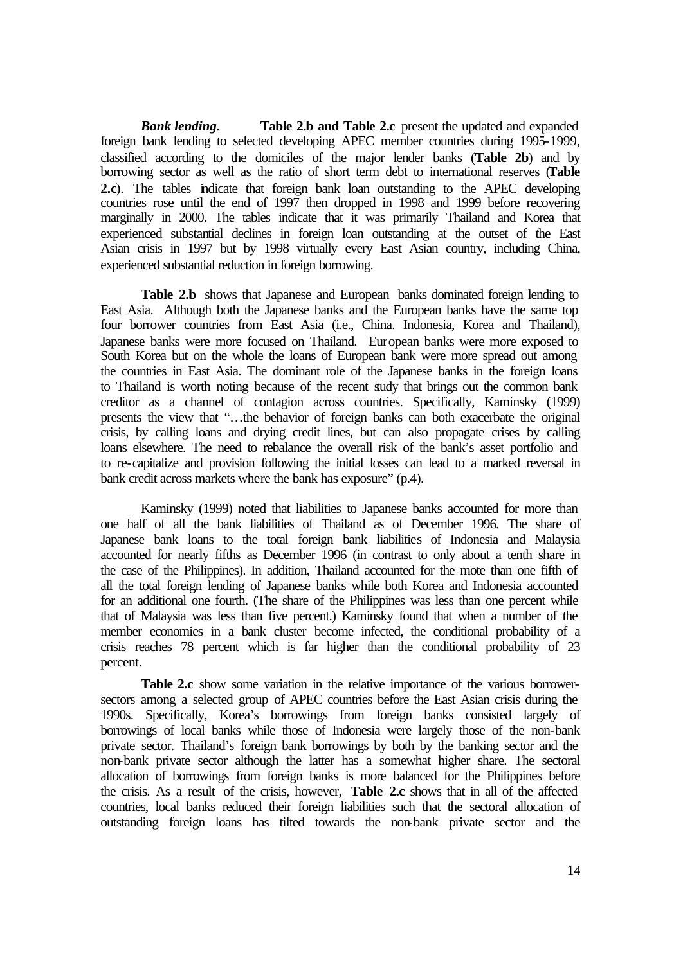*Bank lending.* **Table 2.b and Table 2.c** present the updated and expanded foreign bank lending to selected developing APEC member countries during 1995-1999, classified according to the domiciles of the major lender banks (**Table 2b**) and by borrowing sector as well as the ratio of short term debt to international reserves (**Table 2.c**). The tables indicate that foreign bank loan outstanding to the APEC developing countries rose until the end of 1997 then dropped in 1998 and 1999 before recovering marginally in 2000. The tables indicate that it was primarily Thailand and Korea that experienced substantial declines in foreign loan outstanding at the outset of the East Asian crisis in 1997 but by 1998 virtually every East Asian country, including China, experienced substantial reduction in foreign borrowing.

**Table 2.b** shows that Japanese and European banks dominated foreign lending to East Asia. Although both the Japanese banks and the European banks have the same top four borrower countries from East Asia (i.e., China. Indonesia, Korea and Thailand), Japanese banks were more focused on Thailand. European banks were more exposed to South Korea but on the whole the loans of European bank were more spread out among the countries in East Asia. The dominant role of the Japanese banks in the foreign loans to Thailand is worth noting because of the recent study that brings out the common bank creditor as a channel of contagion across countries. Specifically, Kaminsky (1999) presents the view that "…the behavior of foreign banks can both exacerbate the original crisis, by calling loans and drying credit lines, but can also propagate crises by calling loans elsewhere. The need to rebalance the overall risk of the bank's asset portfolio and to re-capitalize and provision following the initial losses can lead to a marked reversal in bank credit across markets where the bank has exposure" (p.4).

Kaminsky (1999) noted that liabilities to Japanese banks accounted for more than one half of all the bank liabilities of Thailand as of December 1996. The share of Japanese bank loans to the total foreign bank liabilities of Indonesia and Malaysia accounted for nearly fifths as December 1996 (in contrast to only about a tenth share in the case of the Philippines). In addition, Thailand accounted for the mote than one fifth of all the total foreign lending of Japanese banks while both Korea and Indonesia accounted for an additional one fourth. (The share of the Philippines was less than one percent while that of Malaysia was less than five percent.) Kaminsky found that when a number of the member economies in a bank cluster become infected, the conditional probability of a crisis reaches 78 percent which is far higher than the conditional probability of 23 percent.

**Table 2.c** show some variation in the relative importance of the various borrowersectors among a selected group of APEC countries before the East Asian crisis during the 1990s. Specifically, Korea's borrowings from foreign banks consisted largely of borrowings of local banks while those of Indonesia were largely those of the non-bank private sector. Thailand's foreign bank borrowings by both by the banking sector and the non-bank private sector although the latter has a somewhat higher share. The sectoral allocation of borrowings from foreign banks is more balanced for the Philippines before the crisis. As a result of the crisis, however, **Table 2.c** shows that in all of the affected countries, local banks reduced their foreign liabilities such that the sectoral allocation of outstanding foreign loans has tilted towards the non-bank private sector and the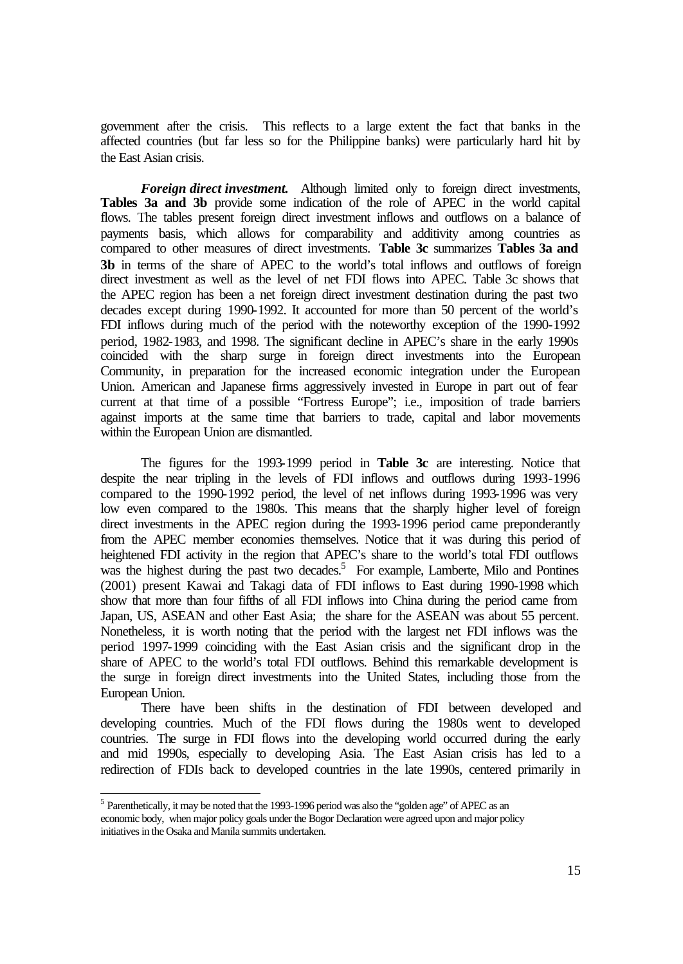government after the crisis. This reflects to a large extent the fact that banks in the affected countries (but far less so for the Philippine banks) were particularly hard hit by the East Asian crisis.

*Foreign direct investment.* Although limited only to foreign direct investments, **Tables 3a and 3b** provide some indication of the role of APEC in the world capital flows. The tables present foreign direct investment inflows and outflows on a balance of payments basis, which allows for comparability and additivity among countries as compared to other measures of direct investments. **Table 3c** summarizes **Tables 3a and 3b** in terms of the share of APEC to the world's total inflows and outflows of foreign direct investment as well as the level of net FDI flows into APEC. Table 3c shows that the APEC region has been a net foreign direct investment destination during the past two decades except during 1990-1992. It accounted for more than 50 percent of the world's FDI inflows during much of the period with the noteworthy exception of the 1990-1992 period, 1982-1983, and 1998. The significant decline in APEC's share in the early 1990s coincided with the sharp surge in foreign direct investments into the European Community, in preparation for the increased economic integration under the European Union. American and Japanese firms aggressively invested in Europe in part out of fear current at that time of a possible "Fortress Europe"; i.e., imposition of trade barriers against imports at the same time that barriers to trade, capital and labor movements within the European Union are dismantled.

The figures for the 1993-1999 period in **Table 3c** are interesting. Notice that despite the near tripling in the levels of FDI inflows and outflows during 1993-1996 compared to the 1990-1992 period, the level of net inflows during 1993-1996 was very low even compared to the 1980s. This means that the sharply higher level of foreign direct investments in the APEC region during the 1993-1996 period came preponderantly from the APEC member economies themselves. Notice that it was during this period of heightened FDI activity in the region that APEC's share to the world's total FDI outflows was the highest during the past two decades.<sup>5</sup> For example, Lamberte, Milo and Pontines (2001) present Kawai and Takagi data of FDI inflows to East during 1990-1998 which show that more than four fifths of all FDI inflows into China during the period came from Japan, US, ASEAN and other East Asia; the share for the ASEAN was about 55 percent. Nonetheless, it is worth noting that the period with the largest net FDI inflows was the period 1997-1999 coinciding with the East Asian crisis and the significant drop in the share of APEC to the world's total FDI outflows. Behind this remarkable development is the surge in foreign direct investments into the United States, including those from the European Union.

There have been shifts in the destination of FDI between developed and developing countries. Much of the FDI flows during the 1980s went to developed countries. The surge in FDI flows into the developing world occurred during the early and mid 1990s, especially to developing Asia. The East Asian crisis has led to a redirection of FDIs back to developed countries in the late 1990s, centered primarily in

<sup>&</sup>lt;sup>5</sup> Parenthetically, it may be noted that the 1993-1996 period was also the "golden age" of APEC as an economic body, when major policy goals under the Bogor Declaration were agreed upon and major policy initiatives in the Osaka and Manila summits undertaken.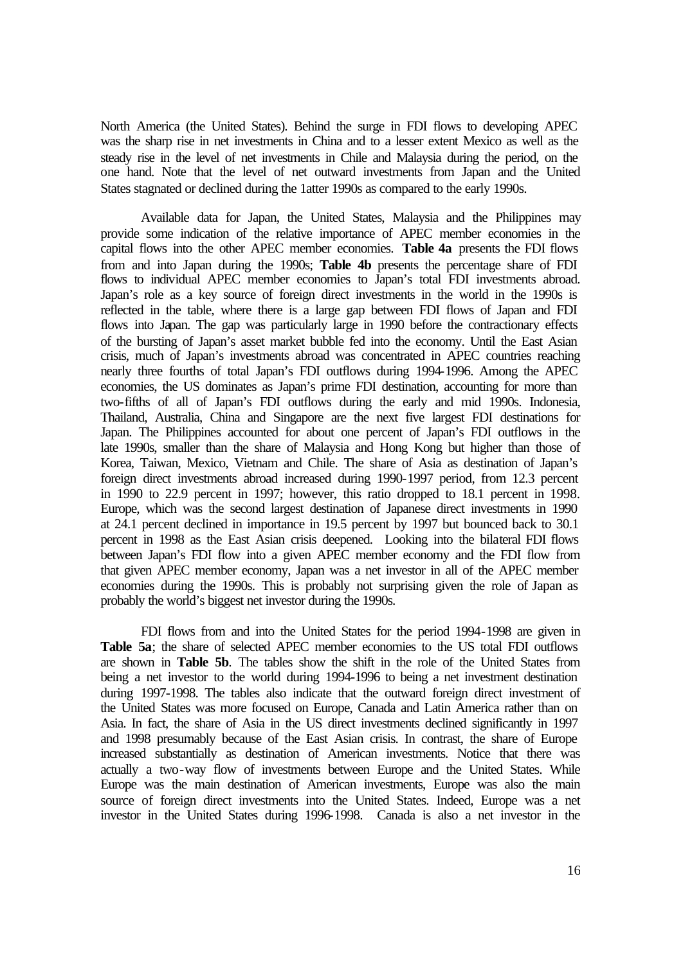North America (the United States). Behind the surge in FDI flows to developing APEC was the sharp rise in net investments in China and to a lesser extent Mexico as well as the steady rise in the level of net investments in Chile and Malaysia during the period, on the one hand. Note that the level of net outward investments from Japan and the United States stagnated or declined during the 1atter 1990s as compared to the early 1990s.

Available data for Japan, the United States, Malaysia and the Philippines may provide some indication of the relative importance of APEC member economies in the capital flows into the other APEC member economies. **Table 4a** presents the FDI flows from and into Japan during the 1990s; **Table 4b** presents the percentage share of FDI flows to individual APEC member economies to Japan's total FDI investments abroad. Japan's role as a key source of foreign direct investments in the world in the 1990s is reflected in the table, where there is a large gap between FDI flows of Japan and FDI flows into Japan. The gap was particularly large in 1990 before the contractionary effects of the bursting of Japan's asset market bubble fed into the economy. Until the East Asian crisis, much of Japan's investments abroad was concentrated in APEC countries reaching nearly three fourths of total Japan's FDI outflows during 1994-1996. Among the APEC economies, the US dominates as Japan's prime FDI destination, accounting for more than two-fifths of all of Japan's FDI outflows during the early and mid 1990s. Indonesia, Thailand, Australia, China and Singapore are the next five largest FDI destinations for Japan. The Philippines accounted for about one percent of Japan's FDI outflows in the late 1990s, smaller than the share of Malaysia and Hong Kong but higher than those of Korea, Taiwan, Mexico, Vietnam and Chile. The share of Asia as destination of Japan's foreign direct investments abroad increased during 1990-1997 period, from 12.3 percent in 1990 to 22.9 percent in 1997; however, this ratio dropped to 18.1 percent in 1998. Europe, which was the second largest destination of Japanese direct investments in 1990 at 24.1 percent declined in importance in 19.5 percent by 1997 but bounced back to 30.1 percent in 1998 as the East Asian crisis deepened. Looking into the bilateral FDI flows between Japan's FDI flow into a given APEC member economy and the FDI flow from that given APEC member economy, Japan was a net investor in all of the APEC member economies during the 1990s. This is probably not surprising given the role of Japan as probably the world's biggest net investor during the 1990s.

FDI flows from and into the United States for the period 1994-1998 are given in Table 5a; the share of selected APEC member economies to the US total FDI outflows are shown in **Table 5b**. The tables show the shift in the role of the United States from being a net investor to the world during 1994-1996 to being a net investment destination during 1997-1998. The tables also indicate that the outward foreign direct investment of the United States was more focused on Europe, Canada and Latin America rather than on Asia. In fact, the share of Asia in the US direct investments declined significantly in 1997 and 1998 presumably because of the East Asian crisis. In contrast, the share of Europe increased substantially as destination of American investments. Notice that there was actually a two-way flow of investments between Europe and the United States. While Europe was the main destination of American investments, Europe was also the main source of foreign direct investments into the United States. Indeed, Europe was a net investor in the United States during 1996-1998. Canada is also a net investor in the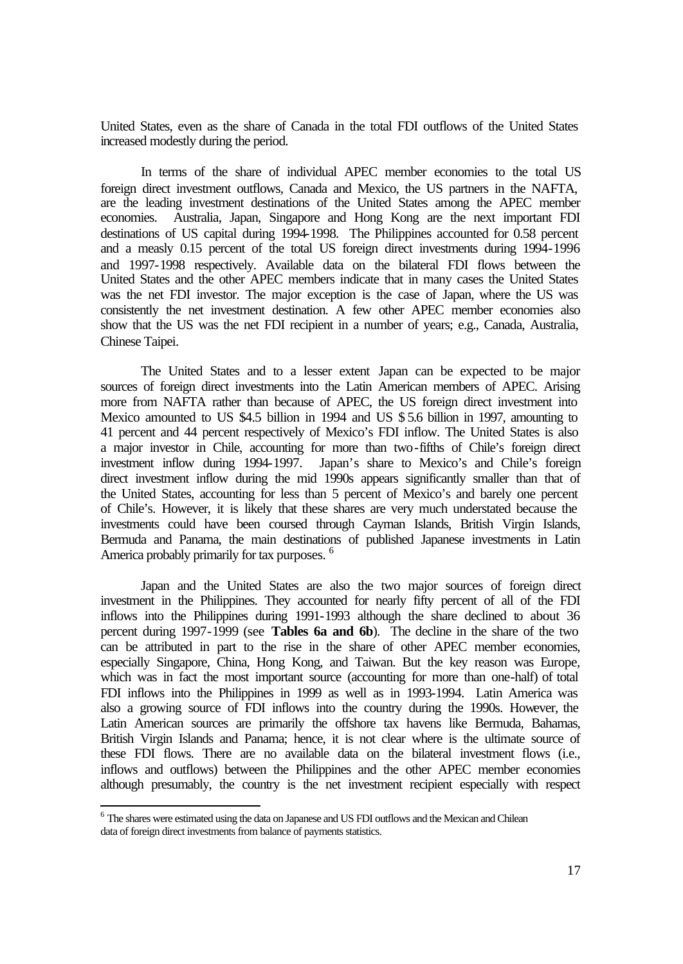United States, even as the share of Canada in the total FDI outflows of the United States increased modestly during the period.

In terms of the share of individual APEC member economies to the total US foreign direct investment outflows, Canada and Mexico, the US partners in the NAFTA, are the leading investment destinations of the United States among the APEC member economies. Australia, Japan, Singapore and Hong Kong are the next important FDI destinations of US capital during 1994-1998. The Philippines accounted for 0.58 percent and a measly 0.15 percent of the total US foreign direct investments during 1994-1996 and 1997-1998 respectively. Available data on the bilateral FDI flows between the United States and the other APEC members indicate that in many cases the United States was the net FDI investor. The major exception is the case of Japan, where the US was consistently the net investment destination. A few other APEC member economies also show that the US was the net FDI recipient in a number of years; e.g., Canada, Australia, Chinese Taipei.

The United States and to a lesser extent Japan can be expected to be major sources of foreign direct investments into the Latin American members of APEC. Arising more from NAFTA rather than because of APEC, the US foreign direct investment into Mexico amounted to US \$4.5 billion in 1994 and US \$ 5.6 billion in 1997, amounting to 41 percent and 44 percent respectively of Mexico's FDI inflow. The United States is also a major investor in Chile, accounting for more than two-fifths of Chile's foreign direct investment inflow during 1994-1997. Japan's share to Mexico's and Chile's foreign direct investment inflow during the mid 1990s appears significantly smaller than that of the United States, accounting for less than 5 percent of Mexico's and barely one percent of Chile's. However, it is likely that these shares are very much understated because the investments could have been coursed through Cayman Islands, British Virgin Islands, Bermuda and Panama, the main destinations of published Japanese investments in Latin America probably primarily for tax purposes. <sup>6</sup>

Japan and the United States are also the two major sources of foreign direct investment in the Philippines. They accounted for nearly fifty percent of all of the FDI inflows into the Philippines during 1991-1993 although the share declined to about 36 percent during 1997-1999 (see **Tables 6a and 6b**). The decline in the share of the two can be attributed in part to the rise in the share of other APEC member economies, especially Singapore, China, Hong Kong, and Taiwan. But the key reason was Europe, which was in fact the most important source (accounting for more than one-half) of total FDI inflows into the Philippines in 1999 as well as in 1993-1994. Latin America was also a growing source of FDI inflows into the country during the 1990s. However, the Latin American sources are primarily the offshore tax havens like Bermuda, Bahamas, British Virgin Islands and Panama; hence, it is not clear where is the ultimate source of these FDI flows. There are no available data on the bilateral investment flows (i.e., inflows and outflows) between the Philippines and the other APEC member economies although presumably, the country is the net investment recipient especially with respect

l

<sup>&</sup>lt;sup>6</sup> The shares were estimated using the data on Japanese and US FDI outflows and the Mexican and Chilean data of foreign direct investments from balance of payments statistics.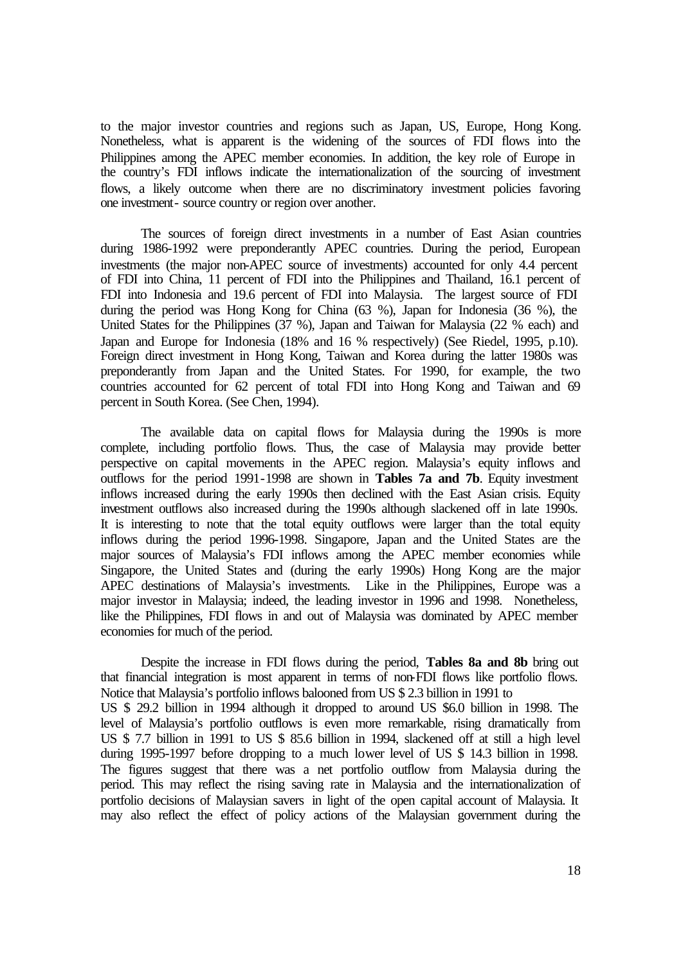to the major investor countries and regions such as Japan, US, Europe, Hong Kong. Nonetheless, what is apparent is the widening of the sources of FDI flows into the Philippines among the APEC member economies. In addition, the key role of Europe in the country's FDI inflows indicate the internationalization of the sourcing of investment flows, a likely outcome when there are no discriminatory investment policies favoring one investment- source country or region over another.

The sources of foreign direct investments in a number of East Asian countries during 1986-1992 were preponderantly APEC countries. During the period, European investments (the major non-APEC source of investments) accounted for only 4.4 percent of FDI into China, 11 percent of FDI into the Philippines and Thailand, 16.1 percent of FDI into Indonesia and 19.6 percent of FDI into Malaysia. The largest source of FDI during the period was Hong Kong for China (63 %), Japan for Indonesia (36 %), the United States for the Philippines (37 %), Japan and Taiwan for Malaysia (22 % each) and Japan and Europe for Indonesia (18% and 16 % respectively) (See Riedel, 1995, p.10). Foreign direct investment in Hong Kong, Taiwan and Korea during the latter 1980s was preponderantly from Japan and the United States. For 1990, for example, the two countries accounted for 62 percent of total FDI into Hong Kong and Taiwan and 69 percent in South Korea. (See Chen, 1994).

The available data on capital flows for Malaysia during the 1990s is more complete, including portfolio flows. Thus, the case of Malaysia may provide better perspective on capital movements in the APEC region. Malaysia's equity inflows and outflows for the period 1991-1998 are shown in **Tables 7a and 7b**. Equity investment inflows increased during the early 1990s then declined with the East Asian crisis. Equity investment outflows also increased during the 1990s although slackened off in late 1990s. It is interesting to note that the total equity outflows were larger than the total equity inflows during the period 1996-1998. Singapore, Japan and the United States are the major sources of Malaysia's FDI inflows among the APEC member economies while Singapore, the United States and (during the early 1990s) Hong Kong are the major APEC destinations of Malaysia's investments. Like in the Philippines, Europe was a major investor in Malaysia; indeed, the leading investor in 1996 and 1998. Nonetheless, like the Philippines, FDI flows in and out of Malaysia was dominated by APEC member economies for much of the period.

Despite the increase in FDI flows during the period, **Tables 8a and 8b** bring out that financial integration is most apparent in terms of non-FDI flows like portfolio flows. Notice that Malaysia's portfolio inflows balooned from US \$ 2.3 billion in 1991 to US \$ 29.2 billion in 1994 although it dropped to around US \$6.0 billion in 1998. The level of Malaysia's portfolio outflows is even more remarkable, rising dramatically from US \$ 7.7 billion in 1991 to US \$ 85.6 billion in 1994, slackened off at still a high level during 1995-1997 before dropping to a much lower level of US \$ 14.3 billion in 1998. The figures suggest that there was a net portfolio outflow from Malaysia during the period. This may reflect the rising saving rate in Malaysia and the internationalization of portfolio decisions of Malaysian savers in light of the open capital account of Malaysia. It may also reflect the effect of policy actions of the Malaysian government during the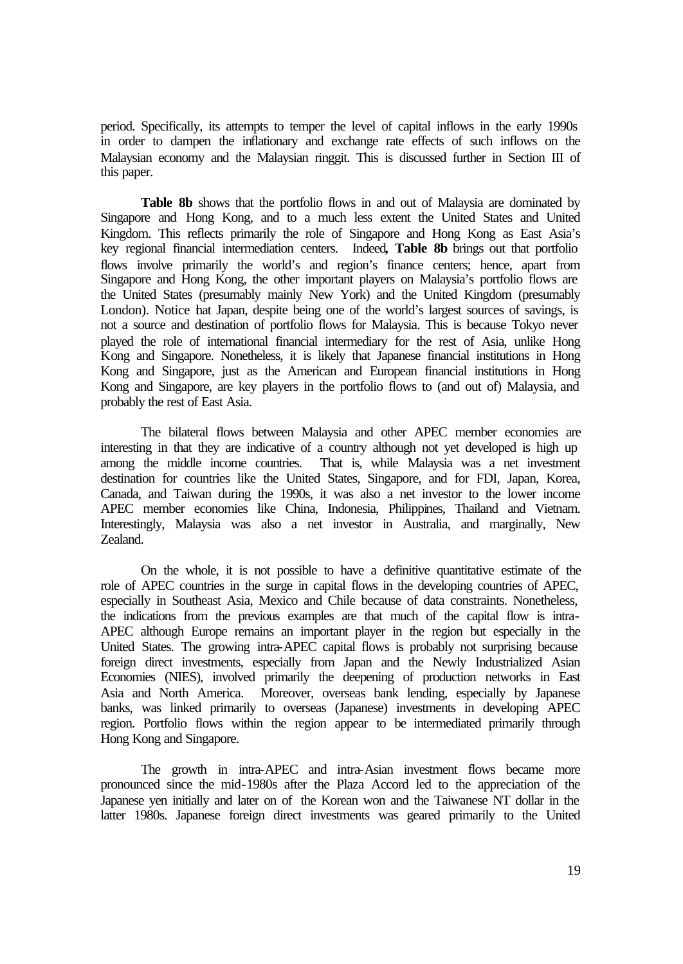period. Specifically, its attempts to temper the level of capital inflows in the early 1990s in order to dampen the inflationary and exchange rate effects of such inflows on the Malaysian economy and the Malaysian ringgit. This is discussed further in Section III of this paper.

Table 8b shows that the portfolio flows in and out of Malaysia are dominated by Singapore and Hong Kong, and to a much less extent the United States and United Kingdom. This reflects primarily the role of Singapore and Hong Kong as East Asia's key regional financial intermediation centers. Indeed**, Table 8b** brings out that portfolio flows involve primarily the world's and region's finance centers; hence, apart from Singapore and Hong Kong, the other important players on Malaysia's portfolio flows are the United States (presumably mainly New York) and the United Kingdom (presumably London). Notice hat Japan, despite being one of the world's largest sources of savings, is not a source and destination of portfolio flows for Malaysia. This is because Tokyo never played the role of international financial intermediary for the rest of Asia, unlike Hong Kong and Singapore. Nonetheless, it is likely that Japanese financial institutions in Hong Kong and Singapore, just as the American and European financial institutions in Hong Kong and Singapore, are key players in the portfolio flows to (and out of) Malaysia, and probably the rest of East Asia.

The bilateral flows between Malaysia and other APEC member economies are interesting in that they are indicative of a country although not yet developed is high up among the middle income countries. That is, while Malaysia was a net investment destination for countries like the United States, Singapore, and for FDI, Japan, Korea, Canada, and Taiwan during the 1990s, it was also a net investor to the lower income APEC member economies like China, Indonesia, Philippines, Thailand and Vietnam. Interestingly, Malaysia was also a net investor in Australia, and marginally, New Zealand.

On the whole, it is not possible to have a definitive quantitative estimate of the role of APEC countries in the surge in capital flows in the developing countries of APEC, especially in Southeast Asia, Mexico and Chile because of data constraints. Nonetheless, the indications from the previous examples are that much of the capital flow is intra-APEC although Europe remains an important player in the region but especially in the United States. The growing intra-APEC capital flows is probably not surprising because foreign direct investments, especially from Japan and the Newly Industrialized Asian Economies (NIES), involved primarily the deepening of production networks in East Asia and North America. Moreover, overseas bank lending, especially by Japanese banks, was linked primarily to overseas (Japanese) investments in developing APEC region. Portfolio flows within the region appear to be intermediated primarily through Hong Kong and Singapore.

The growth in intra-APEC and intra-Asian investment flows became more pronounced since the mid-1980s after the Plaza Accord led to the appreciation of the Japanese yen initially and later on of the Korean won and the Taiwanese NT dollar in the latter 1980s. Japanese foreign direct investments was geared primarily to the United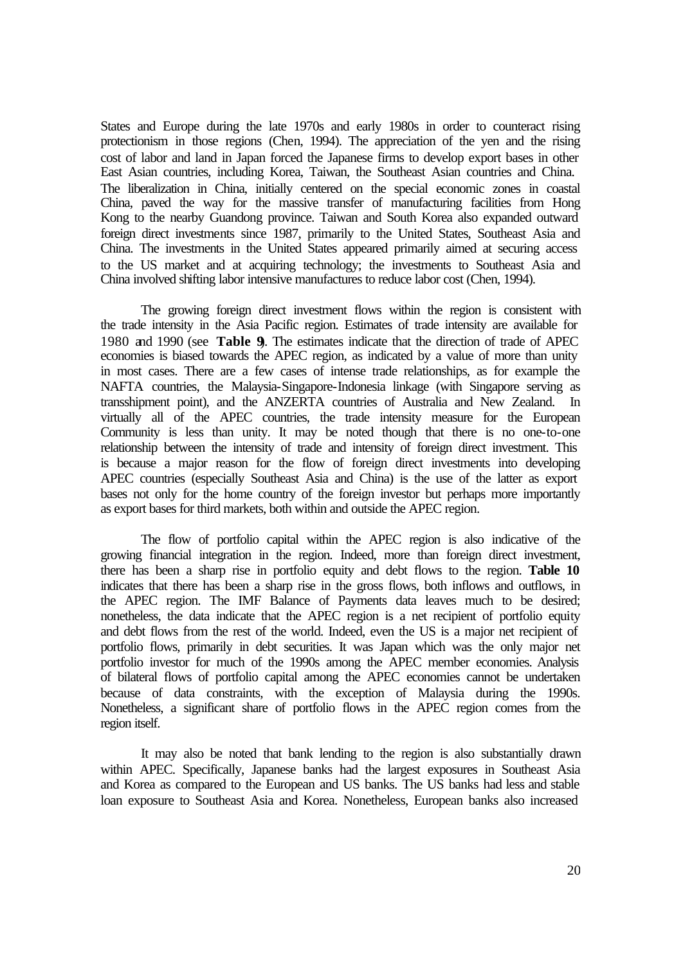States and Europe during the late 1970s and early 1980s in order to counteract rising protectionism in those regions (Chen, 1994). The appreciation of the yen and the rising cost of labor and land in Japan forced the Japanese firms to develop export bases in other East Asian countries, including Korea, Taiwan, the Southeast Asian countries and China. The liberalization in China, initially centered on the special economic zones in coastal China, paved the way for the massive transfer of manufacturing facilities from Hong Kong to the nearby Guandong province. Taiwan and South Korea also expanded outward foreign direct investments since 1987, primarily to the United States, Southeast Asia and China. The investments in the United States appeared primarily aimed at securing access to the US market and at acquiring technology; the investments to Southeast Asia and China involved shifting labor intensive manufactures to reduce labor cost (Chen, 1994).

The growing foreign direct investment flows within the region is consistent with the trade intensity in the Asia Pacific region. Estimates of trade intensity are available for 1980 and 1990 (see **Table 9**). The estimates indicate that the direction of trade of APEC economies is biased towards the APEC region, as indicated by a value of more than unity in most cases. There are a few cases of intense trade relationships, as for example the NAFTA countries, the Malaysia-Singapore-Indonesia linkage (with Singapore serving as transshipment point), and the ANZERTA countries of Australia and New Zealand. In virtually all of the APEC countries, the trade intensity measure for the European Community is less than unity. It may be noted though that there is no one-to-one relationship between the intensity of trade and intensity of foreign direct investment. This is because a major reason for the flow of foreign direct investments into developing APEC countries (especially Southeast Asia and China) is the use of the latter as export bases not only for the home country of the foreign investor but perhaps more importantly as export bases for third markets, both within and outside the APEC region.

The flow of portfolio capital within the APEC region is also indicative of the growing financial integration in the region. Indeed, more than foreign direct investment, there has been a sharp rise in portfolio equity and debt flows to the region. **Table 10** indicates that there has been a sharp rise in the gross flows, both inflows and outflows, in the APEC region. The IMF Balance of Payments data leaves much to be desired; nonetheless, the data indicate that the APEC region is a net recipient of portfolio equity and debt flows from the rest of the world. Indeed, even the US is a major net recipient of portfolio flows, primarily in debt securities. It was Japan which was the only major net portfolio investor for much of the 1990s among the APEC member economies. Analysis of bilateral flows of portfolio capital among the APEC economies cannot be undertaken because of data constraints, with the exception of Malaysia during the 1990s. Nonetheless, a significant share of portfolio flows in the APEC region comes from the region itself.

It may also be noted that bank lending to the region is also substantially drawn within APEC. Specifically, Japanese banks had the largest exposures in Southeast Asia and Korea as compared to the European and US banks. The US banks had less and stable loan exposure to Southeast Asia and Korea. Nonetheless, European banks also increased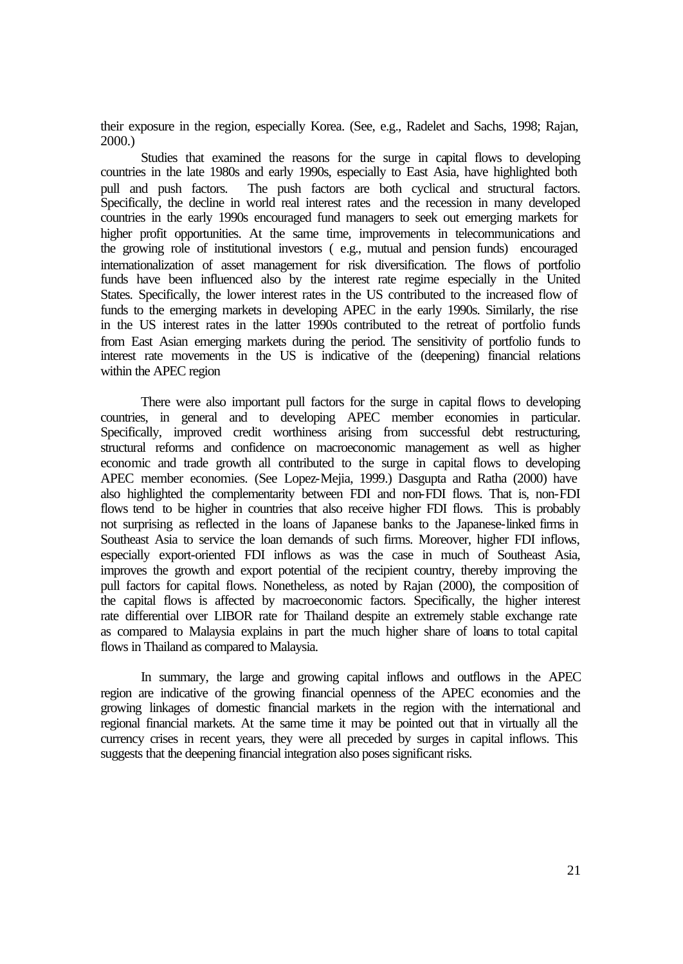their exposure in the region, especially Korea. (See, e.g., Radelet and Sachs, 1998; Rajan, 2000.)

Studies that examined the reasons for the surge in capital flows to developing countries in the late 1980s and early 1990s, especially to East Asia, have highlighted both pull and push factors. The push factors are both cyclical and structural factors. Specifically, the decline in world real interest rates and the recession in many developed countries in the early 1990s encouraged fund managers to seek out emerging markets for higher profit opportunities. At the same time, improvements in telecommunications and the growing role of institutional investors ( e.g., mutual and pension funds) encouraged internationalization of asset management for risk diversification. The flows of portfolio funds have been influenced also by the interest rate regime especially in the United States. Specifically, the lower interest rates in the US contributed to the increased flow of funds to the emerging markets in developing APEC in the early 1990s. Similarly, the rise in the US interest rates in the latter 1990s contributed to the retreat of portfolio funds from East Asian emerging markets during the period. The sensitivity of portfolio funds to interest rate movements in the US is indicative of the (deepening) financial relations within the APEC region

There were also important pull factors for the surge in capital flows to developing countries, in general and to developing APEC member economies in particular. Specifically, improved credit worthiness arising from successful debt restructuring, structural reforms and confidence on macroeconomic management as well as higher economic and trade growth all contributed to the surge in capital flows to developing APEC member economies. (See Lopez-Mejia, 1999.) Dasgupta and Ratha (2000) have also highlighted the complementarity between FDI and non-FDI flows. That is, non-FDI flows tend to be higher in countries that also receive higher FDI flows. This is probably not surprising as reflected in the loans of Japanese banks to the Japanese-linked firms in Southeast Asia to service the loan demands of such firms. Moreover, higher FDI inflows, especially export-oriented FDI inflows as was the case in much of Southeast Asia, improves the growth and export potential of the recipient country, thereby improving the pull factors for capital flows. Nonetheless, as noted by Rajan (2000), the composition of the capital flows is affected by macroeconomic factors. Specifically, the higher interest rate differential over LIBOR rate for Thailand despite an extremely stable exchange rate as compared to Malaysia explains in part the much higher share of loans to total capital flows in Thailand as compared to Malaysia.

In summary, the large and growing capital inflows and outflows in the APEC region are indicative of the growing financial openness of the APEC economies and the growing linkages of domestic financial markets in the region with the international and regional financial markets. At the same time it may be pointed out that in virtually all the currency crises in recent years, they were all preceded by surges in capital inflows. This suggests that the deepening financial integration also poses significant risks.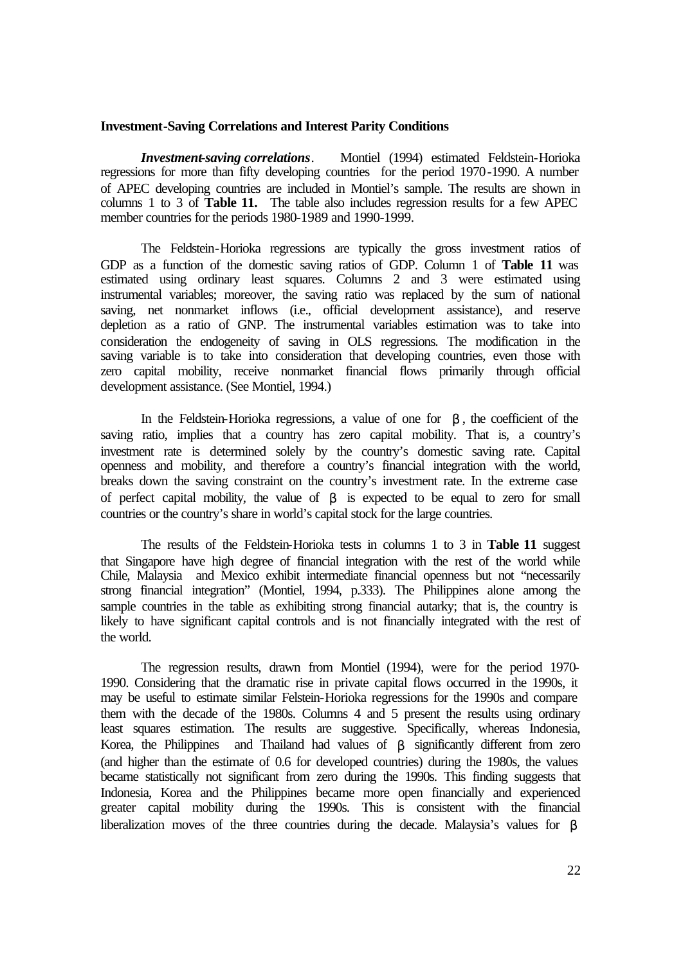#### **Investment-Saving Correlations and Interest Parity Conditions**

*Investment-saving correlations*. Montiel (1994) estimated Feldstein-Horioka regressions for more than fifty developing countries for the period 1970-1990. A number of APEC developing countries are included in Montiel's sample. The results are shown in columns 1 to 3 of **Table 11.** The table also includes regression results for a few APEC member countries for the periods 1980-1989 and 1990-1999.

The Feldstein-Horioka regressions are typically the gross investment ratios of GDP as a function of the domestic saving ratios of GDP. Column 1 of **Table 11** was estimated using ordinary least squares. Columns 2 and 3 were estimated using instrumental variables; moreover, the saving ratio was replaced by the sum of national saving, net nonmarket inflows (i.e., official development assistance), and reserve depletion as a ratio of GNP. The instrumental variables estimation was to take into consideration the endogeneity of saving in OLS regressions. The modification in the saving variable is to take into consideration that developing countries, even those with zero capital mobility, receive nonmarket financial flows primarily through official development assistance. (See Montiel, 1994.)

In the Feldstein-Horioka regressions, a value of one for *b* , the coefficient of the saving ratio, implies that a country has zero capital mobility. That is, a country's investment rate is determined solely by the country's domestic saving rate. Capital openness and mobility, and therefore a country's financial integration with the world, breaks down the saving constraint on the country's investment rate. In the extreme case of perfect capital mobility, the value of *b* is expected to be equal to zero for small countries or the country's share in world's capital stock for the large countries.

The results of the Feldstein-Horioka tests in columns 1 to 3 in **Table 11** suggest that Singapore have high degree of financial integration with the rest of the world while Chile, Malaysia and Mexico exhibit intermediate financial openness but not "necessarily strong financial integration" (Montiel, 1994, p.333). The Philippines alone among the sample countries in the table as exhibiting strong financial autarky; that is, the country is likely to have significant capital controls and is not financially integrated with the rest of the world.

The regression results, drawn from Montiel (1994), were for the period 1970- 1990. Considering that the dramatic rise in private capital flows occurred in the 1990s, it may be useful to estimate similar Felstein-Horioka regressions for the 1990s and compare them with the decade of the 1980s. Columns 4 and 5 present the results using ordinary least squares estimation. The results are suggestive. Specifically, whereas Indonesia, Korea, the Philippines and Thailand had values of *b* significantly different from zero (and higher than the estimate of 0.6 for developed countries) during the 1980s, the values became statistically not significant from zero during the 1990s. This finding suggests that Indonesia, Korea and the Philippines became more open financially and experienced greater capital mobility during the 1990s. This is consistent with the financial liberalization moves of the three countries during the decade. Malaysia's values for *b*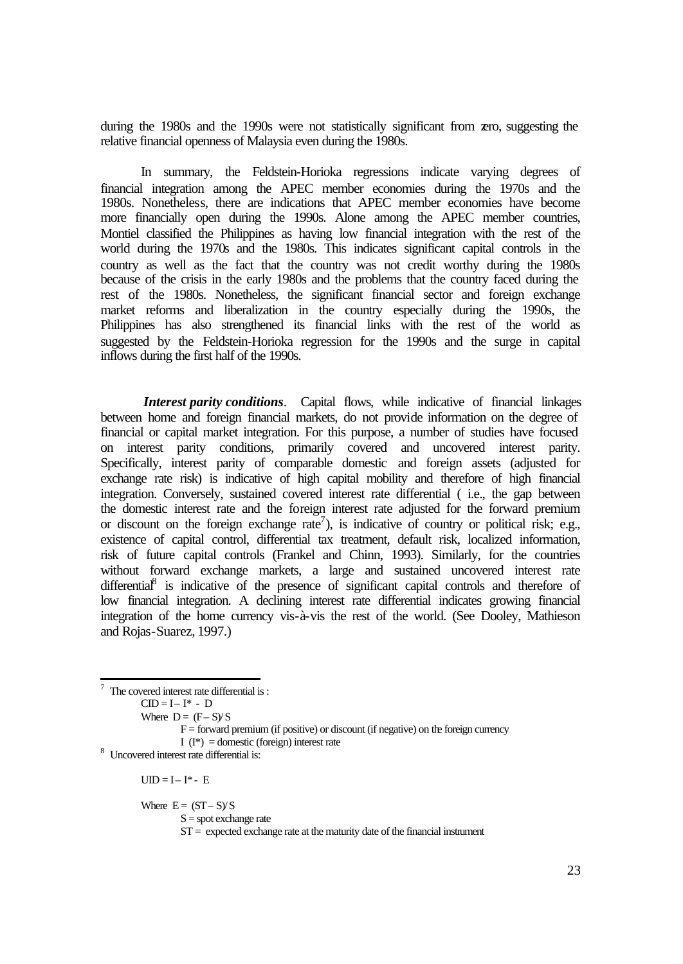during the 1980s and the 1990s were not statistically significant from zero, suggesting the relative financial openness of Malaysia even during the 1980s.

In summary, the Feldstein-Horioka regressions indicate varying degrees of financial integration among the APEC member economies during the 1970s and the 1980s. Nonetheless, there are indications that APEC member economies have become more financially open during the 1990s. Alone among the APEC member countries, Montiel classified the Philippines as having low financial integration with the rest of the world during the 1970s and the 1980s. This indicates significant capital controls in the country as well as the fact that the country was not credit worthy during the 1980s because of the crisis in the early 1980s and the problems that the country faced during the rest of the 1980s. Nonetheless, the significant financial sector and foreign exchange market reforms and liberalization in the country especially during the 1990s, the Philippines has also strengthened its financial links with the rest of the world as suggested by the Feldstein-Horioka regression for the 1990s and the surge in capital inflows during the first half of the 1990s.

*Interest parity conditions*. Capital flows, while indicative of financial linkages between home and foreign financial markets, do not provide information on the degree of financial or capital market integration. For this purpose, a number of studies have focused on interest parity conditions, primarily covered and uncovered interest parity. Specifically, interest parity of comparable domestic and foreign assets (adjusted for exchange rate risk) is indicative of high capital mobility and therefore of high financial integration. Conversely, sustained covered interest rate differential ( i.e., the gap between the domestic interest rate and the foreign interest rate adjusted for the forward premium or discount on the foreign exchange rate<sup>7</sup>), is indicative of country or political risk; e.g., existence of capital control, differential tax treatment, default risk, localized information, risk of future capital controls (Frankel and Chinn, 1993). Similarly, for the countries without forward exchange markets, a large and sustained uncovered interest rate differential<sup>8</sup> is indicative of the presence of significant capital controls and therefore of low financial integration. A declining interest rate differential indicates growing financial integration of the home currency vis-à-vis the rest of the world. (See Dooley, Mathieson and Rojas-Suarez, 1997.)

 7 The covered interest rate differential is :  $CID = I - I^* - D$ Where  $D = (F - S)/S$  $F =$  forward premium (if positive) or discount (if negative) on the foreign currency I  $(I^*)$  = domestic (foreign) interest rate 8 Uncovered interest rate differential is:

 $UID = I - I^* - E$ 

Where  $E = (ST - S)/S$ 

 $S =$ spot exchange rate

 $ST =$  expected exchange rate at the maturity date of the financial instrument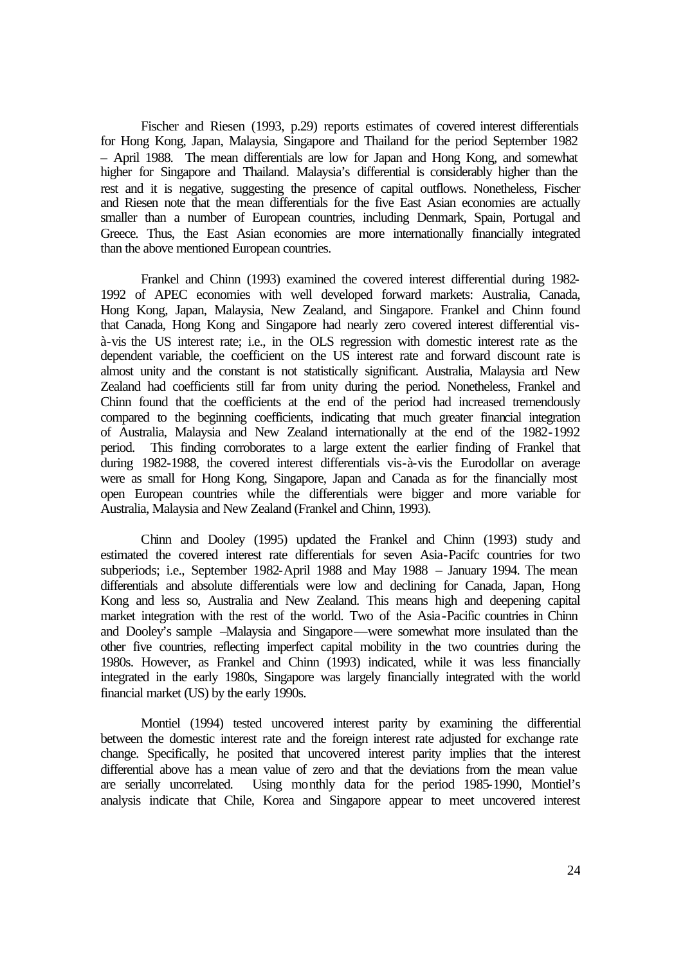Fischer and Riesen (1993, p.29) reports estimates of covered interest differentials for Hong Kong, Japan, Malaysia, Singapore and Thailand for the period September 1982 – April 1988. The mean differentials are low for Japan and Hong Kong, and somewhat higher for Singapore and Thailand. Malaysia's differential is considerably higher than the rest and it is negative, suggesting the presence of capital outflows. Nonetheless, Fischer and Riesen note that the mean differentials for the five East Asian economies are actually smaller than a number of European countries, including Denmark, Spain, Portugal and Greece. Thus, the East Asian economies are more internationally financially integrated than the above mentioned European countries.

Frankel and Chinn (1993) examined the covered interest differential during 1982- 1992 of APEC economies with well developed forward markets: Australia, Canada, Hong Kong, Japan, Malaysia, New Zealand, and Singapore. Frankel and Chinn found that Canada, Hong Kong and Singapore had nearly zero covered interest differential visà-vis the US interest rate; i.e., in the OLS regression with domestic interest rate as the dependent variable, the coefficient on the US interest rate and forward discount rate is almost unity and the constant is not statistically significant. Australia, Malaysia and New Zealand had coefficients still far from unity during the period. Nonetheless, Frankel and Chinn found that the coefficients at the end of the period had increased tremendously compared to the beginning coefficients, indicating that much greater financial integration of Australia, Malaysia and New Zealand internationally at the end of the 1982-1992 period. This finding corroborates to a large extent the earlier finding of Frankel that during 1982-1988, the covered interest differentials vis-à-vis the Eurodollar on average were as small for Hong Kong, Singapore, Japan and Canada as for the financially most open European countries while the differentials were bigger and more variable for Australia, Malaysia and New Zealand (Frankel and Chinn, 1993).

Chinn and Dooley (1995) updated the Frankel and Chinn (1993) study and estimated the covered interest rate differentials for seven Asia-Pacifc countries for two subperiods; i.e., September 1982-April 1988 and May 1988 – January 1994. The mean differentials and absolute differentials were low and declining for Canada, Japan, Hong Kong and less so, Australia and New Zealand. This means high and deepening capital market integration with the rest of the world. Two of the Asia-Pacific countries in Chinn and Dooley's sample –Malaysia and Singapore—were somewhat more insulated than the other five countries, reflecting imperfect capital mobility in the two countries during the 1980s. However, as Frankel and Chinn (1993) indicated, while it was less financially integrated in the early 1980s, Singapore was largely financially integrated with the world financial market (US) by the early 1990s.

Montiel (1994) tested uncovered interest parity by examining the differential between the domestic interest rate and the foreign interest rate adjusted for exchange rate change. Specifically, he posited that uncovered interest parity implies that the interest differential above has a mean value of zero and that the deviations from the mean value are serially uncorrelated. Using monthly data for the period 1985-1990, Montiel's analysis indicate that Chile, Korea and Singapore appear to meet uncovered interest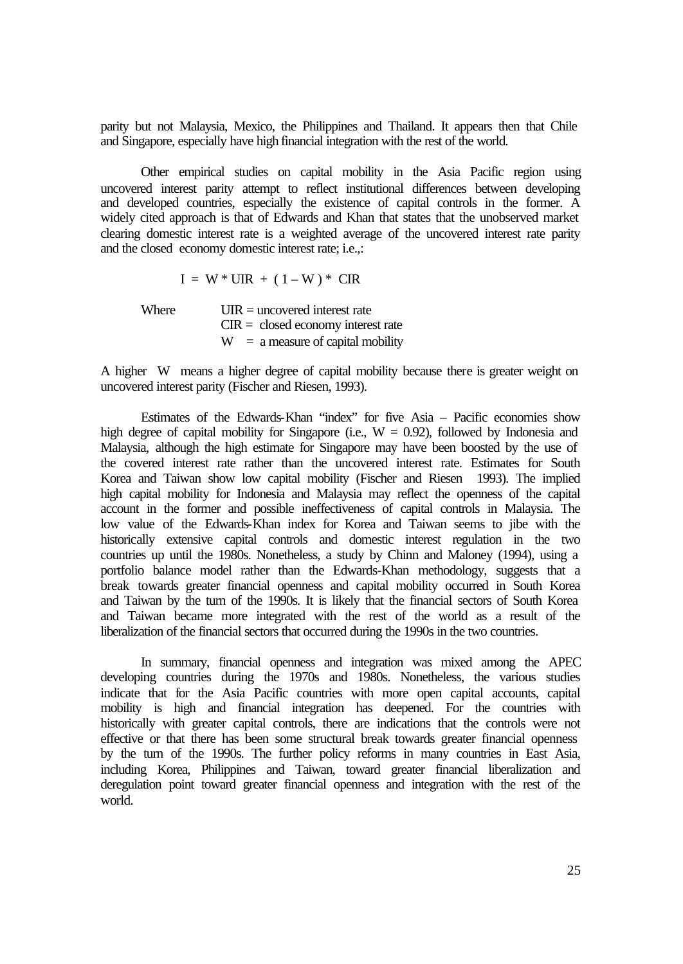parity but not Malaysia, Mexico, the Philippines and Thailand. It appears then that Chile and Singapore, especially have high financial integration with the rest of the world.

Other empirical studies on capital mobility in the Asia Pacific region using uncovered interest parity attempt to reflect institutional differences between developing and developed countries, especially the existence of capital controls in the former. A widely cited approach is that of Edwards and Khan that states that the unobserved market clearing domestic interest rate is a weighted average of the uncovered interest rate parity and the closed economy domestic interest rate; i.e.,:

 $I = W * UIR + (1 - W) * CIR$ 

Where  $UIR =$  uncovered interest rate  $CIR = closed economy$  interest rate  $W = a$  measure of capital mobility

A higher W means a higher degree of capital mobility because there is greater weight on uncovered interest parity (Fischer and Riesen, 1993).

Estimates of the Edwards-Khan "index" for five Asia – Pacific economies show high degree of capital mobility for Singapore (i.e.,  $W = 0.92$ ), followed by Indonesia and Malaysia, although the high estimate for Singapore may have been boosted by the use of the covered interest rate rather than the uncovered interest rate. Estimates for South Korea and Taiwan show low capital mobility (Fischer and Riesen 1993). The implied high capital mobility for Indonesia and Malaysia may reflect the openness of the capital account in the former and possible ineffectiveness of capital controls in Malaysia. The low value of the Edwards-Khan index for Korea and Taiwan seems to jibe with the historically extensive capital controls and domestic interest regulation in the two countries up until the 1980s. Nonetheless, a study by Chinn and Maloney (1994), using a portfolio balance model rather than the Edwards-Khan methodology, suggests that a break towards greater financial openness and capital mobility occurred in South Korea and Taiwan by the turn of the 1990s. It is likely that the financial sectors of South Korea and Taiwan became more integrated with the rest of the world as a result of the liberalization of the financial sectors that occurred during the 1990s in the two countries.

In summary, financial openness and integration was mixed among the APEC developing countries during the 1970s and 1980s. Nonetheless, the various studies indicate that for the Asia Pacific countries with more open capital accounts, capital mobility is high and financial integration has deepened. For the countries with historically with greater capital controls, there are indications that the controls were not effective or that there has been some structural break towards greater financial openness by the turn of the 1990s. The further policy reforms in many countries in East Asia, including Korea, Philippines and Taiwan, toward greater financial liberalization and deregulation point toward greater financial openness and integration with the rest of the world.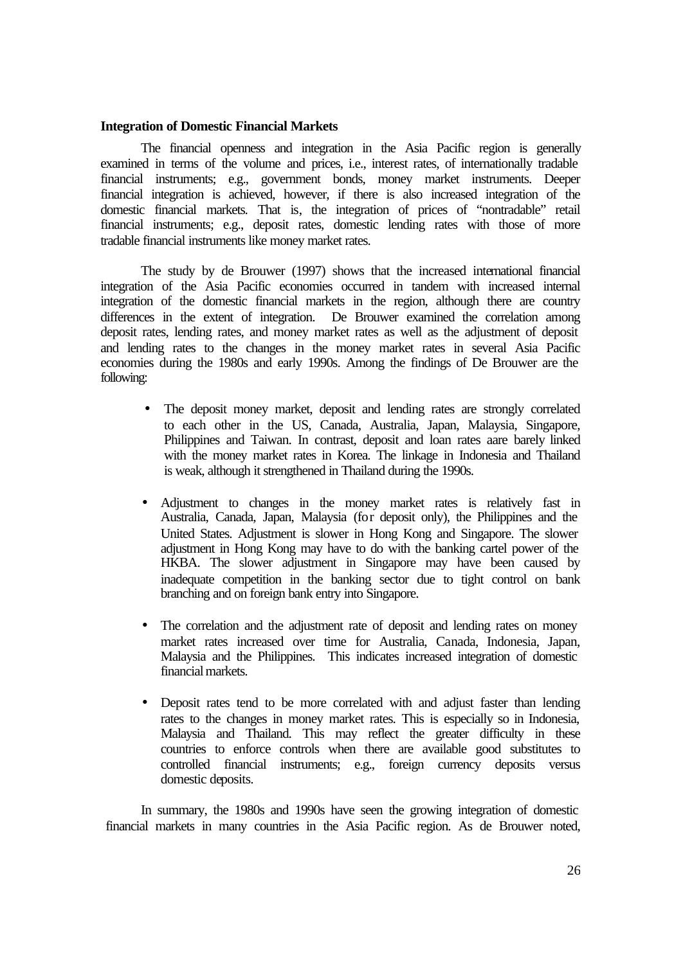#### **Integration of Domestic Financial Markets**

The financial openness and integration in the Asia Pacific region is generally examined in terms of the volume and prices, i.e., interest rates, of internationally tradable financial instruments; e.g., government bonds, money market instruments. Deeper financial integration is achieved, however, if there is also increased integration of the domestic financial markets. That is, the integration of prices of "nontradable" retail financial instruments; e.g., deposit rates, domestic lending rates with those of more tradable financial instruments like money market rates.

The study by de Brouwer (1997) shows that the increased international financial integration of the Asia Pacific economies occurred in tandem with increased internal integration of the domestic financial markets in the region, although there are country differences in the extent of integration. De Brouwer examined the correlation among deposit rates, lending rates, and money market rates as well as the adjustment of deposit and lending rates to the changes in the money market rates in several Asia Pacific economies during the 1980s and early 1990s. Among the findings of De Brouwer are the following:

- The deposit money market, deposit and lending rates are strongly correlated to each other in the US, Canada, Australia, Japan, Malaysia, Singapore, Philippines and Taiwan. In contrast, deposit and loan rates aare barely linked with the money market rates in Korea. The linkage in Indonesia and Thailand is weak, although it strengthened in Thailand during the 1990s.
- Adjustment to changes in the money market rates is relatively fast in Australia, Canada, Japan, Malaysia (for deposit only), the Philippines and the United States. Adjustment is slower in Hong Kong and Singapore. The slower adjustment in Hong Kong may have to do with the banking cartel power of the HKBA. The slower adjustment in Singapore may have been caused by inadequate competition in the banking sector due to tight control on bank branching and on foreign bank entry into Singapore.
- The correlation and the adjustment rate of deposit and lending rates on money market rates increased over time for Australia, Canada, Indonesia, Japan, Malaysia and the Philippines. This indicates increased integration of domestic financial markets.
- Deposit rates tend to be more correlated with and adjust faster than lending rates to the changes in money market rates. This is especially so in Indonesia, Malaysia and Thailand. This may reflect the greater difficulty in these countries to enforce controls when there are available good substitutes to controlled financial instruments; e.g., foreign currency deposits versus domestic deposits.

In summary, the 1980s and 1990s have seen the growing integration of domestic financial markets in many countries in the Asia Pacific region. As de Brouwer noted,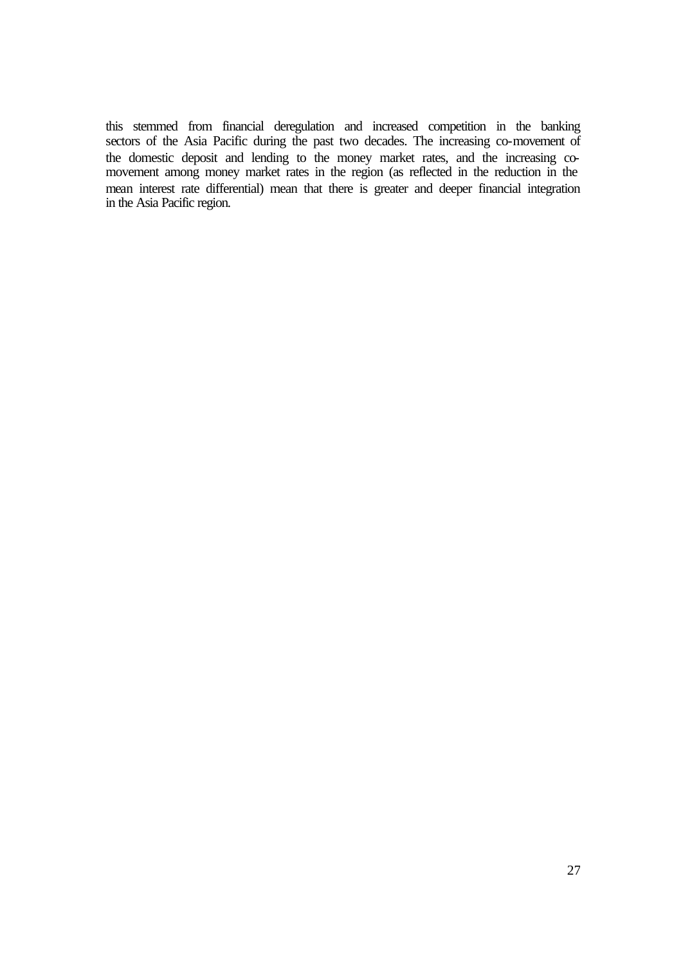this stemmed from financial deregulation and increased competition in the banking sectors of the Asia Pacific during the past two decades. The increasing co-movement of the domestic deposit and lending to the money market rates, and the increasing comovement among money market rates in the region (as reflected in the reduction in the mean interest rate differential) mean that there is greater and deeper financial integration in the Asia Pacific region.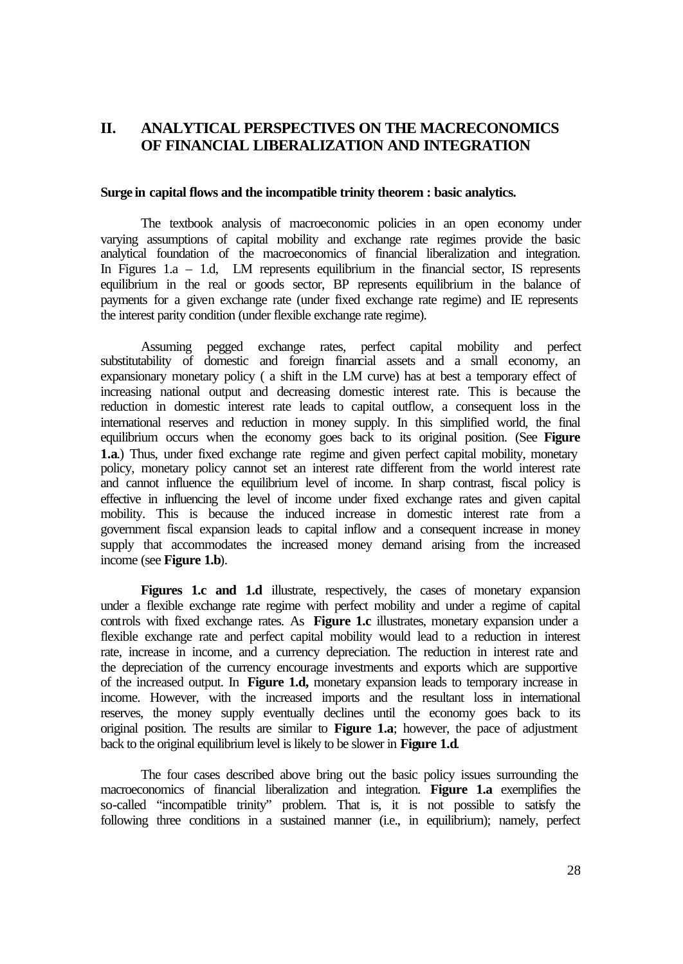## **II. ANALYTICAL PERSPECTIVES ON THE MACRECONOMICS OF FINANCIAL LIBERALIZATION AND INTEGRATION**

#### **Surge in capital flows and the incompatible trinity theorem : basic analytics.**

The textbook analysis of macroeconomic policies in an open economy under varying assumptions of capital mobility and exchange rate regimes provide the basic analytical foundation of the macroeconomics of financial liberalization and integration. In Figures 1.a  $-$  1.d, LM represents equilibrium in the financial sector, IS represents equilibrium in the real or goods sector, BP represents equilibrium in the balance of payments for a given exchange rate (under fixed exchange rate regime) and IE represents the interest parity condition (under flexible exchange rate regime).

Assuming pegged exchange rates, perfect capital mobility and perfect substitutability of domestic and foreign financial assets and a small economy, an expansionary monetary policy ( a shift in the LM curve) has at best a temporary effect of increasing national output and decreasing domestic interest rate. This is because the reduction in domestic interest rate leads to capital outflow, a consequent loss in the international reserves and reduction in money supply. In this simplified world, the final equilibrium occurs when the economy goes back to its original position. (See **Figure 1.a**.) Thus, under fixed exchange rate regime and given perfect capital mobility, monetary policy, monetary policy cannot set an interest rate different from the world interest rate and cannot influence the equilibrium level of income. In sharp contrast, fiscal policy is effective in influencing the level of income under fixed exchange rates and given capital mobility. This is because the induced increase in domestic interest rate from a government fiscal expansion leads to capital inflow and a consequent increase in money supply that accommodates the increased money demand arising from the increased income (see **Figure 1.b**).

Figures 1.c and 1.d illustrate, respectively, the cases of monetary expansion under a flexible exchange rate regime with perfect mobility and under a regime of capital controls with fixed exchange rates. As **Figure 1.c** illustrates, monetary expansion under a flexible exchange rate and perfect capital mobility would lead to a reduction in interest rate, increase in income, and a currency depreciation. The reduction in interest rate and the depreciation of the currency encourage investments and exports which are supportive of the increased output. In **Figure 1.d,** monetary expansion leads to temporary increase in income. However, with the increased imports and the resultant loss in international reserves, the money supply eventually declines until the economy goes back to its original position. The results are similar to **Figure 1.a**; however, the pace of adjustment back to the original equilibrium level is likely to be slower in **Figure 1.d**.

The four cases described above bring out the basic policy issues surrounding the macroeconomics of financial liberalization and integration. **Figure 1.a** exemplifies the so-called "incompatible trinity" problem. That is, it is not possible to satisfy the following three conditions in a sustained manner (i.e., in equilibrium); namely, perfect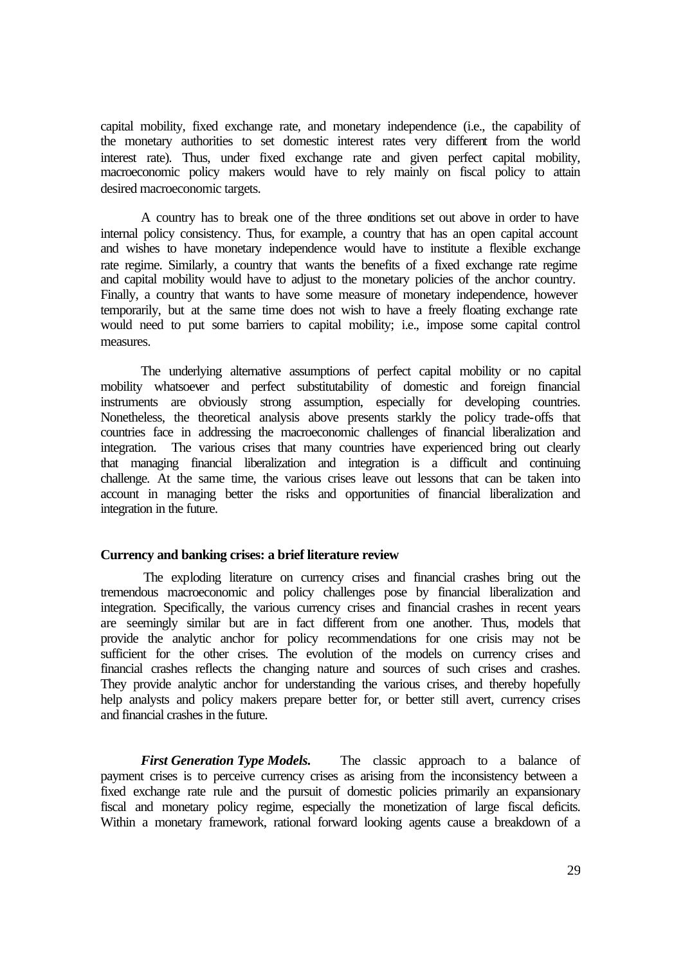capital mobility, fixed exchange rate, and monetary independence (i.e., the capability of the monetary authorities to set domestic interest rates very different from the world interest rate). Thus, under fixed exchange rate and given perfect capital mobility, macroeconomic policy makers would have to rely mainly on fiscal policy to attain desired macroeconomic targets.

A country has to break one of the three conditions set out above in order to have internal policy consistency. Thus, for example, a country that has an open capital account and wishes to have monetary independence would have to institute a flexible exchange rate regime. Similarly, a country that wants the benefits of a fixed exchange rate regime and capital mobility would have to adjust to the monetary policies of the anchor country. Finally, a country that wants to have some measure of monetary independence, however temporarily, but at the same time does not wish to have a freely floating exchange rate would need to put some barriers to capital mobility; i.e., impose some capital control measures.

The underlying alternative assumptions of perfect capital mobility or no capital mobility whatsoever and perfect substitutability of domestic and foreign financial instruments are obviously strong assumption, especially for developing countries. Nonetheless, the theoretical analysis above presents starkly the policy trade-offs that countries face in addressing the macroeconomic challenges of financial liberalization and integration. The various crises that many countries have experienced bring out clearly that managing financial liberalization and integration is a difficult and continuing challenge. At the same time, the various crises leave out lessons that can be taken into account in managing better the risks and opportunities of financial liberalization and integration in the future.

#### **Currency and banking crises: a brief literature review**

The exploding literature on currency crises and financial crashes bring out the tremendous macroeconomic and policy challenges pose by financial liberalization and integration. Specifically, the various currency crises and financial crashes in recent years are seemingly similar but are in fact different from one another. Thus, models that provide the analytic anchor for policy recommendations for one crisis may not be sufficient for the other crises. The evolution of the models on currency crises and financial crashes reflects the changing nature and sources of such crises and crashes. They provide analytic anchor for understanding the various crises, and thereby hopefully help analysts and policy makers prepare better for, or better still avert, currency crises and financial crashes in the future.

*First Generation Type Models.* The classic approach to a balance of payment crises is to perceive currency crises as arising from the inconsistency between a fixed exchange rate rule and the pursuit of domestic policies primarily an expansionary fiscal and monetary policy regime, especially the monetization of large fiscal deficits. Within a monetary framework, rational forward looking agents cause a breakdown of a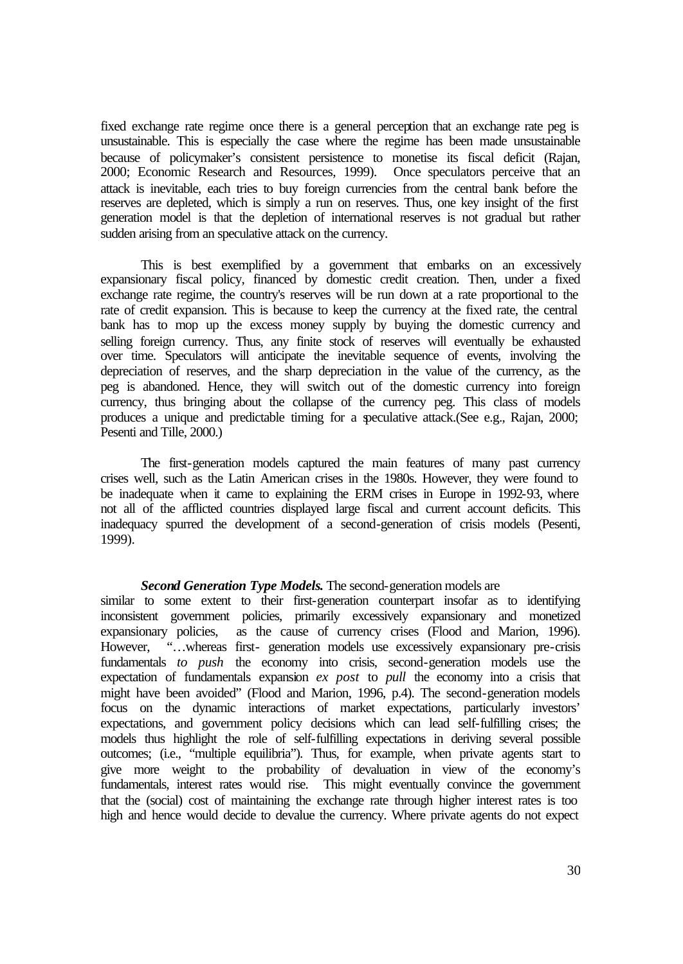fixed exchange rate regime once there is a general perception that an exchange rate peg is unsustainable. This is especially the case where the regime has been made unsustainable because of policymaker's consistent persistence to monetise its fiscal deficit (Rajan, 2000; Economic Research and Resources, 1999). Once speculators perceive that an attack is inevitable, each tries to buy foreign currencies from the central bank before the reserves are depleted, which is simply a run on reserves. Thus, one key insight of the first generation model is that the depletion of international reserves is not gradual but rather sudden arising from an speculative attack on the currency.

This is best exemplified by a government that embarks on an excessively expansionary fiscal policy, financed by domestic credit creation. Then, under a fixed exchange rate regime, the country's reserves will be run down at a rate proportional to the rate of credit expansion. This is because to keep the currency at the fixed rate, the central bank has to mop up the excess money supply by buying the domestic currency and selling foreign currency. Thus, any finite stock of reserves will eventually be exhausted over time. Speculators will anticipate the inevitable sequence of events, involving the depreciation of reserves, and the sharp depreciation in the value of the currency, as the peg is abandoned. Hence, they will switch out of the domestic currency into foreign currency, thus bringing about the collapse of the currency peg. This class of models produces a unique and predictable timing for a speculative attack.(See e.g., Rajan, 2000; Pesenti and Tille, 2000.)

The first-generation models captured the main features of many past currency crises well, such as the Latin American crises in the 1980s. However, they were found to be inadequate when it came to explaining the ERM crises in Europe in 1992-93, where not all of the afflicted countries displayed large fiscal and current account deficits. This inadequacy spurred the development of a second-generation of crisis models (Pesenti, 1999).

#### *Second Generation Type Models***.** The second-generation models are

similar to some extent to their first-generation counterpart insofar as to identifying inconsistent government policies, primarily excessively expansionary and monetized expansionary policies, as the cause of currency crises (Flood and Marion, 1996). However, "…whereas first- generation models use excessively expansionary pre-crisis fundamentals *to push* the economy into crisis, second-generation models use the expectation of fundamentals expansion *ex post* to *pull* the economy into a crisis that might have been avoided" (Flood and Marion, 1996, p.4). The second-generation models focus on the dynamic interactions of market expectations, particularly investors' expectations, and government policy decisions which can lead self-fulfilling crises; the models thus highlight the role of self-fulfilling expectations in deriving several possible outcomes; (i.e., "multiple equilibria"). Thus, for example, when private agents start to give more weight to the probability of devaluation in view of the economy's fundamentals, interest rates would rise. This might eventually convince the government that the (social) cost of maintaining the exchange rate through higher interest rates is too high and hence would decide to devalue the currency. Where private agents do not expect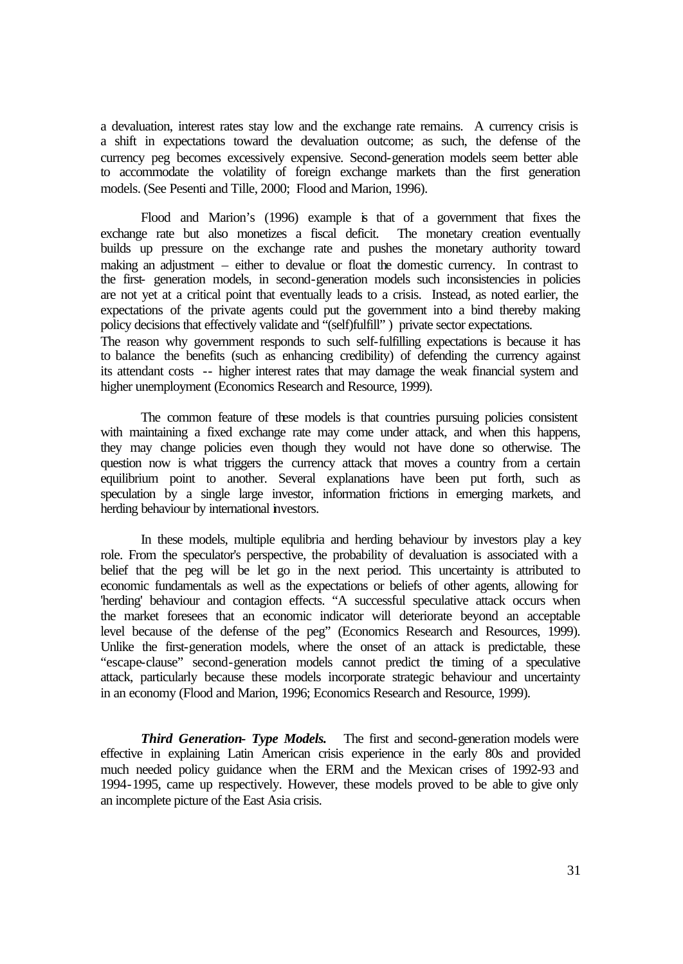a devaluation, interest rates stay low and the exchange rate remains. A currency crisis is a shift in expectations toward the devaluation outcome; as such, the defense of the currency peg becomes excessively expensive. Second-generation models seem better able to accommodate the volatility of foreign exchange markets than the first generation models. (See Pesenti and Tille, 2000; Flood and Marion, 1996).

Flood and Marion's (1996) example is that of a government that fixes the exchange rate but also monetizes a fiscal deficit. The monetary creation eventually builds up pressure on the exchange rate and pushes the monetary authority toward making an adjustment – either to devalue or float the domestic currency. In contrast to the first- generation models, in second-generation models such inconsistencies in policies are not yet at a critical point that eventually leads to a crisis. Instead, as noted earlier, the expectations of the private agents could put the government into a bind thereby making policy decisions that effectively validate and "(self)fulfill" ) private sector expectations.

The reason why government responds to such self-fulfilling expectations is because it has to balance the benefits (such as enhancing credibility) of defending the currency against its attendant costs -- higher interest rates that may damage the weak financial system and higher unemployment (Economics Research and Resource, 1999).

The common feature of these models is that countries pursuing policies consistent with maintaining a fixed exchange rate may come under attack, and when this happens, they may change policies even though they would not have done so otherwise. The question now is what triggers the currency attack that moves a country from a certain equilibrium point to another. Several explanations have been put forth, such as speculation by a single large investor, information frictions in emerging markets, and herding behaviour by international investors.

In these models, multiple equlibria and herding behaviour by investors play a key role. From the speculator's perspective, the probability of devaluation is associated with a belief that the peg will be let go in the next period. This uncertainty is attributed to economic fundamentals as well as the expectations or beliefs of other agents, allowing for 'herding' behaviour and contagion effects. "A successful speculative attack occurs when the market foresees that an economic indicator will deteriorate beyond an acceptable level because of the defense of the peg" (Economics Research and Resources, 1999). Unlike the first-generation models, where the onset of an attack is predictable, these "escape-clause" second-generation models cannot predict the timing of a speculative attack, particularly because these models incorporate strategic behaviour and uncertainty in an economy (Flood and Marion, 1996; Economics Research and Resource, 1999).

*Third Generation- Type Models.* The first and second-generation models were effective in explaining Latin American crisis experience in the early 80s and provided much needed policy guidance when the ERM and the Mexican crises of 1992-93 and 1994-1995, came up respectively. However, these models proved to be able to give only an incomplete picture of the East Asia crisis.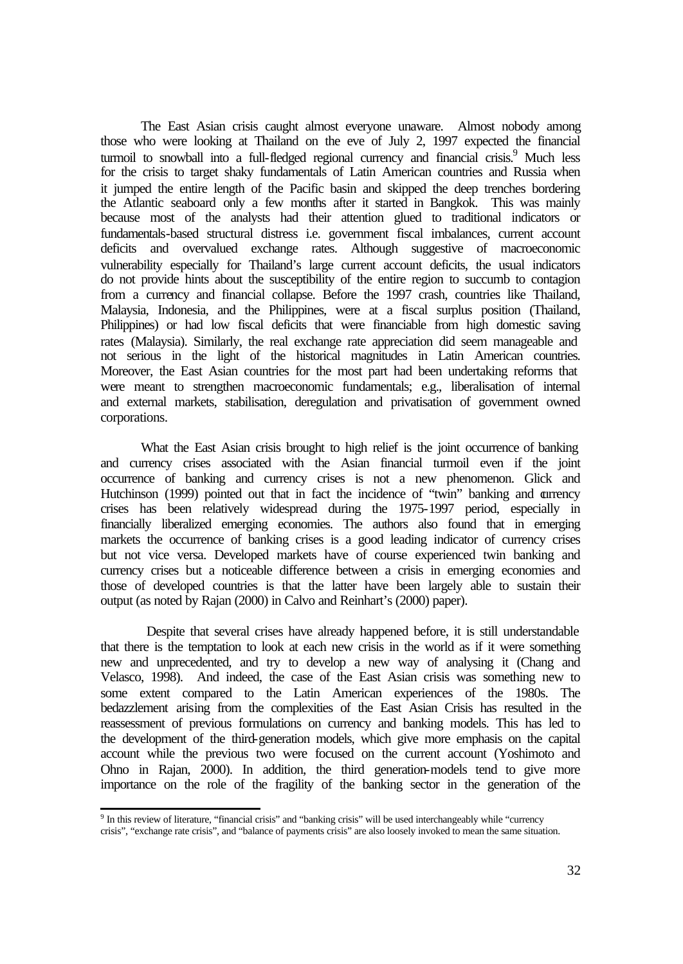The East Asian crisis caught almost everyone unaware. Almost nobody among those who were looking at Thailand on the eve of July 2, 1997 expected the financial turmoil to snowball into a full-fledged regional currency and financial crisis.<sup>9</sup> Much less for the crisis to target shaky fundamentals of Latin American countries and Russia when it jumped the entire length of the Pacific basin and skipped the deep trenches bordering the Atlantic seaboard only a few months after it started in Bangkok. This was mainly because most of the analysts had their attention glued to traditional indicators or fundamentals-based structural distress i.e. government fiscal imbalances, current account deficits and overvalued exchange rates. Although suggestive of macroeconomic vulnerability especially for Thailand's large current account deficits, the usual indicators do not provide hints about the susceptibility of the entire region to succumb to contagion from a currency and financial collapse. Before the 1997 crash, countries like Thailand, Malaysia, Indonesia, and the Philippines, were at a fiscal surplus position (Thailand, Philippines) or had low fiscal deficits that were financiable from high domestic saving rates (Malaysia). Similarly, the real exchange rate appreciation did seem manageable and not serious in the light of the historical magnitudes in Latin American countries. Moreover, the East Asian countries for the most part had been undertaking reforms that were meant to strengthen macroeconomic fundamentals; e.g., liberalisation of internal and external markets, stabilisation, deregulation and privatisation of government owned corporations.

What the East Asian crisis brought to high relief is the joint occurrence of banking and currency crises associated with the Asian financial turmoil even if the joint occurrence of banking and currency crises is not a new phenomenon. Glick and Hutchinson (1999) pointed out that in fact the incidence of "twin" banking and currency crises has been relatively widespread during the 1975-1997 period, especially in financially liberalized emerging economies. The authors also found that in emerging markets the occurrence of banking crises is a good leading indicator of currency crises but not vice versa. Developed markets have of course experienced twin banking and currency crises but a noticeable difference between a crisis in emerging economies and those of developed countries is that the latter have been largely able to sustain their output (as noted by Rajan (2000) in Calvo and Reinhart's (2000) paper).

 Despite that several crises have already happened before, it is still understandable that there is the temptation to look at each new crisis in the world as if it were something new and unprecedented, and try to develop a new way of analysing it (Chang and Velasco, 1998). And indeed, the case of the East Asian crisis was something new to some extent compared to the Latin American experiences of the 1980s. The bedazzlement arising from the complexities of the East Asian Crisis has resulted in the reassessment of previous formulations on currency and banking models. This has led to the development of the third-generation models, which give more emphasis on the capital account while the previous two were focused on the current account (Yoshimoto and Ohno in Rajan, 2000). In addition, the third generation-models tend to give more importance on the role of the fragility of the banking sector in the generation of the

<sup>&</sup>lt;sup>9</sup> In this review of literature, "financial crisis" and "banking crisis" will be used interchangeably while "currency"

crisis", "exchange rate crisis", and "balance of payments crisis" are also loosely invoked to mean the same situation.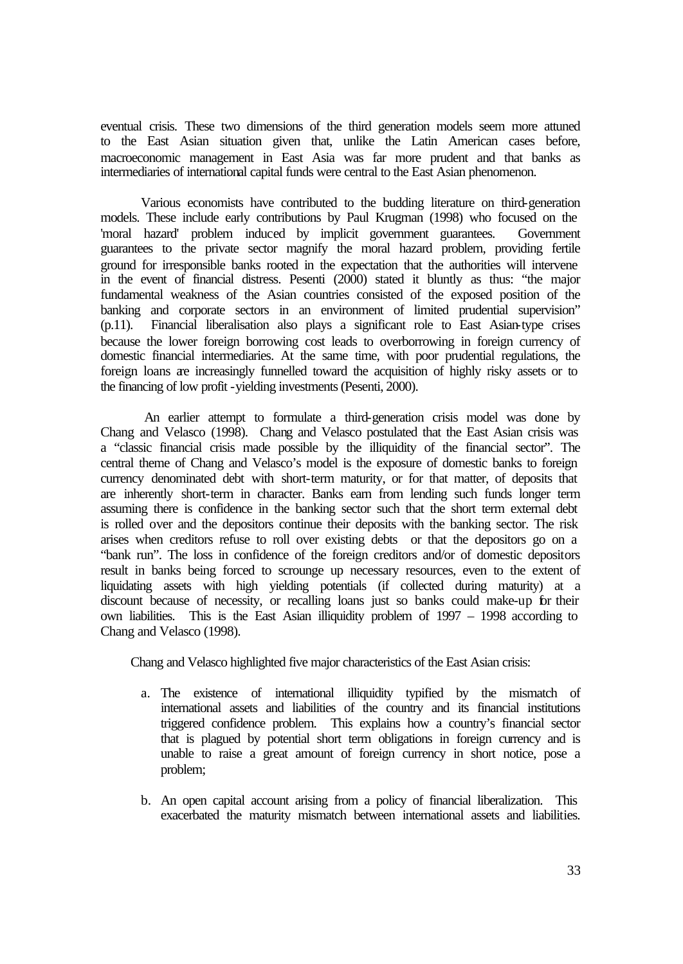eventual crisis. These two dimensions of the third generation models seem more attuned to the East Asian situation given that, unlike the Latin American cases before, macroeconomic management in East Asia was far more prudent and that banks as intermediaries of international capital funds were central to the East Asian phenomenon.

Various economists have contributed to the budding literature on third-generation models. These include early contributions by Paul Krugman (1998) who focused on the 'moral hazard' problem induced by implicit government guarantees. Government guarantees to the private sector magnify the moral hazard problem, providing fertile ground for irresponsible banks rooted in the expectation that the authorities will intervene in the event of financial distress. Pesenti (2000) stated it bluntly as thus: "the major fundamental weakness of the Asian countries consisted of the exposed position of the banking and corporate sectors in an environment of limited prudential supervision" (p.11). Financial liberalisation also plays a significant role to East Asian-type crises because the lower foreign borrowing cost leads to overborrowing in foreign currency of domestic financial intermediaries. At the same time, with poor prudential regulations, the foreign loans are increasingly funnelled toward the acquisition of highly risky assets or to the financing of low profit -yielding investments (Pesenti, 2000).

 An earlier attempt to formulate a third-generation crisis model was done by Chang and Velasco (1998). Chang and Velasco postulated that the East Asian crisis was a "classic financial crisis made possible by the illiquidity of the financial sector". The central theme of Chang and Velasco's model is the exposure of domestic banks to foreign currency denominated debt with short-term maturity, or for that matter, of deposits that are inherently short-term in character. Banks earn from lending such funds longer term assuming there is confidence in the banking sector such that the short term external debt is rolled over and the depositors continue their deposits with the banking sector. The risk arises when creditors refuse to roll over existing debts or that the depositors go on a "bank run". The loss in confidence of the foreign creditors and/or of domestic depositors result in banks being forced to scrounge up necessary resources, even to the extent of liquidating assets with high yielding potentials (if collected during maturity) at a discount because of necessity, or recalling loans just so banks could make-up for their own liabilities. This is the East Asian illiquidity problem of 1997 – 1998 according to Chang and Velasco (1998).

Chang and Velasco highlighted five major characteristics of the East Asian crisis:

- a. The existence of international illiquidity typified by the mismatch of international assets and liabilities of the country and its financial institutions triggered confidence problem. This explains how a country's financial sector that is plagued by potential short term obligations in foreign currency and is unable to raise a great amount of foreign currency in short notice, pose a problem;
- b. An open capital account arising from a policy of financial liberalization. This exacerbated the maturity mismatch between international assets and liabilities.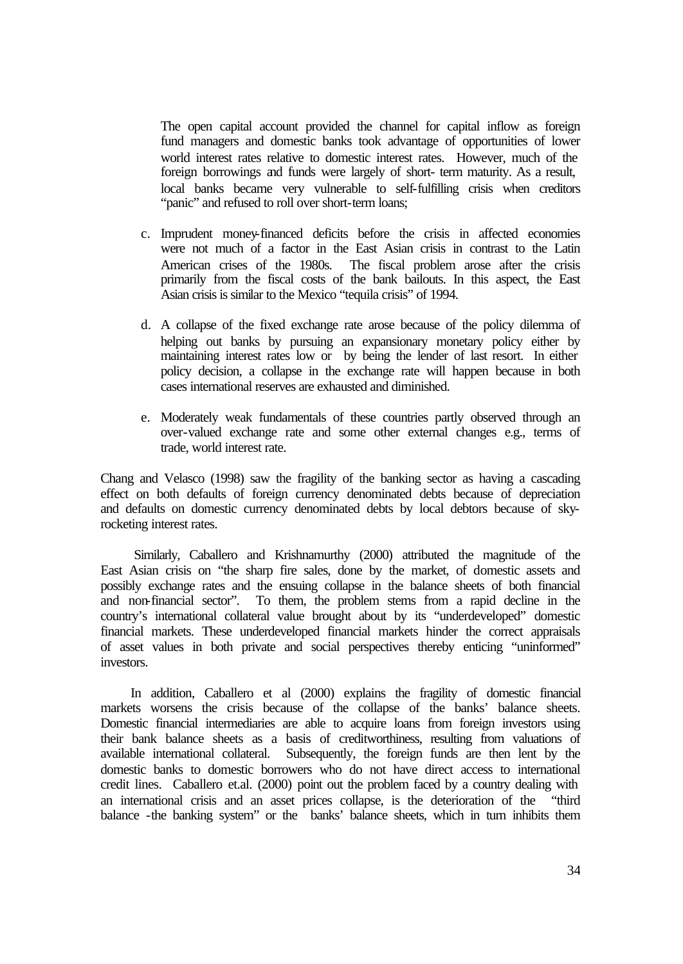The open capital account provided the channel for capital inflow as foreign fund managers and domestic banks took advantage of opportunities of lower world interest rates relative to domestic interest rates. However, much of the foreign borrowings and funds were largely of short- term maturity. As a result, local banks became very vulnerable to self-fulfilling crisis when creditors "panic" and refused to roll over short-term loans;

- c. Imprudent money-financed deficits before the crisis in affected economies were not much of a factor in the East Asian crisis in contrast to the Latin American crises of the 1980s. The fiscal problem arose after the crisis primarily from the fiscal costs of the bank bailouts. In this aspect, the East Asian crisis is similar to the Mexico "tequila crisis" of 1994.
- d. A collapse of the fixed exchange rate arose because of the policy dilemma of helping out banks by pursuing an expansionary monetary policy either by maintaining interest rates low or by being the lender of last resort. In either policy decision, a collapse in the exchange rate will happen because in both cases international reserves are exhausted and diminished.
- e. Moderately weak fundamentals of these countries partly observed through an over-valued exchange rate and some other external changes e.g., terms of trade, world interest rate.

Chang and Velasco (1998) saw the fragility of the banking sector as having a cascading effect on both defaults of foreign currency denominated debts because of depreciation and defaults on domestic currency denominated debts by local debtors because of skyrocketing interest rates.

 Similarly, Caballero and Krishnamurthy (2000) attributed the magnitude of the East Asian crisis on "the sharp fire sales, done by the market, of domestic assets and possibly exchange rates and the ensuing collapse in the balance sheets of both financial and non-financial sector". To them, the problem stems from a rapid decline in the country's international collateral value brought about by its "underdeveloped" domestic financial markets. These underdeveloped financial markets hinder the correct appraisals of asset values in both private and social perspectives thereby enticing "uninformed" investors.

In addition, Caballero et al (2000) explains the fragility of domestic financial markets worsens the crisis because of the collapse of the banks' balance sheets. Domestic financial intermediaries are able to acquire loans from foreign investors using their bank balance sheets as a basis of creditworthiness, resulting from valuations of available international collateral. Subsequently, the foreign funds are then lent by the domestic banks to domestic borrowers who do not have direct access to international credit lines. Caballero et.al. (2000) point out the problem faced by a country dealing with an international crisis and an asset prices collapse, is the deterioration of the "third balance -the banking system" or the banks' balance sheets, which in turn inhibits them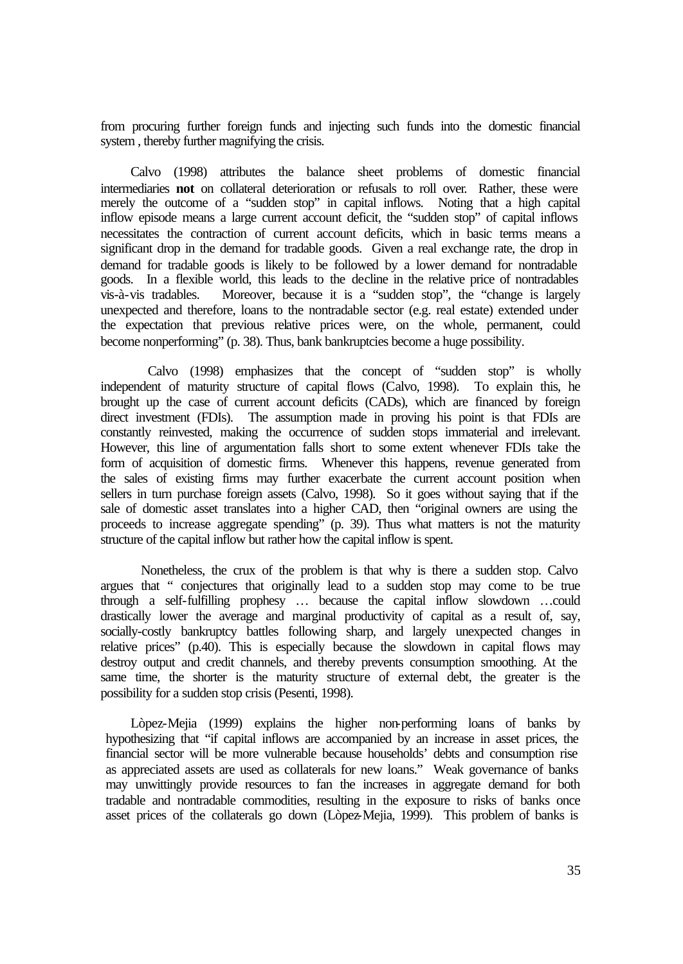from procuring further foreign funds and injecting such funds into the domestic financial system , thereby further magnifying the crisis.

Calvo (1998) attributes the balance sheet problems of domestic financial intermediaries **not** on collateral deterioration or refusals to roll over. Rather, these were merely the outcome of a "sudden stop" in capital inflows. Noting that a high capital inflow episode means a large current account deficit, the "sudden stop" of capital inflows necessitates the contraction of current account deficits, which in basic terms means a significant drop in the demand for tradable goods. Given a real exchange rate, the drop in demand for tradable goods is likely to be followed by a lower demand for nontradable goods. In a flexible world, this leads to the decline in the relative price of nontradables vis-à-vis tradables. Moreover, because it is a "sudden stop", the "change is largely unexpected and therefore, loans to the nontradable sector (e.g. real estate) extended under the expectation that previous relative prices were, on the whole, permanent, could become nonperforming" (p. 38). Thus, bank bankruptcies become a huge possibility.

 Calvo (1998) emphasizes that the concept of "sudden stop" is wholly independent of maturity structure of capital flows (Calvo, 1998). To explain this, he brought up the case of current account deficits (CADs), which are financed by foreign direct investment (FDIs). The assumption made in proving his point is that FDIs are constantly reinvested, making the occurrence of sudden stops immaterial and irrelevant. However, this line of argumentation falls short to some extent whenever FDIs take the form of acquisition of domestic firms. Whenever this happens, revenue generated from the sales of existing firms may further exacerbate the current account position when sellers in turn purchase foreign assets (Calvo, 1998). So it goes without saying that if the sale of domestic asset translates into a higher CAD, then "original owners are using the proceeds to increase aggregate spending" (p. 39). Thus what matters is not the maturity structure of the capital inflow but rather how the capital inflow is spent.

Nonetheless, the crux of the problem is that why is there a sudden stop. Calvo argues that " conjectures that originally lead to a sudden stop may come to be true through a self-fulfilling prophesy … because the capital inflow slowdown …could drastically lower the average and marginal productivity of capital as a result of, say, socially-costly bankruptcy battles following sharp, and largely unexpected changes in relative prices" (p.40). This is especially because the slowdown in capital flows may destroy output and credit channels, and thereby prevents consumption smoothing. At the same time, the shorter is the maturity structure of external debt, the greater is the possibility for a sudden stop crisis (Pesenti, 1998).

Lòpez-Mejia (1999) explains the higher non-performing loans of banks by hypothesizing that "if capital inflows are accompanied by an increase in asset prices, the financial sector will be more vulnerable because households' debts and consumption rise as appreciated assets are used as collaterals for new loans." Weak governance of banks may unwittingly provide resources to fan the increases in aggregate demand for both tradable and nontradable commodities, resulting in the exposure to risks of banks once asset prices of the collaterals go down (Lòpez-Mejia, 1999). This problem of banks is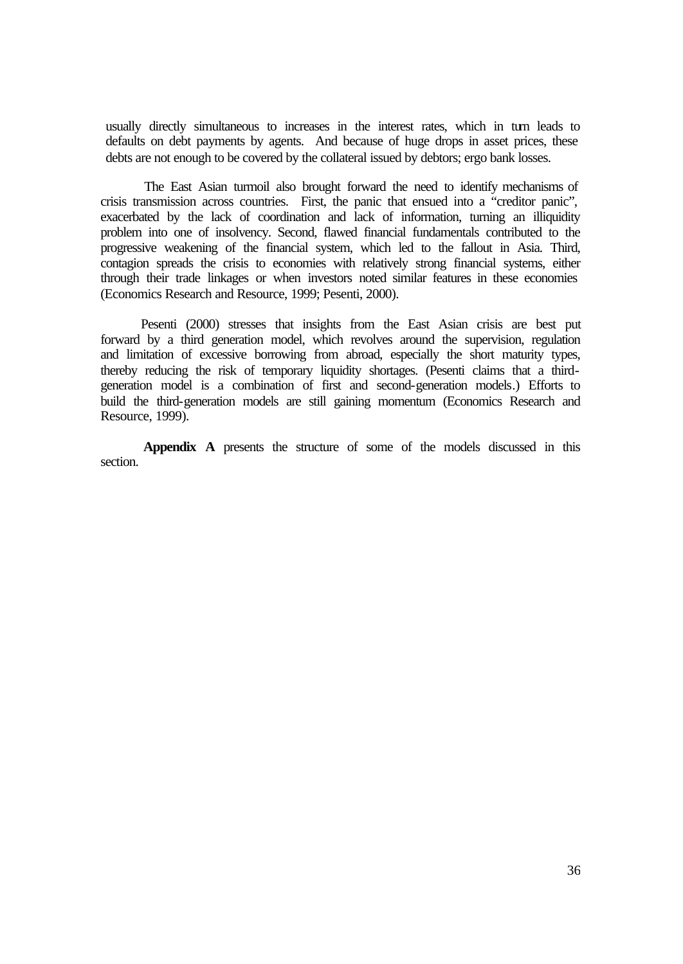usually directly simultaneous to increases in the interest rates, which in turn leads to defaults on debt payments by agents. And because of huge drops in asset prices, these debts are not enough to be covered by the collateral issued by debtors; ergo bank losses.

The East Asian turmoil also brought forward the need to identify mechanisms of crisis transmission across countries. First, the panic that ensued into a "creditor panic", exacerbated by the lack of coordination and lack of information, turning an illiquidity problem into one of insolvency. Second, flawed financial fundamentals contributed to the progressive weakening of the financial system, which led to the fallout in Asia. Third, contagion spreads the crisis to economies with relatively strong financial systems, either through their trade linkages or when investors noted similar features in these economies (Economics Research and Resource, 1999; Pesenti, 2000).

Pesenti (2000) stresses that insights from the East Asian crisis are best put forward by a third generation model, which revolves around the supervision, regulation and limitation of excessive borrowing from abroad, especially the short maturity types, thereby reducing the risk of temporary liquidity shortages. (Pesenti claims that a thirdgeneration model is a combination of first and second-generation models.) Efforts to build the third-generation models are still gaining momentum (Economics Research and Resource, 1999).

**Appendix A** presents the structure of some of the models discussed in this section.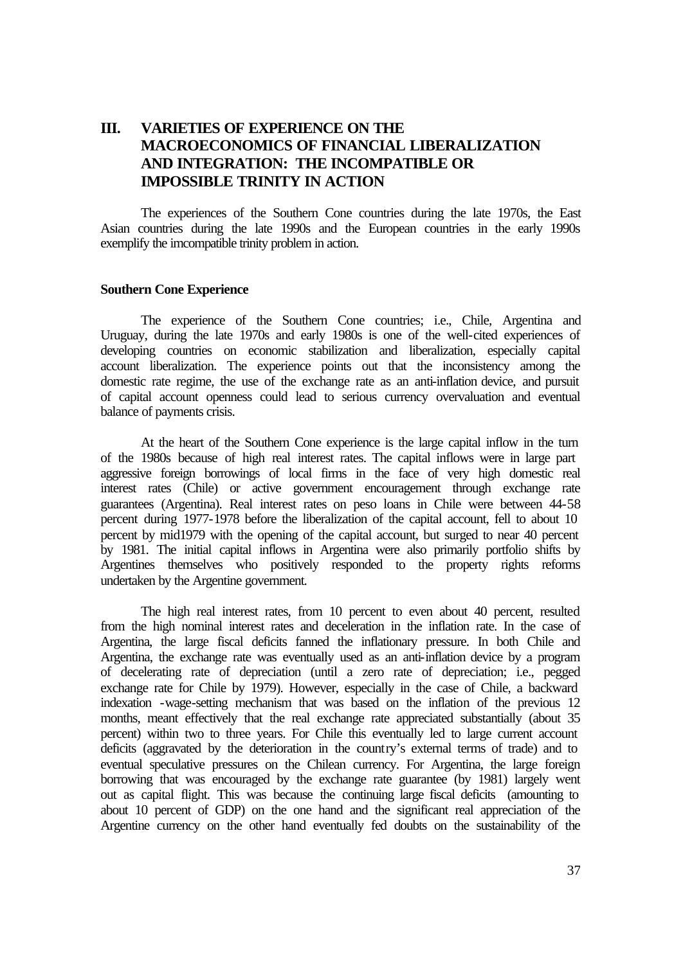# **III. VARIETIES OF EXPERIENCE ON THE MACROECONOMICS OF FINANCIAL LIBERALIZATION AND INTEGRATION: THE INCOMPATIBLE OR IMPOSSIBLE TRINITY IN ACTION**

The experiences of the Southern Cone countries during the late 1970s, the East Asian countries during the late 1990s and the European countries in the early 1990s exemplify the imcompatible trinity problem in action.

#### **Southern Cone Experience**

The experience of the Southern Cone countries; i.e., Chile, Argentina and Uruguay, during the late 1970s and early 1980s is one of the well-cited experiences of developing countries on economic stabilization and liberalization, especially capital account liberalization. The experience points out that the inconsistency among the domestic rate regime, the use of the exchange rate as an anti-inflation device, and pursuit of capital account openness could lead to serious currency overvaluation and eventual balance of payments crisis.

At the heart of the Southern Cone experience is the large capital inflow in the turn of the 1980s because of high real interest rates. The capital inflows were in large part aggressive foreign borrowings of local firms in the face of very high domestic real interest rates (Chile) or active government encouragement through exchange rate guarantees (Argentina). Real interest rates on peso loans in Chile were between 44-58 percent during 1977-1978 before the liberalization of the capital account, fell to about 10 percent by mid1979 with the opening of the capital account, but surged to near 40 percent by 1981. The initial capital inflows in Argentina were also primarily portfolio shifts by Argentines themselves who positively responded to the property rights reforms undertaken by the Argentine government.

The high real interest rates, from 10 percent to even about 40 percent, resulted from the high nominal interest rates and deceleration in the inflation rate. In the case of Argentina, the large fiscal deficits fanned the inflationary pressure. In both Chile and Argentina, the exchange rate was eventually used as an anti-inflation device by a program of decelerating rate of depreciation (until a zero rate of depreciation; i.e., pegged exchange rate for Chile by 1979). However, especially in the case of Chile, a backward indexation -wage-setting mechanism that was based on the inflation of the previous 12 months, meant effectively that the real exchange rate appreciated substantially (about 35 percent) within two to three years. For Chile this eventually led to large current account deficits (aggravated by the deterioration in the country's external terms of trade) and to eventual speculative pressures on the Chilean currency. For Argentina, the large foreign borrowing that was encouraged by the exchange rate guarantee (by 1981) largely went out as capital flight. This was because the continuing large fiscal deficits (amounting to about 10 percent of GDP) on the one hand and the significant real appreciation of the Argentine currency on the other hand eventually fed doubts on the sustainability of the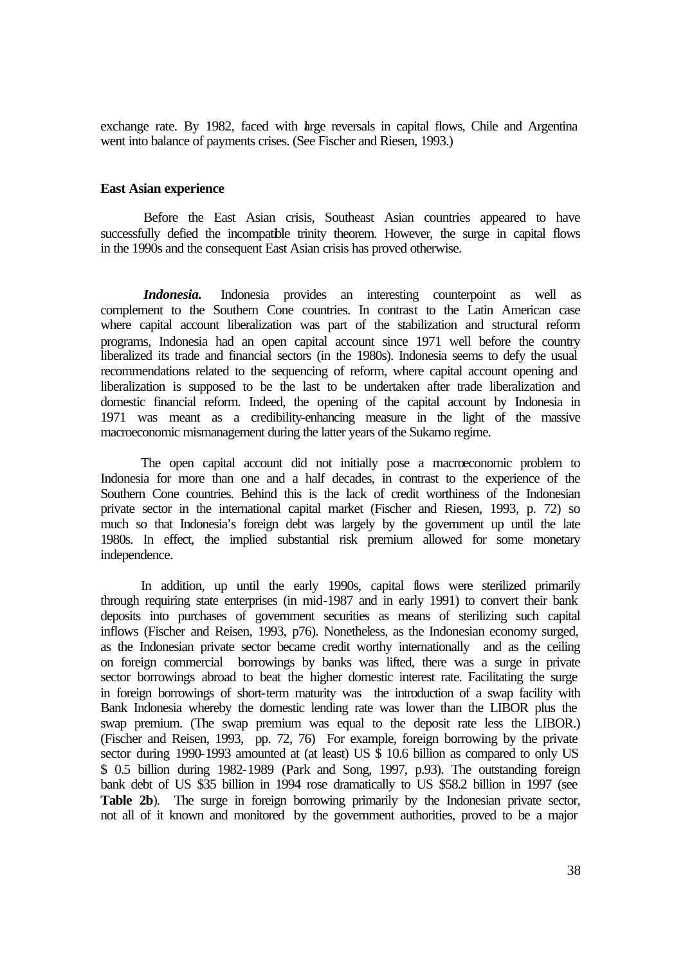exchange rate. By 1982, faced with large reversals in capital flows, Chile and Argentina went into balance of payments crises. (See Fischer and Riesen, 1993.)

#### **East Asian experience**

Before the East Asian crisis, Southeast Asian countries appeared to have successfully defied the incompatible trinity theorem. However, the surge in capital flows in the 1990s and the consequent East Asian crisis has proved otherwise.

*Indonesia*. Indonesia provides an interesting counterpoint as well as complement to the Southern Cone countries. In contrast to the Latin American case where capital account liberalization was part of the stabilization and structural reform programs, Indonesia had an open capital account since 1971 well before the country liberalized its trade and financial sectors (in the 1980s). Indonesia seems to defy the usual recommendations related to the sequencing of reform, where capital account opening and liberalization is supposed to be the last to be undertaken after trade liberalization and domestic financial reform. Indeed, the opening of the capital account by Indonesia in 1971 was meant as a credibility-enhancing measure in the light of the massive macroeconomic mismanagement during the latter years of the Sukarno regime.

The open capital account did not initially pose a macroeconomic problem to Indonesia for more than one and a half decades, in contrast to the experience of the Southern Cone countries. Behind this is the lack of credit worthiness of the Indonesian private sector in the international capital market (Fischer and Riesen, 1993, p. 72) so much so that Indonesia's foreign debt was largely by the government up until the late 1980s. In effect, the implied substantial risk premium allowed for some monetary independence.

In addition, up until the early 1990s, capital flows were sterilized primarily through requiring state enterprises (in mid-1987 and in early 1991) to convert their bank deposits into purchases of government securities as means of sterilizing such capital inflows (Fischer and Reisen, 1993, p76). Nonetheless, as the Indonesian economy surged, as the Indonesian private sector became credit worthy internationally and as the ceiling on foreign commercial borrowings by banks was lifted, there was a surge in private sector borrowings abroad to beat the higher domestic interest rate. Facilitating the surge in foreign borrowings of short-term maturity was the introduction of a swap facility with Bank Indonesia whereby the domestic lending rate was lower than the LIBOR plus the swap premium. (The swap premium was equal to the deposit rate less the LIBOR.) (Fischer and Reisen, 1993, pp. 72, 76) For example, foreign borrowing by the private sector during 1990-1993 amounted at (at least) US  $\frac{1}{3}$  10.6 billion as compared to only US \$ 0.5 billion during 1982-1989 (Park and Song, 1997, p.93). The outstanding foreign bank debt of US \$35 billion in 1994 rose dramatically to US \$58.2 billion in 1997 (see **Table 2b**). The surge in foreign borrowing primarily by the Indonesian private sector, not all of it known and monitored by the government authorities, proved to be a major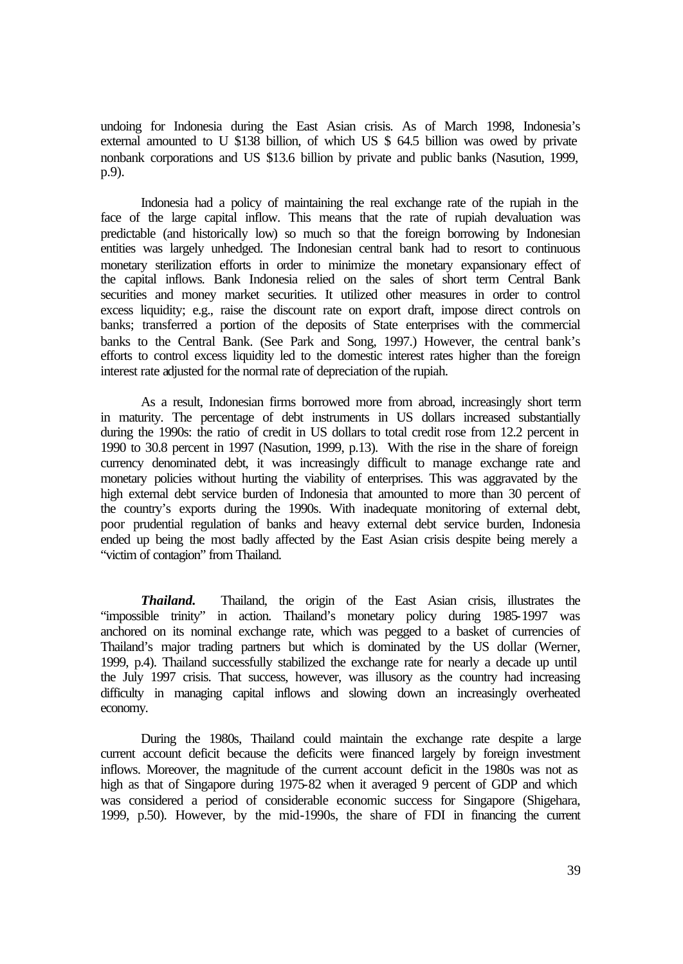undoing for Indonesia during the East Asian crisis. As of March 1998, Indonesia's external amounted to U \$138 billion, of which US \$ 64.5 billion was owed by private nonbank corporations and US \$13.6 billion by private and public banks (Nasution, 1999, p.9).

Indonesia had a policy of maintaining the real exchange rate of the rupiah in the face of the large capital inflow. This means that the rate of rupiah devaluation was predictable (and historically low) so much so that the foreign borrowing by Indonesian entities was largely unhedged. The Indonesian central bank had to resort to continuous monetary sterilization efforts in order to minimize the monetary expansionary effect of the capital inflows. Bank Indonesia relied on the sales of short term Central Bank securities and money market securities. It utilized other measures in order to control excess liquidity; e.g., raise the discount rate on export draft, impose direct controls on banks; transferred a portion of the deposits of State enterprises with the commercial banks to the Central Bank. (See Park and Song, 1997.) However, the central bank's efforts to control excess liquidity led to the domestic interest rates higher than the foreign interest rate adjusted for the normal rate of depreciation of the rupiah.

As a result, Indonesian firms borrowed more from abroad, increasingly short term in maturity. The percentage of debt instruments in US dollars increased substantially during the 1990s: the ratio of credit in US dollars to total credit rose from 12.2 percent in 1990 to 30.8 percent in 1997 (Nasution, 1999, p.13). With the rise in the share of foreign currency denominated debt, it was increasingly difficult to manage exchange rate and monetary policies without hurting the viability of enterprises. This was aggravated by the high external debt service burden of Indonesia that amounted to more than 30 percent of the country's exports during the 1990s. With inadequate monitoring of external debt, poor prudential regulation of banks and heavy external debt service burden, Indonesia ended up being the most badly affected by the East Asian crisis despite being merely a "victim of contagion" from Thailand.

*Thailand.* Thailand, the origin of the East Asian crisis, illustrates the "impossible trinity" in action. Thailand's monetary policy during 1985-1997 was anchored on its nominal exchange rate, which was pegged to a basket of currencies of Thailand's major trading partners but which is dominated by the US dollar (Werner, 1999, p.4). Thailand successfully stabilized the exchange rate for nearly a decade up until the July 1997 crisis. That success, however, was illusory as the country had increasing difficulty in managing capital inflows and slowing down an increasingly overheated economy.

During the 1980s, Thailand could maintain the exchange rate despite a large current account deficit because the deficits were financed largely by foreign investment inflows. Moreover, the magnitude of the current account deficit in the 1980s was not as high as that of Singapore during 1975-82 when it averaged 9 percent of GDP and which was considered a period of considerable economic success for Singapore (Shigehara, 1999, p.50). However, by the mid-1990s, the share of FDI in financing the current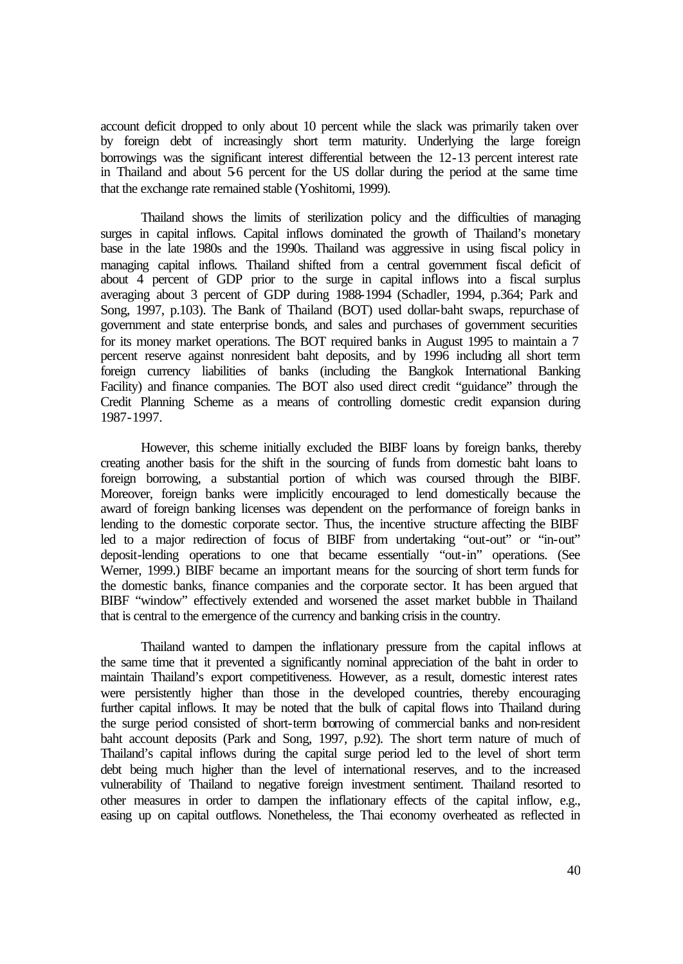account deficit dropped to only about 10 percent while the slack was primarily taken over by foreign debt of increasingly short term maturity. Underlying the large foreign borrowings was the significant interest differential between the 12-13 percent interest rate in Thailand and about 5-6 percent for the US dollar during the period at the same time that the exchange rate remained stable (Yoshitomi, 1999).

Thailand shows the limits of sterilization policy and the difficulties of managing surges in capital inflows. Capital inflows dominated the growth of Thailand's monetary base in the late 1980s and the 1990s. Thailand was aggressive in using fiscal policy in managing capital inflows. Thailand shifted from a central government fiscal deficit of about 4 percent of GDP prior to the surge in capital inflows into a fiscal surplus averaging about 3 percent of GDP during 1988-1994 (Schadler, 1994, p.364; Park and Song, 1997, p.103). The Bank of Thailand (BOT) used dollar-baht swaps, repurchase of government and state enterprise bonds, and sales and purchases of government securities for its money market operations. The BOT required banks in August 1995 to maintain a 7 percent reserve against nonresident baht deposits, and by 1996 including all short term foreign currency liabilities of banks (including the Bangkok International Banking Facility) and finance companies. The BOT also used direct credit "guidance" through the Credit Planning Scheme as a means of controlling domestic credit expansion during 1987-1997.

However, this scheme initially excluded the BIBF loans by foreign banks, thereby creating another basis for the shift in the sourcing of funds from domestic baht loans to foreign borrowing, a substantial portion of which was coursed through the BIBF. Moreover, foreign banks were implicitly encouraged to lend domestically because the award of foreign banking licenses was dependent on the performance of foreign banks in lending to the domestic corporate sector. Thus, the incentive structure affecting the BIBF led to a major redirection of focus of BIBF from undertaking "out-out" or "in-out" deposit-lending operations to one that became essentially "out-in" operations. (See Werner, 1999.) BIBF became an important means for the sourcing of short term funds for the domestic banks, finance companies and the corporate sector. It has been argued that BIBF "window" effectively extended and worsened the asset market bubble in Thailand that is central to the emergence of the currency and banking crisis in the country.

Thailand wanted to dampen the inflationary pressure from the capital inflows at the same time that it prevented a significantly nominal appreciation of the baht in order to maintain Thailand's export competitiveness. However, as a result, domestic interest rates were persistently higher than those in the developed countries, thereby encouraging further capital inflows. It may be noted that the bulk of capital flows into Thailand during the surge period consisted of short-term borrowing of commercial banks and non-resident baht account deposits (Park and Song, 1997, p.92). The short term nature of much of Thailand's capital inflows during the capital surge period led to the level of short term debt being much higher than the level of international reserves, and to the increased vulnerability of Thailand to negative foreign investment sentiment. Thailand resorted to other measures in order to dampen the inflationary effects of the capital inflow, e.g., easing up on capital outflows. Nonetheless, the Thai economy overheated as reflected in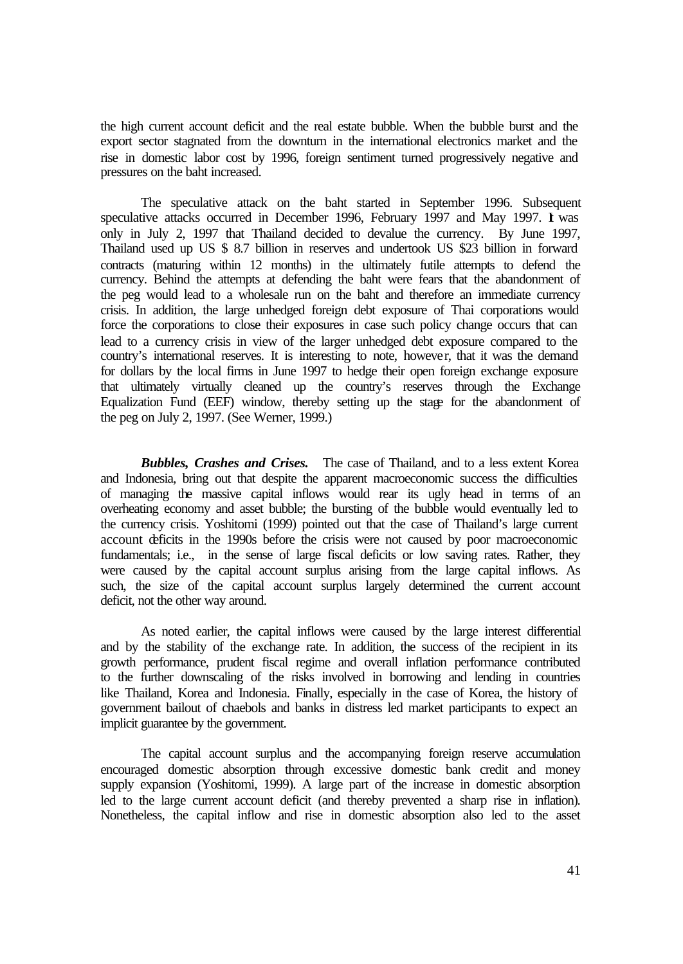the high current account deficit and the real estate bubble. When the bubble burst and the export sector stagnated from the downturn in the international electronics market and the rise in domestic labor cost by 1996, foreign sentiment turned progressively negative and pressures on the baht increased.

The speculative attack on the baht started in September 1996. Subsequent speculative attacks occurred in December 1996, February 1997 and May 1997. I was only in July 2, 1997 that Thailand decided to devalue the currency. By June 1997, Thailand used up US \$ 8.7 billion in reserves and undertook US \$23 billion in forward contracts (maturing within 12 months) in the ultimately futile attempts to defend the currency. Behind the attempts at defending the baht were fears that the abandonment of the peg would lead to a wholesale run on the baht and therefore an immediate currency crisis. In addition, the large unhedged foreign debt exposure of Thai corporations would force the corporations to close their exposures in case such policy change occurs that can lead to a currency crisis in view of the larger unhedged debt exposure compared to the country's international reserves. It is interesting to note, however, that it was the demand for dollars by the local firms in June 1997 to hedge their open foreign exchange exposure that ultimately virtually cleaned up the country's reserves through the Exchange Equalization Fund (EEF) window, thereby setting up the stage for the abandonment of the peg on July 2, 1997. (See Werner, 1999.)

*Bubbles, Crashes and Crises.*The case of Thailand, and to a less extent Korea and Indonesia, bring out that despite the apparent macroeconomic success the difficulties of managing the massive capital inflows would rear its ugly head in terms of an overheating economy and asset bubble; the bursting of the bubble would eventually led to the currency crisis. Yoshitomi (1999) pointed out that the case of Thailand's large current account deficits in the 1990s before the crisis were not caused by poor macroeconomic fundamentals; i.e., in the sense of large fiscal deficits or low saving rates. Rather, they were caused by the capital account surplus arising from the large capital inflows. As such, the size of the capital account surplus largely determined the current account deficit, not the other way around.

As noted earlier, the capital inflows were caused by the large interest differential and by the stability of the exchange rate. In addition, the success of the recipient in its growth performance, prudent fiscal regime and overall inflation performance contributed to the further downscaling of the risks involved in borrowing and lending in countries like Thailand, Korea and Indonesia. Finally, especially in the case of Korea, the history of government bailout of chaebols and banks in distress led market participants to expect an implicit guarantee by the government.

The capital account surplus and the accompanying foreign reserve accumulation encouraged domestic absorption through excessive domestic bank credit and money supply expansion (Yoshitomi, 1999). A large part of the increase in domestic absorption led to the large current account deficit (and thereby prevented a sharp rise in inflation). Nonetheless, the capital inflow and rise in domestic absorption also led to the asset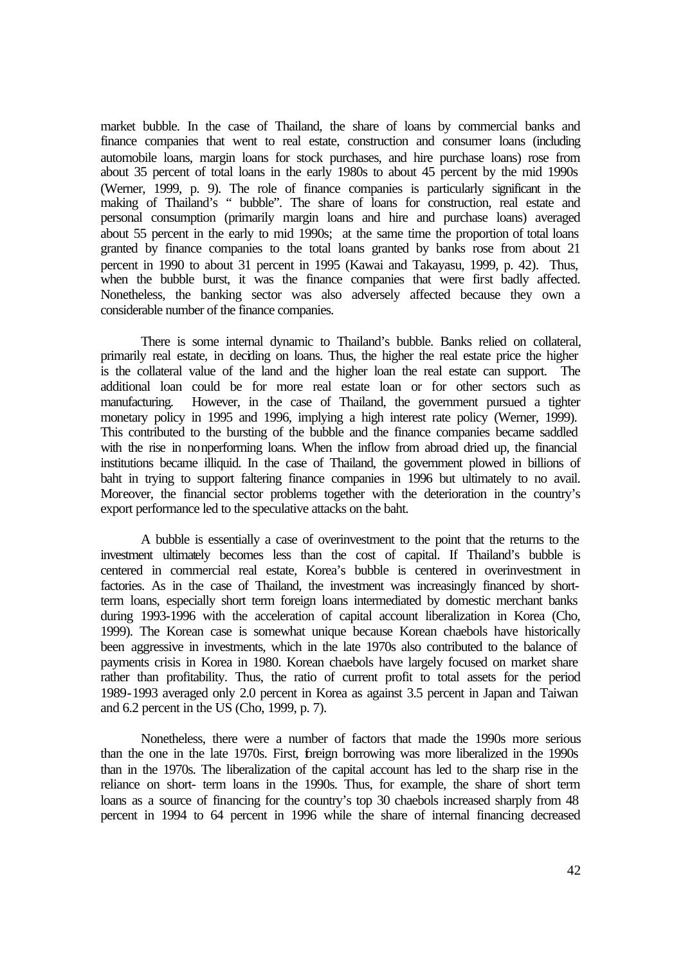market bubble. In the case of Thailand, the share of loans by commercial banks and finance companies that went to real estate, construction and consumer loans (including automobile loans, margin loans for stock purchases, and hire purchase loans) rose from about 35 percent of total loans in the early 1980s to about 45 percent by the mid 1990s (Werner, 1999, p. 9). The role of finance companies is particularly significant in the making of Thailand's " bubble". The share of loans for construction, real estate and personal consumption (primarily margin loans and hire and purchase loans) averaged about 55 percent in the early to mid 1990s; at the same time the proportion of total loans granted by finance companies to the total loans granted by banks rose from about 21 percent in 1990 to about 31 percent in 1995 (Kawai and Takayasu, 1999, p. 42). Thus, when the bubble burst, it was the finance companies that were first badly affected. Nonetheless, the banking sector was also adversely affected because they own a considerable number of the finance companies.

There is some internal dynamic to Thailand's bubble. Banks relied on collateral, primarily real estate, in deciding on loans. Thus, the higher the real estate price the higher is the collateral value of the land and the higher loan the real estate can support. The additional loan could be for more real estate loan or for other sectors such as manufacturing. However, in the case of Thailand, the government pursued a tighter monetary policy in 1995 and 1996, implying a high interest rate policy (Werner, 1999). This contributed to the bursting of the bubble and the finance companies became saddled with the rise in nonperforming loans. When the inflow from abroad dried up, the financial institutions became illiquid. In the case of Thailand, the government plowed in billions of baht in trying to support faltering finance companies in 1996 but ultimately to no avail. Moreover, the financial sector problems together with the deterioration in the country's export performance led to the speculative attacks on the baht.

A bubble is essentially a case of overinvestment to the point that the returns to the investment ultimately becomes less than the cost of capital. If Thailand's bubble is centered in commercial real estate, Korea's bubble is centered in overinvestment in factories. As in the case of Thailand, the investment was increasingly financed by shortterm loans, especially short term foreign loans intermediated by domestic merchant banks during 1993-1996 with the acceleration of capital account liberalization in Korea (Cho, 1999). The Korean case is somewhat unique because Korean chaebols have historically been aggressive in investments, which in the late 1970s also contributed to the balance of payments crisis in Korea in 1980. Korean chaebols have largely focused on market share rather than profitability. Thus, the ratio of current profit to total assets for the period 1989-1993 averaged only 2.0 percent in Korea as against 3.5 percent in Japan and Taiwan and 6.2 percent in the US (Cho, 1999, p. 7).

Nonetheless, there were a number of factors that made the 1990s more serious than the one in the late 1970s. First, foreign borrowing was more liberalized in the 1990s than in the 1970s. The liberalization of the capital account has led to the sharp rise in the reliance on short- term loans in the 1990s. Thus, for example, the share of short term loans as a source of financing for the country's top 30 chaebols increased sharply from 48 percent in 1994 to 64 percent in 1996 while the share of internal financing decreased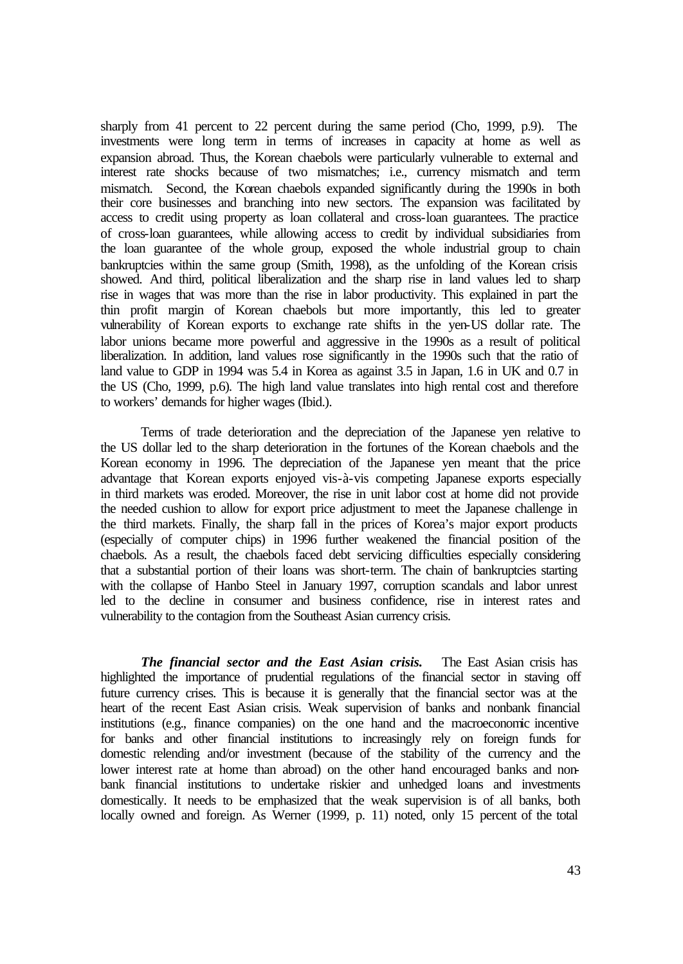sharply from 41 percent to 22 percent during the same period (Cho, 1999, p.9). The investments were long term in terms of increases in capacity at home as well as expansion abroad. Thus, the Korean chaebols were particularly vulnerable to external and interest rate shocks because of two mismatches; i.e., currency mismatch and term mismatch. Second, the Korean chaebols expanded significantly during the 1990s in both their core businesses and branching into new sectors. The expansion was facilitated by access to credit using property as loan collateral and cross-loan guarantees. The practice of cross-loan guarantees, while allowing access to credit by individual subsidiaries from the loan guarantee of the whole group, exposed the whole industrial group to chain bankruptcies within the same group (Smith, 1998), as the unfolding of the Korean crisis showed. And third, political liberalization and the sharp rise in land values led to sharp rise in wages that was more than the rise in labor productivity. This explained in part the thin profit margin of Korean chaebols but more importantly, this led to greater vulnerability of Korean exports to exchange rate shifts in the yen-US dollar rate. The labor unions became more powerful and aggressive in the 1990s as a result of political liberalization. In addition, land values rose significantly in the 1990s such that the ratio of land value to GDP in 1994 was 5.4 in Korea as against 3.5 in Japan, 1.6 in UK and 0.7 in the US (Cho, 1999, p.6). The high land value translates into high rental cost and therefore to workers' demands for higher wages (Ibid.).

Terms of trade deterioration and the depreciation of the Japanese yen relative to the US dollar led to the sharp deterioration in the fortunes of the Korean chaebols and the Korean economy in 1996. The depreciation of the Japanese yen meant that the price advantage that Korean exports enjoyed vis-à-vis competing Japanese exports especially in third markets was eroded. Moreover, the rise in unit labor cost at home did not provide the needed cushion to allow for export price adjustment to meet the Japanese challenge in the third markets. Finally, the sharp fall in the prices of Korea's major export products (especially of computer chips) in 1996 further weakened the financial position of the chaebols. As a result, the chaebols faced debt servicing difficulties especially considering that a substantial portion of their loans was short-term. The chain of bankruptcies starting with the collapse of Hanbo Steel in January 1997, corruption scandals and labor unrest led to the decline in consumer and business confidence, rise in interest rates and vulnerability to the contagion from the Southeast Asian currency crisis.

*The financial sector and the East Asian crisis.* The East Asian crisis has highlighted the importance of prudential regulations of the financial sector in staving off future currency crises. This is because it is generally that the financial sector was at the heart of the recent East Asian crisis. Weak supervision of banks and nonbank financial institutions (e.g., finance companies) on the one hand and the macroeconomic incentive for banks and other financial institutions to increasingly rely on foreign funds for domestic relending and/or investment (because of the stability of the currency and the lower interest rate at home than abroad) on the other hand encouraged banks and nonbank financial institutions to undertake riskier and unhedged loans and investments domestically. It needs to be emphasized that the weak supervision is of all banks, both locally owned and foreign. As Werner (1999, p. 11) noted, only 15 percent of the total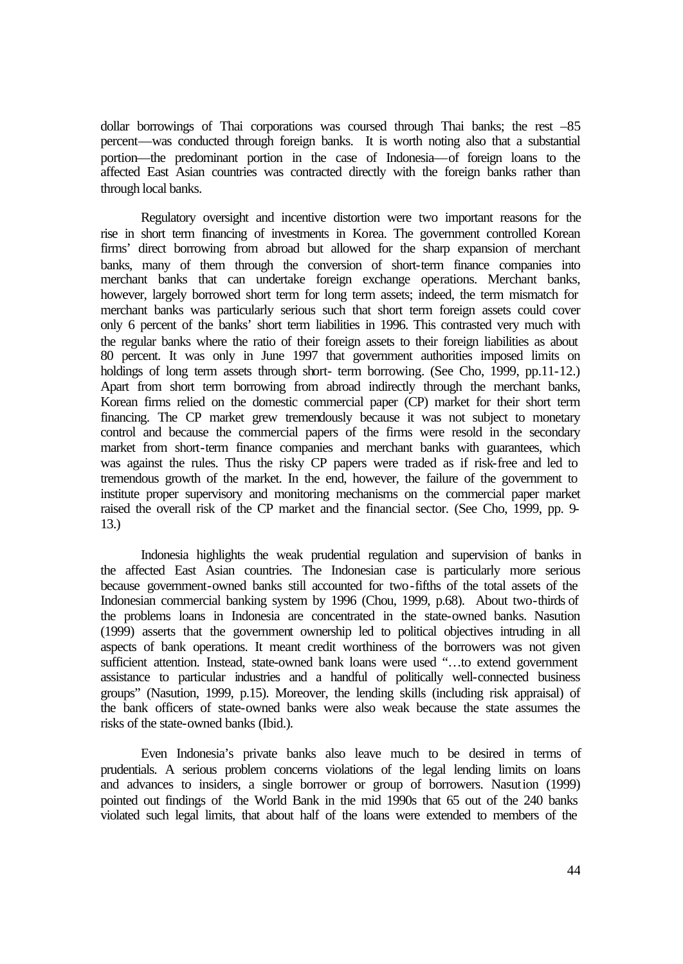dollar borrowings of Thai corporations was coursed through Thai banks; the rest –85 percent—was conducted through foreign banks. It is worth noting also that a substantial portion—the predominant portion in the case of Indonesia—of foreign loans to the affected East Asian countries was contracted directly with the foreign banks rather than through local banks.

Regulatory oversight and incentive distortion were two important reasons for the rise in short term financing of investments in Korea. The government controlled Korean firms' direct borrowing from abroad but allowed for the sharp expansion of merchant banks, many of them through the conversion of short-term finance companies into merchant banks that can undertake foreign exchange operations. Merchant banks, however, largely borrowed short term for long term assets; indeed, the term mismatch for merchant banks was particularly serious such that short term foreign assets could cover only 6 percent of the banks' short term liabilities in 1996. This contrasted very much with the regular banks where the ratio of their foreign assets to their foreign liabilities as about 80 percent. It was only in June 1997 that government authorities imposed limits on holdings of long term assets through short- term borrowing. (See Cho, 1999, pp.11-12.) Apart from short term borrowing from abroad indirectly through the merchant banks, Korean firms relied on the domestic commercial paper (CP) market for their short term financing. The CP market grew tremendously because it was not subject to monetary control and because the commercial papers of the firms were resold in the secondary market from short-term finance companies and merchant banks with guarantees, which was against the rules. Thus the risky CP papers were traded as if risk-free and led to tremendous growth of the market. In the end, however, the failure of the government to institute proper supervisory and monitoring mechanisms on the commercial paper market raised the overall risk of the CP market and the financial sector. (See Cho, 1999, pp. 9- 13.)

Indonesia highlights the weak prudential regulation and supervision of banks in the affected East Asian countries. The Indonesian case is particularly more serious because government-owned banks still accounted for two-fifths of the total assets of the Indonesian commercial banking system by 1996 (Chou, 1999, p.68). About two-thirds of the problems loans in Indonesia are concentrated in the state-owned banks. Nasution (1999) asserts that the government ownership led to political objectives intruding in all aspects of bank operations. It meant credit worthiness of the borrowers was not given sufficient attention. Instead, state-owned bank loans were used "…to extend government assistance to particular industries and a handful of politically well-connected business groups" (Nasution, 1999, p.15). Moreover, the lending skills (including risk appraisal) of the bank officers of state-owned banks were also weak because the state assumes the risks of the state-owned banks (Ibid.).

Even Indonesia's private banks also leave much to be desired in terms of prudentials. A serious problem concerns violations of the legal lending limits on loans and advances to insiders, a single borrower or group of borrowers. Nasution (1999) pointed out findings of the World Bank in the mid 1990s that 65 out of the 240 banks violated such legal limits, that about half of the loans were extended to members of the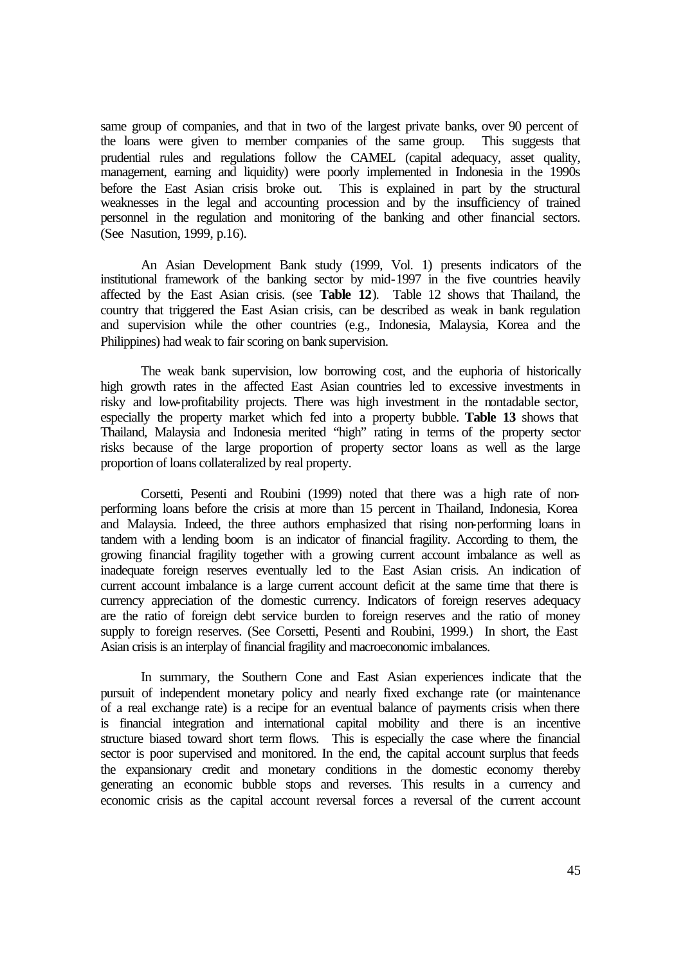same group of companies, and that in two of the largest private banks, over 90 percent of the loans were given to member companies of the same group. This suggests that prudential rules and regulations follow the CAMEL (capital adequacy, asset quality, management, earning and liquidity) were poorly implemented in Indonesia in the 1990s before the East Asian crisis broke out. This is explained in part by the structural weaknesses in the legal and accounting procession and by the insufficiency of trained personnel in the regulation and monitoring of the banking and other financial sectors. (See Nasution, 1999, p.16).

An Asian Development Bank study (1999, Vol. 1) presents indicators of the institutional framework of the banking sector by mid-1997 in the five countries heavily affected by the East Asian crisis. (see **Table 12**). Table 12 shows that Thailand, the country that triggered the East Asian crisis, can be described as weak in bank regulation and supervision while the other countries (e.g., Indonesia, Malaysia, Korea and the Philippines) had weak to fair scoring on bank supervision.

The weak bank supervision, low borrowing cost, and the euphoria of historically high growth rates in the affected East Asian countries led to excessive investments in risky and low-profitability projects. There was high investment in the nontadable sector, especially the property market which fed into a property bubble. **Table 13** shows that Thailand, Malaysia and Indonesia merited "high" rating in terms of the property sector risks because of the large proportion of property sector loans as well as the large proportion of loans collateralized by real property.

Corsetti, Pesenti and Roubini (1999) noted that there was a high rate of nonperforming loans before the crisis at more than 15 percent in Thailand, Indonesia, Korea and Malaysia. Indeed, the three authors emphasized that rising non-performing loans in tandem with a lending boom is an indicator of financial fragility. According to them, the growing financial fragility together with a growing current account imbalance as well as inadequate foreign reserves eventually led to the East Asian crisis. An indication of current account imbalance is a large current account deficit at the same time that there is currency appreciation of the domestic currency. Indicators of foreign reserves adequacy are the ratio of foreign debt service burden to foreign reserves and the ratio of money supply to foreign reserves. (See Corsetti, Pesenti and Roubini, 1999.) In short, the East Asian crisis is an interplay of financial fragility and macroeconomic imbalances.

In summary, the Southern Cone and East Asian experiences indicate that the pursuit of independent monetary policy and nearly fixed exchange rate (or maintenance of a real exchange rate) is a recipe for an eventual balance of payments crisis when there is financial integration and international capital mobility and there is an incentive structure biased toward short term flows. This is especially the case where the financial sector is poor supervised and monitored. In the end, the capital account surplus that feeds the expansionary credit and monetary conditions in the domestic economy thereby generating an economic bubble stops and reverses. This results in a currency and economic crisis as the capital account reversal forces a reversal of the current account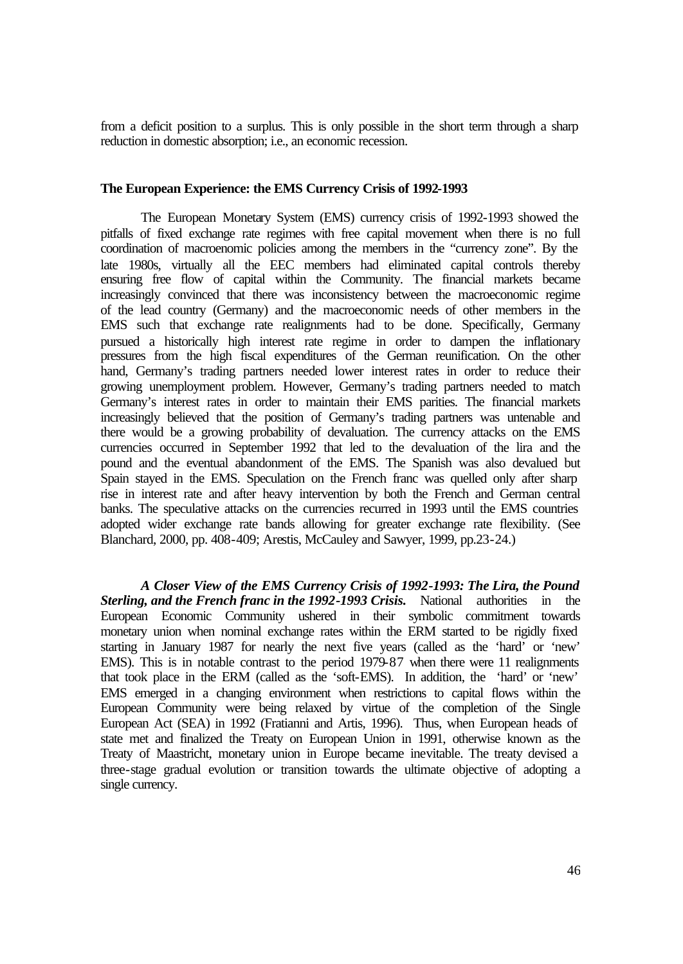from a deficit position to a surplus. This is only possible in the short term through a sharp reduction in domestic absorption; i.e., an economic recession.

### **The European Experience: the EMS Currency Crisis of 1992-1993**

The European Monetary System (EMS) currency crisis of 1992-1993 showed the pitfalls of fixed exchange rate regimes with free capital movement when there is no full coordination of macroenomic policies among the members in the "currency zone". By the late 1980s, virtually all the EEC members had eliminated capital controls thereby ensuring free flow of capital within the Community. The financial markets became increasingly convinced that there was inconsistency between the macroeconomic regime of the lead country (Germany) and the macroeconomic needs of other members in the EMS such that exchange rate realignments had to be done. Specifically, Germany pursued a historically high interest rate regime in order to dampen the inflationary pressures from the high fiscal expenditures of the German reunification. On the other hand, Germany's trading partners needed lower interest rates in order to reduce their growing unemployment problem. However, Germany's trading partners needed to match Germany's interest rates in order to maintain their EMS parities. The financial markets increasingly believed that the position of Germany's trading partners was untenable and there would be a growing probability of devaluation. The currency attacks on the EMS currencies occurred in September 1992 that led to the devaluation of the lira and the pound and the eventual abandonment of the EMS. The Spanish was also devalued but Spain stayed in the EMS. Speculation on the French franc was quelled only after sharp rise in interest rate and after heavy intervention by both the French and German central banks. The speculative attacks on the currencies recurred in 1993 until the EMS countries adopted wider exchange rate bands allowing for greater exchange rate flexibility. (See Blanchard, 2000, pp. 408-409; Arestis, McCauley and Sawyer, 1999, pp.23-24.)

*A Closer View of the EMS Currency Crisis of 1992-1993: The Lira, the Pound Sterling, and the French franc in the 1992-1993 Crisis.* National authorities in the European Economic Community ushered in their symbolic commitment towards monetary union when nominal exchange rates within the ERM started to be rigidly fixed starting in January 1987 for nearly the next five years (called as the 'hard' or 'new' EMS). This is in notable contrast to the period 1979-87 when there were 11 realignments that took place in the ERM (called as the 'soft-EMS). In addition, the 'hard' or 'new' EMS emerged in a changing environment when restrictions to capital flows within the European Community were being relaxed by virtue of the completion of the Single European Act (SEA) in 1992 (Fratianni and Artis, 1996). Thus, when European heads of state met and finalized the Treaty on European Union in 1991, otherwise known as the Treaty of Maastricht, monetary union in Europe became inevitable. The treaty devised a three-stage gradual evolution or transition towards the ultimate objective of adopting a single currency.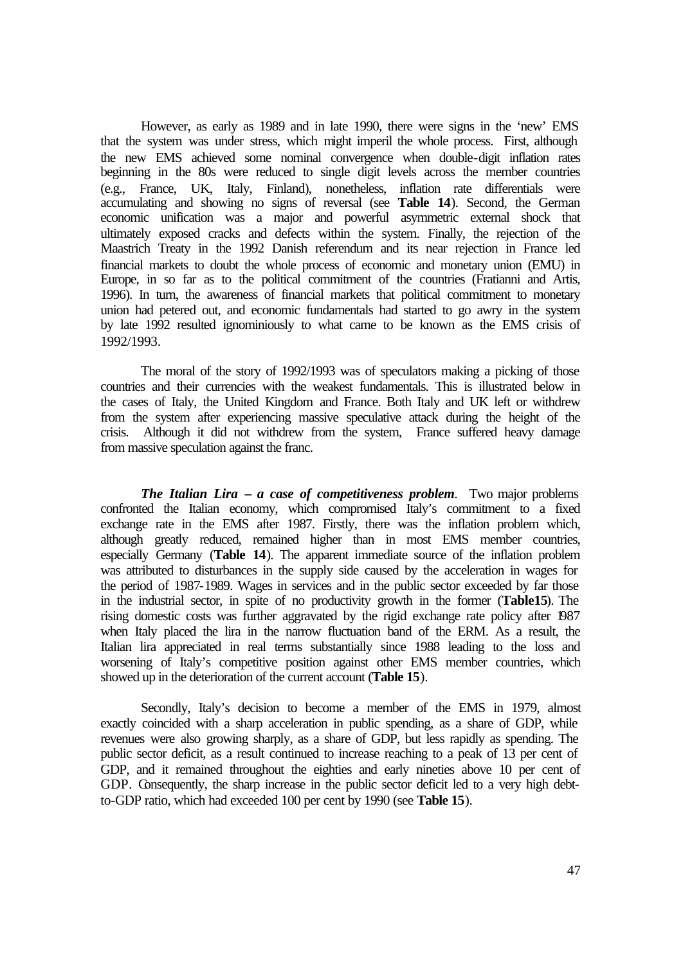However, as early as 1989 and in late 1990, there were signs in the 'new' EMS that the system was under stress, which might imperil the whole process. First, although the new EMS achieved some nominal convergence when double-digit inflation rates beginning in the 80s were reduced to single digit levels across the member countries (e.g., France, UK, Italy, Finland), nonetheless, inflation rate differentials were accumulating and showing no signs of reversal (see **Table 14**). Second, the German economic unification was a major and powerful asymmetric external shock that ultimately exposed cracks and defects within the system. Finally, the rejection of the Maastrich Treaty in the 1992 Danish referendum and its near rejection in France led financial markets to doubt the whole process of economic and monetary union (EMU) in Europe, in so far as to the political commitment of the countries (Fratianni and Artis, 1996). In turn, the awareness of financial markets that political commitment to monetary union had petered out, and economic fundamentals had started to go awry in the system by late 1992 resulted ignominiously to what came to be known as the EMS crisis of 1992/1993.

The moral of the story of 1992/1993 was of speculators making a picking of those countries and their currencies with the weakest fundamentals. This is illustrated below in the cases of Italy, the United Kingdom and France. Both Italy and UK left or withdrew from the system after experiencing massive speculative attack during the height of the crisis. Although it did not withdrew from the system, France suffered heavy damage from massive speculation against the franc.

*The Italian Lira – a case of competitiveness problem.* Two major problems confronted the Italian economy, which compromised Italy's commitment to a fixed exchange rate in the EMS after 1987. Firstly, there was the inflation problem which, although greatly reduced, remained higher than in most EMS member countries, especially Germany (**Table 14**). The apparent immediate source of the inflation problem was attributed to disturbances in the supply side caused by the acceleration in wages for the period of 1987-1989. Wages in services and in the public sector exceeded by far those in the industrial sector, in spite of no productivity growth in the former (**Table15**). The rising domestic costs was further aggravated by the rigid exchange rate policy after 1987 when Italy placed the lira in the narrow fluctuation band of the ERM. As a result, the Italian lira appreciated in real terms substantially since 1988 leading to the loss and worsening of Italy's competitive position against other EMS member countries, which showed up in the deterioration of the current account (**Table 15**).

Secondly, Italy's decision to become a member of the EMS in 1979, almost exactly coincided with a sharp acceleration in public spending, as a share of GDP, while revenues were also growing sharply, as a share of GDP, but less rapidly as spending. The public sector deficit, as a result continued to increase reaching to a peak of 13 per cent of GDP, and it remained throughout the eighties and early nineties above 10 per cent of GDP. Consequently, the sharp increase in the public sector deficit led to a very high debtto-GDP ratio, which had exceeded 100 per cent by 1990 (see **Table 15**).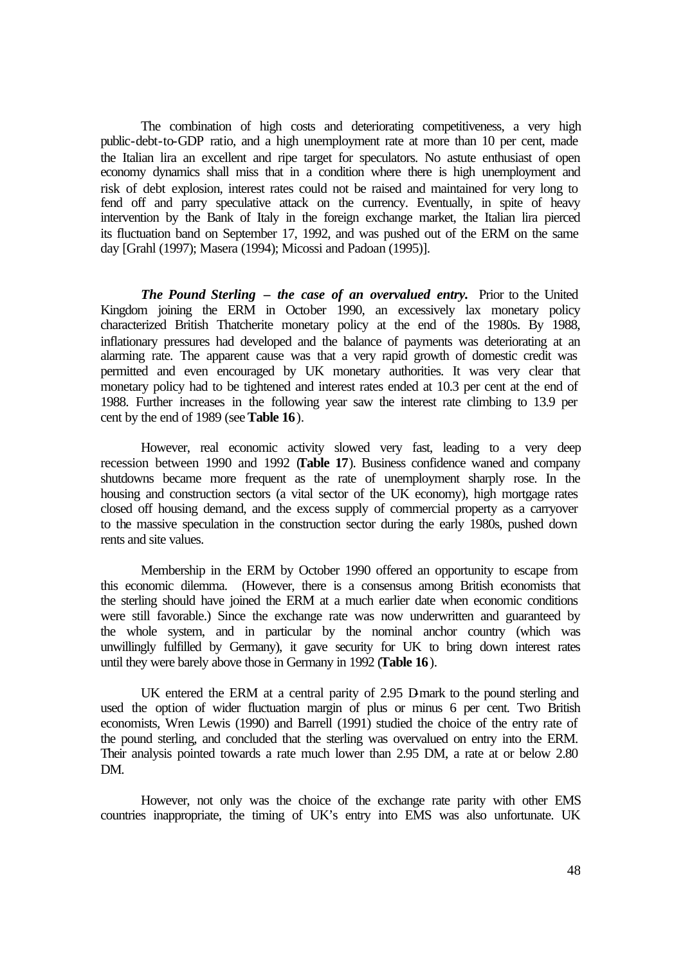The combination of high costs and deteriorating competitiveness, a very high public-debt-to-GDP ratio, and a high unemployment rate at more than 10 per cent, made the Italian lira an excellent and ripe target for speculators. No astute enthusiast of open economy dynamics shall miss that in a condition where there is high unemployment and risk of debt explosion, interest rates could not be raised and maintained for very long to fend off and parry speculative attack on the currency. Eventually, in spite of heavy intervention by the Bank of Italy in the foreign exchange market, the Italian lira pierced its fluctuation band on September 17, 1992, and was pushed out of the ERM on the same day [Grahl (1997); Masera (1994); Micossi and Padoan (1995)].

*The Pound Sterling – the case of an overvalued entry.* Prior to the United Kingdom joining the ERM in October 1990, an excessively lax monetary policy characterized British Thatcherite monetary policy at the end of the 1980s. By 1988, inflationary pressures had developed and the balance of payments was deteriorating at an alarming rate. The apparent cause was that a very rapid growth of domestic credit was permitted and even encouraged by UK monetary authorities. It was very clear that monetary policy had to be tightened and interest rates ended at 10.3 per cent at the end of 1988. Further increases in the following year saw the interest rate climbing to 13.9 per cent by the end of 1989 (see **Table 16**).

However, real economic activity slowed very fast, leading to a very deep recession between 1990 and 1992 (**Table 17**). Business confidence waned and company shutdowns became more frequent as the rate of unemployment sharply rose. In the housing and construction sectors (a vital sector of the UK economy), high mortgage rates closed off housing demand, and the excess supply of commercial property as a carryover to the massive speculation in the construction sector during the early 1980s, pushed down rents and site values.

Membership in the ERM by October 1990 offered an opportunity to escape from this economic dilemma. (However, there is a consensus among British economists that the sterling should have joined the ERM at a much earlier date when economic conditions were still favorable.) Since the exchange rate was now underwritten and guaranteed by the whole system, and in particular by the nominal anchor country (which was unwillingly fulfilled by Germany), it gave security for UK to bring down interest rates until they were barely above those in Germany in 1992 (**Table 16**).

UK entered the ERM at a central parity of  $2.95$  D-mark to the pound sterling and used the option of wider fluctuation margin of plus or minus 6 per cent. Two British economists, Wren Lewis (1990) and Barrell (1991) studied the choice of the entry rate of the pound sterling, and concluded that the sterling was overvalued on entry into the ERM. Their analysis pointed towards a rate much lower than 2.95 DM, a rate at or below 2.80 DM.

However, not only was the choice of the exchange rate parity with other EMS countries inappropriate, the timing of UK's entry into EMS was also unfortunate. UK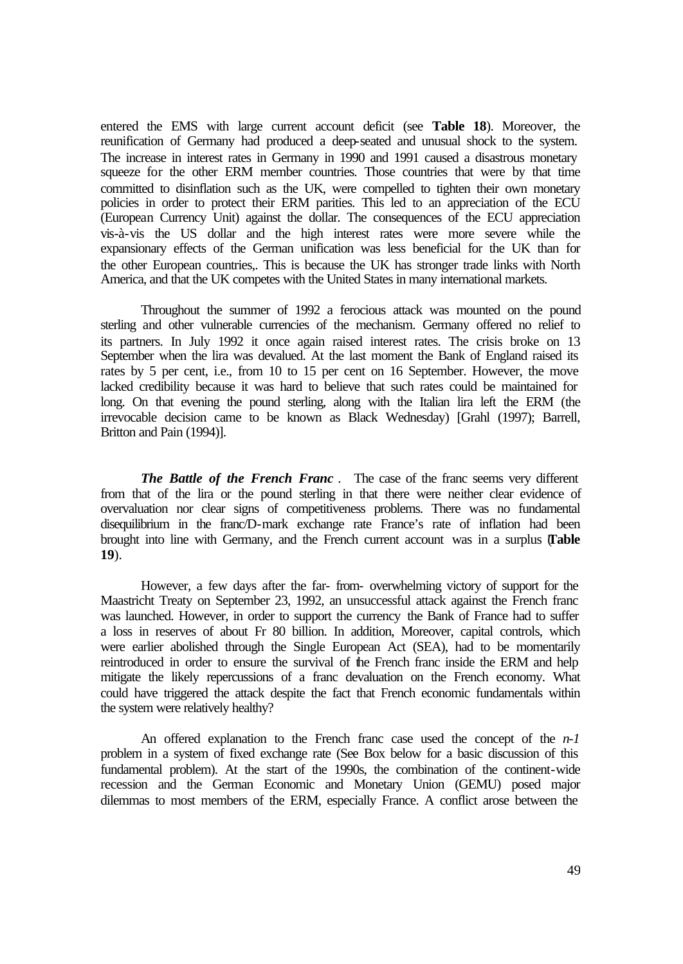entered the EMS with large current account deficit (see **Table 18**). Moreover, the reunification of Germany had produced a deep-seated and unusual shock to the system. The increase in interest rates in Germany in 1990 and 1991 caused a disastrous monetary squeeze for the other ERM member countries. Those countries that were by that time committed to disinflation such as the UK, were compelled to tighten their own monetary policies in order to protect their ERM parities. This led to an appreciation of the ECU (European Currency Unit) against the dollar. The consequences of the ECU appreciation vis-à-vis the US dollar and the high interest rates were more severe while the expansionary effects of the German unification was less beneficial for the UK than for the other European countries,. This is because the UK has stronger trade links with North America, and that the UK competes with the United States in many international markets.

Throughout the summer of 1992 a ferocious attack was mounted on the pound sterling and other vulnerable currencies of the mechanism. Germany offered no relief to its partners. In July 1992 it once again raised interest rates. The crisis broke on 13 September when the lira was devalued. At the last moment the Bank of England raised its rates by 5 per cent, i.e., from 10 to 15 per cent on 16 September. However, the move lacked credibility because it was hard to believe that such rates could be maintained for long. On that evening the pound sterling, along with the Italian lira left the ERM (the irrevocable decision came to be known as Black Wednesday) [Grahl (1997); Barrell, Britton and Pain (1994)].

*The Battle of the French Franc .* The case of the franc seems very different from that of the lira or the pound sterling in that there were neither clear evidence of overvaluation nor clear signs of competitiveness problems. There was no fundamental disequilibrium in the franc/D-mark exchange rate France's rate of inflation had been brought into line with Germany, and the French current account was in a surplus (**Table 19**).

However, a few days after the far- from- overwhelming victory of support for the Maastricht Treaty on September 23, 1992, an unsuccessful attack against the French franc was launched. However, in order to support the currency the Bank of France had to suffer a loss in reserves of about Fr 80 billion. In addition, Moreover, capital controls, which were earlier abolished through the Single European Act (SEA), had to be momentarily reintroduced in order to ensure the survival of the French franc inside the ERM and help mitigate the likely repercussions of a franc devaluation on the French economy. What could have triggered the attack despite the fact that French economic fundamentals within the system were relatively healthy?

An offered explanation to the French franc case used the concept of the *n-1* problem in a system of fixed exchange rate (See Box below for a basic discussion of this fundamental problem). At the start of the 1990s, the combination of the continent-wide recession and the German Economic and Monetary Union (GEMU) posed major dilemmas to most members of the ERM, especially France. A conflict arose between the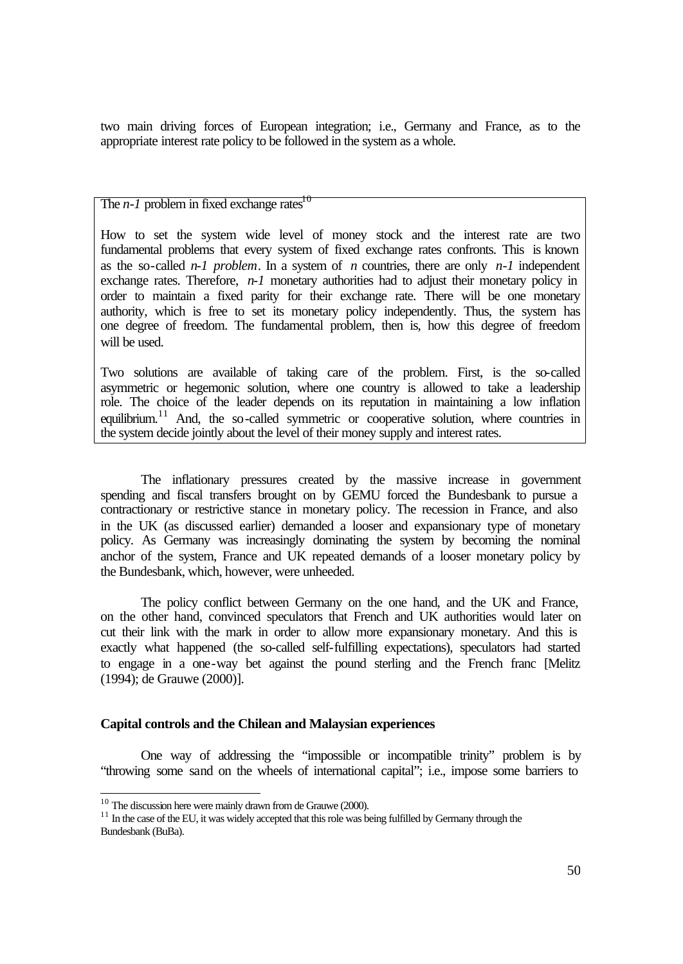two main driving forces of European integration; i.e., Germany and France, as to the appropriate interest rate policy to be followed in the system as a whole.

The  $n-1$  problem in fixed exchange rates<sup>10</sup>

How to set the system wide level of money stock and the interest rate are two fundamental problems that every system of fixed exchange rates confronts. This is known as the so-called *n-1 problem*. In a system of *n* countries, there are only *n-1* independent exchange rates. Therefore, *n-1* monetary authorities had to adjust their monetary policy in order to maintain a fixed parity for their exchange rate. There will be one monetary authority, which is free to set its monetary policy independently. Thus, the system has one degree of freedom. The fundamental problem, then is, how this degree of freedom will be used.

Two solutions are available of taking care of the problem. First, is the so-called asymmetric or hegemonic solution, where one country is allowed to take a leadership role. The choice of the leader depends on its reputation in maintaining a low inflation equilibrium.<sup>11</sup> And, the so-called symmetric or cooperative solution, where countries in the system decide jointly about the level of their money supply and interest rates.

The inflationary pressures created by the massive increase in government spending and fiscal transfers brought on by GEMU forced the Bundesbank to pursue a contractionary or restrictive stance in monetary policy. The recession in France, and also in the UK (as discussed earlier) demanded a looser and expansionary type of monetary policy. As Germany was increasingly dominating the system by becoming the nominal anchor of the system, France and UK repeated demands of a looser monetary policy by the Bundesbank, which, however, were unheeded.

The policy conflict between Germany on the one hand, and the UK and France, on the other hand, convinced speculators that French and UK authorities would later on cut their link with the mark in order to allow more expansionary monetary. And this is exactly what happened (the so-called self-fulfilling expectations), speculators had started to engage in a one-way bet against the pound sterling and the French franc [Melitz (1994); de Grauwe (2000)].

#### **Capital controls and the Chilean and Malaysian experiences**

One way of addressing the "impossible or incompatible trinity" problem is by "throwing some sand on the wheels of international capital"; i.e., impose some barriers to

 $\overline{\phantom{a}}$ 

 $10$  The discussion here were mainly drawn from de Grauwe (2000).

 $11$  In the case of the EU, it was widely accepted that this role was being fulfilled by Germany through the Bundesbank (BuBa).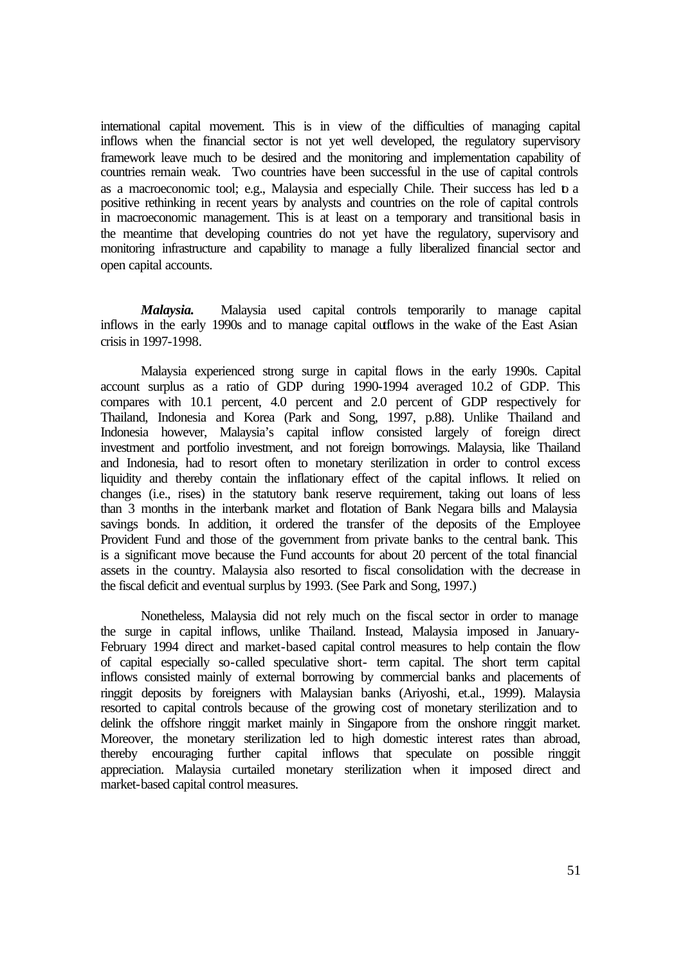international capital movement. This is in view of the difficulties of managing capital inflows when the financial sector is not yet well developed, the regulatory supervisory framework leave much to be desired and the monitoring and implementation capability of countries remain weak. Two countries have been successful in the use of capital controls as a macroeconomic tool; e.g., Malaysia and especially Chile. Their success has led to a positive rethinking in recent years by analysts and countries on the role of capital controls in macroeconomic management. This is at least on a temporary and transitional basis in the meantime that developing countries do not yet have the regulatory, supervisory and monitoring infrastructure and capability to manage a fully liberalized financial sector and open capital accounts.

*Malaysia.* Malaysia used capital controls temporarily to manage capital inflows in the early 1990s and to manage capital outflows in the wake of the East Asian crisis in 1997-1998.

Malaysia experienced strong surge in capital flows in the early 1990s. Capital account surplus as a ratio of GDP during 1990-1994 averaged 10.2 of GDP. This compares with 10.1 percent, 4.0 percent and 2.0 percent of GDP respectively for Thailand, Indonesia and Korea (Park and Song, 1997, p.88). Unlike Thailand and Indonesia however, Malaysia's capital inflow consisted largely of foreign direct investment and portfolio investment, and not foreign borrowings. Malaysia, like Thailand and Indonesia, had to resort often to monetary sterilization in order to control excess liquidity and thereby contain the inflationary effect of the capital inflows. It relied on changes (i.e., rises) in the statutory bank reserve requirement, taking out loans of less than 3 months in the interbank market and flotation of Bank Negara bills and Malaysia savings bonds. In addition, it ordered the transfer of the deposits of the Employee Provident Fund and those of the government from private banks to the central bank. This is a significant move because the Fund accounts for about 20 percent of the total financial assets in the country. Malaysia also resorted to fiscal consolidation with the decrease in the fiscal deficit and eventual surplus by 1993. (See Park and Song, 1997.)

Nonetheless, Malaysia did not rely much on the fiscal sector in order to manage the surge in capital inflows, unlike Thailand. Instead, Malaysia imposed in January-February 1994 direct and market-based capital control measures to help contain the flow of capital especially so-called speculative short- term capital. The short term capital inflows consisted mainly of external borrowing by commercial banks and placements of ringgit deposits by foreigners with Malaysian banks (Ariyoshi, et.al., 1999). Malaysia resorted to capital controls because of the growing cost of monetary sterilization and to delink the offshore ringgit market mainly in Singapore from the onshore ringgit market. Moreover, the monetary sterilization led to high domestic interest rates than abroad, thereby encouraging further capital inflows that speculate on possible ringgit appreciation. Malaysia curtailed monetary sterilization when it imposed direct and market-based capital control measures.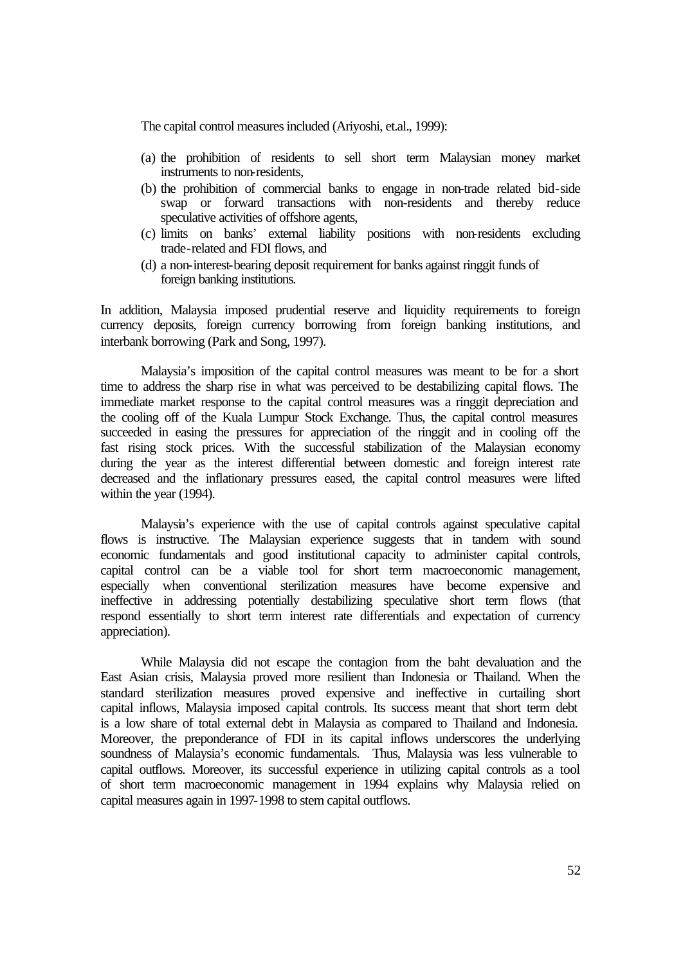The capital control measures included (Ariyoshi, et.al., 1999):

- (a) the prohibition of residents to sell short term Malaysian money market instruments to non-residents,
- (b) the prohibition of commercial banks to engage in non-trade related bid-side swap or forward transactions with non-residents and thereby reduce speculative activities of offshore agents,
- (c) limits on banks' external liability positions with non-residents excluding trade-related and FDI flows, and
- (d) a non-interest-bearing deposit requirement for banks against ringgit funds of foreign banking institutions.

In addition, Malaysia imposed prudential reserve and liquidity requirements to foreign currency deposits, foreign currency borrowing from foreign banking institutions, and interbank borrowing (Park and Song, 1997).

Malaysia's imposition of the capital control measures was meant to be for a short time to address the sharp rise in what was perceived to be destabilizing capital flows. The immediate market response to the capital control measures was a ringgit depreciation and the cooling off of the Kuala Lumpur Stock Exchange. Thus, the capital control measures succeeded in easing the pressures for appreciation of the ringgit and in cooling off the fast rising stock prices. With the successful stabilization of the Malaysian economy during the year as the interest differential between domestic and foreign interest rate decreased and the inflationary pressures eased, the capital control measures were lifted within the year (1994).

Malaysia's experience with the use of capital controls against speculative capital flows is instructive. The Malaysian experience suggests that in tandem with sound economic fundamentals and good institutional capacity to administer capital controls, capital control can be a viable tool for short term macroeconomic management, especially when conventional sterilization measures have become expensive and ineffective in addressing potentially destabilizing speculative short term flows (that respond essentially to short term interest rate differentials and expectation of currency appreciation).

While Malaysia did not escape the contagion from the baht devaluation and the East Asian crisis, Malaysia proved more resilient than Indonesia or Thailand. When the standard sterilization measures proved expensive and ineffective in curtailing short capital inflows, Malaysia imposed capital controls. Its success meant that short term debt is a low share of total external debt in Malaysia as compared to Thailand and Indonesia. Moreover, the preponderance of FDI in its capital inflows underscores the underlying soundness of Malaysia's economic fundamentals. Thus, Malaysia was less vulnerable to capital outflows. Moreover, its successful experience in utilizing capital controls as a tool of short term macroeconomic management in 1994 explains why Malaysia relied on capital measures again in 1997-1998 to stem capital outflows.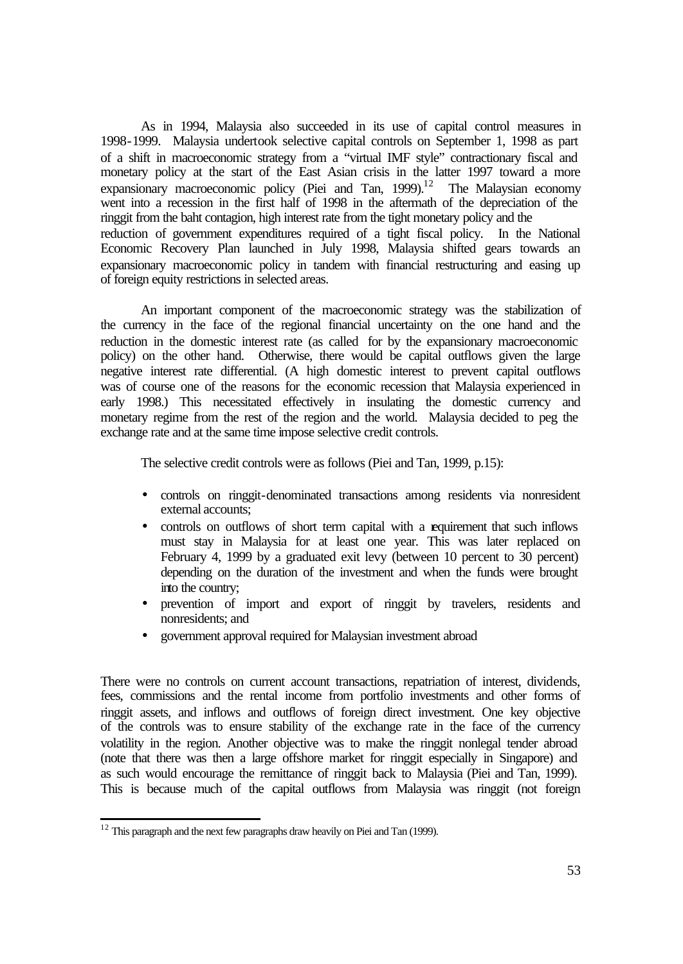As in 1994, Malaysia also succeeded in its use of capital control measures in 1998-1999. Malaysia undertook selective capital controls on September 1, 1998 as part of a shift in macroeconomic strategy from a "virtual IMF style" contractionary fiscal and monetary policy at the start of the East Asian crisis in the latter 1997 toward a more expansionary macroeconomic policy (Piei and Tan,  $1999$ ).<sup>12</sup> The Malaysian economy went into a recession in the first half of 1998 in the aftermath of the depreciation of the ringgit from the baht contagion, high interest rate from the tight monetary policy and the reduction of government expenditures required of a tight fiscal policy. In the National Economic Recovery Plan launched in July 1998, Malaysia shifted gears towards an expansionary macroeconomic policy in tandem with financial restructuring and easing up of foreign equity restrictions in selected areas.

An important component of the macroeconomic strategy was the stabilization of the currency in the face of the regional financial uncertainty on the one hand and the reduction in the domestic interest rate (as called for by the expansionary macroeconomic policy) on the other hand. Otherwise, there would be capital outflows given the large negative interest rate differential. (A high domestic interest to prevent capital outflows was of course one of the reasons for the economic recession that Malaysia experienced in early 1998.) This necessitated effectively in insulating the domestic currency and monetary regime from the rest of the region and the world. Malaysia decided to peg the exchange rate and at the same time impose selective credit controls.

The selective credit controls were as follows (Piei and Tan, 1999, p.15):

- controls on ringgit-denominated transactions among residents via nonresident external accounts;
- controls on outflows of short term capital with a requirement that such inflows must stay in Malaysia for at least one year. This was later replaced on February 4, 1999 by a graduated exit levy (between 10 percent to 30 percent) depending on the duration of the investment and when the funds were brought into the country;
- prevention of import and export of ringgit by travelers, residents and nonresidents; and
- government approval required for Malaysian investment abroad

There were no controls on current account transactions, repatriation of interest, dividends, fees, commissions and the rental income from portfolio investments and other forms of ringgit assets, and inflows and outflows of foreign direct investment. One key objective of the controls was to ensure stability of the exchange rate in the face of the currency volatility in the region. Another objective was to make the ringgit nonlegal tender abroad (note that there was then a large offshore market for ringgit especially in Singapore) and as such would encourage the remittance of ringgit back to Malaysia (Piei and Tan, 1999). This is because much of the capital outflows from Malaysia was ringgit (not foreign

l

 $12$  This paragraph and the next few paragraphs draw heavily on Piei and Tan (1999).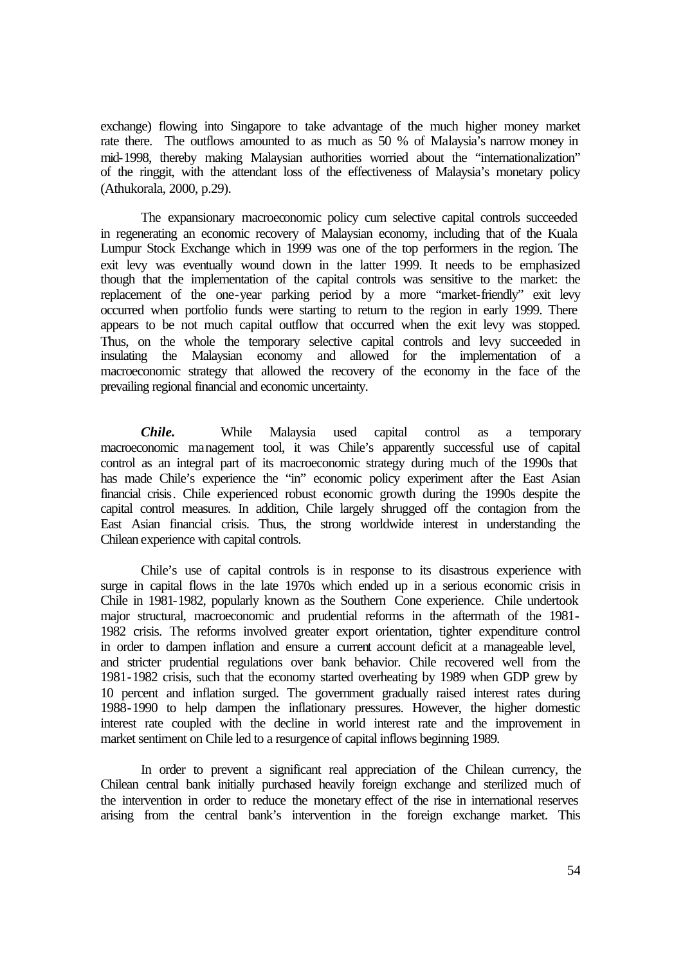exchange) flowing into Singapore to take advantage of the much higher money market rate there. The outflows amounted to as much as 50 % of Malaysia's narrow money in mid-1998, thereby making Malaysian authorities worried about the "internationalization" of the ringgit, with the attendant loss of the effectiveness of Malaysia's monetary policy (Athukorala, 2000, p.29).

The expansionary macroeconomic policy cum selective capital controls succeeded in regenerating an economic recovery of Malaysian economy, including that of the Kuala Lumpur Stock Exchange which in 1999 was one of the top performers in the region. The exit levy was eventually wound down in the latter 1999. It needs to be emphasized though that the implementation of the capital controls was sensitive to the market: the replacement of the one-year parking period by a more "market-friendly" exit levy occurred when portfolio funds were starting to return to the region in early 1999. There appears to be not much capital outflow that occurred when the exit levy was stopped. Thus, on the whole the temporary selective capital controls and levy succeeded in insulating the Malaysian economy and allowed for the implementation of a macroeconomic strategy that allowed the recovery of the economy in the face of the prevailing regional financial and economic uncertainty.

*Chile.* While Malaysia used capital control as a temporary macroeconomic management tool, it was Chile's apparently successful use of capital control as an integral part of its macroeconomic strategy during much of the 1990s that has made Chile's experience the "in" economic policy experiment after the East Asian financial crisis. Chile experienced robust economic growth during the 1990s despite the capital control measures. In addition, Chile largely shrugged off the contagion from the East Asian financial crisis. Thus, the strong worldwide interest in understanding the Chilean experience with capital controls.

Chile's use of capital controls is in response to its disastrous experience with surge in capital flows in the late 1970s which ended up in a serious economic crisis in Chile in 1981-1982, popularly known as the Southern Cone experience. Chile undertook major structural, macroeconomic and prudential reforms in the aftermath of the 1981- 1982 crisis. The reforms involved greater export orientation, tighter expenditure control in order to dampen inflation and ensure a current account deficit at a manageable level, and stricter prudential regulations over bank behavior. Chile recovered well from the 1981-1982 crisis, such that the economy started overheating by 1989 when GDP grew by 10 percent and inflation surged. The government gradually raised interest rates during 1988-1990 to help dampen the inflationary pressures. However, the higher domestic interest rate coupled with the decline in world interest rate and the improvement in market sentiment on Chile led to a resurgence of capital inflows beginning 1989.

In order to prevent a significant real appreciation of the Chilean currency, the Chilean central bank initially purchased heavily foreign exchange and sterilized much of the intervention in order to reduce the monetary effect of the rise in international reserves arising from the central bank's intervention in the foreign exchange market. This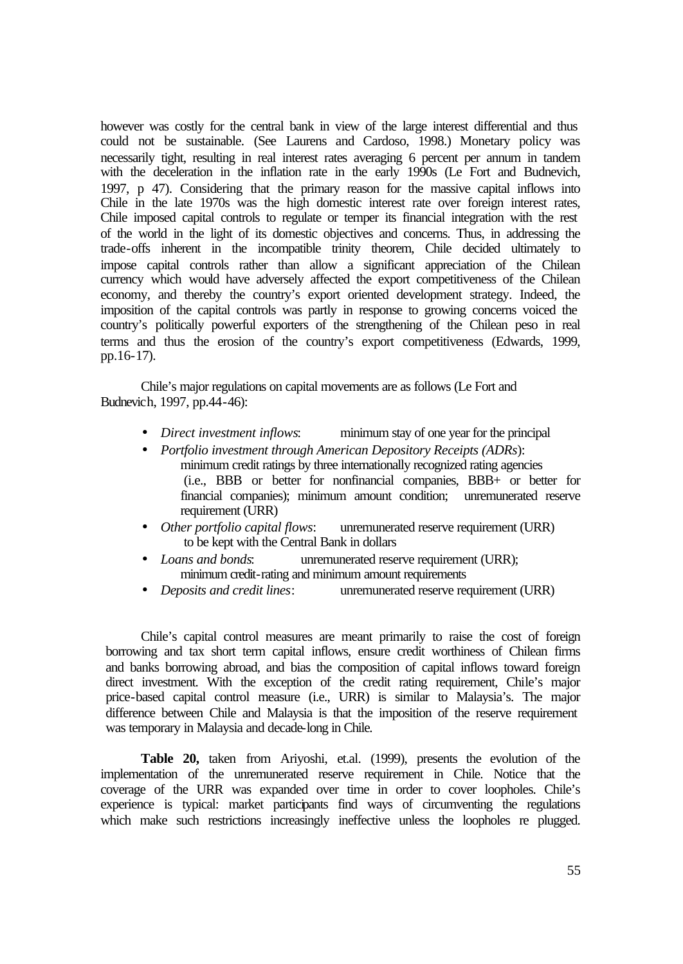however was costly for the central bank in view of the large interest differential and thus could not be sustainable. (See Laurens and Cardoso, 1998.) Monetary policy was necessarily tight, resulting in real interest rates averaging 6 percent per annum in tandem with the deceleration in the inflation rate in the early 1990s (Le Fort and Budnevich, 1997, p 47). Considering that the primary reason for the massive capital inflows into Chile in the late 1970s was the high domestic interest rate over foreign interest rates, Chile imposed capital controls to regulate or temper its financial integration with the rest of the world in the light of its domestic objectives and concerns. Thus, in addressing the trade-offs inherent in the incompatible trinity theorem, Chile decided ultimately to impose capital controls rather than allow a significant appreciation of the Chilean currency which would have adversely affected the export competitiveness of the Chilean economy, and thereby the country's export oriented development strategy. Indeed, the imposition of the capital controls was partly in response to growing concerns voiced the country's politically powerful exporters of the strengthening of the Chilean peso in real terms and thus the erosion of the country's export competitiveness (Edwards, 1999, pp.16-17).

Chile's major regulations on capital movements are as follows (Le Fort and Budnevich, 1997, pp.44-46):

- *Direct investment inflows*: minimum stay of one year for the principal
- *Portfolio investment through American Depository Receipts (ADRs*): minimum credit ratings by three internationally recognized rating agencies (i.e., BBB or better for nonfinancial companies, BBB+ or better for financial companies); minimum amount condition; unremunerated reserve requirement (URR)
- *Other portfolio capital flows*: unremunerated reserve requirement (URR) to be kept with the Central Bank in dollars
- *Loans and bonds*: unremunerated reserve requirement (URR); minimum credit-rating and minimum amount requirements
- *Deposits and credit lines*: unremunerated reserve requirement (URR)

Chile's capital control measures are meant primarily to raise the cost of foreign borrowing and tax short term capital inflows, ensure credit worthiness of Chilean firms and banks borrowing abroad, and bias the composition of capital inflows toward foreign direct investment. With the exception of the credit rating requirement, Chile's major price-based capital control measure (i.e., URR) is similar to Malaysia's. The major difference between Chile and Malaysia is that the imposition of the reserve requirement was temporary in Malaysia and decade-long in Chile.

**Table 20,** taken from Ariyoshi, et.al. (1999), presents the evolution of the implementation of the unremunerated reserve requirement in Chile. Notice that the coverage of the URR was expanded over time in order to cover loopholes. Chile's experience is typical: market participants find ways of circumventing the regulations which make such restrictions increasingly ineffective unless the loopholes re plugged.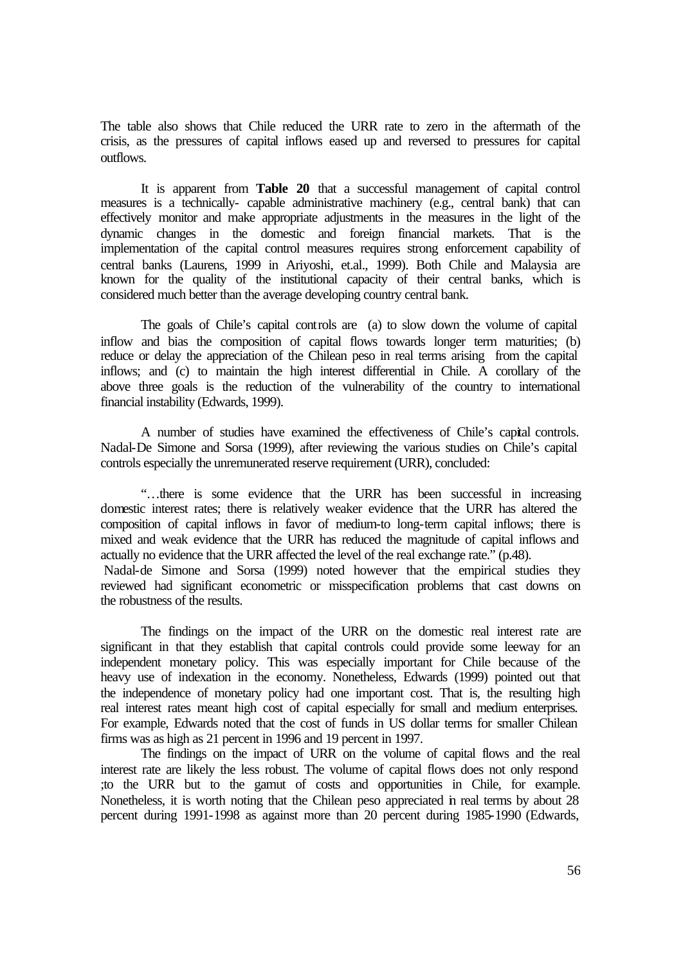The table also shows that Chile reduced the URR rate to zero in the aftermath of the crisis, as the pressures of capital inflows eased up and reversed to pressures for capital outflows.

It is apparent from **Table 20** that a successful management of capital control measures is a technically- capable administrative machinery (e.g., central bank) that can effectively monitor and make appropriate adjustments in the measures in the light of the dynamic changes in the domestic and foreign financial markets. That is the implementation of the capital control measures requires strong enforcement capability of central banks (Laurens, 1999 in Ariyoshi, et.al., 1999). Both Chile and Malaysia are known for the quality of the institutional capacity of their central banks, which is considered much better than the average developing country central bank.

The goals of Chile's capital controls are (a) to slow down the volume of capital inflow and bias the composition of capital flows towards longer term maturities; (b) reduce or delay the appreciation of the Chilean peso in real terms arising from the capital inflows; and (c) to maintain the high interest differential in Chile. A corollary of the above three goals is the reduction of the vulnerability of the country to international financial instability (Edwards, 1999).

A number of studies have examined the effectiveness of Chile's capital controls. Nadal-De Simone and Sorsa (1999), after reviewing the various studies on Chile's capital controls especially the unremunerated reserve requirement (URR), concluded:

"…there is some evidence that the URR has been successful in increasing domestic interest rates; there is relatively weaker evidence that the URR has altered the composition of capital inflows in favor of medium-to long-term capital inflows; there is mixed and weak evidence that the URR has reduced the magnitude of capital inflows and actually no evidence that the URR affected the level of the real exchange rate." (p.48). Nadal-de Simone and Sorsa (1999) noted however that the empirical studies they

reviewed had significant econometric or misspecification problems that cast downs on the robustness of the results.

The findings on the impact of the URR on the domestic real interest rate are significant in that they establish that capital controls could provide some leeway for an independent monetary policy. This was especially important for Chile because of the heavy use of indexation in the economy. Nonetheless, Edwards (1999) pointed out that the independence of monetary policy had one important cost. That is, the resulting high real interest rates meant high cost of capital especially for small and medium enterprises. For example, Edwards noted that the cost of funds in US dollar terms for smaller Chilean firms was as high as 21 percent in 1996 and 19 percent in 1997.

The findings on the impact of URR on the volume of capital flows and the real interest rate are likely the less robust. The volume of capital flows does not only respond ;to the URR but to the gamut of costs and opportunities in Chile, for example. Nonetheless, it is worth noting that the Chilean peso appreciated in real terms by about 28 percent during 1991-1998 as against more than 20 percent during 1985-1990 (Edwards,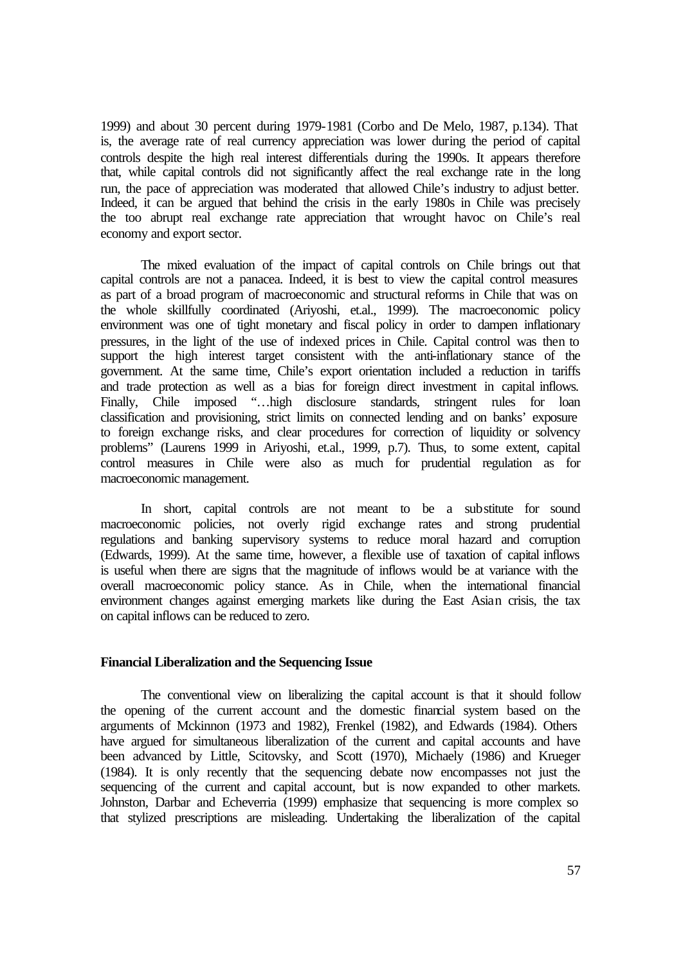1999) and about 30 percent during 1979-1981 (Corbo and De Melo, 1987, p.134). That is, the average rate of real currency appreciation was lower during the period of capital controls despite the high real interest differentials during the 1990s. It appears therefore that, while capital controls did not significantly affect the real exchange rate in the long run, the pace of appreciation was moderated that allowed Chile's industry to adjust better. Indeed, it can be argued that behind the crisis in the early 1980s in Chile was precisely the too abrupt real exchange rate appreciation that wrought havoc on Chile's real economy and export sector.

The mixed evaluation of the impact of capital controls on Chile brings out that capital controls are not a panacea. Indeed, it is best to view the capital control measures as part of a broad program of macroeconomic and structural reforms in Chile that was on the whole skillfully coordinated (Ariyoshi, et.al., 1999). The macroeconomic policy environment was one of tight monetary and fiscal policy in order to dampen inflationary pressures, in the light of the use of indexed prices in Chile. Capital control was then to support the high interest target consistent with the anti-inflationary stance of the government. At the same time, Chile's export orientation included a reduction in tariffs and trade protection as well as a bias for foreign direct investment in capital inflows. Finally, Chile imposed "…high disclosure standards, stringent rules for loan classification and provisioning, strict limits on connected lending and on banks' exposure to foreign exchange risks, and clear procedures for correction of liquidity or solvency problems" (Laurens 1999 in Ariyoshi, et.al., 1999, p.7). Thus, to some extent, capital control measures in Chile were also as much for prudential regulation as for macroeconomic management.

In short, capital controls are not meant to be a substitute for sound macroeconomic policies, not overly rigid exchange rates and strong prudential regulations and banking supervisory systems to reduce moral hazard and corruption (Edwards, 1999). At the same time, however, a flexible use of taxation of capital inflows is useful when there are signs that the magnitude of inflows would be at variance with the overall macroeconomic policy stance. As in Chile, when the international financial environment changes against emerging markets like during the East Asian crisis, the tax on capital inflows can be reduced to zero.

#### **Financial Liberalization and the Sequencing Issue**

The conventional view on liberalizing the capital account is that it should follow the opening of the current account and the domestic financial system based on the arguments of Mckinnon (1973 and 1982), Frenkel (1982), and Edwards (1984). Others have argued for simultaneous liberalization of the current and capital accounts and have been advanced by Little, Scitovsky, and Scott (1970), Michaely (1986) and Krueger (1984). It is only recently that the sequencing debate now encompasses not just the sequencing of the current and capital account, but is now expanded to other markets. Johnston, Darbar and Echeverria (1999) emphasize that sequencing is more complex so that stylized prescriptions are misleading. Undertaking the liberalization of the capital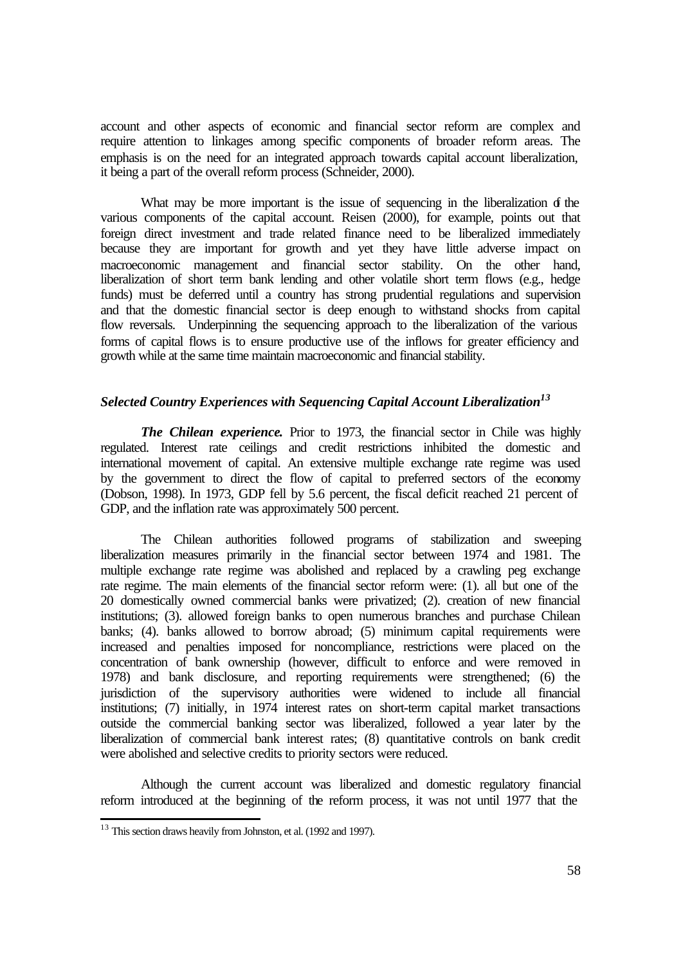account and other aspects of economic and financial sector reform are complex and require attention to linkages among specific components of broader reform areas. The emphasis is on the need for an integrated approach towards capital account liberalization, it being a part of the overall reform process (Schneider, 2000).

What may be more important is the issue of sequencing in the liberalization  $\delta$  the various components of the capital account. Reisen (2000), for example, points out that foreign direct investment and trade related finance need to be liberalized immediately because they are important for growth and yet they have little adverse impact on macroeconomic management and financial sector stability. On the other hand, liberalization of short term bank lending and other volatile short term flows (e.g., hedge funds) must be deferred until a country has strong prudential regulations and supervision and that the domestic financial sector is deep enough to withstand shocks from capital flow reversals. Underpinning the sequencing approach to the liberalization of the various forms of capital flows is to ensure productive use of the inflows for greater efficiency and growth while at the same time maintain macroeconomic and financial stability.

## *Selected Country Experiences with Sequencing Capital Account Liberalization<sup>13</sup>*

*The Chilean experience*. Prior to 1973, the financial sector in Chile was highly regulated. Interest rate ceilings and credit restrictions inhibited the domestic and international movement of capital. An extensive multiple exchange rate regime was used by the government to direct the flow of capital to preferred sectors of the economy (Dobson, 1998). In 1973, GDP fell by 5.6 percent, the fiscal deficit reached 21 percent of GDP, and the inflation rate was approximately 500 percent.

The Chilean authorities followed programs of stabilization and sweeping liberalization measures primarily in the financial sector between 1974 and 1981. The multiple exchange rate regime was abolished and replaced by a crawling peg exchange rate regime. The main elements of the financial sector reform were: (1). all but one of the 20 domestically owned commercial banks were privatized; (2). creation of new financial institutions; (3). allowed foreign banks to open numerous branches and purchase Chilean banks; (4). banks allowed to borrow abroad; (5) minimum capital requirements were increased and penalties imposed for noncompliance, restrictions were placed on the concentration of bank ownership (however, difficult to enforce and were removed in 1978) and bank disclosure, and reporting requirements were strengthened; (6) the jurisdiction of the supervisory authorities were widened to include all financial institutions; (7) initially, in 1974 interest rates on short-term capital market transactions outside the commercial banking sector was liberalized, followed a year later by the liberalization of commercial bank interest rates; (8) quantitative controls on bank credit were abolished and selective credits to priority sectors were reduced.

Although the current account was liberalized and domestic regulatory financial reform introduced at the beginning of the reform process, it was not until 1977 that the

l

<sup>&</sup>lt;sup>13</sup> This section draws heavily from Johnston, et al. (1992 and 1997).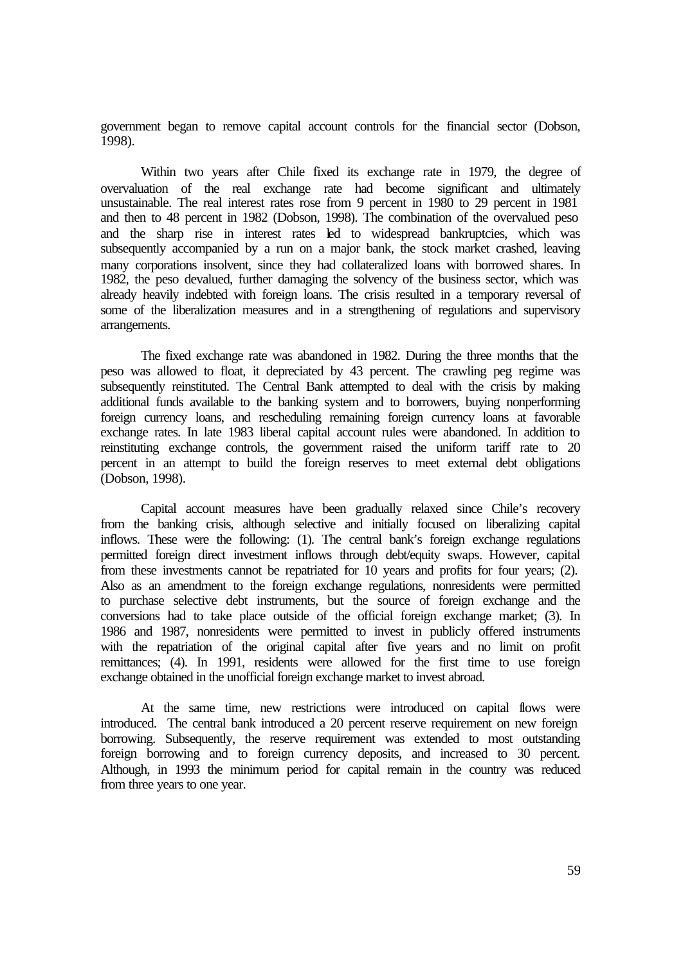government began to remove capital account controls for the financial sector (Dobson, 1998).

Within two years after Chile fixed its exchange rate in 1979, the degree of overvaluation of the real exchange rate had become significant and ultimately unsustainable. The real interest rates rose from 9 percent in 1980 to 29 percent in 1981 and then to 48 percent in 1982 (Dobson, 1998). The combination of the overvalued peso and the sharp rise in interest rates led to widespread bankruptcies, which was subsequently accompanied by a run on a major bank, the stock market crashed, leaving many corporations insolvent, since they had collateralized loans with borrowed shares. In 1982, the peso devalued, further damaging the solvency of the business sector, which was already heavily indebted with foreign loans. The crisis resulted in a temporary reversal of some of the liberalization measures and in a strengthening of regulations and supervisory arrangements.

The fixed exchange rate was abandoned in 1982. During the three months that the peso was allowed to float, it depreciated by 43 percent. The crawling peg regime was subsequently reinstituted. The Central Bank attempted to deal with the crisis by making additional funds available to the banking system and to borrowers, buying nonperforming foreign currency loans, and rescheduling remaining foreign currency loans at favorable exchange rates. In late 1983 liberal capital account rules were abandoned. In addition to reinstituting exchange controls, the government raised the uniform tariff rate to 20 percent in an attempt to build the foreign reserves to meet external debt obligations (Dobson, 1998).

Capital account measures have been gradually relaxed since Chile's recovery from the banking crisis, although selective and initially focused on liberalizing capital inflows. These were the following: (1). The central bank's foreign exchange regulations permitted foreign direct investment inflows through debt/equity swaps. However, capital from these investments cannot be repatriated for 10 years and profits for four years; (2). Also as an amendment to the foreign exchange regulations, nonresidents were permitted to purchase selective debt instruments, but the source of foreign exchange and the conversions had to take place outside of the official foreign exchange market; (3). In 1986 and 1987, nonresidents were permitted to invest in publicly offered instruments with the repatriation of the original capital after five years and no limit on profit remittances; (4). In 1991, residents were allowed for the first time to use foreign exchange obtained in the unofficial foreign exchange market to invest abroad.

At the same time, new restrictions were introduced on capital flows were introduced. The central bank introduced a 20 percent reserve requirement on new foreign borrowing. Subsequently, the reserve requirement was extended to most outstanding foreign borrowing and to foreign currency deposits, and increased to 30 percent. Although, in 1993 the minimum period for capital remain in the country was reduced from three years to one year.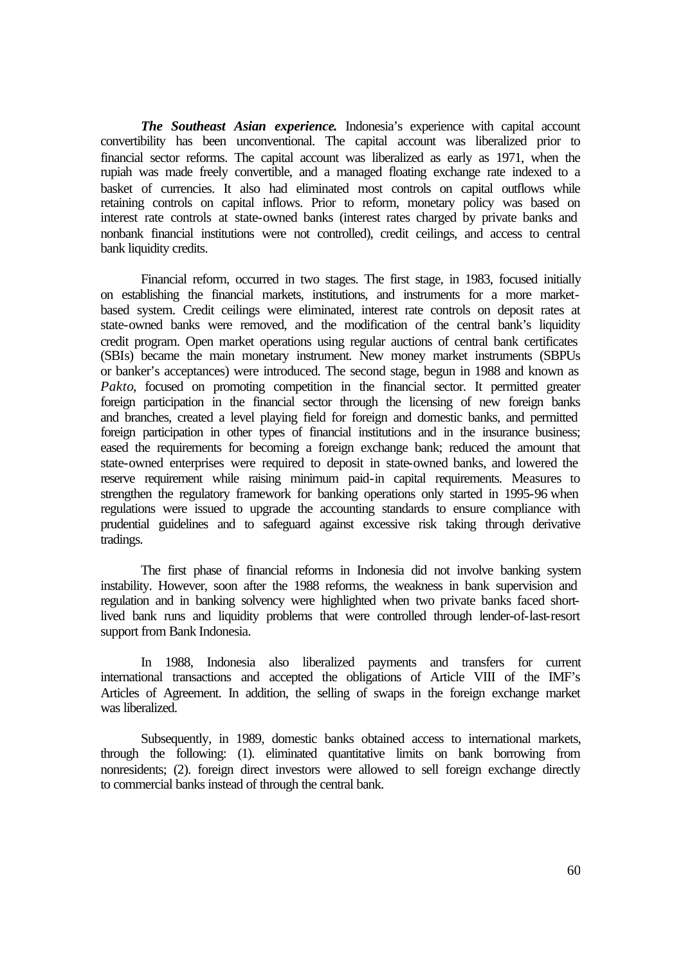*The Southeast Asian experience***.** Indonesia's experience with capital account convertibility has been unconventional. The capital account was liberalized prior to financial sector reforms. The capital account was liberalized as early as 1971, when the rupiah was made freely convertible, and a managed floating exchange rate indexed to a basket of currencies. It also had eliminated most controls on capital outflows while retaining controls on capital inflows. Prior to reform, monetary policy was based on interest rate controls at state-owned banks (interest rates charged by private banks and nonbank financial institutions were not controlled), credit ceilings, and access to central bank liquidity credits.

Financial reform, occurred in two stages. The first stage, in 1983, focused initially on establishing the financial markets, institutions, and instruments for a more marketbased system. Credit ceilings were eliminated, interest rate controls on deposit rates at state-owned banks were removed, and the modification of the central bank's liquidity credit program. Open market operations using regular auctions of central bank certificates (SBIs) became the main monetary instrument. New money market instruments (SBPUs or banker's acceptances) were introduced. The second stage, begun in 1988 and known as Pakto, focused on promoting competition in the financial sector. It permitted greater foreign participation in the financial sector through the licensing of new foreign banks and branches, created a level playing field for foreign and domestic banks, and permitted foreign participation in other types of financial institutions and in the insurance business; eased the requirements for becoming a foreign exchange bank; reduced the amount that state-owned enterprises were required to deposit in state-owned banks, and lowered the reserve requirement while raising minimum paid-in capital requirements. Measures to strengthen the regulatory framework for banking operations only started in 1995-96 when regulations were issued to upgrade the accounting standards to ensure compliance with prudential guidelines and to safeguard against excessive risk taking through derivative tradings.

The first phase of financial reforms in Indonesia did not involve banking system instability. However, soon after the 1988 reforms, the weakness in bank supervision and regulation and in banking solvency were highlighted when two private banks faced shortlived bank runs and liquidity problems that were controlled through lender-of-last-resort support from Bank Indonesia.

In 1988, Indonesia also liberalized payments and transfers for current international transactions and accepted the obligations of Article VIII of the IMF's Articles of Agreement. In addition, the selling of swaps in the foreign exchange market was liberalized.

Subsequently, in 1989, domestic banks obtained access to international markets, through the following: (1). eliminated quantitative limits on bank borrowing from nonresidents; (2). foreign direct investors were allowed to sell foreign exchange directly to commercial banks instead of through the central bank.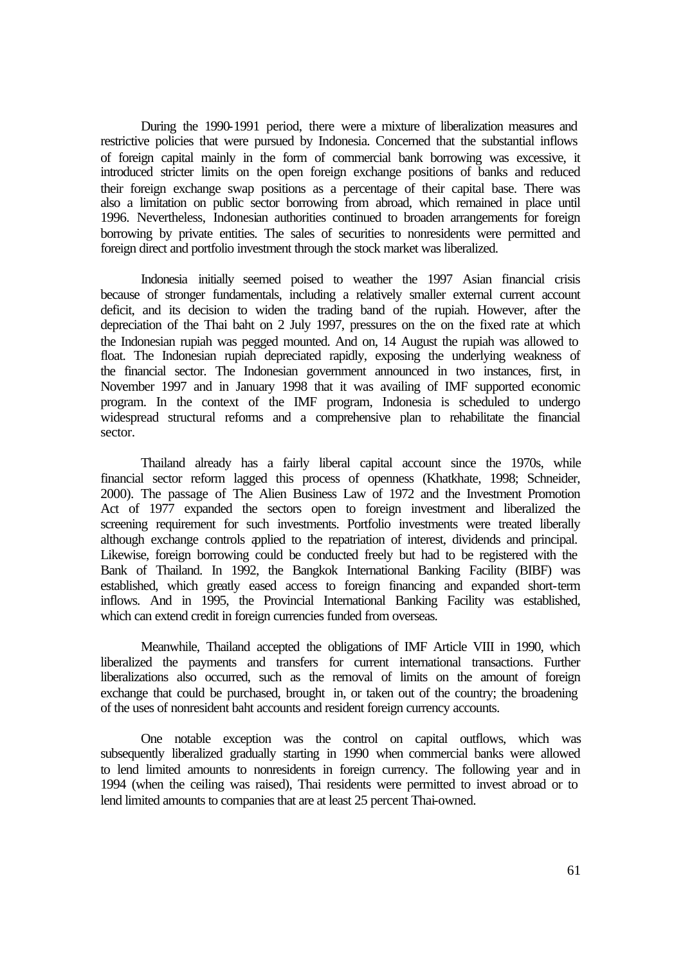During the 1990-1991 period, there were a mixture of liberalization measures and restrictive policies that were pursued by Indonesia. Concerned that the substantial inflows of foreign capital mainly in the form of commercial bank borrowing was excessive, it introduced stricter limits on the open foreign exchange positions of banks and reduced their foreign exchange swap positions as a percentage of their capital base. There was also a limitation on public sector borrowing from abroad, which remained in place until 1996. Nevertheless, Indonesian authorities continued to broaden arrangements for foreign borrowing by private entities. The sales of securities to nonresidents were permitted and foreign direct and portfolio investment through the stock market was liberalized.

Indonesia initially seemed poised to weather the 1997 Asian financial crisis because of stronger fundamentals, including a relatively smaller external current account deficit, and its decision to widen the trading band of the rupiah. However, after the depreciation of the Thai baht on 2 July 1997, pressures on the on the fixed rate at which the Indonesian rupiah was pegged mounted. And on, 14 August the rupiah was allowed to float. The Indonesian rupiah depreciated rapidly, exposing the underlying weakness of the financial sector. The Indonesian government announced in two instances, first, in November 1997 and in January 1998 that it was availing of IMF supported economic program. In the context of the IMF program, Indonesia is scheduled to undergo widespread structural reforms and a comprehensive plan to rehabilitate the financial sector.

Thailand already has a fairly liberal capital account since the 1970s, while financial sector reform lagged this process of openness (Khatkhate, 1998; Schneider, 2000). The passage of The Alien Business Law of 1972 and the Investment Promotion Act of 1977 expanded the sectors open to foreign investment and liberalized the screening requirement for such investments. Portfolio investments were treated liberally although exchange controls applied to the repatriation of interest, dividends and principal. Likewise, foreign borrowing could be conducted freely but had to be registered with the Bank of Thailand. In 1992, the Bangkok International Banking Facility (BIBF) was established, which greatly eased access to foreign financing and expanded short-term inflows. And in 1995, the Provincial International Banking Facility was established, which can extend credit in foreign currencies funded from overseas.

Meanwhile, Thailand accepted the obligations of IMF Article VIII in 1990, which liberalized the payments and transfers for current international transactions. Further liberalizations also occurred, such as the removal of limits on the amount of foreign exchange that could be purchased, brought in, or taken out of the country; the broadening of the uses of nonresident baht accounts and resident foreign currency accounts.

One notable exception was the control on capital outflows, which was subsequently liberalized gradually starting in 1990 when commercial banks were allowed to lend limited amounts to nonresidents in foreign currency. The following year and in 1994 (when the ceiling was raised), Thai residents were permitted to invest abroad or to lend limited amounts to companies that are at least 25 percent Thai-owned.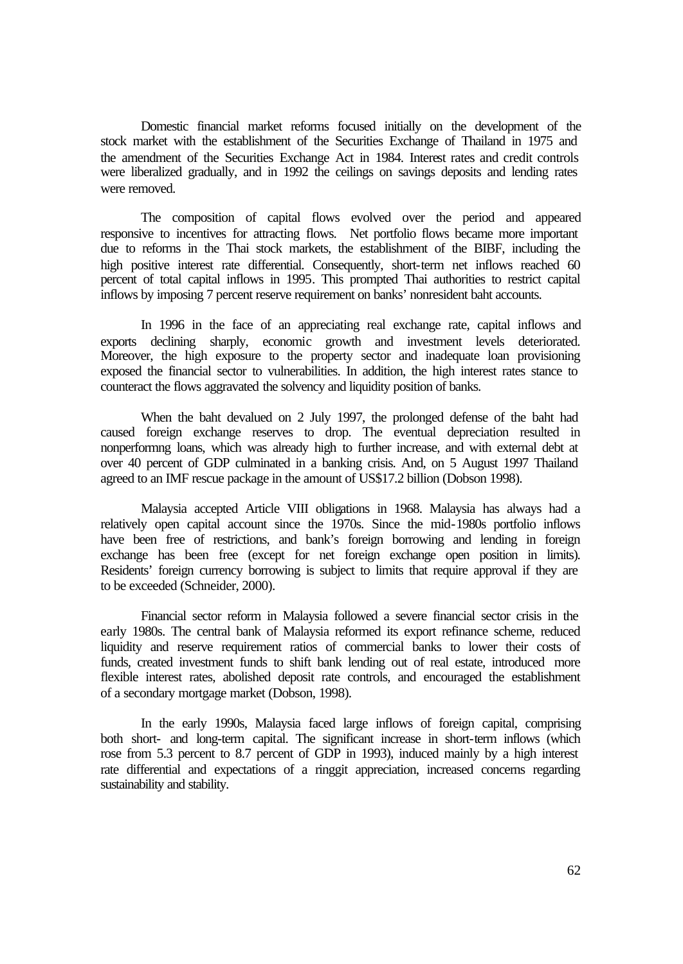Domestic financial market reforms focused initially on the development of the stock market with the establishment of the Securities Exchange of Thailand in 1975 and the amendment of the Securities Exchange Act in 1984. Interest rates and credit controls were liberalized gradually, and in 1992 the ceilings on savings deposits and lending rates were removed.

The composition of capital flows evolved over the period and appeared responsive to incentives for attracting flows. Net portfolio flows became more important due to reforms in the Thai stock markets, the establishment of the BIBF, including the high positive interest rate differential. Consequently, short-term net inflows reached 60 percent of total capital inflows in 1995. This prompted Thai authorities to restrict capital inflows by imposing 7 percent reserve requirement on banks' nonresident baht accounts.

In 1996 in the face of an appreciating real exchange rate, capital inflows and exports declining sharply, economic growth and investment levels deteriorated. Moreover, the high exposure to the property sector and inadequate loan provisioning exposed the financial sector to vulnerabilities. In addition, the high interest rates stance to counteract the flows aggravated the solvency and liquidity position of banks.

When the baht devalued on 2 July 1997, the prolonged defense of the baht had caused foreign exchange reserves to drop. The eventual depreciation resulted in nonperformng loans, which was already high to further increase, and with external debt at over 40 percent of GDP culminated in a banking crisis. And, on 5 August 1997 Thailand agreed to an IMF rescue package in the amount of US\$17.2 billion (Dobson 1998).

Malaysia accepted Article VIII obligations in 1968. Malaysia has always had a relatively open capital account since the 1970s. Since the mid-1980s portfolio inflows have been free of restrictions, and bank's foreign borrowing and lending in foreign exchange has been free (except for net foreign exchange open position in limits). Residents' foreign currency borrowing is subject to limits that require approval if they are to be exceeded (Schneider, 2000).

Financial sector reform in Malaysia followed a severe financial sector crisis in the early 1980s. The central bank of Malaysia reformed its export refinance scheme, reduced liquidity and reserve requirement ratios of commercial banks to lower their costs of funds, created investment funds to shift bank lending out of real estate, introduced more flexible interest rates, abolished deposit rate controls, and encouraged the establishment of a secondary mortgage market (Dobson, 1998).

In the early 1990s, Malaysia faced large inflows of foreign capital, comprising both short- and long-term capital. The significant increase in short-term inflows (which rose from 5.3 percent to 8.7 percent of GDP in 1993), induced mainly by a high interest rate differential and expectations of a ringgit appreciation, increased concerns regarding sustainability and stability.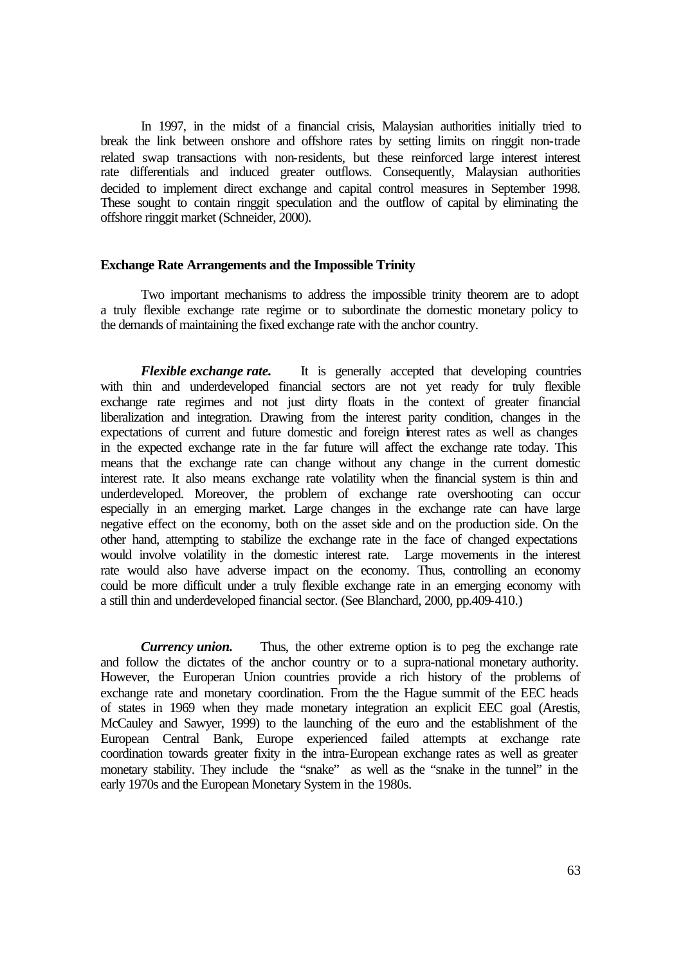In 1997, in the midst of a financial crisis, Malaysian authorities initially tried to break the link between onshore and offshore rates by setting limits on ringgit non-trade related swap transactions with non-residents, but these reinforced large interest interest rate differentials and induced greater outflows. Consequently, Malaysian authorities decided to implement direct exchange and capital control measures in September 1998. These sought to contain ringgit speculation and the outflow of capital by eliminating the offshore ringgit market (Schneider, 2000).

#### **Exchange Rate Arrangements and the Impossible Trinity**

Two important mechanisms to address the impossible trinity theorem are to adopt a truly flexible exchange rate regime or to subordinate the domestic monetary policy to the demands of maintaining the fixed exchange rate with the anchor country.

*Flexible exchange rate.* It is generally accepted that developing countries with thin and underdeveloped financial sectors are not yet ready for truly flexible exchange rate regimes and not just dirty floats in the context of greater financial liberalization and integration. Drawing from the interest parity condition, changes in the expectations of current and future domestic and foreign interest rates as well as changes in the expected exchange rate in the far future will affect the exchange rate today. This means that the exchange rate can change without any change in the current domestic interest rate. It also means exchange rate volatility when the financial system is thin and underdeveloped. Moreover, the problem of exchange rate overshooting can occur especially in an emerging market. Large changes in the exchange rate can have large negative effect on the economy, both on the asset side and on the production side. On the other hand, attempting to stabilize the exchange rate in the face of changed expectations would involve volatility in the domestic interest rate. Large movements in the interest rate would also have adverse impact on the economy. Thus, controlling an economy could be more difficult under a truly flexible exchange rate in an emerging economy with a still thin and underdeveloped financial sector. (See Blanchard, 2000, pp.409-410.)

*Currency union.* Thus, the other extreme option is to peg the exchange rate and follow the dictates of the anchor country or to a supra-national monetary authority. However, the Europeran Union countries provide a rich history of the problems of exchange rate and monetary coordination. From the the Hague summit of the EEC heads of states in 1969 when they made monetary integration an explicit EEC goal (Arestis, McCauley and Sawyer, 1999) to the launching of the euro and the establishment of the European Central Bank, Europe experienced failed attempts at exchange rate coordination towards greater fixity in the intra-European exchange rates as well as greater monetary stability. They include the "snake" as well as the "snake in the tunnel" in the early 1970s and the European Monetary System in the 1980s.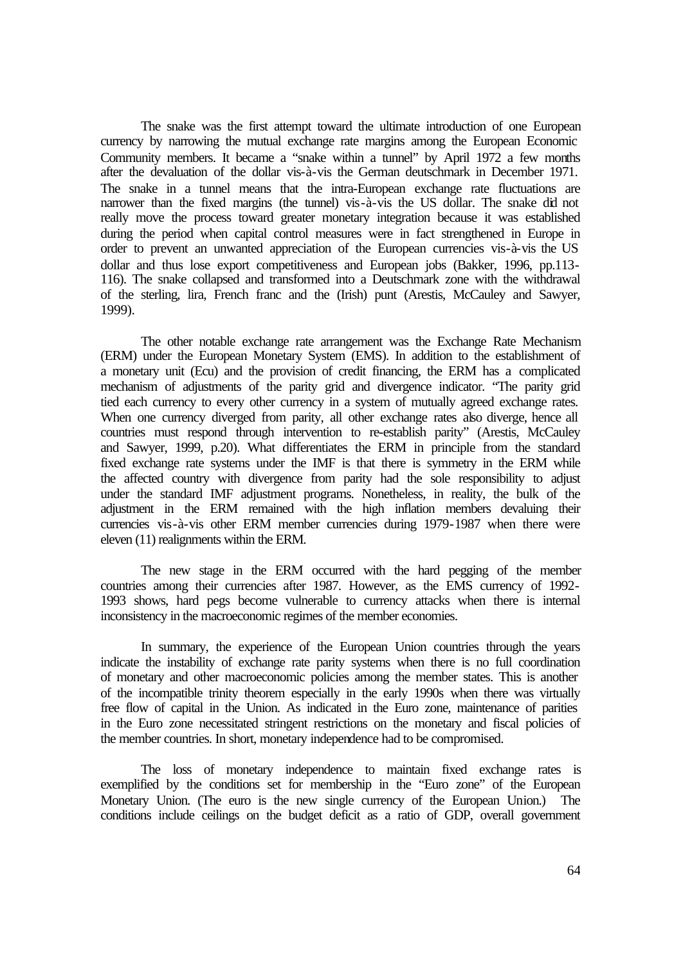The snake was the first attempt toward the ultimate introduction of one European currency by narrowing the mutual exchange rate margins among the European Economic Community members. It became a "snake within a tunnel" by April 1972 a few months after the devaluation of the dollar vis-à-vis the German deutschmark in December 1971. The snake in a tunnel means that the intra-European exchange rate fluctuations are narrower than the fixed margins (the tunnel) vis-à-vis the US dollar. The snake did not really move the process toward greater monetary integration because it was established during the period when capital control measures were in fact strengthened in Europe in order to prevent an unwanted appreciation of the European currencies vis-à-vis the US dollar and thus lose export competitiveness and European jobs (Bakker, 1996, pp.113- 116). The snake collapsed and transformed into a Deutschmark zone with the withdrawal of the sterling, lira, French franc and the (Irish) punt (Arestis, McCauley and Sawyer, 1999).

The other notable exchange rate arrangement was the Exchange Rate Mechanism (ERM) under the European Monetary System (EMS). In addition to the establishment of a monetary unit (Ecu) and the provision of credit financing, the ERM has a complicated mechanism of adjustments of the parity grid and divergence indicator. "The parity grid tied each currency to every other currency in a system of mutually agreed exchange rates. When one currency diverged from parity, all other exchange rates also diverge, hence all countries must respond through intervention to re-establish parity" (Arestis, McCauley and Sawyer, 1999, p.20). What differentiates the ERM in principle from the standard fixed exchange rate systems under the IMF is that there is symmetry in the ERM while the affected country with divergence from parity had the sole responsibility to adjust under the standard IMF adjustment programs. Nonetheless, in reality, the bulk of the adjustment in the ERM remained with the high inflation members devaluing their currencies vis-à-vis other ERM member currencies during 1979-1987 when there were eleven (11) realignments within the ERM.

The new stage in the ERM occurred with the hard pegging of the member countries among their currencies after 1987. However, as the EMS currency of 1992- 1993 shows, hard pegs become vulnerable to currency attacks when there is internal inconsistency in the macroeconomic regimes of the member economies.

In summary, the experience of the European Union countries through the years indicate the instability of exchange rate parity systems when there is no full coordination of monetary and other macroeconomic policies among the member states. This is another of the incompatible trinity theorem especially in the early 1990s when there was virtually free flow of capital in the Union. As indicated in the Euro zone, maintenance of parities in the Euro zone necessitated stringent restrictions on the monetary and fiscal policies of the member countries. In short, monetary independence had to be compromised.

The loss of monetary independence to maintain fixed exchange rates is exemplified by the conditions set for membership in the "Euro zone" of the European Monetary Union. (The euro is the new single currency of the European Union.) The conditions include ceilings on the budget deficit as a ratio of GDP, overall government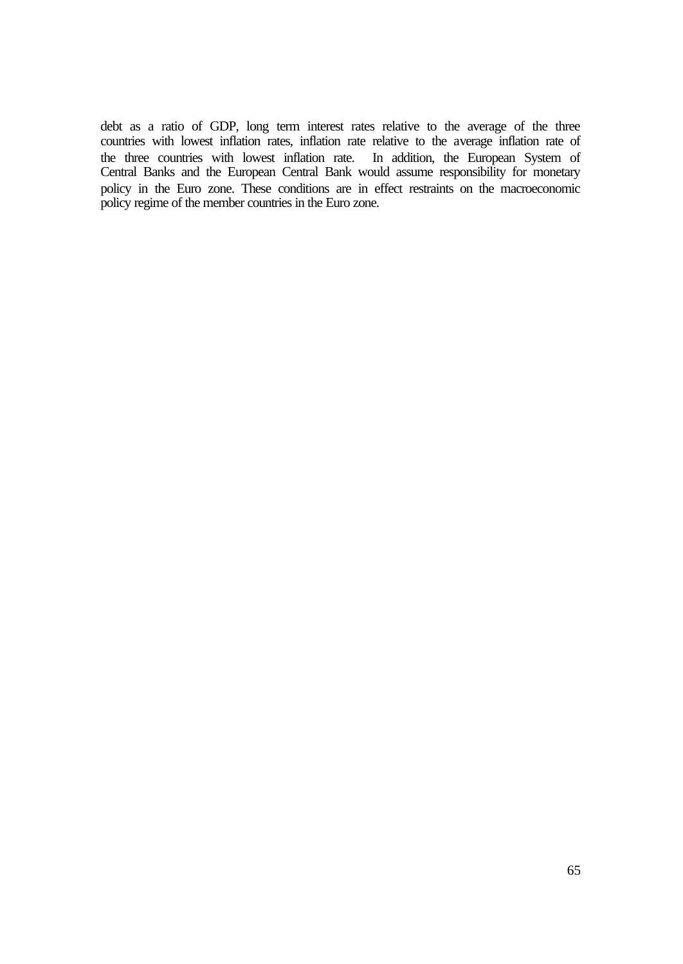debt as a ratio of GDP, long term interest rates relative to the average of the three countries with lowest inflation rates, inflation rate relative to the average inflation rate of the three countries with lowest inflation rate. In addition, the European System of Central Banks and the European Central Bank would assume responsibility for monetary policy in the Euro zone. These conditions are in effect restraints on the macroeconomic policy regime of the member countries in the Euro zone.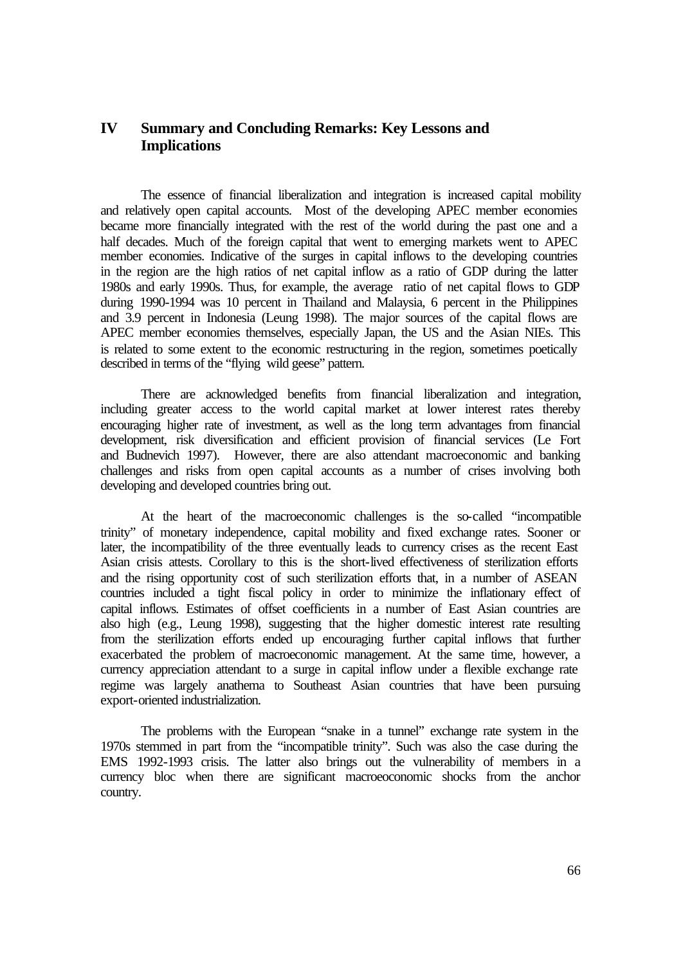# **IV Summary and Concluding Remarks: Key Lessons and Implications**

The essence of financial liberalization and integration is increased capital mobility and relatively open capital accounts. Most of the developing APEC member economies became more financially integrated with the rest of the world during the past one and a half decades. Much of the foreign capital that went to emerging markets went to APEC member economies. Indicative of the surges in capital inflows to the developing countries in the region are the high ratios of net capital inflow as a ratio of GDP during the latter 1980s and early 1990s. Thus, for example, the average ratio of net capital flows to GDP during 1990-1994 was 10 percent in Thailand and Malaysia, 6 percent in the Philippines and 3.9 percent in Indonesia (Leung 1998). The major sources of the capital flows are APEC member economies themselves, especially Japan, the US and the Asian NIEs. This is related to some extent to the economic restructuring in the region, sometimes poetically described in terms of the "flying wild geese" pattern.

There are acknowledged benefits from financial liberalization and integration, including greater access to the world capital market at lower interest rates thereby encouraging higher rate of investment, as well as the long term advantages from financial development, risk diversification and efficient provision of financial services (Le Fort and Budnevich 1997). However, there are also attendant macroeconomic and banking challenges and risks from open capital accounts as a number of crises involving both developing and developed countries bring out.

At the heart of the macroeconomic challenges is the so-called "incompatible trinity" of monetary independence, capital mobility and fixed exchange rates. Sooner or later, the incompatibility of the three eventually leads to currency crises as the recent East Asian crisis attests. Corollary to this is the short-lived effectiveness of sterilization efforts and the rising opportunity cost of such sterilization efforts that, in a number of ASEAN countries included a tight fiscal policy in order to minimize the inflationary effect of capital inflows. Estimates of offset coefficients in a number of East Asian countries are also high (e.g., Leung 1998), suggesting that the higher domestic interest rate resulting from the sterilization efforts ended up encouraging further capital inflows that further exacerbated the problem of macroeconomic management. At the same time, however, a currency appreciation attendant to a surge in capital inflow under a flexible exchange rate regime was largely anathema to Southeast Asian countries that have been pursuing export-oriented industrialization.

The problems with the European "snake in a tunnel" exchange rate system in the 1970s stemmed in part from the "incompatible trinity". Such was also the case during the EMS 1992-1993 crisis. The latter also brings out the vulnerability of members in a currency bloc when there are significant macroeoconomic shocks from the anchor country.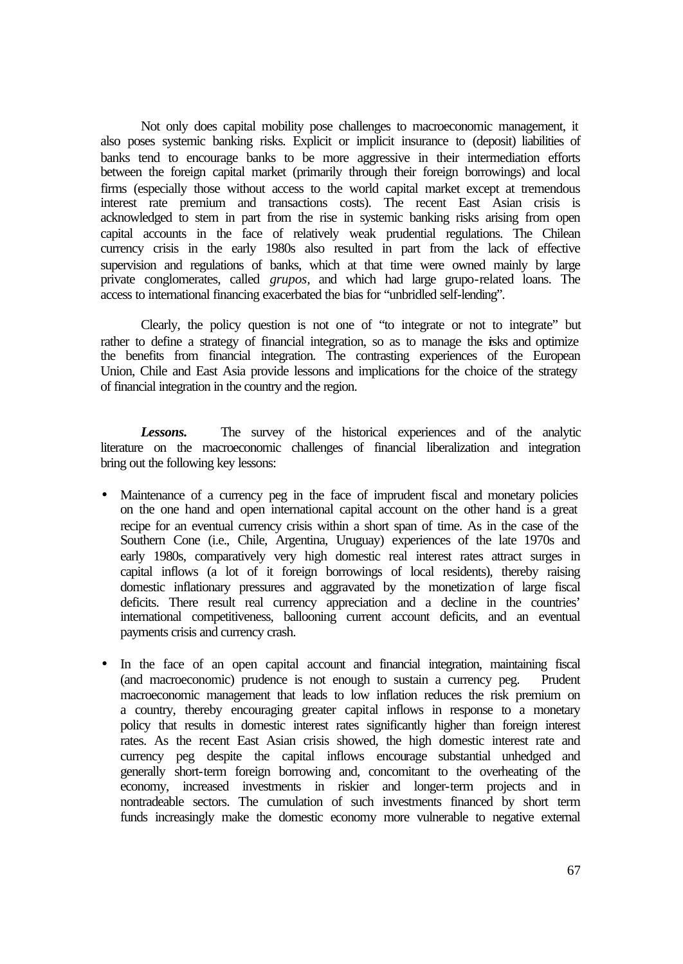Not only does capital mobility pose challenges to macroeconomic management, it also poses systemic banking risks. Explicit or implicit insurance to (deposit) liabilities of banks tend to encourage banks to be more aggressive in their intermediation efforts between the foreign capital market (primarily through their foreign borrowings) and local firms (especially those without access to the world capital market except at tremendous interest rate premium and transactions costs). The recent East Asian crisis is acknowledged to stem in part from the rise in systemic banking risks arising from open capital accounts in the face of relatively weak prudential regulations. The Chilean currency crisis in the early 1980s also resulted in part from the lack of effective supervision and regulations of banks, which at that time were owned mainly by large private conglomerates, called *grupos,* and which had large grupo-related loans. The access to international financing exacerbated the bias for "unbridled self-lending".

Clearly, the policy question is not one of "to integrate or not to integrate" but rather to define a strategy of financial integration, so as to manage the risks and optimize the benefits from financial integration. The contrasting experiences of the European Union, Chile and East Asia provide lessons and implications for the choice of the strategy of financial integration in the country and the region.

*Lessons.* The survey of the historical experiences and of the analytic literature on the macroeconomic challenges of financial liberalization and integration bring out the following key lessons:

- Maintenance of a currency peg in the face of imprudent fiscal and monetary policies on the one hand and open international capital account on the other hand is a great recipe for an eventual currency crisis within a short span of time. As in the case of the Southern Cone (i.e., Chile, Argentina, Uruguay) experiences of the late 1970s and early 1980s, comparatively very high domestic real interest rates attract surges in capital inflows (a lot of it foreign borrowings of local residents), thereby raising domestic inflationary pressures and aggravated by the monetization of large fiscal deficits. There result real currency appreciation and a decline in the countries' international competitiveness, ballooning current account deficits, and an eventual payments crisis and currency crash.
- In the face of an open capital account and financial integration, maintaining fiscal (and macroeconomic) prudence is not enough to sustain a currency peg. Prudent macroeconomic management that leads to low inflation reduces the risk premium on a country, thereby encouraging greater capital inflows in response to a monetary policy that results in domestic interest rates significantly higher than foreign interest rates. As the recent East Asian crisis showed, the high domestic interest rate and currency peg despite the capital inflows encourage substantial unhedged and generally short-term foreign borrowing and, concomitant to the overheating of the economy, increased investments in riskier and longer-term projects and in nontradeable sectors. The cumulation of such investments financed by short term funds increasingly make the domestic economy more vulnerable to negative external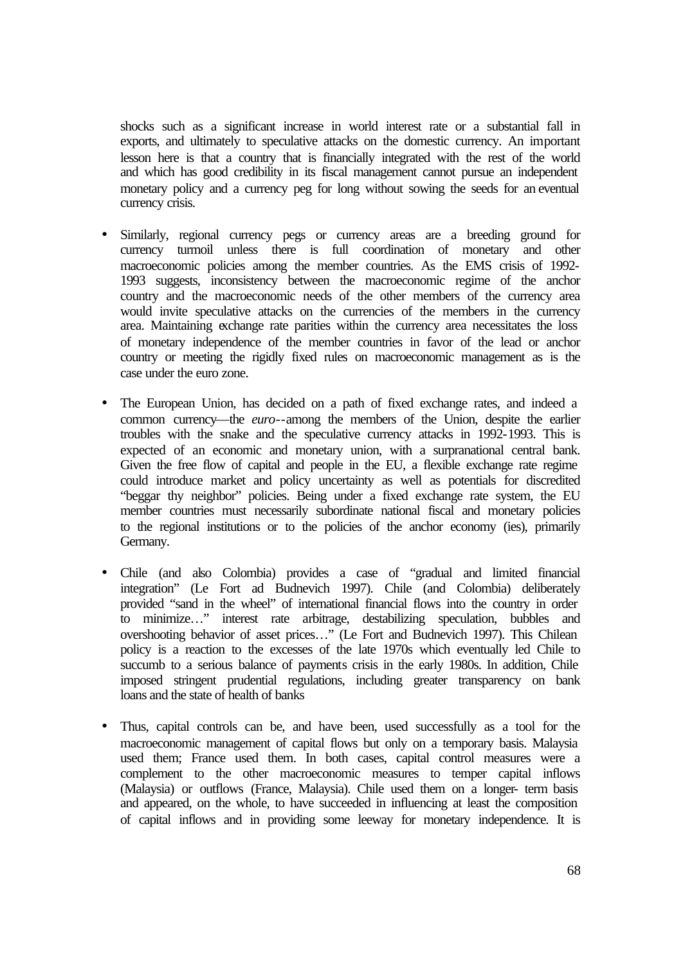shocks such as a significant increase in world interest rate or a substantial fall in exports, and ultimately to speculative attacks on the domestic currency. An important lesson here is that a country that is financially integrated with the rest of the world and which has good credibility in its fiscal management cannot pursue an independent monetary policy and a currency peg for long without sowing the seeds for an eventual currency crisis.

- Similarly, regional currency pegs or currency areas are a breeding ground for currency turmoil unless there is full coordination of monetary and other macroeconomic policies among the member countries. As the EMS crisis of 1992- 1993 suggests, inconsistency between the macroeconomic regime of the anchor country and the macroeconomic needs of the other members of the currency area would invite speculative attacks on the currencies of the members in the currency area. Maintaining exchange rate parities within the currency area necessitates the loss of monetary independence of the member countries in favor of the lead or anchor country or meeting the rigidly fixed rules on macroeconomic management as is the case under the euro zone.
- The European Union, has decided on a path of fixed exchange rates, and indeed a common currency—the *euro*--among the members of the Union, despite the earlier troubles with the snake and the speculative currency attacks in 1992-1993. This is expected of an economic and monetary union, with a surpranational central bank. Given the free flow of capital and people in the EU, a flexible exchange rate regime could introduce market and policy uncertainty as well as potentials for discredited "beggar thy neighbor" policies. Being under a fixed exchange rate system, the EU member countries must necessarily subordinate national fiscal and monetary policies to the regional institutions or to the policies of the anchor economy (ies), primarily Germany.
- Chile (and also Colombia) provides a case of "gradual and limited financial integration" (Le Fort ad Budnevich 1997). Chile (and Colombia) deliberately provided "sand in the wheel" of international financial flows into the country in order to minimize…" interest rate arbitrage, destabilizing speculation, bubbles and overshooting behavior of asset prices…" (Le Fort and Budnevich 1997). This Chilean policy is a reaction to the excesses of the late 1970s which eventually led Chile to succumb to a serious balance of payments crisis in the early 1980s. In addition, Chile imposed stringent prudential regulations, including greater transparency on bank loans and the state of health of banks
- Thus, capital controls can be, and have been, used successfully as a tool for the macroeconomic management of capital flows but only on a temporary basis. Malaysia used them; France used them. In both cases, capital control measures were a complement to the other macroeconomic measures to temper capital inflows (Malaysia) or outflows (France, Malaysia). Chile used them on a longer- term basis and appeared, on the whole, to have succeeded in influencing at least the composition of capital inflows and in providing some leeway for monetary independence. It is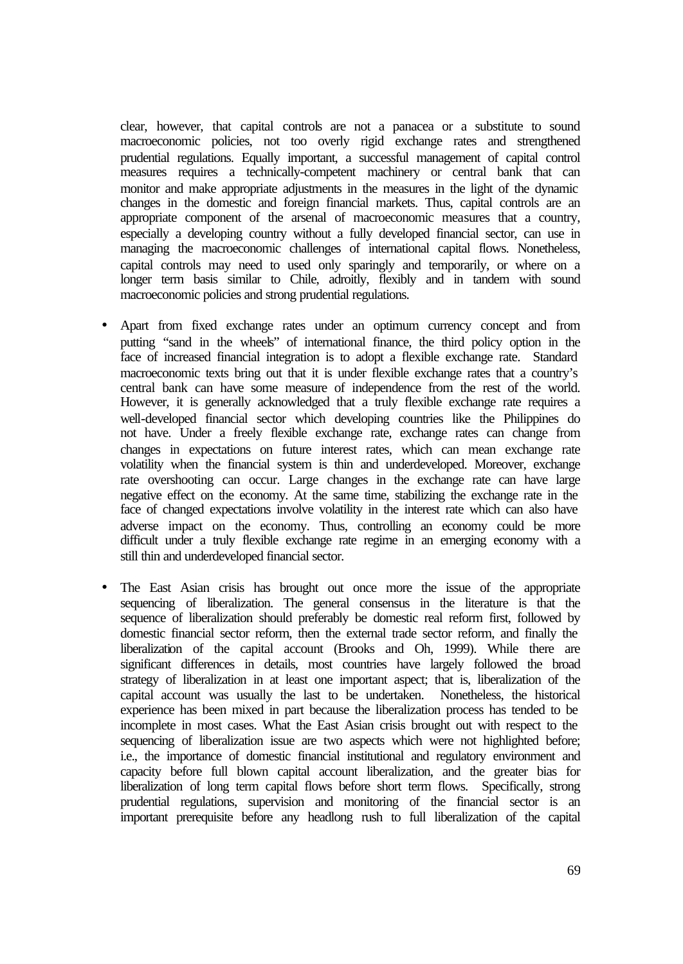clear, however, that capital controls are not a panacea or a substitute to sound macroeconomic policies, not too overly rigid exchange rates and strengthened prudential regulations. Equally important, a successful management of capital control measures requires a technically-competent machinery or central bank that can monitor and make appropriate adjustments in the measures in the light of the dynamic changes in the domestic and foreign financial markets. Thus, capital controls are an appropriate component of the arsenal of macroeconomic measures that a country, especially a developing country without a fully developed financial sector, can use in managing the macroeconomic challenges of international capital flows. Nonetheless, capital controls may need to used only sparingly and temporarily, or where on a longer term basis similar to Chile, adroitly, flexibly and in tandem with sound macroeconomic policies and strong prudential regulations.

- Apart from fixed exchange rates under an optimum currency concept and from putting "sand in the wheels" of international finance, the third policy option in the face of increased financial integration is to adopt a flexible exchange rate. Standard macroeconomic texts bring out that it is under flexible exchange rates that a country's central bank can have some measure of independence from the rest of the world. However, it is generally acknowledged that a truly flexible exchange rate requires a well-developed financial sector which developing countries like the Philippines do not have. Under a freely flexible exchange rate, exchange rates can change from changes in expectations on future interest rates, which can mean exchange rate volatility when the financial system is thin and underdeveloped. Moreover, exchange rate overshooting can occur. Large changes in the exchange rate can have large negative effect on the economy. At the same time, stabilizing the exchange rate in the face of changed expectations involve volatility in the interest rate which can also have adverse impact on the economy. Thus, controlling an economy could be more difficult under a truly flexible exchange rate regime in an emerging economy with a still thin and underdeveloped financial sector.
- The East Asian crisis has brought out once more the issue of the appropriate sequencing of liberalization. The general consensus in the literature is that the sequence of liberalization should preferably be domestic real reform first, followed by domestic financial sector reform, then the external trade sector reform, and finally the liberalization of the capital account (Brooks and Oh, 1999). While there are significant differences in details, most countries have largely followed the broad strategy of liberalization in at least one important aspect; that is, liberalization of the capital account was usually the last to be undertaken. Nonetheless, the historical experience has been mixed in part because the liberalization process has tended to be incomplete in most cases. What the East Asian crisis brought out with respect to the sequencing of liberalization issue are two aspects which were not highlighted before; i.e., the importance of domestic financial institutional and regulatory environment and capacity before full blown capital account liberalization, and the greater bias for liberalization of long term capital flows before short term flows. Specifically, strong prudential regulations, supervision and monitoring of the financial sector is an important prerequisite before any headlong rush to full liberalization of the capital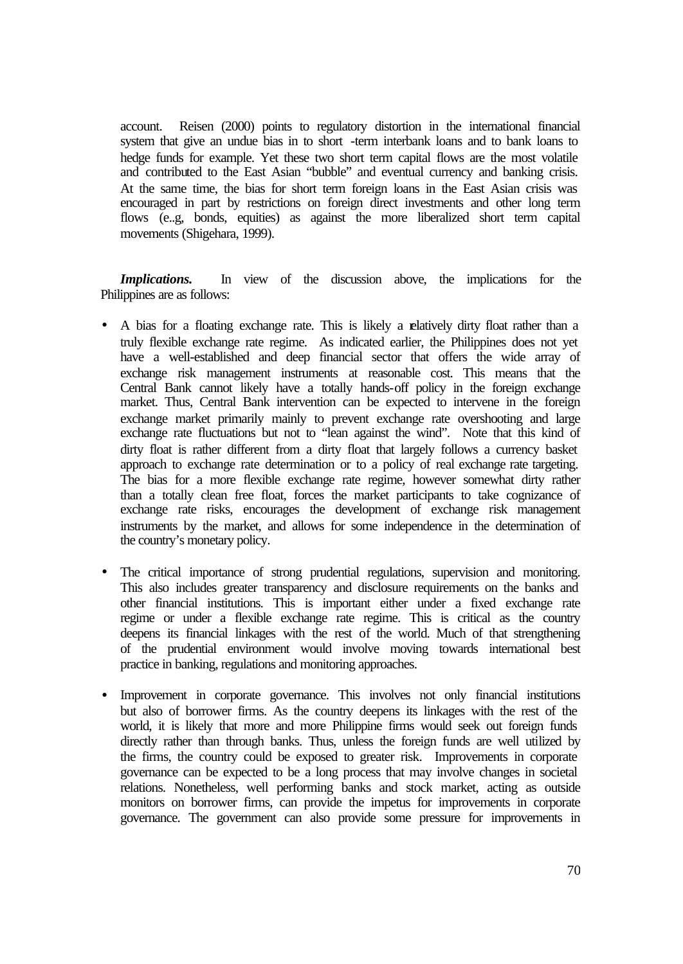account. Reisen (2000) points to regulatory distortion in the international financial system that give an undue bias in to short -term interbank loans and to bank loans to hedge funds for example. Yet these two short term capital flows are the most volatile and contributed to the East Asian "bubble" and eventual currency and banking crisis. At the same time, the bias for short term foreign loans in the East Asian crisis was encouraged in part by restrictions on foreign direct investments and other long term flows (e..g, bonds, equities) as against the more liberalized short term capital movements (Shigehara, 1999).

*Implications*. In view of the discussion above, the implications for the Philippines are as follows:

- A bias for a floating exchange rate. This is likely a relatively dirty float rather than a truly flexible exchange rate regime. As indicated earlier, the Philippines does not yet have a well-established and deep financial sector that offers the wide array of exchange risk management instruments at reasonable cost. This means that the Central Bank cannot likely have a totally hands-off policy in the foreign exchange market. Thus, Central Bank intervention can be expected to intervene in the foreign exchange market primarily mainly to prevent exchange rate overshooting and large exchange rate fluctuations but not to "lean against the wind". Note that this kind of dirty float is rather different from a dirty float that largely follows a currency basket approach to exchange rate determination or to a policy of real exchange rate targeting. The bias for a more flexible exchange rate regime, however somewhat dirty rather than a totally clean free float, forces the market participants to take cognizance of exchange rate risks, encourages the development of exchange risk management instruments by the market, and allows for some independence in the determination of the country's monetary policy.
- The critical importance of strong prudential regulations, supervision and monitoring. This also includes greater transparency and disclosure requirements on the banks and other financial institutions. This is important either under a fixed exchange rate regime or under a flexible exchange rate regime. This is critical as the country deepens its financial linkages with the rest of the world. Much of that strengthening of the prudential environment would involve moving towards international best practice in banking, regulations and monitoring approaches.
- Improvement in corporate governance. This involves not only financial institutions but also of borrower firms. As the country deepens its linkages with the rest of the world, it is likely that more and more Philippine firms would seek out foreign funds directly rather than through banks. Thus, unless the foreign funds are well utilized by the firms, the country could be exposed to greater risk. Improvements in corporate governance can be expected to be a long process that may involve changes in societal relations. Nonetheless, well performing banks and stock market, acting as outside monitors on borrower firms, can provide the impetus for improvements in corporate governance. The government can also provide some pressure for improvements in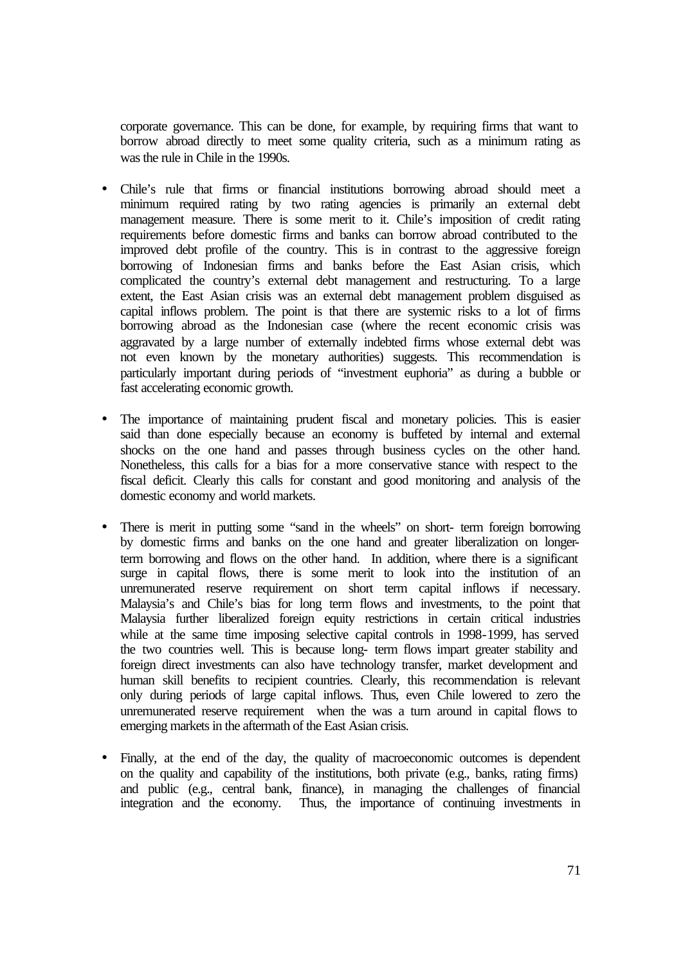corporate governance. This can be done, for example, by requiring firms that want to borrow abroad directly to meet some quality criteria, such as a minimum rating as was the rule in Chile in the 1990s.

- Chile's rule that firms or financial institutions borrowing abroad should meet a minimum required rating by two rating agencies is primarily an external debt management measure. There is some merit to it. Chile's imposition of credit rating requirements before domestic firms and banks can borrow abroad contributed to the improved debt profile of the country. This is in contrast to the aggressive foreign borrowing of Indonesian firms and banks before the East Asian crisis, which complicated the country's external debt management and restructuring. To a large extent, the East Asian crisis was an external debt management problem disguised as capital inflows problem. The point is that there are systemic risks to a lot of firms borrowing abroad as the Indonesian case (where the recent economic crisis was aggravated by a large number of externally indebted firms whose external debt was not even known by the monetary authorities) suggests. This recommendation is particularly important during periods of "investment euphoria" as during a bubble or fast accelerating economic growth.
- The importance of maintaining prudent fiscal and monetary policies. This is easier said than done especially because an economy is buffeted by internal and external shocks on the one hand and passes through business cycles on the other hand. Nonetheless, this calls for a bias for a more conservative stance with respect to the fiscal deficit. Clearly this calls for constant and good monitoring and analysis of the domestic economy and world markets.
- There is merit in putting some "sand in the wheels" on short- term foreign borrowing by domestic firms and banks on the one hand and greater liberalization on longerterm borrowing and flows on the other hand. In addition, where there is a significant surge in capital flows, there is some merit to look into the institution of an unremunerated reserve requirement on short term capital inflows if necessary. Malaysia's and Chile's bias for long term flows and investments, to the point that Malaysia further liberalized foreign equity restrictions in certain critical industries while at the same time imposing selective capital controls in 1998-1999, has served the two countries well. This is because long- term flows impart greater stability and foreign direct investments can also have technology transfer, market development and human skill benefits to recipient countries. Clearly, this recommendation is relevant only during periods of large capital inflows. Thus, even Chile lowered to zero the unremunerated reserve requirement when the was a turn around in capital flows to emerging markets in the aftermath of the East Asian crisis.
- Finally, at the end of the day, the quality of macroeconomic outcomes is dependent on the quality and capability of the institutions, both private (e.g., banks, rating firms) and public (e.g., central bank, finance), in managing the challenges of financial integration and the economy. Thus, the importance of continuing investments in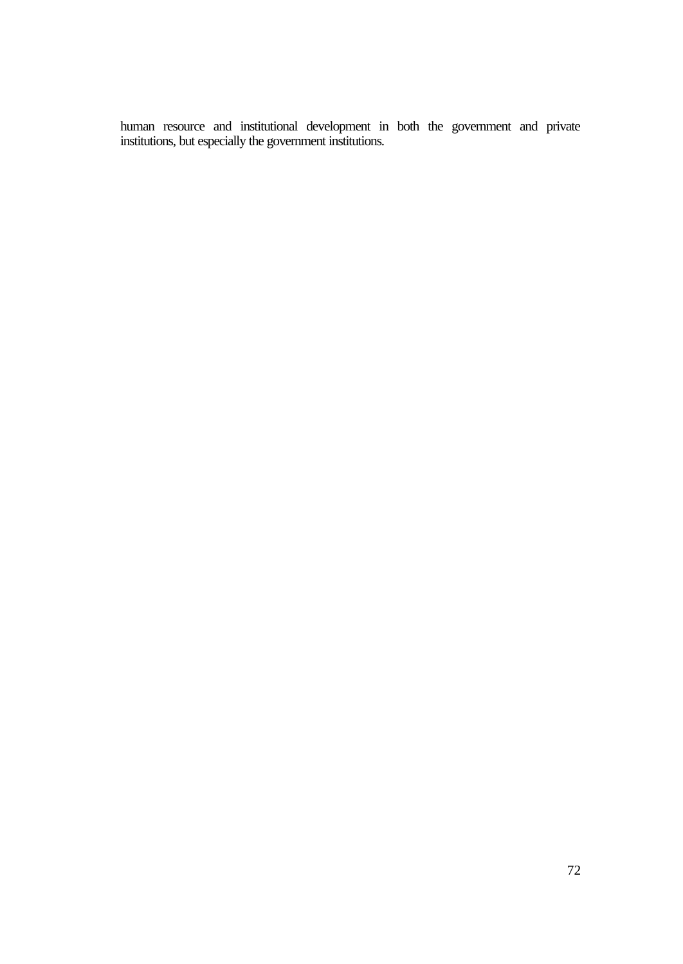human resource and institutional development in both the government and private institutions, but especially the government institutions.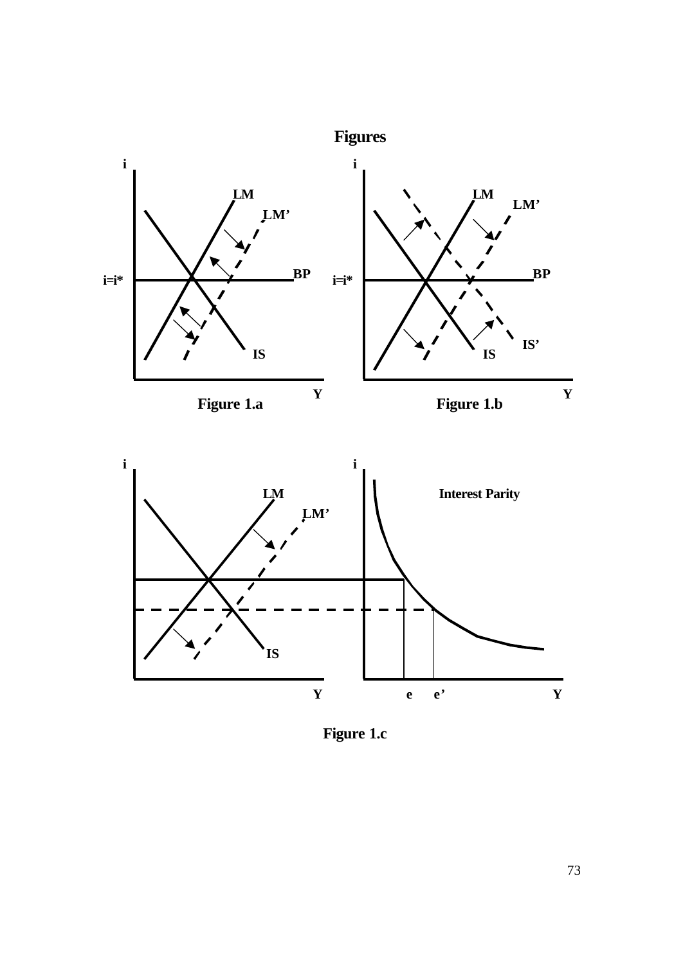

**Figure 1.c**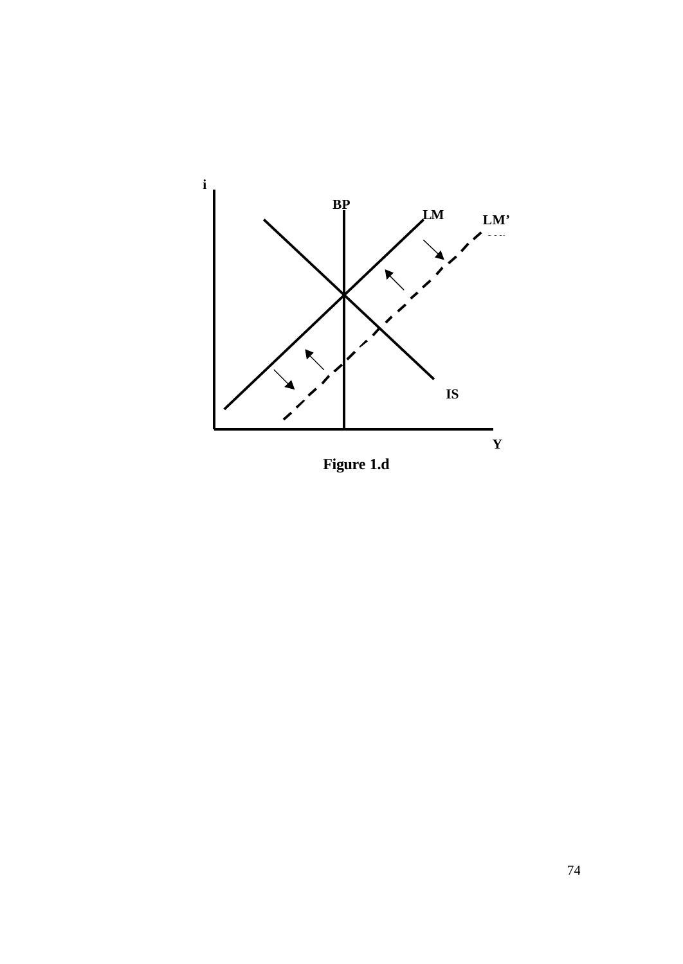

**Figure 1.d**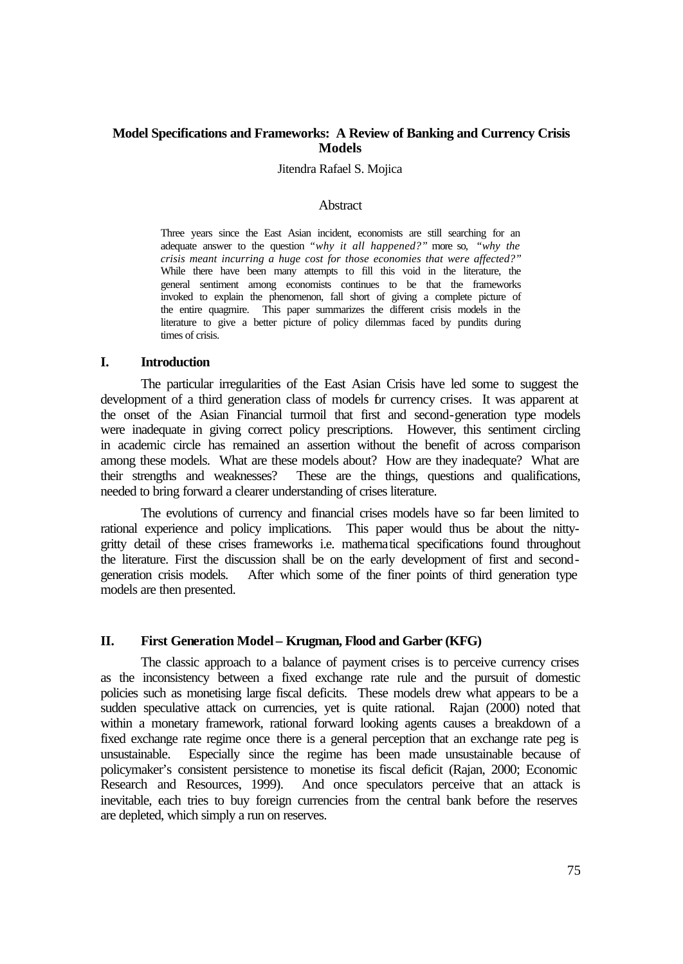### **Model Specifications and Frameworks: A Review of Banking and Currency Crisis Models**

Jitendra Rafael S. Mojica

### **Abstract**

Three years since the East Asian incident, economists are still searching for an adequate answer to the question *"why it all happened?"* more so, *"why the crisis meant incurring a huge cost for those economies that were affected?"* While there have been many attempts to fill this void in the literature, the general sentiment among economists continues to be that the frameworks invoked to explain the phenomenon, fall short of giving a complete picture of the entire quagmire. This paper summarizes the different crisis models in the literature to give a better picture of policy dilemmas faced by pundits during times of crisis.

#### **I. Introduction**

The particular irregularities of the East Asian Crisis have led some to suggest the development of a third generation class of models for currency crises. It was apparent at the onset of the Asian Financial turmoil that first and second-generation type models were inadequate in giving correct policy prescriptions. However, this sentiment circling in academic circle has remained an assertion without the benefit of across comparison among these models. What are these models about? How are they inadequate? What are their strengths and weaknesses? These are the things, questions and qualifications, needed to bring forward a clearer understanding of crises literature.

The evolutions of currency and financial crises models have so far been limited to rational experience and policy implications. This paper would thus be about the nittygritty detail of these crises frameworks i.e. mathematical specifications found throughout the literature. First the discussion shall be on the early development of first and secondgeneration crisis models. After which some of the finer points of third generation type models are then presented.

#### **II. First Generation Model – Krugman, Flood and Garber (KFG)**

The classic approach to a balance of payment crises is to perceive currency crises as the inconsistency between a fixed exchange rate rule and the pursuit of domestic policies such as monetising large fiscal deficits. These models drew what appears to be a sudden speculative attack on currencies, yet is quite rational. Rajan (2000) noted that within a monetary framework, rational forward looking agents causes a breakdown of a fixed exchange rate regime once there is a general perception that an exchange rate peg is unsustainable. Especially since the regime has been made unsustainable because of policymaker's consistent persistence to monetise its fiscal deficit (Rajan, 2000; Economic Research and Resources, 1999). And once speculators perceive that an attack is inevitable, each tries to buy foreign currencies from the central bank before the reserves are depleted, which simply a run on reserves.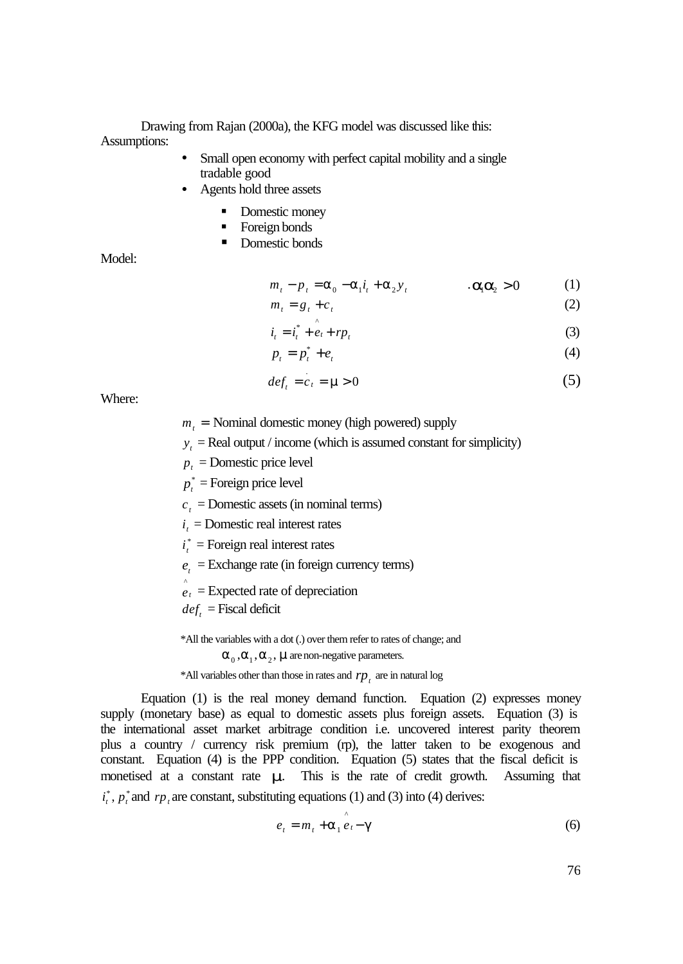Drawing from Rajan (2000a), the KFG model was discussed like this: Assumptions:

- Small open economy with perfect capital mobility and a single tradable good
- Agents hold three assets
	- Domestic money
	- **Foreign bonds**
	- **Domestic bonds**

Model:

$$
m_t - p_t = \mathbf{a}_0 - \mathbf{a}_1 \mathbf{i}_t + \mathbf{a}_2 \mathbf{y}_t \qquad \qquad .\mathbf{a}_t = \mathbf{a}_2 \ge 0 \tag{1}
$$

$$
m_t = g_t + c_t \tag{2}
$$

$$
i_t = i_t^* + e_t + r p_t \tag{3}
$$

$$
p_t = p_t^* + e_t \tag{4}
$$

$$
deft = ct = m > 0
$$
 (5)

Where:

- $m<sub>t</sub>$  = Nominal domestic money (high powered) supply
- $y_t$  = Real output / income (which is assumed constant for simplicity)

 $p_t$  = Domestic price level

 $p_t^*$  = Foreign price level

 $c_t$  = Domestic assets (in nominal terms)

 $i_t$  = Domestic real interest rates

- $i_t^*$  = Foreign real interest rates
- $e_t$  = Exchange rate (in foreign currency terms)
- $\hat{e}_t$  = Expected rate of depreciation

 $def<sub>t</sub>$  = Fiscal deficit

\*All the variables with a dot (.) over them refer to rates of change; and

### $\boldsymbol{a}_0$ ,  $\boldsymbol{a}_1$ ,  $\boldsymbol{a}_2$ , **m** are non-negative parameters.

 $*$ All variables other than those in rates and  $rp<sub>t</sub>$  are in natural log

Equation (1) is the real money demand function. Equation (2) expresses money supply (monetary base) as equal to domestic assets plus foreign assets. Equation (3) is the international asset market arbitrage condition i.e. uncovered interest parity theorem plus a country / currency risk premium (rp), the latter taken to be exogenous and constant. Equation (4) is the PPP condition. Equation (5) states that the fiscal deficit is monetised at a constant rate *m*. This is the rate of credit growth. Assuming that  $i_t^*$ ,  $p_t^*$  and  $rp_t$  are constant, substituting equations (1) and (3) into (4) derives:

$$
e_t = m_t + \hat{\mathbf{a}}_1 \hat{e}_t - \hat{\mathbf{g}} \tag{6}
$$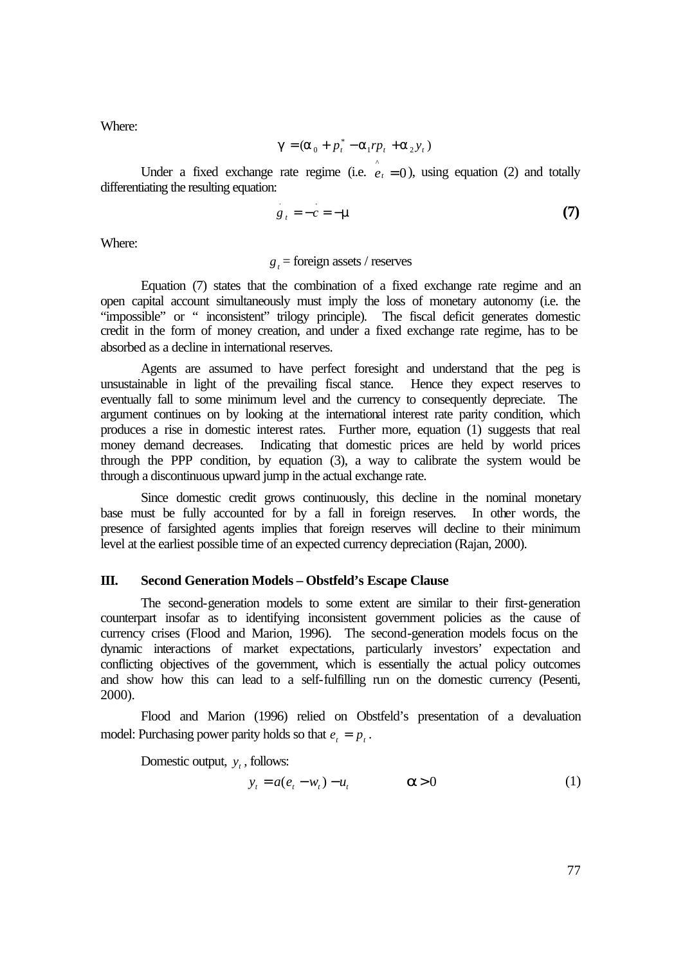Where:

$$
\boldsymbol{g} = (\boldsymbol{a}_0 + p_t^* - \boldsymbol{a}_1 r p_t + \boldsymbol{a}_2 y_t)
$$

Under a fixed exchange rate regime (i.e.  $\hat{e}_t = 0$ ), using equation (2) and totally differentiating the resulting equation:

$$
g_{t} = -c = -m \tag{7}
$$

Where:

### $g_t$  = foreign assets / reserves

Equation (7) states that the combination of a fixed exchange rate regime and an open capital account simultaneously must imply the loss of monetary autonomy (i.e. the "impossible" or " inconsistent" trilogy principle). The fiscal deficit generates domestic credit in the form of money creation, and under a fixed exchange rate regime, has to be absorbed as a decline in international reserves.

Agents are assumed to have perfect foresight and understand that the peg is unsustainable in light of the prevailing fiscal stance. Hence they expect reserves to eventually fall to some minimum level and the currency to consequently depreciate. The argument continues on by looking at the international interest rate parity condition, which produces a rise in domestic interest rates. Further more, equation (1) suggests that real money demand decreases. Indicating that domestic prices are held by world prices through the PPP condition, by equation (3), a way to calibrate the system would be through a discontinuous upward jump in the actual exchange rate.

Since domestic credit grows continuously, this decline in the nominal monetary base must be fully accounted for by a fall in foreign reserves. In other words, the presence of farsighted agents implies that foreign reserves will decline to their minimum level at the earliest possible time of an expected currency depreciation (Rajan, 2000).

#### **III. Second Generation Models – Obstfeld's Escape Clause**

The second-generation models to some extent are similar to their first-generation counterpart insofar as to identifying inconsistent government policies as the cause of currency crises (Flood and Marion, 1996). The second-generation models focus on the dynamic interactions of market expectations, particularly investors' expectation and conflicting objectives of the government, which is essentially the actual policy outcomes and show how this can lead to a self-fulfilling run on the domestic currency (Pesenti, 2000).

Flood and Marion (1996) relied on Obstfeld's presentation of a devaluation model: Purchasing power parity holds so that  $e_t = p_t$ .

Domestic output,  $y_t$ , follows:

$$
y_t = a(e_t - w_t) - u_t \qquad \qquad \mathbf{a} > 0 \tag{1}
$$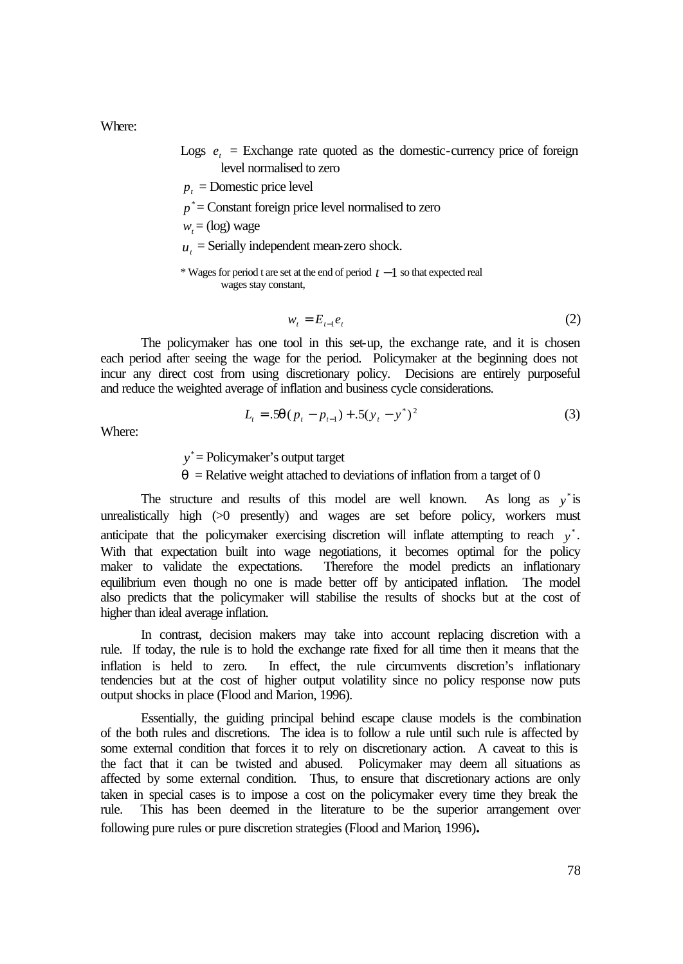Where:

- Logs  $e_t$  = Exchange rate quoted as the domestic-currency price of foreign level normalised to zero
- $p_t$  = Domestic price level
- $p^*$  = Constant foreign price level normalised to zero
- $w_t = (log)$  wage
- $u_t$  = Serially independent mean-zero shock.

\* Wages for period t are set at the end of period *t* −1 so that expected real wages stay constant,

$$
w_t = E_{t-1}e_t \tag{2}
$$

The policymaker has one tool in this set-up, the exchange rate, and it is chosen each period after seeing the wage for the period. Policymaker at the beginning does not incur any direct cost from using discretionary policy. Decisions are entirely purposeful and reduce the weighted average of inflation and business cycle considerations.

$$
L_{t} = .5\mathbf{q}(p_{t} - p_{t-1}) + .5(y_{t} - y^{*})^{2}
$$
\n(3)

Where:

y<sup>\*</sup> = Policymaker's output target

 $q$  = Relative weight attached to deviations of inflation from a target of 0

The structure and results of this model are well known. As long as  $y^*$  is unrealistically high  $(>0$  presently) and wages are set before policy, workers must anticipate that the policymaker exercising discretion will inflate attempting to reach  $y^*$ . With that expectation built into wage negotiations, it becomes optimal for the policy maker to validate the expectations. Therefore the model predicts an inflationary equilibrium even though no one is made better off by anticipated inflation. The model also predicts that the policymaker will stabilise the results of shocks but at the cost of higher than ideal average inflation.

In contrast, decision makers may take into account replacing discretion with a rule. If today, the rule is to hold the exchange rate fixed for all time then it means that the inflation is held to zero. In effect, the rule circumvents discretion's inflationary tendencies but at the cost of higher output volatility since no policy response now puts output shocks in place (Flood and Marion, 1996).

Essentially, the guiding principal behind escape clause models is the combination of the both rules and discretions. The idea is to follow a rule until such rule is affected by some external condition that forces it to rely on discretionary action. A caveat to this is the fact that it can be twisted and abused. Policymaker may deem all situations as affected by some external condition. Thus, to ensure that discretionary actions are only taken in special cases is to impose a cost on the policymaker every time they break the rule. This has been deemed in the literature to be the superior arrangement over following pure rules or pure discretion strategies (Flood and Marion, 1996)**.**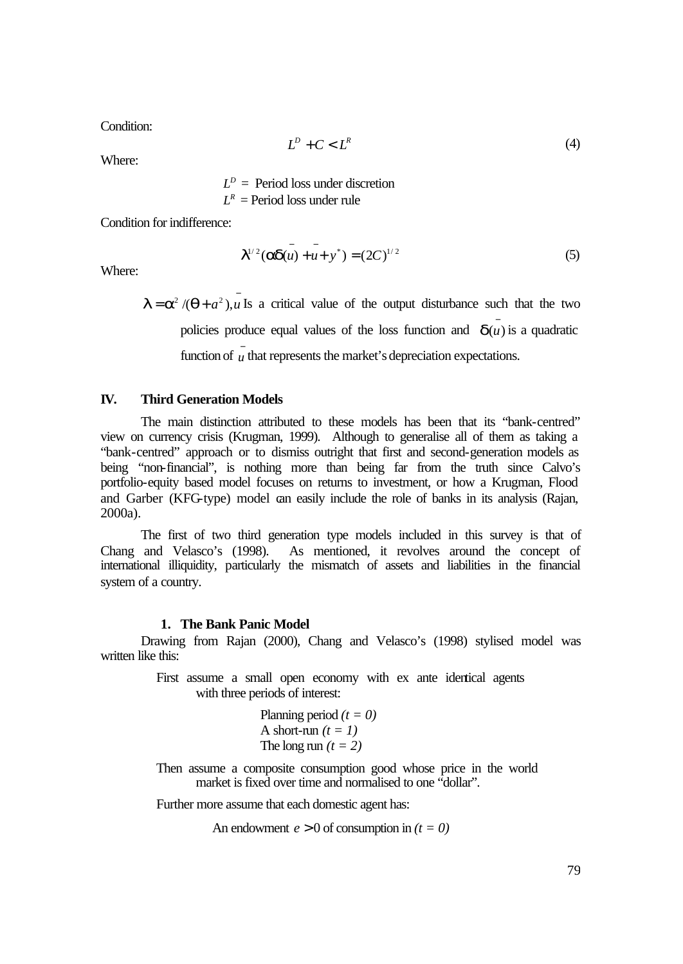Condition:

$$
L^D + C < L^R \tag{4}
$$

Where:

 $L^D$  = Period loss under discretion  $L^R$  = Period loss under rule

Condition for indifference:

$$
\mathbf{I}^{1/2}(\mathbf{ad}(u) + u + v^*) = (2C)^{1/2}
$$
 (5)

Where:

 $I = a^2 / (q + a^2)$ , *u* Is a critical value of the output disturbance such that the two policies produce equal values of the loss function and  $\overline{\mathbf{d}(u)}$  is a quadratic function of  $\bar{u}$  that represents the market's depreciation expectations.

### **IV. Third Generation Models**

The main distinction attributed to these models has been that its "bank-centred" view on currency crisis (Krugman, 1999). Although to generalise all of them as taking a "bank-centred" approach or to dismiss outright that first and second-generation models as being "non-financial", is nothing more than being far from the truth since Calvo's portfolio-equity based model focuses on returns to investment, or how a Krugman, Flood and Garber (KFG-type) model can easily include the role of banks in its analysis (Rajan, 2000a).

The first of two third generation type models included in this survey is that of Chang and Velasco's (1998). As mentioned, it revolves around the concept of international illiquidity, particularly the mismatch of assets and liabilities in the financial system of a country.

### **1. The Bank Panic Model**

Drawing from Rajan (2000), Chang and Velasco's (1998) stylised model was written like this:

> First assume a small open economy with ex ante identical agents with three periods of interest:

Planning period (
$$
t = 0
$$
)  
A short-run ( $t = 1$ )  
The long run ( $t = 2$ )

Then assume a composite consumption good whose price in the world market is fixed over time and normalised to one "dollar".

Further more assume that each domestic agent has:

An endowment  $e > 0$  of consumption in  $(t = 0)$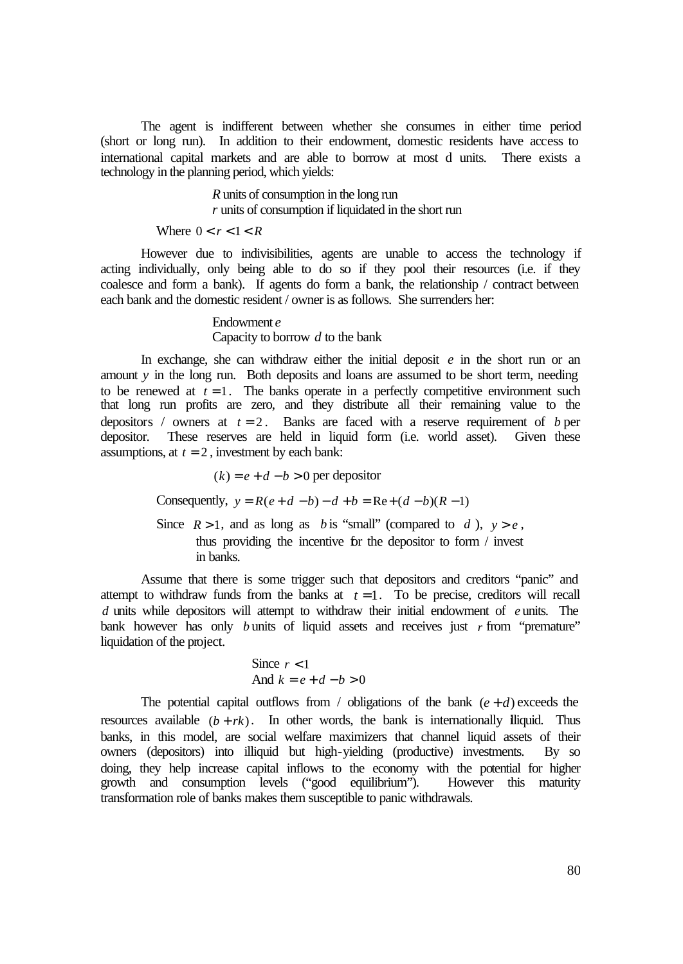The agent is indifferent between whether she consumes in either time period (short or long run). In addition to their endowment, domestic residents have access to international capital markets and are able to borrow at most d units. There exists a technology in the planning period, which yields:

> *R* units of consumption in the long run *r* units of consumption if liquidated in the short run

Where  $0 < r < 1 < R$ 

However due to indivisibilities, agents are unable to access the technology if acting individually, only being able to do so if they pool their resources (i.e. if they coalesce and form a bank). If agents do form a bank, the relationship / contract between each bank and the domestic resident / owner is as follows. She surrenders her:

> Endowment *e* Capacity to borrow *d* to the bank

In exchange, she can withdraw either the initial deposit *e* in the short run or an amount *y* in the long run. Both deposits and loans are assumed to be short term, needing to be renewed at  $t = 1$ . The banks operate in a perfectly competitive environment such that long run profits are zero, and they distribute all their remaining value to the depositors / owners at  $t = 2$ . Banks are faced with a reserve requirement of *b* per depositor. These reserves are held in liquid form (i.e. world asset). Given these assumptions, at  $t = 2$ , investment by each bank:

 $(k) = e + d - b > 0$  per depositor

Consequently,  $y = R(e + d - b) - d + b = Re + (d - b)(R - 1)$ 

Since  $R > 1$ , and as long as *b* is "small" (compared to *d*),  $y > e$ , thus providing the incentive for the depositor to form / invest in banks.

Assume that there is some trigger such that depositors and creditors "panic" and attempt to withdraw funds from the banks at  $t = 1$ . To be precise, creditors will recall *d* units while depositors will attempt to withdraw their initial endowment of *e* units. The bank however has only *b* units of liquid assets and receives just *r* from "premature" liquidation of the project.

Since 
$$
r < 1
$$
  
And  $k = e + d - b > 0$ 

The potential capital outflows from / obligations of the bank  $(e+d)$  exceeds the resources available  $(b + rk)$ . In other words, the bank is internationally illiquid. Thus banks, in this model, are social welfare maximizers that channel liquid assets of their owners (depositors) into illiquid but high-yielding (productive) investments. By so doing, they help increase capital inflows to the economy with the potential for higher growth and consumption levels ("good equilibrium"). However this maturity growth and consumption levels ("good equilibrium"). transformation role of banks makes them susceptible to panic withdrawals.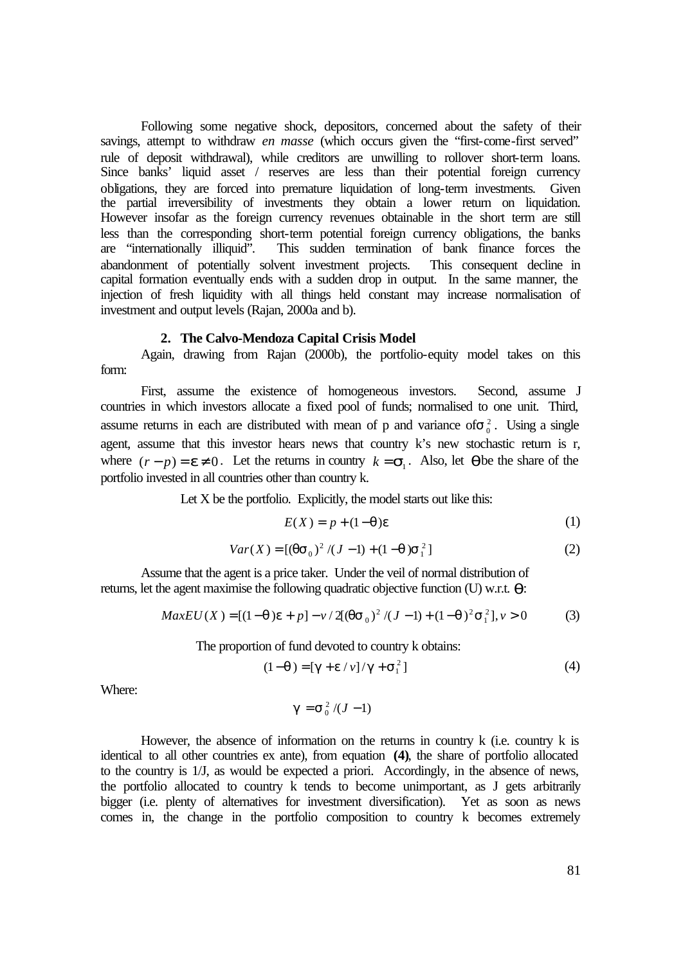Following some negative shock, depositors, concerned about the safety of their savings, attempt to withdraw *en masse* (which occurs given the "first-come-first served" rule of deposit withdrawal), while creditors are unwilling to rollover short-term loans. Since banks' liquid asset / reserves are less than their potential foreign currency obligations, they are forced into premature liquidation of long-term investments. Given the partial irreversibility of investments they obtain a lower return on liquidation. However insofar as the foreign currency revenues obtainable in the short term are still less than the corresponding short-term potential foreign currency obligations, the banks are "internationally illiquid". This sudden termination of bank finance forces the abandonment of potentially solvent investment projects. This consequent decline in capital formation eventually ends with a sudden drop in output. In the same manner, the injection of fresh liquidity with all things held constant may increase normalisation of investment and output levels (Rajan, 2000a and b).

#### **2. The Calvo-Mendoza Capital Crisis Model**

Again, drawing from Rajan (2000b), the portfolio-equity model takes on this form:

First, assume the existence of homogeneous investors. Second, assume J countries in which investors allocate a fixed pool of funds; normalised to one unit. Third, assume returns in each are distributed with mean of p and variance of  $s_0^2$ . Using a single agent, assume that this investor hears news that country k's new stochastic return is r, where  $(r - p) = e \neq 0$ . Let the returns in country  $k = s_1$ . Also, let **q** be the share of the portfolio invested in all countries other than country k.

Let  $X$  be the portfolio. Explicitly, the model starts out like this:

$$
E(X) = p + (1 - \mathbf{q})\mathbf{e}
$$
 (1)

$$
Var(X) = [(\mathbf{qS}_0)^2 / (J - 1) + (1 - \mathbf{q})\mathbf{S}_1^2]
$$
 (2)

Assume that the agent is a price taker. Under the veil of normal distribution of returns, let the agent maximise the following quadratic objective function (U) w.r.t. *q*:

$$
MaxEU(X) = [(1-q)e + p] - \nu / 2((qs_0)^2 / (J-1) + (1-q)^2 s_1^2], \nu > 0
$$
 (3)

The proportion of fund devoted to country k obtains:

$$
(1 - q) = [g + e / v] / g + s_1^2]
$$
 (4)

Where:

$$
\boldsymbol{g} = \mathbf{s}_0^2 / (J-1)
$$

However, the absence of information on the returns in country  $k$  (i.e. country  $k$  is identical to all other countries ex ante), from equation **(4)**, the share of portfolio allocated to the country is 1/J, as would be expected a priori. Accordingly, in the absence of news, the portfolio allocated to country k tends to become unimportant, as J gets arbitrarily bigger (i.e. plenty of alternatives for investment diversification). Yet as soon as news comes in, the change in the portfolio composition to country k becomes extremely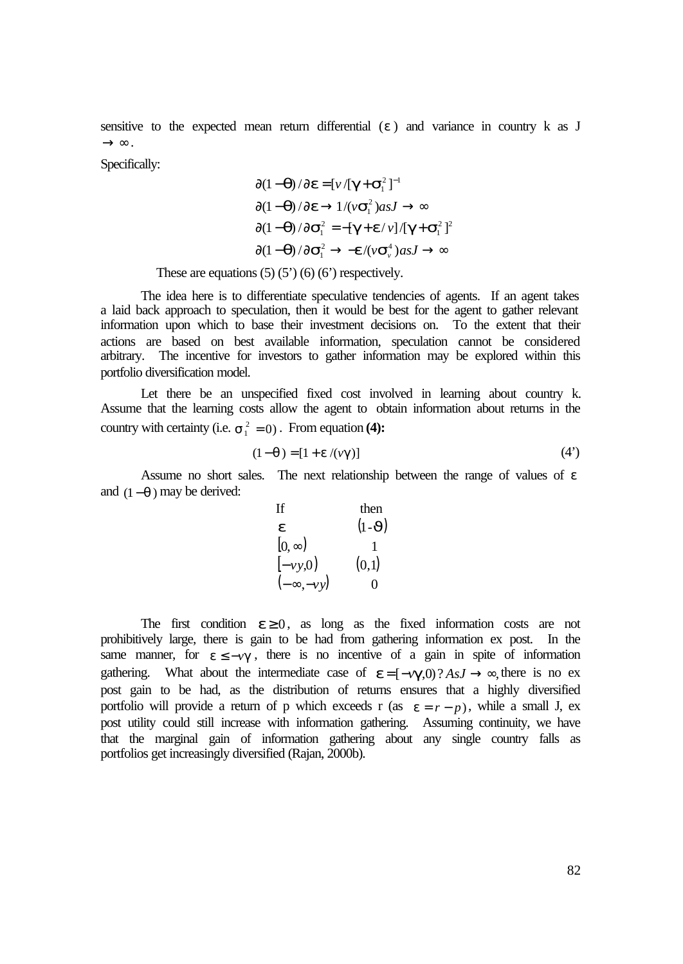sensitive to the expected mean return differential  $(e)$  and variance in country k as J  $\rightarrow \infty$ .

Specifically:

$$
\partial (1-\mathbf{q})/\partial \mathbf{e} = [\nu/[\mathbf{g} + \mathbf{s}_1^2]^{-1}
$$

$$
\partial (1-\mathbf{q})/\partial \mathbf{e} \rightarrow 1/(\nu \mathbf{s}_1^2) \text{as } J \rightarrow \infty
$$

$$
\partial (1-\mathbf{q})/\partial \mathbf{s}_1^2 = -[\mathbf{g} + \mathbf{e}/\nu]/[\mathbf{g} + \mathbf{s}_1^2]^2
$$

$$
\partial (1-\mathbf{q})/\partial \mathbf{s}_1^2 \rightarrow -\mathbf{e}/(\nu \mathbf{s}_\nu^4) \text{as } J \rightarrow \infty
$$

These are equations  $(5)$   $(5')$   $(6)$   $(6')$  respectively.

The idea here is to differentiate speculative tendencies of agents. If an agent takes a laid back approach to speculation, then it would be best for the agent to gather relevant information upon which to base their investment decisions on. To the extent that their actions are based on best available information, speculation cannot be considered arbitrary. The incentive for investors to gather information may be explored within this portfolio diversification model.

Let there be an unspecified fixed cost involved in learning about country k. Assume that the learning costs allow the agent to obtain information about returns in the country with certainty (i.e.  $s_1^2 = 0$ ). From equation (4):

$$
(1 - q) = [1 + e / (v g)] \tag{4'}
$$

Assume no short sales. The next relationship between the range of values of *e* and (1−*q* ) may be derived:

If then  
\n
$$
\begin{array}{ccc}\n\mathbf{e} & (1-\mathbf{J}) \\
[0, \infty) & 1 \\
[-\nu y, 0) & (0, 1) \\
(-\infty, -\nu y) & 0\n\end{array}
$$

The first condition  $e \ge 0$ , as long as the fixed information costs are not prohibitively large, there is gain to be had from gathering information ex post. In the same manner, for  $e \leq -\gamma g$ , there is no incentive of a gain in spite of information gathering. What about the intermediate case of  $e = [-v\mathbf{g}, 0]^2 A s J \rightarrow \infty$ , there is no ex post gain to be had, as the distribution of returns ensures that a highly diversified portfolio will provide a return of p which exceeds r (as  $e = r - p$ ), while a small J, ex post utility could still increase with information gathering. Assuming continuity, we have that the marginal gain of information gathering about any single country falls as portfolios get increasingly diversified (Rajan, 2000b).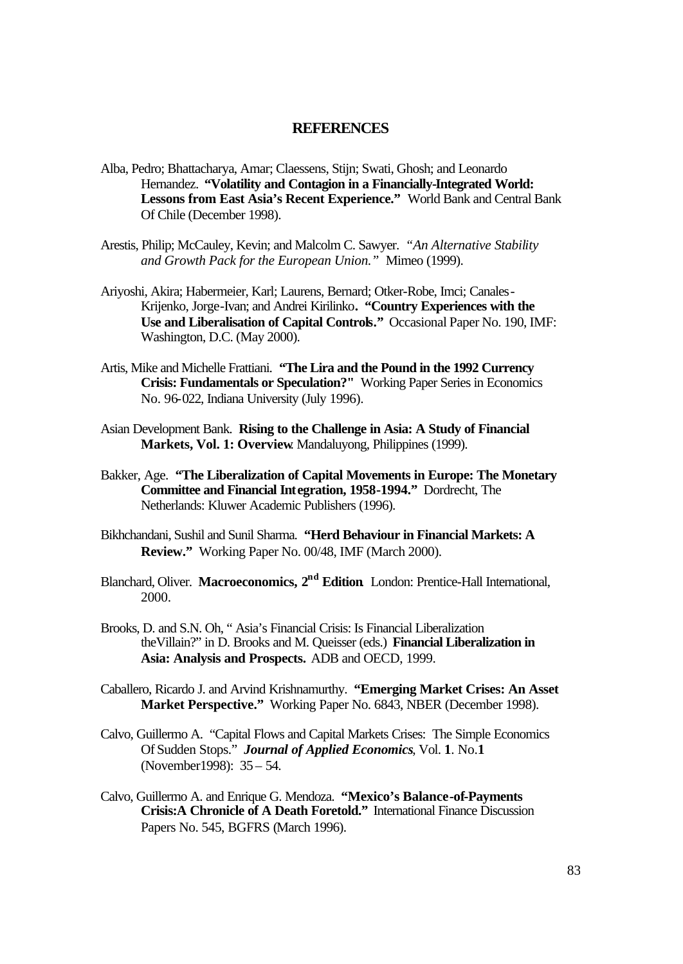### **REFERENCES**

- Alba, Pedro; Bhattacharya, Amar; Claessens, Stijn; Swati, Ghosh; and Leonardo Hernandez. **"Volatility and Contagion in a Financially-Integrated World: Lessons from East Asia's Recent Experience."** World Bank and Central Bank Of Chile (December 1998).
- Arestis, Philip; McCauley, Kevin; and Malcolm C. Sawyer. *"An Alternative Stability and Growth Pack for the European Union."* Mimeo (1999).
- Ariyoshi, Akira; Habermeier, Karl; Laurens, Bernard; Otker-Robe, Imci; Canales-Krijenko, Jorge-Ivan; and Andrei Kirilinko**. "Country Experiences with the Use and Liberalisation of Capital Controls."** Occasional Paper No. 190, IMF: Washington, D.C. (May 2000).
- Artis, Mike and Michelle Frattiani. **"The Lira and the Pound in the 1992 Currency Crisis: Fundamentals or Speculation?"** Working Paper Series in Economics No. 96-022, Indiana University (July 1996).
- Asian Development Bank. **Rising to the Challenge in Asia: A Study of Financial Markets, Vol. 1: Overview**. Mandaluyong, Philippines (1999).
- Bakker, Age. **"The Liberalization of Capital Movements in Europe: The Monetary Committee and Financial Integration, 1958-1994."** Dordrecht, The Netherlands: Kluwer Academic Publishers (1996).
- Bikhchandani, Sushil and Sunil Sharma. **"Herd Behaviour in Financial Markets: A Review."** Working Paper No. 00/48, IMF (March 2000).
- Blanchard, Oliver. **Macroeconomics, 2nd Edition**. London: Prentice-Hall International, 2000.
- Brooks, D. and S.N. Oh, " Asia's Financial Crisis: Is Financial Liberalization theVillain?" in D. Brooks and M. Queisser (eds.) **Financial Liberalization in Asia: Analysis and Prospects.** ADB and OECD, 1999.
- Caballero, Ricardo J. and Arvind Krishnamurthy. **"Emerging Market Crises: An Asset Market Perspective."** Working Paper No. 6843, NBER (December 1998).
- Calvo, Guillermo A. "Capital Flows and Capital Markets Crises: The Simple Economics Of Sudden Stops." *Journal of Applied Economics*, Vol. **1**. No.**1** (November1998): 35 – 54.
- Calvo, Guillermo A. and Enrique G. Mendoza. **"Mexico's Balance-of-Payments Crisis:A Chronicle of A Death Foretold."** International Finance Discussion Papers No. 545, BGFRS (March 1996).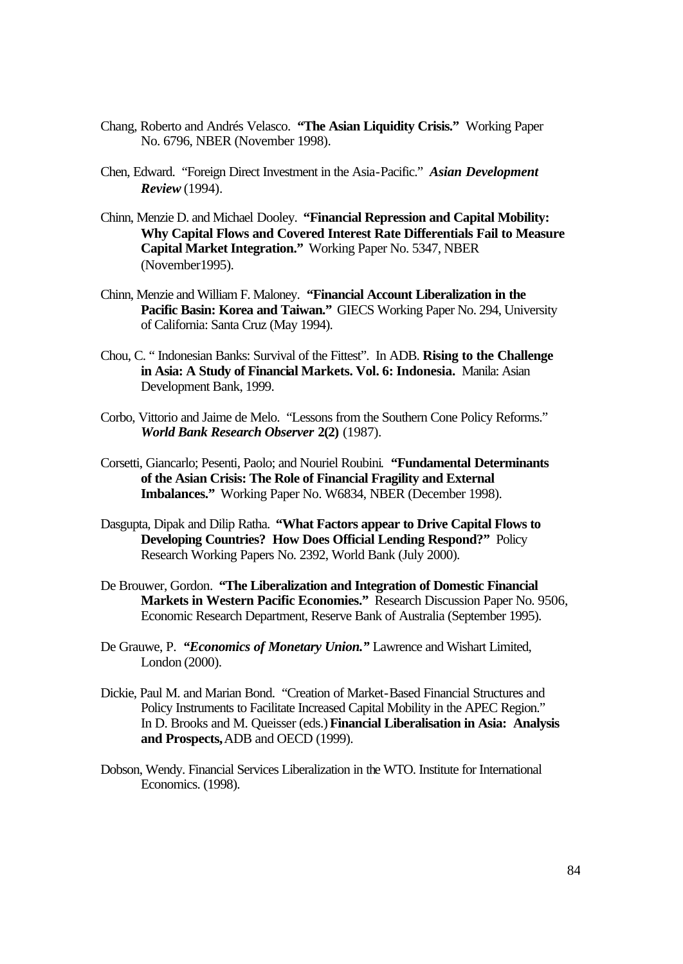- Chang, Roberto and Andrés Velasco. **"The Asian Liquidity Crisis."** Working Paper No. 6796, NBER (November 1998).
- Chen, Edward. "Foreign Direct Investment in the Asia-Pacific." *Asian Development Review* (1994).
- Chinn, Menzie D. and Michael Dooley. **"Financial Repression and Capital Mobility: Why Capital Flows and Covered Interest Rate Differentials Fail to Measure Capital Market Integration."** Working Paper No. 5347, NBER (November1995).
- Chinn, Menzie and William F. Maloney. **"Financial Account Liberalization in the Pacific Basin: Korea and Taiwan."** GIECS Working Paper No. 294, University of California: Santa Cruz (May 1994).
- Chou, C. " Indonesian Banks: Survival of the Fittest". In ADB. **Rising to the Challenge in Asia: A Study of Financial Markets. Vol. 6: Indonesia.** Manila: Asian Development Bank, 1999.
- Corbo, Vittorio and Jaime de Melo. "Lessons from the Southern Cone Policy Reforms." *World Bank Research Observer* **2(2)** (1987).
- Corsetti, Giancarlo; Pesenti, Paolo; and Nouriel Roubini. **"Fundamental Determinants of the Asian Crisis: The Role of Financial Fragility and External Imbalances."** Working Paper No. W6834, NBER (December 1998).
- Dasgupta, Dipak and Dilip Ratha. **"What Factors appear to Drive Capital Flows to Developing Countries? How Does Official Lending Respond?"** Policy Research Working Papers No. 2392, World Bank (July 2000).
- De Brouwer, Gordon. **"The Liberalization and Integration of Domestic Financial Markets in Western Pacific Economies."** Research Discussion Paper No. 9506, Economic Research Department, Reserve Bank of Australia (September 1995).
- De Grauwe, P. *"Economics of Monetary Union."* Lawrence and Wishart Limited, London (2000).
- Dickie, Paul M. and Marian Bond. "Creation of Market-Based Financial Structures and Policy Instruments to Facilitate Increased Capital Mobility in the APEC Region." In D. Brooks and M. Queisser (eds.) **Financial Liberalisation in Asia: Analysis and Prospects,** ADB and OECD (1999).
- Dobson, Wendy. Financial Services Liberalization in the WTO. Institute for International Economics. (1998).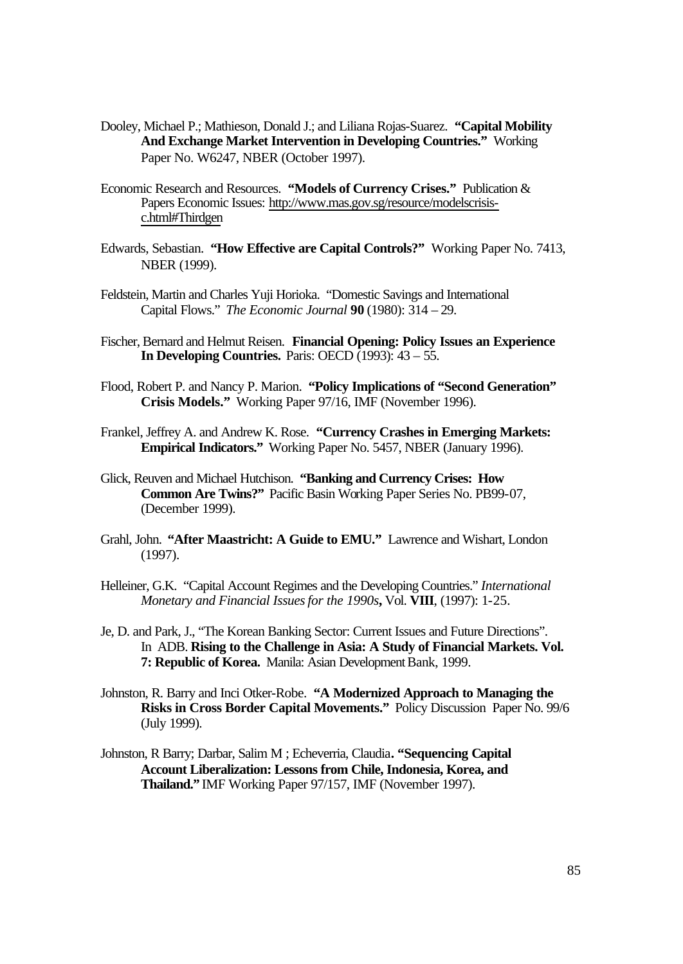- Dooley, Michael P.; Mathieson, Donald J.; and Liliana Rojas-Suarez. **"Capital Mobility And Exchange Market Intervention in Developing Countries."** Working Paper No. W6247, NBER (October 1997).
- Economic Research and Resources. **"Models of Currency Crises."** Publication & Papers Economic Issues: http://www.mas.gov.sg/resource/modelscrisisc.html#Thirdgen
- Edwards, Sebastian. **"How Effective are Capital Controls?"** Working Paper No. 7413, NBER (1999).
- Feldstein, Martin and Charles Yuji Horioka. "Domestic Savings and International Capital Flows." *The Economic Journal* **90** (1980): 314 – 29.
- Fischer, Bernard and Helmut Reisen. **Financial Opening: Policy Issues an Experience In Developing Countries.** Paris: OECD (1993): 43 – 55.
- Flood, Robert P. and Nancy P. Marion. **"Policy Implications of "Second Generation" Crisis Models."** Working Paper 97/16, IMF (November 1996).
- Frankel, Jeffrey A. and Andrew K. Rose. **"Currency Crashes in Emerging Markets: Empirical Indicators."** Working Paper No. 5457, NBER (January 1996).
- Glick, Reuven and Michael Hutchison. **"Banking and Currency Crises: How Common Are Twins?"** Pacific Basin Working Paper Series No. PB99-07, (December 1999).
- Grahl, John. **"After Maastricht: A Guide to EMU."** Lawrence and Wishart, London (1997).
- Helleiner, G.K. "Capital Account Regimes and the Developing Countries." *International Monetary and Financial Issues for the 1990s***,** Vol. **VIII**, (1997): 1-25.
- Je, D. and Park, J., "The Korean Banking Sector: Current Issues and Future Directions". In ADB. **Rising to the Challenge in Asia: A Study of Financial Markets. Vol. 7: Republic of Korea.** Manila: Asian Development Bank, 1999.
- Johnston, R. Barry and Inci Otker-Robe. **"A Modernized Approach to Managing the Risks in Cross Border Capital Movements."** Policy Discussion Paper No. 99/6 (July 1999).
- Johnston, R Barry; Darbar, Salim M ; Echeverria, Claudia**. "Sequencing Capital Account Liberalization: Lessons from Chile, Indonesia, Korea, and Thailand."** IMF Working Paper 97/157, IMF (November 1997).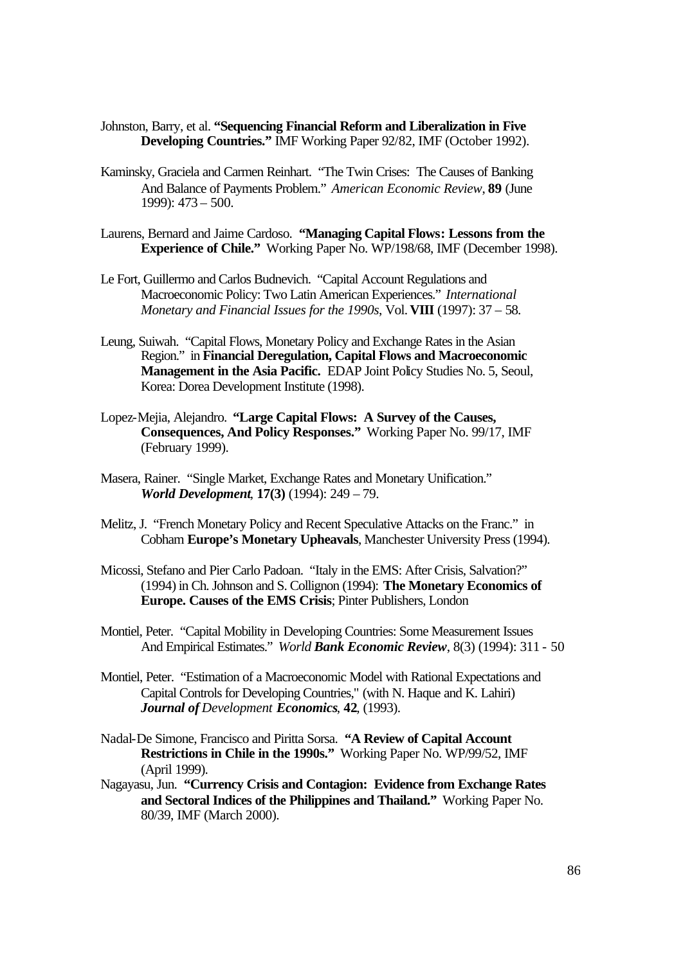- Johnston, Barry, et al. **"Sequencing Financial Reform and Liberalization in Five Developing Countries."** IMF Working Paper 92/82, IMF (October 1992).
- Kaminsky, Graciela and Carmen Reinhart. "The Twin Crises: The Causes of Banking And Balance of Payments Problem." *American Economic Review*, **89** (June 1999): 473 – 500.
- Laurens, Bernard and Jaime Cardoso. **"Managing Capital Flows: Lessons from the Experience of Chile."** Working Paper No. WP/198/68, IMF (December 1998).
- Le Fort, Guillermo and Carlos Budnevich. "Capital Account Regulations and Macroeconomic Policy: Two Latin American Experiences." *International Monetary and Financial Issues for the 1990s*, Vol. **VIII** (1997): 37 – 58.
- Leung, Suiwah. "Capital Flows, Monetary Policy and Exchange Rates in the Asian Region." in **Financial Deregulation, Capital Flows and Macroeconomic Management in the Asia Pacific.** EDAP Joint Policy Studies No. 5, Seoul, Korea: Dorea Development Institute (1998).
- Lopez-Mejia, Alejandro. **"Large Capital Flows: A Survey of the Causes, Consequences, And Policy Responses."** Working Paper No. 99/17, IMF (February 1999).
- Masera, Rainer. "Single Market, Exchange Rates and Monetary Unification." *World Development*, **17(3)** (1994): 249 – 79.
- Melitz, J. "French Monetary Policy and Recent Speculative Attacks on the Franc." in Cobham **Europe's Monetary Upheavals**, Manchester University Press (1994).
- Micossi, Stefano and Pier Carlo Padoan. "Italy in the EMS: After Crisis, Salvation?" (1994) in Ch. Johnson and S. Collignon (1994): **The Monetary Economics of Europe. Causes of the EMS Crisis**; Pinter Publishers, London
- Montiel, Peter. "Capital Mobility in Developing Countries: Some Measurement Issues And Empirical Estimates." *World Bank Economic Review*, 8(3) (1994): 311 - 50
- Montiel, Peter. "Estimation of a Macroeconomic Model with Rational Expectations and Capital Controls for Developing Countries," (with N. Haque and K. Lahiri) *Journal of Development Economics*, **42**, (1993).
- Nadal-De Simone, Francisco and Piritta Sorsa. **"A Review of Capital Account Restrictions in Chile in the 1990s."** Working Paper No. WP/99/52, IMF (April 1999).
- Nagayasu, Jun. **"Currency Crisis and Contagion: Evidence from Exchange Rates and Sectoral Indices of the Philippines and Thailand."** Working Paper No. 80/39, IMF (March 2000).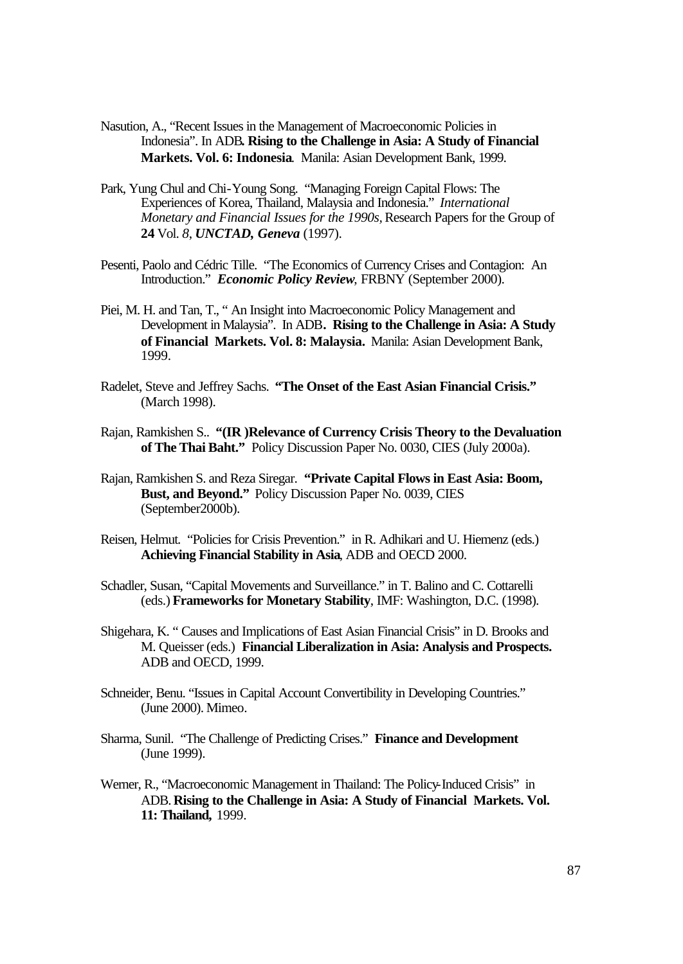- Nasution, A., "Recent Issues in the Management of Macroeconomic Policies in Indonesia". In ADB**. Rising to the Challenge in Asia: A Study of Financial Markets. Vol. 6: Indonesia**. Manila: Asian Development Bank, 1999.
- Park, Yung Chul and Chi-Young Song. "Managing Foreign Capital Flows: The Experiences of Korea, Thailand, Malaysia and Indonesia." *International Monetary and Financial Issues for the 1990s,* Research Papers for the Group of **24** Vol. *8*, *UNCTAD, Geneva* (1997).
- Pesenti, Paolo and Cédric Tille. "The Economics of Currency Crises and Contagion: An Introduction." *Economic Policy Review*, FRBNY (September 2000).
- Piei, M. H. and Tan, T., " An Insight into Macroeconomic Policy Management and Development in Malaysia". In ADB**. Rising to the Challenge in Asia: A Study of Financial Markets. Vol. 8: Malaysia.** Manila: Asian Development Bank, 1999.
- Radelet, Steve and Jeffrey Sachs. **"The Onset of the East Asian Financial Crisis."** (March 1998).
- Rajan, Ramkishen S.. **"(IR )Relevance of Currency Crisis Theory to the Devaluation of The Thai Baht."** Policy Discussion Paper No. 0030, CIES (July 2000a).
- Rajan, Ramkishen S. and Reza Siregar. **"Private Capital Flows in East Asia: Boom, Bust, and Beyond."** Policy Discussion Paper No. 0039, CIES (September2000b).
- Reisen, Helmut. "Policies for Crisis Prevention." in R. Adhikari and U. Hiemenz (eds.) **Achieving Financial Stability in Asia**, ADB and OECD 2000.
- Schadler, Susan, "Capital Movements and Surveillance." in T. Balino and C. Cottarelli (eds.) **Frameworks for Monetary Stability**, IMF: Washington, D.C. (1998).
- Shigehara, K. " Causes and Implications of East Asian Financial Crisis" in D. Brooks and M. Queisser (eds.) **Financial Liberalization in Asia: Analysis and Prospects.** ADB and OECD, 1999.
- Schneider, Benu. "Issues in Capital Account Convertibility in Developing Countries." (June 2000). Mimeo.
- Sharma, Sunil. "The Challenge of Predicting Crises." **Finance and Development** (June 1999).
- Werner, R., "Macroeconomic Management in Thailand: The Policy-Induced Crisis" in ADB. **Rising to the Challenge in Asia: A Study of Financial Markets. Vol. 11: Thailand,** 1999.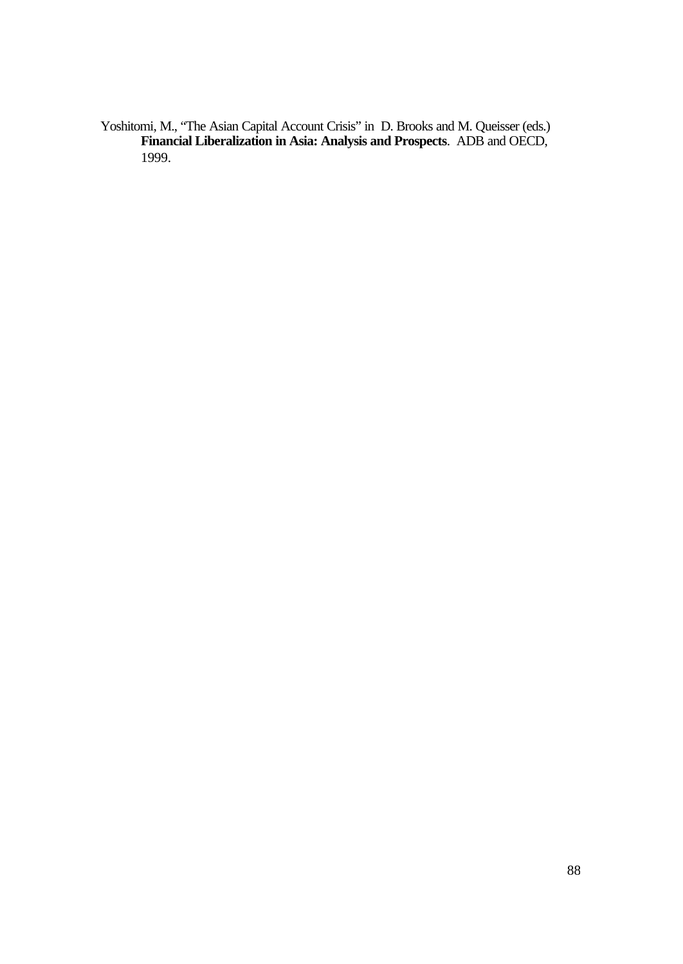Yoshitomi, M., "The Asian Capital Account Crisis" in D. Brooks and M. Queisser (eds.) **Financial Liberalization in Asia: Analysis and Prospects**. ADB and OECD, 1999.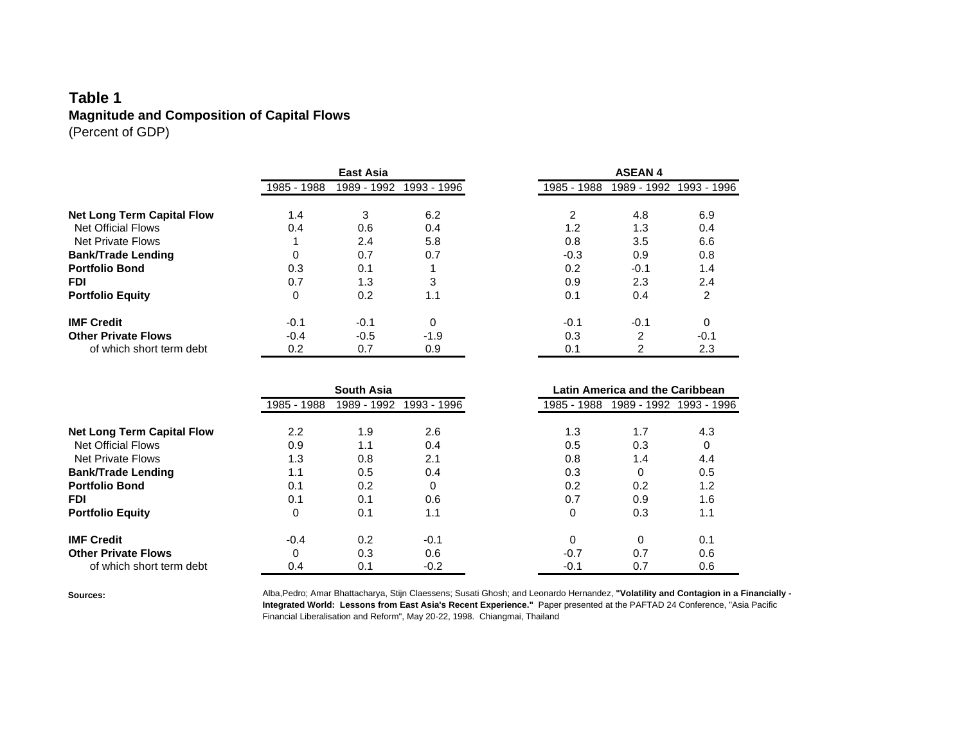### **Table 1 Magnitude and Composition of Capital Flows** (Percent of GDP)

|                                   | <b>East Asia</b> |             |             |             | <b>ASEAN4</b> |             |  |
|-----------------------------------|------------------|-------------|-------------|-------------|---------------|-------------|--|
|                                   | 1985 - 1988      | 1989 - 1992 | 1993 - 1996 | 1985 - 1988 | 1989 - 1992   | 1993 - 1996 |  |
|                                   |                  |             |             |             |               |             |  |
| <b>Net Long Term Capital Flow</b> | 1.4              | 3           | 6.2         | 2           | 4.8           | 6.9         |  |
| <b>Net Official Flows</b>         | 0.4              | 0.6         | 0.4         | 1.2         | 1.3           | 0.4         |  |
| <b>Net Private Flows</b>          |                  | 2.4         | 5.8         | 0.8         | 3.5           | 6.6         |  |
| <b>Bank/Trade Lending</b>         | 0                | 0.7         | 0.7         | $-0.3$      | 0.9           | 0.8         |  |
| <b>Portfolio Bond</b>             | 0.3              | 0.1         |             | 0.2         | $-0.1$        | 1.4         |  |
| <b>FDI</b>                        | 0.7              | 1.3         | 3           | 0.9         | 2.3           | 2.4         |  |
| <b>Portfolio Equity</b>           | 0                | 0.2         | 1.1         | 0.1         | 0.4           | 2           |  |
| <b>IMF Credit</b>                 | $-0.1$           | $-0.1$      | 0           | $-0.1$      | $-0.1$        | 0           |  |
| <b>Other Private Flows</b>        | $-0.4$           | $-0.5$      | $-1.9$      | 0.3         | 2             | $-0.1$      |  |
| of which short term debt          | 0.2              | 0.7         | 0.9         | 0.1         | 2             | 2.3         |  |

|                                                       | <b>South Asia</b> |             |                 |  |             | Latin America and the Caribbean |             |  |
|-------------------------------------------------------|-------------------|-------------|-----------------|--|-------------|---------------------------------|-------------|--|
|                                                       | 1985 - 1988       | 1989 - 1992 | 1993 - 1996     |  | 1985 - 1988 | 1989 - 1992                     | 1993 - 1996 |  |
| <b>Net Long Term Capital Flow</b>                     | $2.2\phantom{0}$  | 1.9         | 2.6             |  | 1.3         | 1.7                             | 4.3         |  |
| <b>Net Official Flows</b><br><b>Net Private Flows</b> | 0.9<br>1.3        | 1.1<br>0.8  | 0.4<br>2.1      |  | 0.5<br>0.8  | 0.3<br>1.4                      | 0<br>4.4    |  |
| <b>Bank/Trade Lending</b><br><b>Portfolio Bond</b>    | 1.1               | 0.5         | 0.4             |  | 0.3         | 0                               | 0.5         |  |
| <b>FDI</b>                                            | 0.1<br>0.1        | 0.2<br>0.1  | $\Omega$<br>0.6 |  | 0.2<br>0.7  | 0.2<br>0.9                      | 1.2<br>1.6  |  |
| <b>Portfolio Equity</b>                               | 0                 | 0.1         | 1.1             |  | 0           | 0.3                             | 1.1         |  |
| <b>IMF Credit</b>                                     | $-0.4$            | 0.2         | $-0.1$          |  | 0           | 0                               | 0.1         |  |
| <b>Other Private Flows</b>                            | 0                 | 0.3         | 0.6             |  | $-0.7$      | 0.7                             | 0.6         |  |
| of which short term debt                              | 0.4               | 0.1         | $-0.2$          |  | $-0.1$      | 0.7                             | 0.6         |  |

**Sources:** Alba,Pedro; Amar Bhattacharya, Stijn Claessens; Susati Ghosh; and Leonardo Hernandez, **"Volatility and Contagion in a Financially - Integrated World: Lessons from East Asia's Recent Experience."** Paper presented at the PAFTAD 24 Conference, "Asia Pacific Financial Liberalisation and Reform", May 20-22, 1998. Chiangmai, Thailand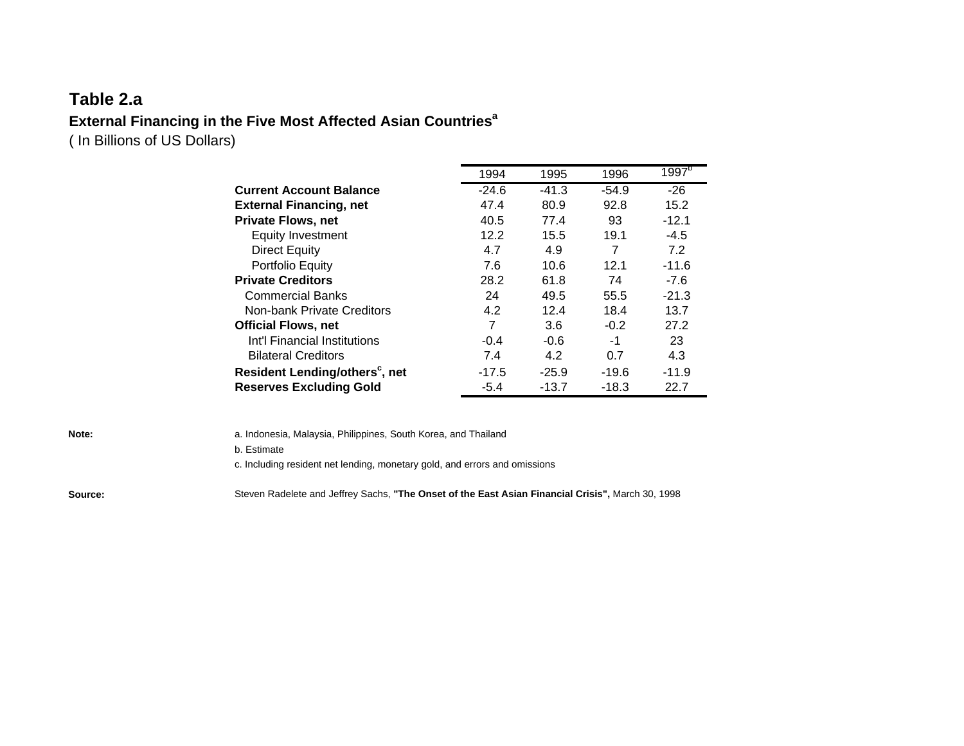# **Table 2.a External Financing in the Five Most Affected Asian Countries<sup>a</sup>**

( In Billions of US Dollars)

|                                            | 1994    | 1995    | 1996    | 1997 <sup>b</sup> |
|--------------------------------------------|---------|---------|---------|-------------------|
| <b>Current Account Balance</b>             | $-24.6$ | $-41.3$ | $-54.9$ | $-26$             |
| <b>External Financing, net</b>             | 47.4    | 80.9    | 92.8    | 15.2              |
| <b>Private Flows, net</b>                  | 40.5    | 77.4    | 93      | $-12.1$           |
| <b>Equity Investment</b>                   | 12.2    | 15.5    | 19.1    | $-4.5$            |
| Direct Equity                              | 4.7     | 4.9     | 7       | 7.2               |
| Portfolio Equity                           | 7.6     | 10.6    | 12.1    | $-11.6$           |
| <b>Private Creditors</b>                   | 28.2    | 61.8    | 74      | $-7.6$            |
| <b>Commercial Banks</b>                    | 24      | 49.5    | 55.5    | $-21.3$           |
| Non-bank Private Creditors                 | 4.2     | 12.4    | 18.4    | 13.7              |
| <b>Official Flows, net</b>                 | 7       | 3.6     | $-0.2$  | 27.2              |
| Int'l Financial Institutions               | $-0.4$  | -0.6    | -1      | 23                |
| <b>Bilateral Creditors</b>                 | 7.4     | 4.2     | 0.7     | 4.3               |
| Resident Lending/others <sup>c</sup> , net | $-17.5$ | $-25.9$ | $-19.6$ | $-11.9$           |
| <b>Reserves Excluding Gold</b>             | $-5.4$  | $-13.7$ | $-18.3$ | 22.7              |

| Note:   | a. Indonesia, Malaysia, Philippines, South Korea, and Thailand                                    |
|---------|---------------------------------------------------------------------------------------------------|
|         | b. Estimate                                                                                       |
|         | c. Including resident net lending, monetary gold, and errors and omissions                        |
| Source: | Steven Radelete and Jeffrey Sachs, "The Onset of the East Asian Financial Crisis", March 30, 1998 |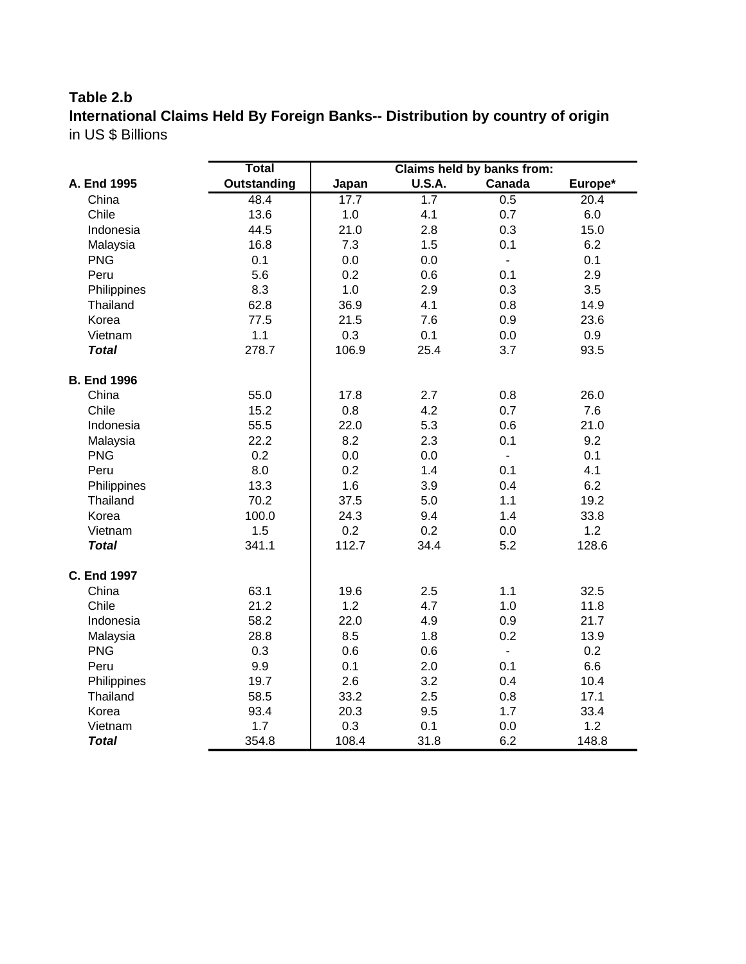# **Table 2.b**

**lnternational Claims Held By Foreign Banks-- Distribution by country of origin** in US \$ Billions

|                    | <b>Total</b>       |       |               | Claims held by banks from: |         |
|--------------------|--------------------|-------|---------------|----------------------------|---------|
| A. End 1995        | <b>Outstanding</b> | Japan | <b>U.S.A.</b> | Canada                     | Europe* |
| China              | 48.4               | 17.7  | 1.7           | 0.5                        | 20.4    |
| Chile              | 13.6               | 1.0   | 4.1           | 0.7                        | 6.0     |
| Indonesia          | 44.5               | 21.0  | 2.8           | 0.3                        | 15.0    |
| Malaysia           | 16.8               | 7.3   | 1.5           | 0.1                        | 6.2     |
| <b>PNG</b>         | 0.1                | 0.0   | 0.0           | $\blacksquare$             | 0.1     |
| Peru               | 5.6                | 0.2   | 0.6           | 0.1                        | 2.9     |
| Philippines        | 8.3                | 1.0   | 2.9           | 0.3                        | 3.5     |
| Thailand           | 62.8               | 36.9  | 4.1           | 0.8                        | 14.9    |
| Korea              | 77.5               | 21.5  | 7.6           | 0.9                        | 23.6    |
| Vietnam            | 1.1                | 0.3   | 0.1           | 0.0                        | 0.9     |
| <b>Total</b>       | 278.7              | 106.9 | 25.4          | 3.7                        | 93.5    |
| <b>B. End 1996</b> |                    |       |               |                            |         |
| China              | 55.0               | 17.8  | 2.7           | 0.8                        | 26.0    |
| Chile              | 15.2               | 0.8   | 4.2           | 0.7                        | 7.6     |
| Indonesia          | 55.5               | 22.0  | 5.3           | 0.6                        | 21.0    |
| Malaysia           | 22.2               | 8.2   | 2.3           | 0.1                        | 9.2     |
| <b>PNG</b>         | 0.2                | 0.0   | 0.0           | $\mathbf{r}$               | 0.1     |
| Peru               | 8.0                | 0.2   | 1.4           | 0.1                        | 4.1     |
| Philippines        | 13.3               | 1.6   | 3.9           | 0.4                        | 6.2     |
| Thailand           | 70.2               | 37.5  | 5.0           | 1.1                        | 19.2    |
| Korea              | 100.0              | 24.3  | 9.4           | 1.4                        | 33.8    |
| Vietnam            | 1.5                | 0.2   | 0.2           | 0.0                        | 1.2     |
| <b>Total</b>       | 341.1              | 112.7 | 34.4          | 5.2                        | 128.6   |
| <b>C. End 1997</b> |                    |       |               |                            |         |
| China              | 63.1               | 19.6  | 2.5           | 1.1                        | 32.5    |
| Chile              | 21.2               | 1.2   | 4.7           | 1.0                        | 11.8    |
| Indonesia          | 58.2               | 22.0  | 4.9           | 0.9                        | 21.7    |
| Malaysia           | 28.8               | 8.5   | 1.8           | 0.2                        | 13.9    |
| <b>PNG</b>         | 0.3                | 0.6   | 0.6           | $\blacksquare$             | 0.2     |
| Peru               | 9.9                | 0.1   | 2.0           | 0.1                        | 6.6     |
| Philippines        | 19.7               | 2.6   | 3.2           | 0.4                        | 10.4    |
| Thailand           | 58.5               | 33.2  | 2.5           | 0.8                        | 17.1    |
| Korea              | 93.4               | 20.3  | 9.5           | 1.7                        | 33.4    |
| Vietnam            | 1.7                | 0.3   | 0.1           | 0.0                        | 1.2     |
| <b>Total</b>       | 354.8              | 108.4 | 31.8          | 6.2                        | 148.8   |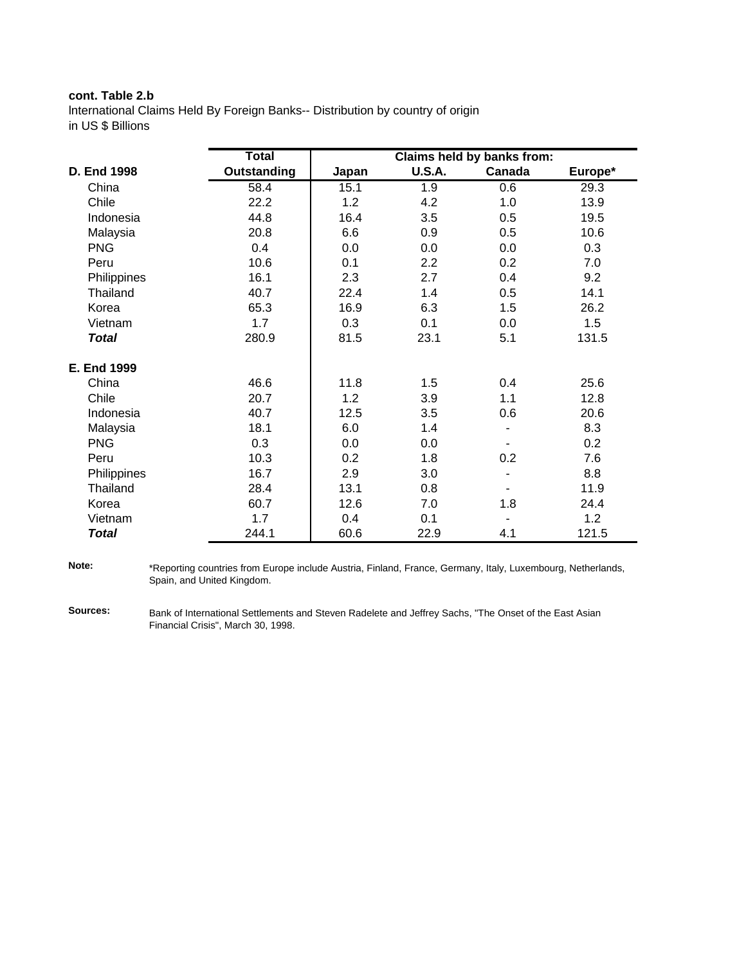### **cont. Table 2.b**

lnternational Claims Held By Foreign Banks-- Distribution by country of origin in US \$ Billions

|              | <b>Total</b> |       |               | Claims held by banks from: |         |
|--------------|--------------|-------|---------------|----------------------------|---------|
| D. End 1998  | Outstanding  | Japan | <b>U.S.A.</b> | Canada                     | Europe* |
| China        | 58.4         | 15.1  | 1.9           | 0.6                        | 29.3    |
| Chile        | 22.2         | 1.2   | 4.2           | 1.0                        | 13.9    |
| Indonesia    | 44.8         | 16.4  | 3.5           | 0.5                        | 19.5    |
| Malaysia     | 20.8         | 6.6   | 0.9           | 0.5                        | 10.6    |
| <b>PNG</b>   | 0.4          | 0.0   | 0.0           | 0.0                        | 0.3     |
| Peru         | 10.6         | 0.1   | 2.2           | 0.2                        | 7.0     |
| Philippines  | 16.1         | 2.3   | 2.7           | 0.4                        | 9.2     |
| Thailand     | 40.7         | 22.4  | 1.4           | 0.5                        | 14.1    |
| Korea        | 65.3         | 16.9  | 6.3           | 1.5                        | 26.2    |
| Vietnam      | 1.7          | 0.3   | 0.1           | 0.0                        | 1.5     |
| <b>Total</b> | 280.9        | 81.5  | 23.1          | 5.1                        | 131.5   |
| E. End 1999  |              |       |               |                            |         |
| China        | 46.6         | 11.8  | 1.5           | 0.4                        | 25.6    |
| Chile        | 20.7         | 1.2   | 3.9           | 1.1                        | 12.8    |
| Indonesia    | 40.7         | 12.5  | 3.5           | 0.6                        | 20.6    |
| Malaysia     | 18.1         | 6.0   | 1.4           |                            | 8.3     |
| <b>PNG</b>   | 0.3          | 0.0   | 0.0           |                            | 0.2     |
| Peru         | 10.3         | 0.2   | 1.8           | 0.2                        | 7.6     |
| Philippines  | 16.7         | 2.9   | 3.0           |                            | 8.8     |
| Thailand     | 28.4         | 13.1  | 0.8           |                            | 11.9    |
| Korea        | 60.7         | 12.6  | 7.0           | 1.8                        | 24.4    |
| Vietnam      | 1.7          | 0.4   | 0.1           |                            | 1.2     |
| Total        | 244.1        | 60.6  | 22.9          | 4.1                        | 121.5   |

**Note:** \*Reporting countries from Europe include Austria, Finland, France, Germany, Italy, Luxembourg, Netherlands, Spain, and United Kingdom.

**Sources:** Bank of International Settlements and Steven Radelete and Jeffrey Sachs, "The Onset of the East Asian Financial Crisis", March 30, 1998.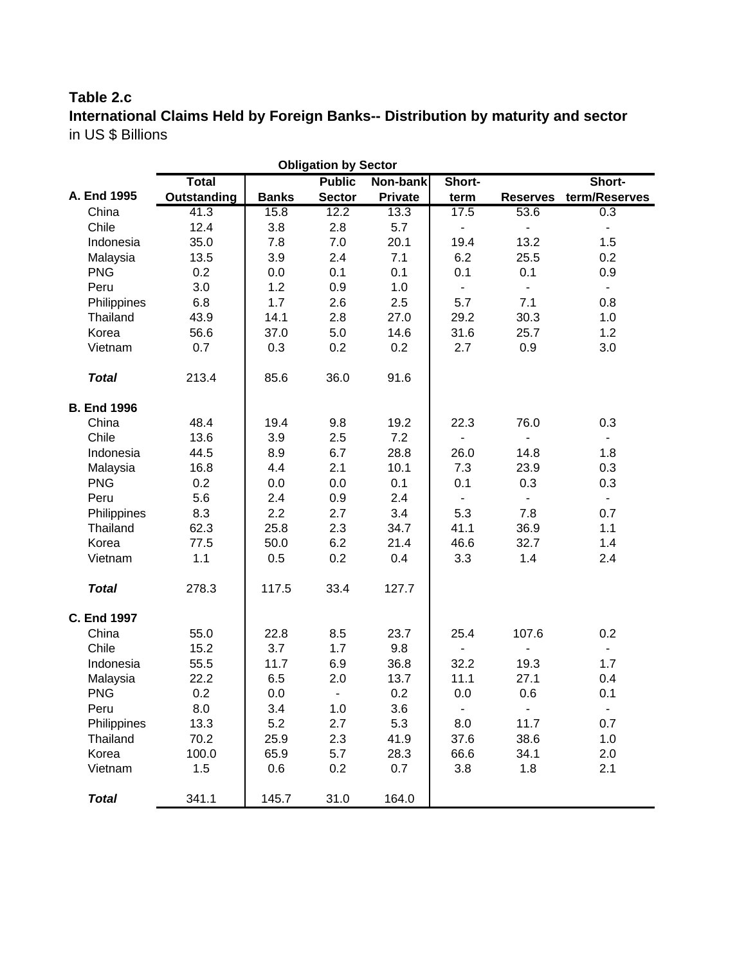# **Table 2.c**

**International Claims Held by Foreign Banks-- Distribution by maturity and sector** in US \$ Billions

| <b>Obligation by Sector</b> |             |              |                              |                |                              |                          |                |  |  |  |
|-----------------------------|-------------|--------------|------------------------------|----------------|------------------------------|--------------------------|----------------|--|--|--|
|                             | Total       |              | <b>Public</b>                | Non-bank       | Short-                       |                          | Short-         |  |  |  |
| A. End 1995                 | Outstanding | <b>Banks</b> | <b>Sector</b>                | <b>Private</b> | term                         | <b>Reserves</b>          | term/Reserves  |  |  |  |
| China                       | 41.3        | 15.8         | 12.2                         | 13.3           | 17.5                         | 53.6                     | 0.3            |  |  |  |
| Chile                       | 12.4        | 3.8          | 2.8                          | 5.7            | $\overline{\phantom{0}}$     | ٠                        | $\blacksquare$ |  |  |  |
| Indonesia                   | 35.0        | 7.8          | 7.0                          | 20.1           | 19.4                         | 13.2                     | 1.5            |  |  |  |
| Malaysia                    | 13.5        | 3.9          | 2.4                          | 7.1            | 6.2                          | 25.5                     | 0.2            |  |  |  |
| <b>PNG</b>                  | 0.2         | 0.0          | 0.1                          | 0.1            | 0.1                          | 0.1                      | 0.9            |  |  |  |
| Peru                        | 3.0         | 1.2          | 0.9                          | 1.0            | ÷.                           | $\blacksquare$           | $\blacksquare$ |  |  |  |
| Philippines                 | 6.8         | 1.7          | 2.6                          | 2.5            | 5.7                          | 7.1                      | 0.8            |  |  |  |
| Thailand                    | 43.9        | 14.1         | 2.8                          | 27.0           | 29.2                         | 30.3                     | 1.0            |  |  |  |
| Korea                       | 56.6        | 37.0         | 5.0                          | 14.6           | 31.6                         | 25.7                     | 1.2            |  |  |  |
| Vietnam                     | 0.7         | 0.3          | 0.2                          | 0.2            | 2.7                          | 0.9                      | 3.0            |  |  |  |
| <b>Total</b>                | 213.4       | 85.6         | 36.0                         | 91.6           |                              |                          |                |  |  |  |
| <b>B. End 1996</b>          |             |              |                              |                |                              |                          |                |  |  |  |
| China                       | 48.4        | 19.4         | 9.8                          | 19.2           | 22.3                         | 76.0                     | 0.3            |  |  |  |
| Chile                       | 13.6        | 3.9          | 2.5                          | 7.2            |                              |                          | $\blacksquare$ |  |  |  |
| Indonesia                   | 44.5        | 8.9          | 6.7                          | 28.8           | 26.0                         | 14.8                     | 1.8            |  |  |  |
| Malaysia                    | 16.8        | 4.4          | 2.1                          | 10.1           | 7.3                          | 23.9                     | 0.3            |  |  |  |
| <b>PNG</b>                  | 0.2         | 0.0          | 0.0                          | 0.1            | 0.1                          | 0.3                      | 0.3            |  |  |  |
| Peru                        | 5.6         | 2.4          | 0.9                          | 2.4            | $\blacksquare$               | $\blacksquare$           | $\blacksquare$ |  |  |  |
| Philippines                 | 8.3         | 2.2          | 2.7                          | 3.4            | 5.3                          | 7.8                      | 0.7            |  |  |  |
| Thailand                    | 62.3        | 25.8         | 2.3                          | 34.7           | 41.1                         | 36.9                     | 1.1            |  |  |  |
| Korea                       | 77.5        | 50.0         | 6.2                          | 21.4           | 46.6                         | 32.7                     | 1.4            |  |  |  |
| Vietnam                     | $1.1$       | 0.5          | 0.2                          | 0.4            | 3.3                          | 1.4                      | 2.4            |  |  |  |
| <b>Total</b>                | 278.3       | 117.5        | 33.4                         | 127.7          |                              |                          |                |  |  |  |
| <b>C. End 1997</b>          |             |              |                              |                |                              |                          |                |  |  |  |
| China                       | 55.0        | 22.8         | 8.5                          | 23.7           | 25.4                         | 107.6                    | 0.2            |  |  |  |
| Chile                       | 15.2        | 3.7          | 1.7                          | 9.8            | $\qquad \qquad \blacksquare$ | $\overline{\phantom{0}}$ | ۰.             |  |  |  |
| Indonesia                   | 55.5        | 11.7         | 6.9                          | 36.8           | 32.2                         | 19.3                     | 1.7            |  |  |  |
| Malaysia                    | 22.2        | 6.5          | 2.0                          | 13.7           | 11.1                         | 27.1                     | 0.4            |  |  |  |
| <b>PNG</b>                  | 0.2         | 0.0          | $\qquad \qquad \blacksquare$ | 0.2            | 0.0                          | 0.6                      | 0.1            |  |  |  |
| Peru                        | 8.0         | 3.4          | 1.0                          | 3.6            | $\blacksquare$               | $\overline{\phantom{a}}$ | $\blacksquare$ |  |  |  |
| Philippines                 | 13.3        | 5.2          | 2.7                          | 5.3            | 8.0                          | 11.7                     | 0.7            |  |  |  |
| Thailand                    | 70.2        | 25.9         | 2.3                          | 41.9           | 37.6                         | 38.6                     | 1.0            |  |  |  |
| Korea                       | 100.0       | 65.9         | 5.7                          | 28.3           | 66.6                         | 34.1                     | 2.0            |  |  |  |
| Vietnam                     | 1.5         | 0.6          | 0.2                          | 0.7            | 3.8                          | 1.8                      | 2.1            |  |  |  |
| <b>Total</b>                | 341.1       | 145.7        | 31.0                         | 164.0          |                              |                          |                |  |  |  |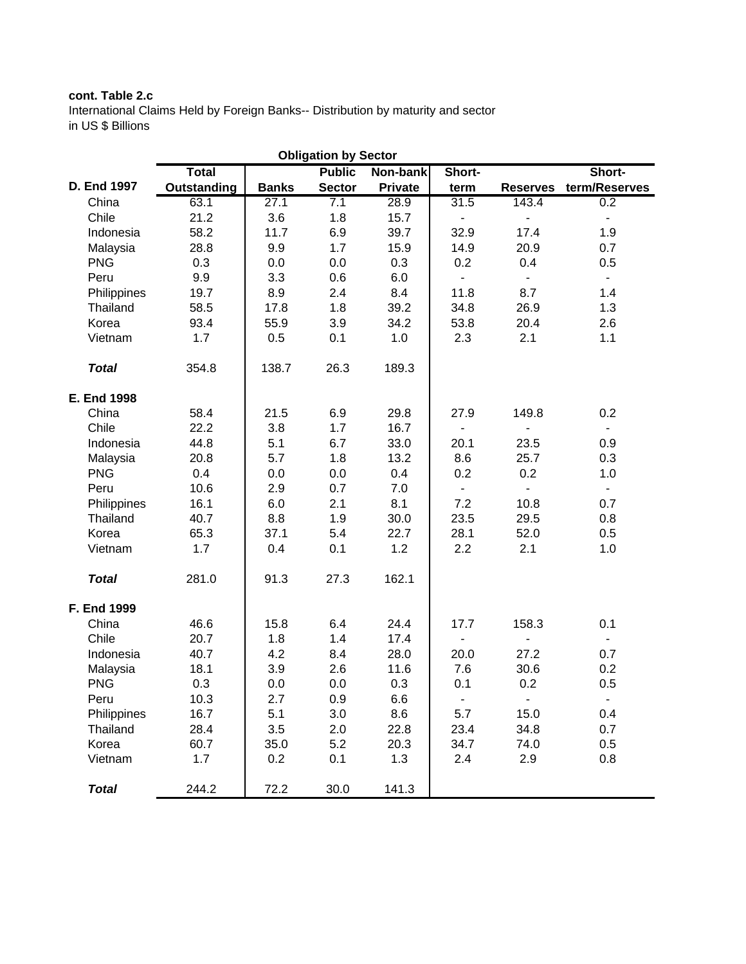### **cont. Table 2.c**

International Claims Held by Foreign Banks-- Distribution by maturity and sector in US \$ Billions

| <b>Obligation by Sector</b> |              |              |               |                |                              |                          |                          |  |  |  |
|-----------------------------|--------------|--------------|---------------|----------------|------------------------------|--------------------------|--------------------------|--|--|--|
|                             | <b>Total</b> |              | <b>Public</b> | Non-bank       | Short-                       |                          | Short-                   |  |  |  |
| D. End 1997                 | Outstanding  | <b>Banks</b> | <b>Sector</b> | <b>Private</b> | term                         | <b>Reserves</b>          | term/Reserves            |  |  |  |
| China                       | 63.1         | 27.1         | 7.1           | 28.9           | 31.5                         | 143.4                    | 0.2                      |  |  |  |
| Chile                       | 21.2         | 3.6          | 1.8           | 15.7           | $\qquad \qquad \blacksquare$ | $\overline{\phantom{0}}$ | ۰                        |  |  |  |
| Indonesia                   | 58.2         | 11.7         | 6.9           | 39.7           | 32.9                         | 17.4                     | 1.9                      |  |  |  |
| Malaysia                    | 28.8         | 9.9          | 1.7           | 15.9           | 14.9                         | 20.9                     | 0.7                      |  |  |  |
| <b>PNG</b>                  | 0.3          | 0.0          | 0.0           | 0.3            | 0.2                          | 0.4                      | 0.5                      |  |  |  |
| Peru                        | 9.9          | 3.3          | 0.6           | 6.0            | $\blacksquare$               | $\blacksquare$           | $\blacksquare$           |  |  |  |
| Philippines                 | 19.7         | 8.9          | 2.4           | 8.4            | 11.8                         | 8.7                      | 1.4                      |  |  |  |
| Thailand                    | 58.5         | 17.8         | 1.8           | 39.2           | 34.8                         | 26.9                     | 1.3                      |  |  |  |
| Korea                       | 93.4         | 55.9         | 3.9           | 34.2           | 53.8                         | 20.4                     | 2.6                      |  |  |  |
| Vietnam                     | 1.7          | 0.5          | 0.1           | 1.0            | 2.3                          | 2.1                      | 1.1                      |  |  |  |
| <b>Total</b>                | 354.8        | 138.7        | 26.3          | 189.3          |                              |                          |                          |  |  |  |
| E. End 1998                 |              |              |               |                |                              |                          |                          |  |  |  |
| China                       | 58.4         | 21.5         | 6.9           | 29.8           | 27.9                         | 149.8                    | 0.2                      |  |  |  |
| Chile                       | 22.2         | 3.8          | 1.7           | 16.7           | $\overline{\phantom{0}}$     |                          | $\blacksquare$           |  |  |  |
| Indonesia                   | 44.8         | 5.1          | 6.7           | 33.0           | 20.1                         | 23.5                     | 0.9                      |  |  |  |
| Malaysia                    | 20.8         | 5.7          | 1.8           | 13.2           | 8.6                          | 25.7                     | 0.3                      |  |  |  |
| <b>PNG</b>                  | 0.4          | 0.0          | 0.0           | 0.4            | 0.2                          | 0.2                      | 1.0                      |  |  |  |
| Peru                        | 10.6         | 2.9          | 0.7           | 7.0            | $\blacksquare$               | $\overline{\phantom{0}}$ | ÷,                       |  |  |  |
| Philippines                 | 16.1         | 6.0          | 2.1           | 8.1            | 7.2                          | 10.8                     | 0.7                      |  |  |  |
| Thailand                    | 40.7         | 8.8          | 1.9           | 30.0           | 23.5                         | 29.5                     | 0.8                      |  |  |  |
| Korea                       | 65.3         | 37.1         | 5.4           | 22.7           | 28.1                         | 52.0                     | 0.5                      |  |  |  |
| Vietnam                     | 1.7          | 0.4          | 0.1           | 1.2            | 2.2                          | 2.1                      | 1.0                      |  |  |  |
| <b>Total</b>                | 281.0        | 91.3         | 27.3          | 162.1          |                              |                          |                          |  |  |  |
| F. End 1999                 |              |              |               |                |                              |                          |                          |  |  |  |
| China                       | 46.6         | 15.8         | 6.4           | 24.4           | 17.7                         | 158.3                    | 0.1                      |  |  |  |
| Chile                       | 20.7         | 1.8          | 1.4           | 17.4           | $\blacksquare$               | $\overline{a}$           |                          |  |  |  |
| Indonesia                   | 40.7         | 4.2          | 8.4           | 28.0           | 20.0                         | 27.2                     | 0.7                      |  |  |  |
| Malaysia                    | 18.1         | 3.9          | 2.6           | 11.6           | 7.6                          | 30.6                     | 0.2                      |  |  |  |
| <b>PNG</b>                  | 0.3          | 0.0          | 0.0           | 0.3            | 0.1                          | 0.2                      | 0.5                      |  |  |  |
| Peru                        | 10.3         | 2.7          | 0.9           | 6.6            | $\blacksquare$               | $\blacksquare$           | $\overline{\phantom{a}}$ |  |  |  |
| Philippines                 | 16.7         | 5.1          | 3.0           | 8.6            | 5.7                          | 15.0                     | 0.4                      |  |  |  |
| Thailand                    | 28.4         | 3.5          | 2.0           | 22.8           | 23.4                         | 34.8                     | 0.7                      |  |  |  |
| Korea                       | 60.7         | 35.0         | 5.2           | 20.3           | 34.7                         | 74.0                     | 0.5                      |  |  |  |
| Vietnam                     | 1.7          | 0.2          | 0.1           | 1.3            | 2.4                          | 2.9                      | 0.8                      |  |  |  |
| <b>Total</b>                | 244.2        | 72.2         | 30.0          | 141.3          |                              |                          |                          |  |  |  |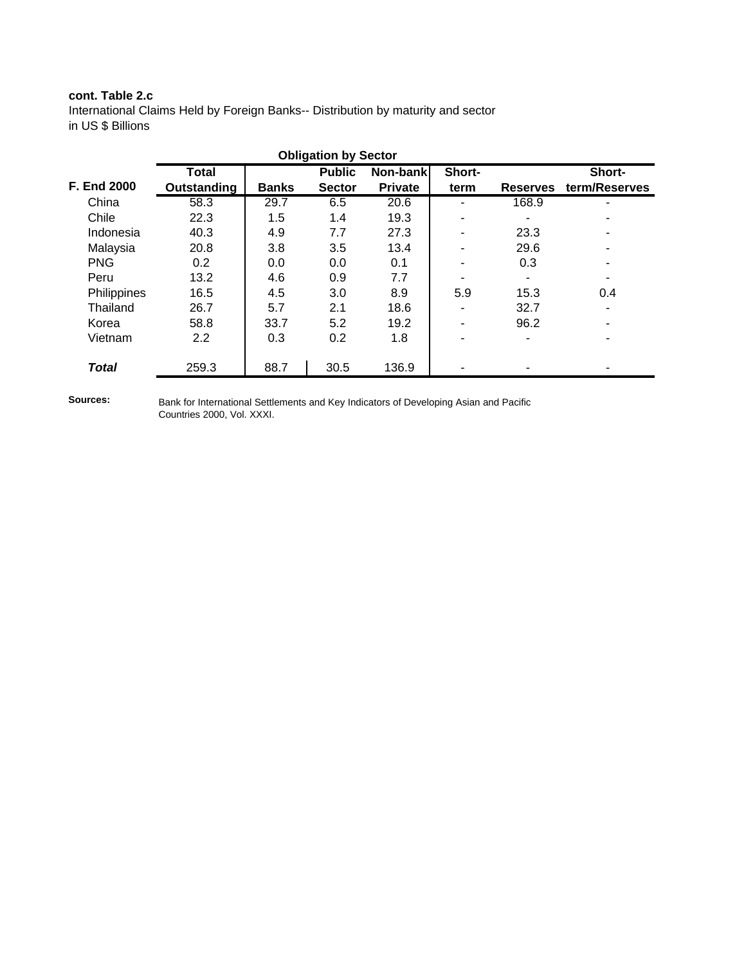### **cont. Table 2.c**

International Claims Held by Foreign Banks-- Distribution by maturity and sector in US \$ Billions

| <b>Obligation by Sector</b> |              |              |               |                |        |                          |               |  |  |  |
|-----------------------------|--------------|--------------|---------------|----------------|--------|--------------------------|---------------|--|--|--|
|                             | <b>Total</b> |              | <b>Public</b> | Non-bank       | Short- |                          | Short-        |  |  |  |
| <b>F. End 2000</b>          | Outstanding  | <b>Banks</b> | <b>Sector</b> | <b>Private</b> | term   | <b>Reserves</b>          | term/Reserves |  |  |  |
| China                       | 58.3         | 29.7         | 6.5           | 20.6           |        | 168.9                    |               |  |  |  |
| Chile                       | 22.3         | 1.5          | 1.4           | 19.3           |        |                          |               |  |  |  |
| Indonesia                   | 40.3         | 4.9          | 7.7           | 27.3           |        | 23.3                     |               |  |  |  |
| Malaysia                    | 20.8         | 3.8          | 3.5           | 13.4           |        | 29.6                     |               |  |  |  |
| <b>PNG</b>                  | 0.2          | 0.0          | 0.0           | 0.1            |        | 0.3                      | ٠             |  |  |  |
| Peru                        | 13.2         | 4.6          | 0.9           | 7.7            |        |                          |               |  |  |  |
| Philippines                 | 16.5         | 4.5          | 3.0           | 8.9            | 5.9    | 15.3                     | 0.4           |  |  |  |
| Thailand                    | 26.7         | 5.7          | 2.1           | 18.6           | ۰      | 32.7                     |               |  |  |  |
| Korea                       | 58.8         | 33.7         | 5.2           | 19.2           | ۰      | 96.2                     |               |  |  |  |
| Vietnam                     | 2.2          | 0.3          | 0.2           | 1.8            |        | $\overline{\phantom{a}}$ |               |  |  |  |
|                             |              |              |               |                |        |                          |               |  |  |  |
| <b>Total</b>                | 259.3        | 88.7         | 30.5          | 136.9          |        |                          |               |  |  |  |

**Sources:**

Bank for International Settlements and Key Indicators of Developing Asian and Pacific Countries 2000, Vol. XXXI.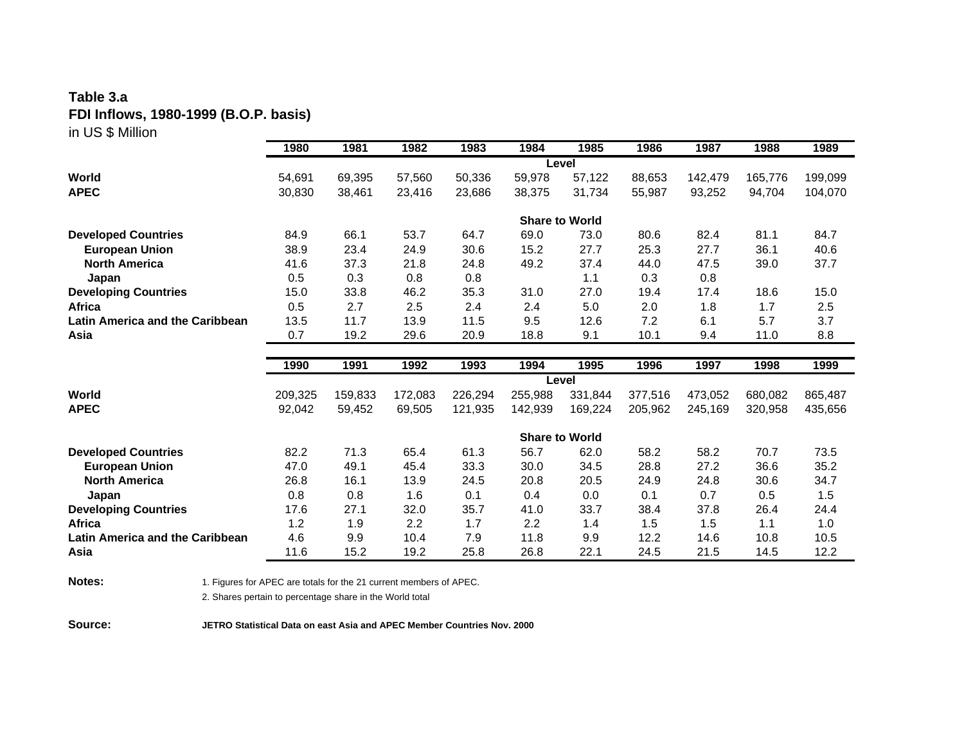### **Table 3.a FDI Inflows, 1980-1999 (B.O.P. basis)** in US \$ Million

|                                        | 1980    | 1981    | 1982    | 1983    | 1984                  | 1985    | 1986    | 1987    | 1988    | 1989    |
|----------------------------------------|---------|---------|---------|---------|-----------------------|---------|---------|---------|---------|---------|
|                                        |         |         |         |         | Level                 |         |         |         |         |         |
| World                                  | 54,691  | 69,395  | 57,560  | 50,336  | 59,978                | 57,122  | 88,653  | 142,479 | 165,776 | 199,099 |
| <b>APEC</b>                            | 30,830  | 38,461  | 23,416  | 23,686  | 38,375                | 31,734  | 55,987  | 93,252  | 94,704  | 104,070 |
|                                        |         |         |         |         | <b>Share to World</b> |         |         |         |         |         |
| <b>Developed Countries</b>             | 84.9    | 66.1    | 53.7    | 64.7    | 69.0                  | 73.0    | 80.6    | 82.4    | 81.1    | 84.7    |
| <b>European Union</b>                  | 38.9    | 23.4    | 24.9    | 30.6    | 15.2                  | 27.7    | 25.3    | 27.7    | 36.1    | 40.6    |
| <b>North America</b>                   | 41.6    | 37.3    | 21.8    | 24.8    | 49.2                  | 37.4    | 44.0    | 47.5    | 39.0    | 37.7    |
| Japan                                  | 0.5     | 0.3     | 0.8     | 0.8     |                       | 1.1     | 0.3     | 0.8     |         |         |
| <b>Developing Countries</b>            | 15.0    | 33.8    | 46.2    | 35.3    | 31.0                  | 27.0    | 19.4    | 17.4    | 18.6    | 15.0    |
| Africa                                 | 0.5     | 2.7     | 2.5     | 2.4     | 2.4                   | 5.0     | 2.0     | 1.8     | 1.7     | 2.5     |
| <b>Latin America and the Caribbean</b> | 13.5    | 11.7    | 13.9    | 11.5    | 9.5                   | 12.6    | 7.2     | 6.1     | 5.7     | 3.7     |
| Asia                                   | 0.7     | 19.2    | 29.6    | 20.9    | 18.8                  | 9.1     | 10.1    | 9.4     | 11.0    | 8.8     |
|                                        |         |         |         |         |                       |         |         |         |         |         |
|                                        |         |         |         |         |                       |         |         |         |         |         |
|                                        | 1990    | 1991    | 1992    | 1993    | 1994                  | 1995    | 1996    | 1997    | 1998    | 1999    |
|                                        |         |         |         |         | Level                 |         |         |         |         |         |
| World                                  | 209,325 | 159,833 | 172,083 | 226,294 | 255,988               | 331,844 | 377,516 | 473,052 | 680,082 | 865,487 |
| <b>APEC</b>                            | 92,042  | 59,452  | 69,505  | 121,935 | 142,939               | 169,224 | 205,962 | 245,169 | 320,958 | 435,656 |
|                                        |         |         |         |         | <b>Share to World</b> |         |         |         |         |         |
| <b>Developed Countries</b>             | 82.2    | 71.3    | 65.4    | 61.3    | 56.7                  | 62.0    | 58.2    | 58.2    | 70.7    | 73.5    |
| <b>European Union</b>                  | 47.0    | 49.1    | 45.4    | 33.3    | 30.0                  | 34.5    | 28.8    | 27.2    | 36.6    | 35.2    |
| <b>North America</b>                   | 26.8    | 16.1    | 13.9    | 24.5    | 20.8                  | 20.5    | 24.9    | 24.8    | 30.6    | 34.7    |
| Japan                                  | 0.8     | 0.8     | 1.6     | 0.1     | 0.4                   | 0.0     | 0.1     | 0.7     | 0.5     | 1.5     |
| <b>Developing Countries</b>            | 17.6    | 27.1    | 32.0    | 35.7    | 41.0                  | 33.7    | 38.4    | 37.8    | 26.4    | 24.4    |
| Africa                                 | 1.2     | 1.9     | 2.2     | 1.7     | 2.2                   | 1.4     | 1.5     | 1.5     | 1.1     | 1.0     |
| Latin America and the Caribbean        | 4.6     | 9.9     | 10.4    | 7.9     | 11.8                  | 9.9     | 12.2    | 14.6    | 10.8    | 10.5    |

**Notes:** 1. Figures for APEC are totals for the 21 current members of APEC.

2. Shares pertain to percentage share in the World total

**Source: JETRO Statistical Data on east Asia and APEC Member Countries Nov. 2000**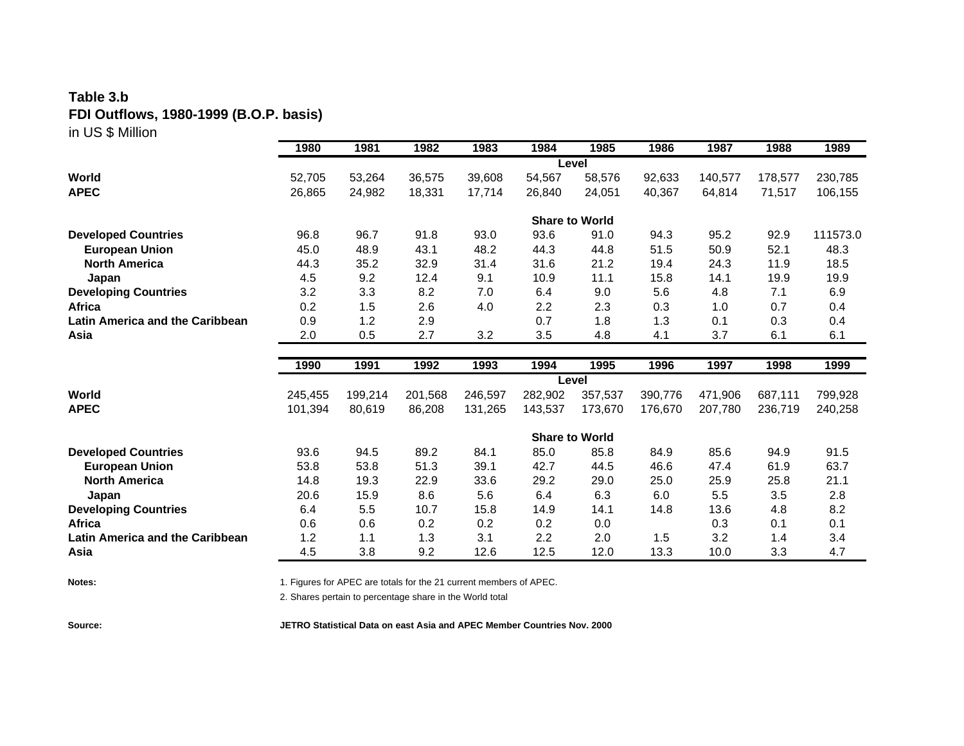### **Table 3.b FDI Outflows, 1980-1999 (B.O.P. basis)** in US \$ Million

|                                                     | 1980               | 1981              | 1982              | 1983               | 1984                  | 1985               | 1986               | 1987    | 1988               | 1989               |
|-----------------------------------------------------|--------------------|-------------------|-------------------|--------------------|-----------------------|--------------------|--------------------|---------|--------------------|--------------------|
|                                                     |                    |                   |                   |                    | Level                 |                    |                    |         |                    |                    |
| World                                               | 52,705             | 53,264            | 36,575            | 39,608             | 54,567                | 58,576             | 92,633             | 140,577 | 178,577            | 230,785            |
| <b>APEC</b>                                         | 26,865             | 24,982            | 18,331            | 17,714             | 26,840                | 24,051             | 40,367             | 64,814  | 71,517             | 106,155            |
|                                                     |                    |                   |                   |                    | <b>Share to World</b> |                    |                    |         |                    |                    |
| <b>Developed Countries</b>                          | 96.8               | 96.7              | 91.8              | 93.0               | 93.6                  | 91.0               | 94.3               | 95.2    | 92.9               | 111573.0           |
| <b>European Union</b>                               | 45.0               | 48.9              | 43.1              | 48.2               | 44.3                  | 44.8               | 51.5               | 50.9    | 52.1               | 48.3               |
| <b>North America</b>                                | 44.3               | 35.2              | 32.9              | 31.4               | 31.6                  | 21.2               | 19.4               | 24.3    | 11.9               | 18.5               |
| Japan                                               | 4.5                | 9.2               | 12.4              | 9.1                | 10.9                  | 11.1               | 15.8               | 14.1    | 19.9               | 19.9               |
| <b>Developing Countries</b>                         | 3.2                | 3.3               | 8.2               | 7.0                | 6.4                   | 9.0                | 5.6                | 4.8     | 7.1                | 6.9                |
| <b>Africa</b>                                       | 0.2                | 1.5               | 2.6               | 4.0                | 2.2                   | 2.3                | 0.3                | 1.0     | 0.7                | 0.4                |
| <b>Latin America and the Caribbean</b>              | 0.9                | 1.2               | 2.9               |                    | 0.7                   | 1.8                | 1.3                | 0.1     | 0.3                | 0.4                |
| Asia                                                | 2.0                | 0.5               | 2.7               | 3.2                | 3.5                   | 4.8                | 4.1                | 3.7     | 6.1                | 6.1                |
|                                                     |                    |                   |                   |                    |                       |                    |                    |         |                    |                    |
|                                                     |                    |                   |                   |                    |                       |                    |                    |         |                    |                    |
|                                                     | 1990               | 1991              | 1992              | 1993               | 1994                  | 1995               | 1996               | 1997    | 1998               | 1999               |
| World                                               |                    |                   |                   |                    | Level                 |                    |                    | 471.906 |                    |                    |
| <b>APEC</b>                                         | 245,455<br>101,394 | 199,214<br>80,619 | 201,568<br>86,208 | 246,597<br>131,265 | 282,902<br>143,537    | 357,537<br>173,670 | 390,776<br>176,670 | 207,780 | 687,111<br>236,719 | 799,928<br>240,258 |
|                                                     |                    |                   |                   |                    | <b>Share to World</b> |                    |                    |         |                    |                    |
|                                                     | 93.6               | 94.5              | 89.2              | 84.1               | 85.0                  | 85.8               | 84.9               | 85.6    | 94.9               | 91.5               |
| <b>Developed Countries</b><br><b>European Union</b> | 53.8               | 53.8              | 51.3              | 39.1               | 42.7                  | 44.5               | 46.6               | 47.4    | 61.9               | 63.7               |
| <b>North America</b>                                | 14.8               | 19.3              | 22.9              | 33.6               | 29.2                  | 29.0               | 25.0               | 25.9    | 25.8               | 21.1               |
| Japan                                               | 20.6               | 15.9              | 8.6               | 5.6                | 6.4                   | 6.3                | 6.0                | 5.5     | 3.5                | 2.8                |
| <b>Developing Countries</b>                         | 6.4                | 5.5               | 10.7              | 15.8               | 14.9                  | 14.1               | 14.8               | 13.6    | 4.8                | 8.2                |
| Africa                                              | 0.6                | 0.6               | 0.2               | 0.2                | 0.2                   | 0.0                |                    | 0.3     | 0.1                | 0.1                |
| <b>Latin America and the Caribbean</b>              | 1.2                | 1.1               | 1.3               | 3.1                | 2.2                   | 2.0                | 1.5                | 3.2     | 1.4                | 3.4                |

**Notes:** 1. Figures for APEC are totals for the 21 current members of APEC.

2. Shares pertain to percentage share in the World total

**Source: JETRO Statistical Data on east Asia and APEC Member Countries Nov. 2000**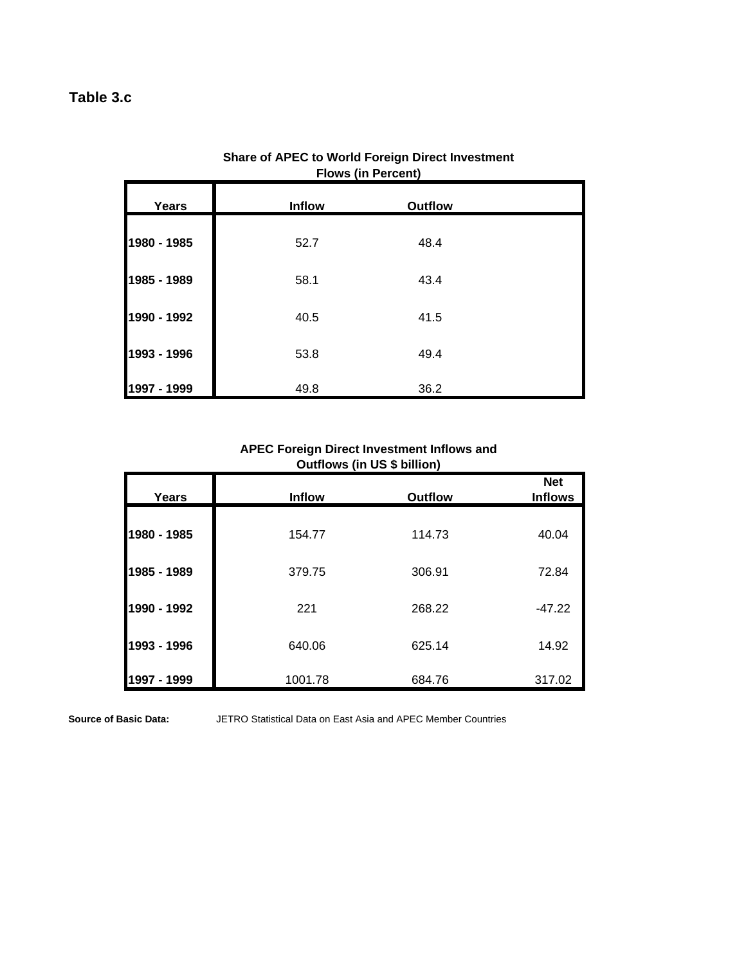# **Table 3.c**

| <b>Years</b> | <b>Inflow</b> | <b>Outflow</b> |  |
|--------------|---------------|----------------|--|
| 1980 - 1985  | 52.7          | 48.4           |  |
| 1985 - 1989  | 58.1          | 43.4           |  |
| 1990 - 1992  | 40.5          | 41.5           |  |
| 1993 - 1996  | 53.8          | 49.4           |  |
| 1997 - 1999  | 49.8          | 36.2           |  |

### **Share of APEC to World Foreign Direct Investment Flows (in Percent)**

### **APEC Foreign Direct Investment Inflows and Outflows (in US \$ billion)**

| Years       | <b>Inflow</b> | <b>Outflow</b> | <b>Net</b><br><b>Inflows</b> |
|-------------|---------------|----------------|------------------------------|
| 1980 - 1985 | 154.77        | 114.73         | 40.04                        |
| 1985 - 1989 | 379.75        | 306.91         | 72.84                        |
| 1990 - 1992 | 221           | 268.22         | $-47.22$                     |
| 1993 - 1996 | 640.06        | 625.14         | 14.92                        |
| 1997 - 1999 | 1001.78       | 684.76         | 317.02                       |

**Source of Basic Data:**

JETRO Statistical Data on East Asia and APEC Member Countries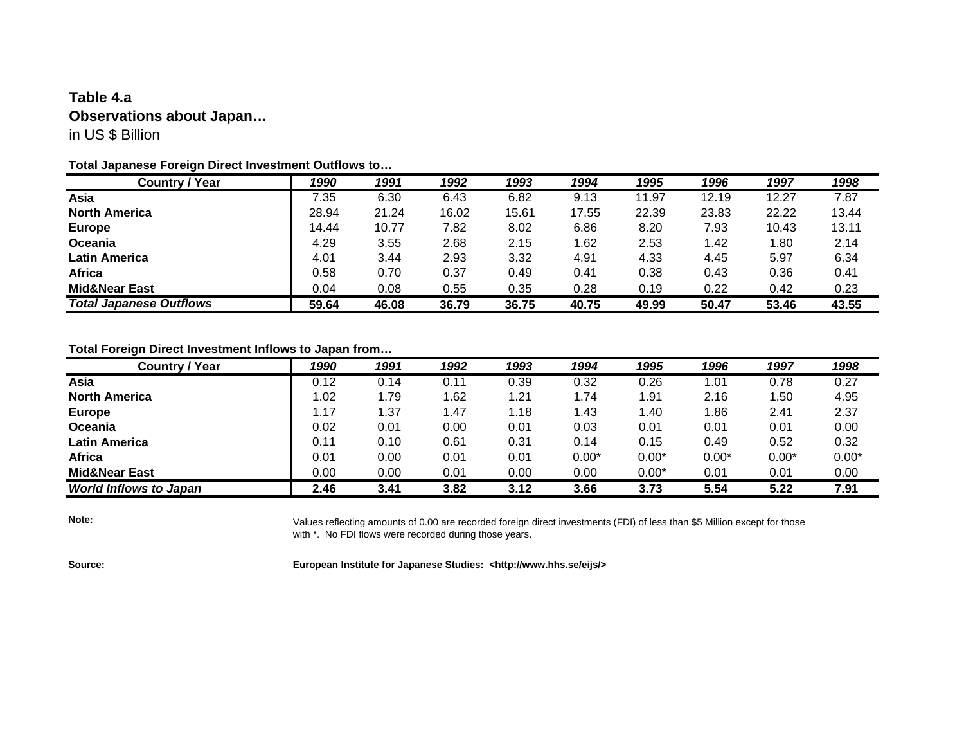## **Table 4.a Observations about Japan…** in US \$ Billion

### **Total Japanese Foreign Direct Investment Outflows to…**

| <b>Country / Year</b>          | 1990  | 1991  | 1992  | 1993  | 1994  | 1995  | 1996  | 1997  | 1998  |
|--------------------------------|-------|-------|-------|-------|-------|-------|-------|-------|-------|
| Asia                           | 7.35  | 6.30  | 6.43  | 6.82  | 9.13  | 11.97 | 12.19 | 12.27 | 7.87  |
| <b>North America</b>           | 28.94 | 21.24 | 16.02 | 15.61 | 17.55 | 22.39 | 23.83 | 22.22 | 13.44 |
| <b>Europe</b>                  | 14.44 | 10.77 | 7.82  | 8.02  | 6.86  | 8.20  | 7.93  | 10.43 | 13.11 |
| Oceania                        | 4.29  | 3.55  | 2.68  | 2.15  | 1.62  | 2.53  | 1.42  | 1.80  | 2.14  |
| <b>Latin America</b>           | 4.01  | 3.44  | 2.93  | 3.32  | 4.91  | 4.33  | 4.45  | 5.97  | 6.34  |
| <b>Africa</b>                  | 0.58  | 0.70  | 0.37  | 0.49  | 0.41  | 0.38  | 0.43  | 0.36  | 0.41  |
| <b>Mid&amp;Near East</b>       | 0.04  | 0.08  | 0.55  | 0.35  | 0.28  | 0.19  | 0.22  | 0.42  | 0.23  |
| <b>Total Japanese Outflows</b> | 59.64 | 46.08 | 36.79 | 36.75 | 40.75 | 49.99 | 50.47 | 53.46 | 43.55 |

### **Total Foreign Direct Investment Inflows to Japan from…**

| <b>Country / Year</b>         | 1990 | 1991 | 1992 | 1993 | 1994    | 1995    | 1996    | 1997    | 1998    |
|-------------------------------|------|------|------|------|---------|---------|---------|---------|---------|
| Asia                          | 0.12 | 0.14 | 0.11 | 0.39 | 0.32    | 0.26    | 1.01    | 0.78    | 0.27    |
| <b>North America</b>          | l.02 | 1.79 | 1.62 | 1.21 | 1.74    | 1.91    | 2.16    | 1.50    | 4.95    |
| <b>Europe</b>                 | .17  | 1.37 | 1.47 | 1.18 | 1.43    | 1.40    | 1.86    | 2.41    | 2.37    |
| Oceania                       | 0.02 | 0.01 | 0.00 | 0.01 | 0.03    | 0.01    | 0.01    | 0.01    | 0.00    |
| <b>Latin America</b>          | 0.11 | 0.10 | 0.61 | 0.31 | 0.14    | 0.15    | 0.49    | 0.52    | 0.32    |
| <b>Africa</b>                 | 0.01 | 0.00 | 0.01 | 0.01 | $0.00*$ | $0.00*$ | $0.00*$ | $0.00*$ | $0.00*$ |
| <b>Mid&amp;Near East</b>      | 0.00 | 0.00 | 0.01 | 0.00 | 0.00    | $0.00*$ | 0.01    | 0.01    | 0.00    |
| <b>World Inflows to Japan</b> | 2.46 | 3.41 | 3.82 | 3.12 | 3.66    | 3.73    | 5.54    | 5.22    | 7.91    |

**Note:**

Values reflecting amounts of 0.00 are recorded foreign direct investments (FDI) of less than \$5 Million except for those with \*. No FDI flows were recorded during those years.

**Source: European Institute for Japanese Studies: <http://www.hhs.se/eijs/>**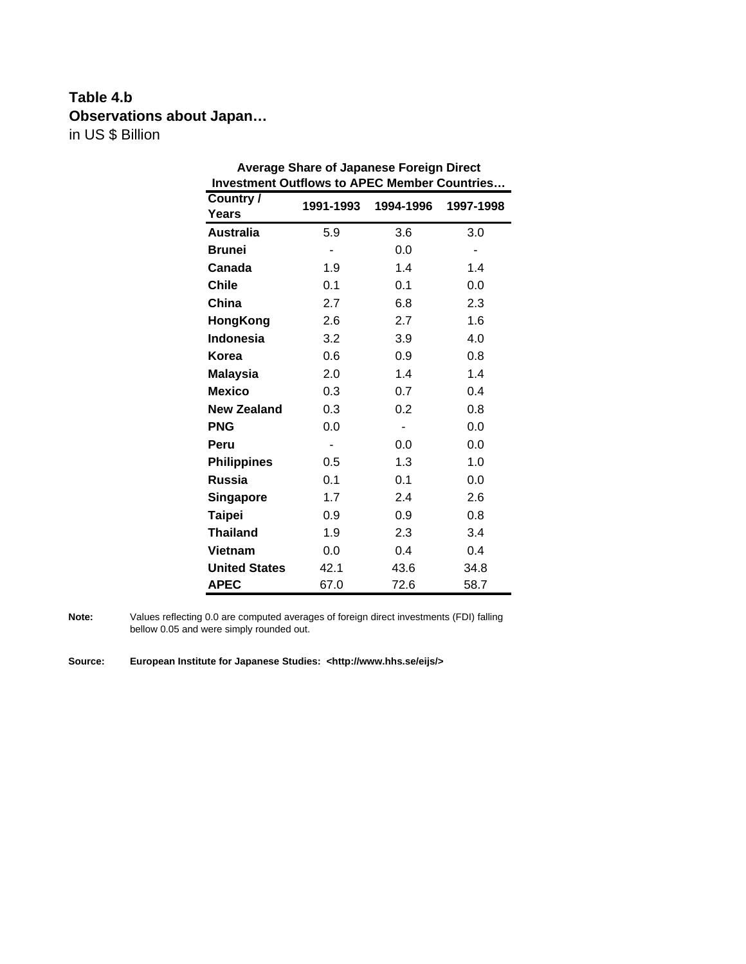# **Table 4.b Observations about Japan…** in US \$ Billion

| <b>Investment Outflows to APEC Member Countries</b> |                |           |                          |
|-----------------------------------------------------|----------------|-----------|--------------------------|
| Country /                                           | 1991-1993      | 1994-1996 | 1997-1998                |
| Years                                               |                |           |                          |
| <b>Australia</b>                                    | 5.9            | 3.6       | 3.0                      |
| <b>Brunei</b>                                       | $\blacksquare$ | 0.0       | $\overline{\phantom{0}}$ |
| Canada                                              | 1.9            | 1.4       | 1.4                      |
| <b>Chile</b>                                        | 0.1            | 0.1       | 0.0                      |
| China                                               | 2.7            | 6.8       | 2.3                      |
| <b>HongKong</b>                                     | 2.6            | 2.7       | 1.6                      |
| <b>Indonesia</b>                                    | 3.2            | 3.9       | 4.0                      |
| Korea                                               | 0.6            | 0.9       | 0.8                      |
| <b>Malaysia</b>                                     | 2.0            | 1.4       | 1.4                      |
| <b>Mexico</b>                                       | 0.3            | 0.7       | 0.4                      |
| <b>New Zealand</b>                                  | 0.3            | 0.2       | 0.8                      |
| <b>PNG</b>                                          | 0.0            |           | 0.0                      |
| Peru                                                |                | 0.0       | 0.0                      |
| <b>Philippines</b>                                  | 0.5            | 1.3       | 1.0                      |
| <b>Russia</b>                                       | 0.1            | 0.1       | 0.0                      |
| <b>Singapore</b>                                    | 1.7            | 2.4       | 2.6                      |
| <b>Taipei</b>                                       | 0.9            | 0.9       | 0.8                      |
| <b>Thailand</b>                                     | 1.9            | 2.3       | 3.4                      |
| <b>Vietnam</b>                                      | 0.0            | 0.4       | 0.4                      |
| <b>United States</b>                                | 42.1           | 43.6      | 34.8                     |
| <b>APEC</b>                                         | 67.0           | 72.6      | 58.7                     |

**Average Share of Japanese Foreign Direct** 

**Note:** Values reflecting 0.0 are computed averages of foreign direct investments (FDI) falling bellow 0.05 and were simply rounded out.

**Source: European Institute for Japanese Studies: <http://www.hhs.se/eijs/>**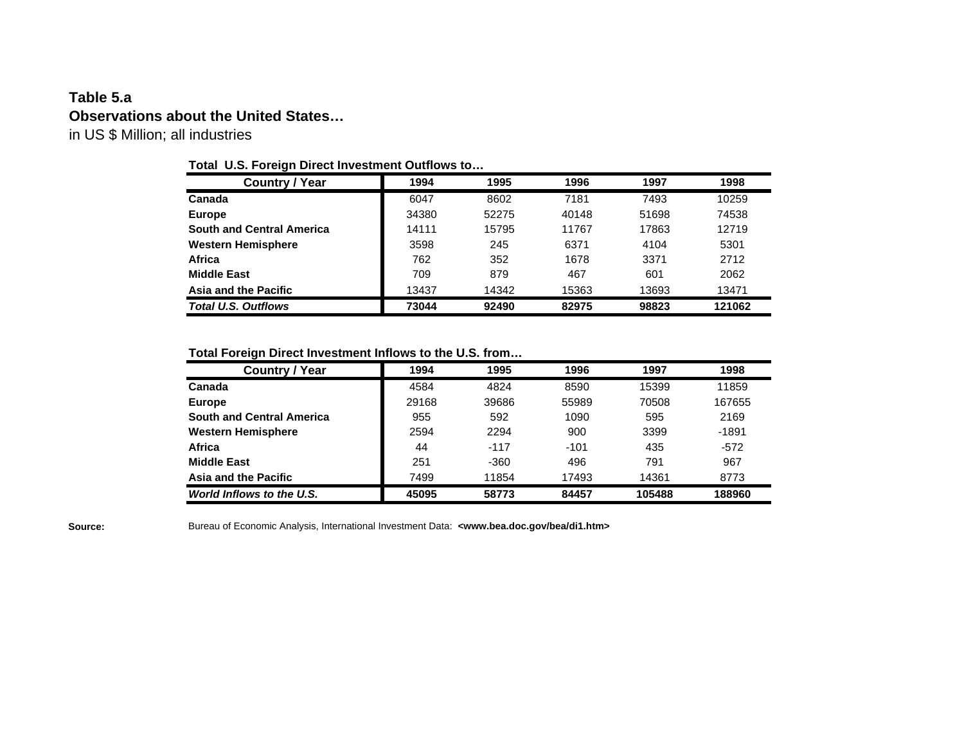## **Table 5.a Observations about the United States…** in US \$ Million; all industries

### **Total U.S. Foreign Direct Investment Outflows to…**

| <b>Country / Year</b>            | 1994  | 1995  | 1996  | 1997  | 1998   |
|----------------------------------|-------|-------|-------|-------|--------|
| Canada                           | 6047  | 8602  | 7181  | 7493  | 10259  |
| <b>Europe</b>                    | 34380 | 52275 | 40148 | 51698 | 74538  |
| <b>South and Central America</b> | 14111 | 15795 | 11767 | 17863 | 12719  |
| <b>Western Hemisphere</b>        | 3598  | 245   | 6371  | 4104  | 5301   |
| Africa                           | 762   | 352   | 1678  | 3371  | 2712   |
| <b>Middle East</b>               | 709   | 879   | 467   | 601   | 2062   |
| Asia and the Pacific             | 13437 | 14342 | 15363 | 13693 | 13471  |
| <b>Total U.S. Outflows</b>       | 73044 | 92490 | 82975 | 98823 | 121062 |

**Total Foreign Direct Investment Inflows to the U.S. from…**

| <b>Country / Year</b>            | 1994  | 1995   | 1996   | 1997   | 1998   |
|----------------------------------|-------|--------|--------|--------|--------|
| Canada                           | 4584  | 4824   | 8590   | 15399  | 11859  |
| Europe                           | 29168 | 39686  | 55989  | 70508  | 167655 |
| <b>South and Central America</b> | 955   | 592    | 1090   | 595    | 2169   |
| <b>Western Hemisphere</b>        | 2594  | 2294   | 900    | 3399   | -1891  |
| Africa                           | 44    | $-117$ | $-101$ | 435    | $-572$ |
| <b>Middle East</b>               | 251   | $-360$ | 496    | 791    | 967    |
| Asia and the Pacific             | 7499  | 11854  | 17493  | 14361  | 8773   |
| World Inflows to the U.S.        | 45095 | 58773  | 84457  | 105488 | 188960 |

**Source:** Bureau of Economic Analysis, International Investment Data: **<www.bea.doc.gov/bea/di1.htm>**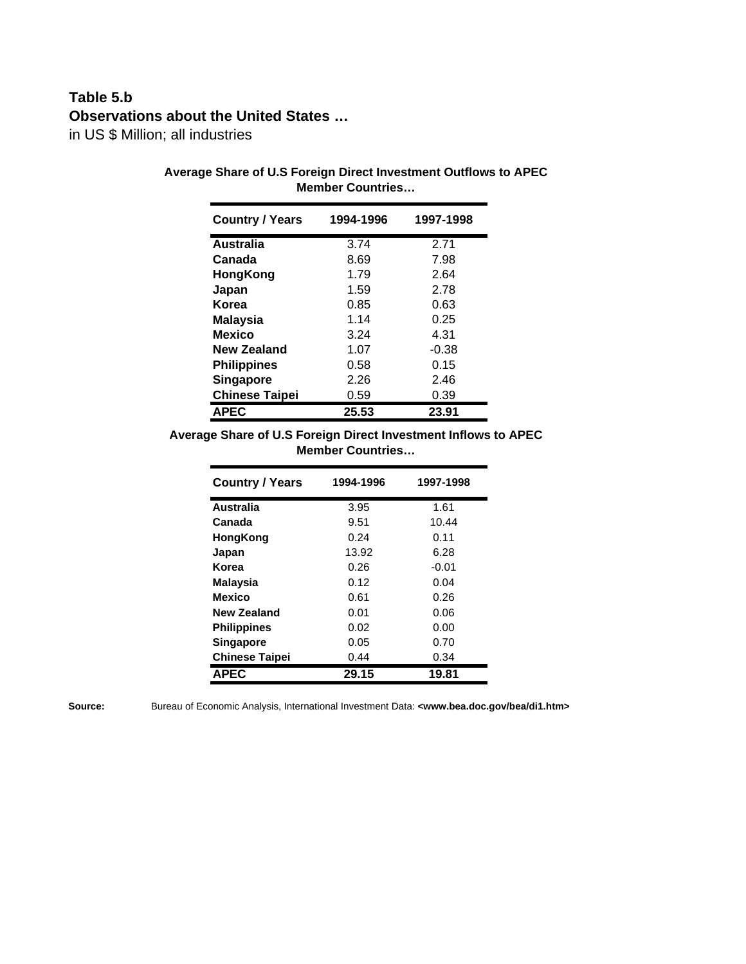# **Table 5.b Observations about the United States …**

in US \$ Million; all industries

| <b>Country / Years</b> | 1994-1996 | 1997-1998 |
|------------------------|-----------|-----------|
| <b>Australia</b>       | 3.74      | 2.71      |
| Canada                 | 8.69      | 7.98      |
| HongKong               | 1.79      | 2.64      |
| Japan                  | 1.59      | 2.78      |
| Korea                  | 0.85      | 0.63      |
| <b>Malaysia</b>        | 1.14      | 0.25      |
| <b>Mexico</b>          | 3.24      | 4.31      |
| <b>New Zealand</b>     | 1.07      | $-0.38$   |
| <b>Philippines</b>     | 0.58      | 0.15      |
| <b>Singapore</b>       | 2.26      | 2.46      |
| <b>Chinese Taipei</b>  | 0.59      | 0.39      |
| <b>APEC</b>            | 25.53     | 23.91     |

### **Average Share of U.S Foreign Direct Investment Outflows to APEC Member Countries…**

**Average Share of U.S Foreign Direct Investment Inflows to APEC Member Countries…**

| <b>Country / Years</b> | 1994-1996 | 1997-1998 |
|------------------------|-----------|-----------|
| Australia              | 3.95      | 1.61      |
| Canada                 | 9.51      | 10.44     |
| HongKong               | 0.24      | 0.11      |
| Japan                  | 13.92     | 6.28      |
| Korea                  | 0.26      | $-0.01$   |
| Malaysia               | 0.12      | 0.04      |
| <b>Mexico</b>          | 0.61      | 0.26      |
| New Zealand            | 0.01      | 0.06      |
| <b>Philippines</b>     | 0.02      | 0.00      |
| Singapore              | 0.05      | 0.70      |
| <b>Chinese Taipei</b>  | 0.44      | 0.34      |
| <b>APEC</b>            | 29.15     | 19.81     |

**Source:** Bureau of Economic Analysis, International Investment Data: **<www.bea.doc.gov/bea/di1.htm>**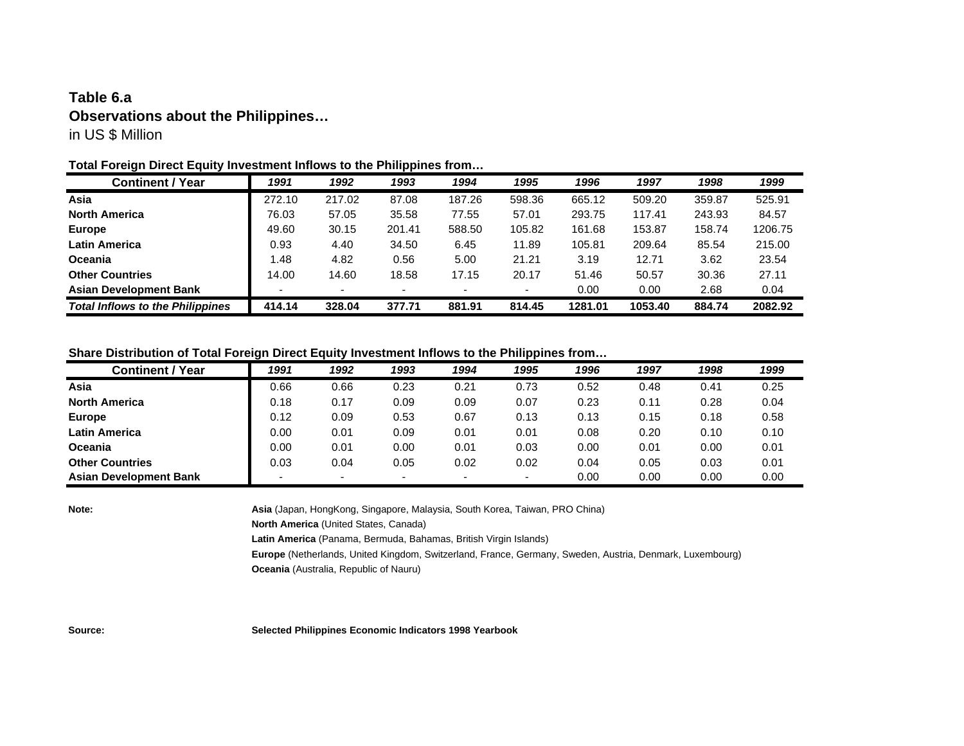## **Table 6.a Observations about the Philippines…** in US \$ Million

#### **Total Foreign Direct Equity Investment Inflows to the Philippines from…**

| <b>Continent / Year</b>                 | 1991   | 1992   | 1993   | 1994                     | 1995   | 1996    | 1997    | 1998   | 1999    |
|-----------------------------------------|--------|--------|--------|--------------------------|--------|---------|---------|--------|---------|
| Asia                                    | 272.10 | 217.02 | 87.08  | 187.26                   | 598.36 | 665.12  | 509.20  | 359.87 | 525.91  |
| <b>North America</b>                    | 76.03  | 57.05  | 35.58  | 77.55                    | 57.01  | 293.75  | 117.41  | 243.93 | 84.57   |
| <b>Europe</b>                           | 49.60  | 30.15  | 201.41 | 588.50                   | 105.82 | 161.68  | 153.87  | 158.74 | 1206.75 |
| <b>Latin America</b>                    | 0.93   | 4.40   | 34.50  | 6.45                     | 11.89  | 105.81  | 209.64  | 85.54  | 215.00  |
| <b>Oceania</b>                          | 1.48   | 4.82   | 0.56   | 5.00                     | 21.21  | 3.19    | 12.71   | 3.62   | 23.54   |
| <b>Other Countries</b>                  | 14.00  | 14.60  | 18.58  | 17.15                    | 20.17  | 51.46   | 50.57   | 30.36  | 27.11   |
| <b>Asian Development Bank</b>           |        |        | -      | $\overline{\phantom{0}}$ |        | 0.00    | 0.00    | 2.68   | 0.04    |
| <b>Total Inflows to the Philippines</b> | 414.14 | 328.04 | 377.71 | 881.91                   | 814.45 | 1281.01 | 1053.40 | 884.74 | 2082.92 |

#### **Share Distribution of Total Foreign Direct Equity Investment Inflows to the Philippines from…**

| <b>Continent / Year</b>       | 1991 | 1992 | 1993                     | 1994 | 1995 | 1996 | 1997 | 1998 | 1999 |
|-------------------------------|------|------|--------------------------|------|------|------|------|------|------|
| Asia                          | 0.66 | 0.66 | 0.23                     | 0.21 | 0.73 | 0.52 | 0.48 | 0.41 | 0.25 |
| <b>North America</b>          | 0.18 | 0.17 | 0.09                     | 0.09 | 0.07 | 0.23 | 0.11 | 0.28 | 0.04 |
| <b>Europe</b>                 | 0.12 | 0.09 | 0.53                     | 0.67 | 0.13 | 0.13 | 0.15 | 0.18 | 0.58 |
| <b>Latin America</b>          | 0.00 | 0.01 | 0.09                     | 0.01 | 0.01 | 0.08 | 0.20 | 0.10 | 0.10 |
| Oceania                       | 0.00 | 0.01 | 0.00                     | 0.01 | 0.03 | 0.00 | 0.01 | 0.00 | 0.01 |
| <b>Other Countries</b>        | 0.03 | 0.04 | 0.05                     | 0.02 | 0.02 | 0.04 | 0.05 | 0.03 | 0.01 |
| <b>Asian Development Bank</b> |      |      | $\overline{\phantom{0}}$ |      |      | 0.00 | 0.00 | 0.00 | 0.00 |

**Note: Asia** (Japan, HongKong, Singapore, Malaysia, South Korea, Taiwan, PRO China)

**North America** (United States, Canada)

**Latin America** (Panama, Bermuda, Bahamas, British Virgin Islands)

**Europe** (Netherlands, United Kingdom, Switzerland, France, Germany, Sweden, Austria, Denmark, Luxembourg) **Oceania** (Australia, Republic of Nauru)

**Source: Selected Philippines Economic Indicators 1998 Yearbook**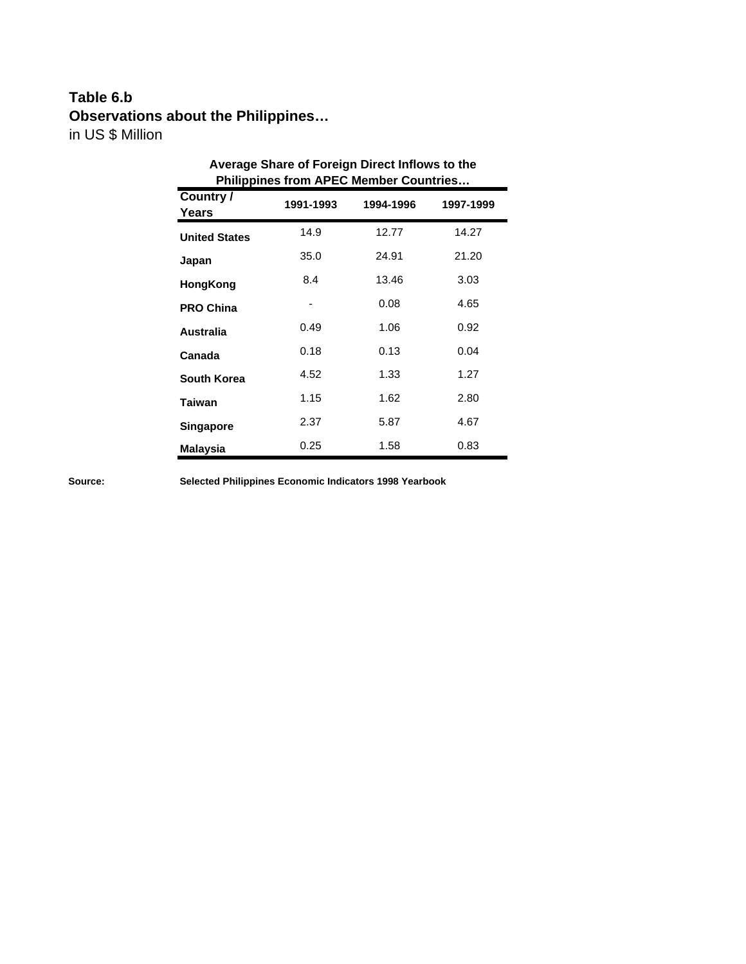# **Table 6.b Observations about the Philippines…** in US \$ Million

| Average Share of Foreign Direct Inflows to the<br><b>Philippines from APEC Member Countries</b> |           |           |           |  |  |  |  |  |
|-------------------------------------------------------------------------------------------------|-----------|-----------|-----------|--|--|--|--|--|
| Country /<br>Years                                                                              | 1991-1993 | 1994-1996 | 1997-1999 |  |  |  |  |  |
| <b>United States</b>                                                                            | 14.9      | 12.77     | 14.27     |  |  |  |  |  |
| Japan                                                                                           | 35.0      | 24.91     | 21.20     |  |  |  |  |  |
| HongKong                                                                                        | 8.4       | 13.46     | 3.03      |  |  |  |  |  |
| <b>PRO China</b>                                                                                |           | 0.08      | 4.65      |  |  |  |  |  |
| Australia                                                                                       | 0.49      | 1.06      | 0.92      |  |  |  |  |  |
| Canada                                                                                          | 0.18      | 0.13      | 0.04      |  |  |  |  |  |
| South Korea                                                                                     | 4.52      | 1.33      | 1.27      |  |  |  |  |  |
| <b>Taiwan</b>                                                                                   | 1.15      | 1.62      | 2.80      |  |  |  |  |  |
| <b>Singapore</b>                                                                                | 2.37      | 5.87      | 4.67      |  |  |  |  |  |
| <b>Malaysia</b>                                                                                 | 0.25      | 1.58      | 0.83      |  |  |  |  |  |

**Source: Selected Philippines Economic Indicators 1998 Yearbook**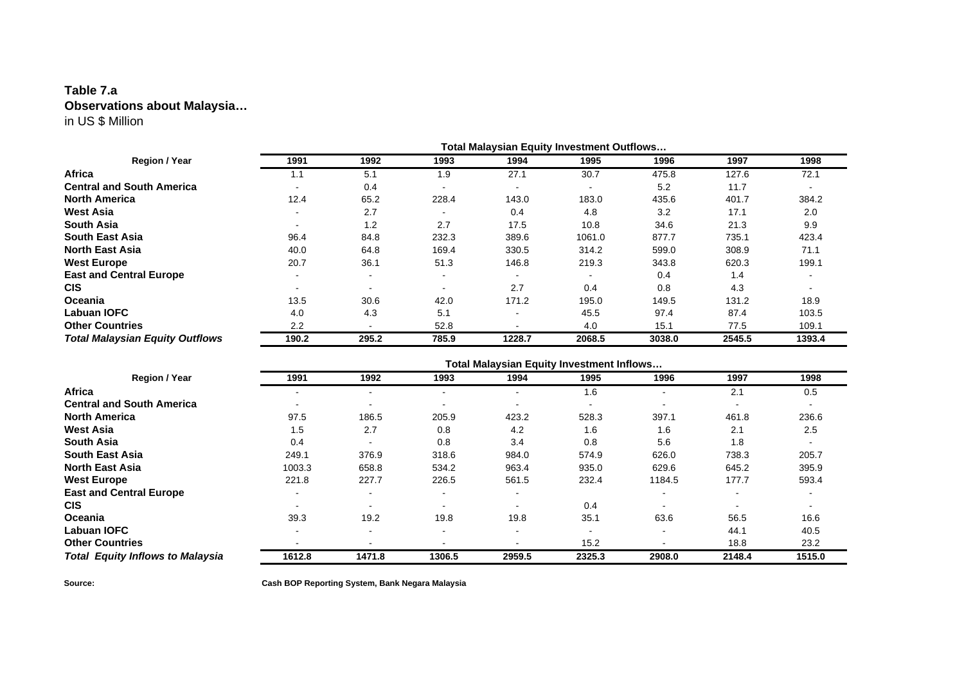### **Table 7.a Observations about Malaysia…** in US \$ Million

|                                        |       |       |                |                          | <b>Total Malaysian Equity Investment Outflows</b> |        |        |        |
|----------------------------------------|-------|-------|----------------|--------------------------|---------------------------------------------------|--------|--------|--------|
| Region / Year                          | 1991  | 1992  | 1993           | 1994                     | 1995                                              | 1996   | 1997   | 1998   |
| Africa                                 | 1.1   | 5.1   | 1.9            | 27.1                     | 30.7                                              | 475.8  | 127.6  | 72.1   |
| <b>Central and South America</b>       |       | 0.4   | $\blacksquare$ | $\overline{\phantom{a}}$ | $\overline{\phantom{a}}$                          | 5.2    | 11.7   |        |
| <b>North America</b>                   | 12.4  | 65.2  | 228.4          | 143.0                    | 183.0                                             | 435.6  | 401.7  | 384.2  |
| <b>West Asia</b>                       |       | 2.7   |                | 0.4                      | 4.8                                               | 3.2    | 17.1   | 2.0    |
| <b>South Asia</b>                      |       | 1.2   | 2.7            | 17.5                     | 10.8                                              | 34.6   | 21.3   | 9.9    |
| <b>South East Asia</b>                 | 96.4  | 84.8  | 232.3          | 389.6                    | 1061.0                                            | 877.7  | 735.1  | 423.4  |
| <b>North East Asia</b>                 | 40.0  | 64.8  | 169.4          | 330.5                    | 314.2                                             | 599.0  | 308.9  | 71.1   |
| <b>West Europe</b>                     | 20.7  | 36.1  | 51.3           | 146.8                    | 219.3                                             | 343.8  | 620.3  | 199.1  |
| <b>East and Central Europe</b>         |       |       | $\blacksquare$ |                          |                                                   | 0.4    | 1.4    |        |
| <b>CIS</b>                             |       |       | ۰              | 2.7                      | 0.4                                               | 0.8    | 4.3    |        |
| <b>Oceania</b>                         | 13.5  | 30.6  | 42.0           | 171.2                    | 195.0                                             | 149.5  | 131.2  | 18.9   |
| <b>Labuan IOFC</b>                     | 4.0   | 4.3   | 5.1            | $\overline{\phantom{0}}$ | 45.5                                              | 97.4   | 87.4   | 103.5  |
| <b>Other Countries</b>                 | 2.2   |       | 52.8           | $\overline{\phantom{0}}$ | 4.0                                               | 15.1   | 77.5   | 109.1  |
| <b>Total Malaysian Equity Outflows</b> | 190.2 | 295.2 | 785.9          | 1228.7                   | 2068.5                                            | 3038.0 | 2545.5 | 1393.4 |

|                                         | <b>Total Malaysian Equity Investment Inflows</b> |                          |                          |                          |                          |                          |                          |                          |
|-----------------------------------------|--------------------------------------------------|--------------------------|--------------------------|--------------------------|--------------------------|--------------------------|--------------------------|--------------------------|
| Region / Year                           | 1991                                             | 1992                     | 1993                     | 1994                     | 1995                     | 1996                     | 1997                     | 1998                     |
| Africa                                  |                                                  |                          |                          |                          | 1.6                      |                          | 2.1                      | 0.5                      |
| <b>Central and South America</b>        | $\overline{\phantom{0}}$                         | $\overline{\phantom{0}}$ | $\overline{\phantom{0}}$ | -                        | $\overline{\phantom{0}}$ | $\overline{\phantom{0}}$ | $\overline{\phantom{0}}$ | $\overline{\phantom{0}}$ |
| <b>North America</b>                    | 97.5                                             | 186.5                    | 205.9                    | 423.2                    | 528.3                    | 397.1                    | 461.8                    | 236.6                    |
| <b>West Asia</b>                        | 1.5                                              | 2.7                      | 0.8                      | 4.2                      | 1.6                      | 1.6                      | 2.1                      | 2.5                      |
| <b>South Asia</b>                       | 0.4                                              |                          | 0.8                      | 3.4                      | 0.8                      | 5.6                      | 1.8                      |                          |
| <b>South East Asia</b>                  | 249.1                                            | 376.9                    | 318.6                    | 984.0                    | 574.9                    | 626.0                    | 738.3                    | 205.7                    |
| <b>North East Asia</b>                  | 1003.3                                           | 658.8                    | 534.2                    | 963.4                    | 935.0                    | 629.6                    | 645.2                    | 395.9                    |
| <b>West Europe</b>                      | 221.8                                            | 227.7                    | 226.5                    | 561.5                    | 232.4                    | 1184.5                   | 177.7                    | 593.4                    |
| <b>East and Central Europe</b>          | $\blacksquare$                                   | $\sim$                   | $\blacksquare$           | $\overline{\phantom{0}}$ |                          |                          | $\overline{\phantom{a}}$ |                          |
| <b>CIS</b>                              | $\overline{\phantom{0}}$                         | $\sim$                   | $\blacksquare$           |                          | 0.4                      |                          | $\overline{\phantom{a}}$ |                          |
| Oceania                                 | 39.3                                             | 19.2                     | 19.8                     | 19.8                     | 35.1                     | 63.6                     | 56.5                     | 16.6                     |
| <b>Labuan IOFC</b>                      |                                                  |                          |                          |                          |                          |                          | 44.1                     | 40.5                     |
| <b>Other Countries</b>                  |                                                  |                          |                          |                          | 15.2                     |                          | 18.8                     | 23.2                     |
| <b>Total Equity Inflows to Malaysia</b> | 1612.8                                           | 1471.8                   | 1306.5                   | 2959.5                   | 2325.3                   | 2908.0                   | 2148.4                   | 1515.0                   |

**Source: Cash BOP Reporting System, Bank Negara Malaysia**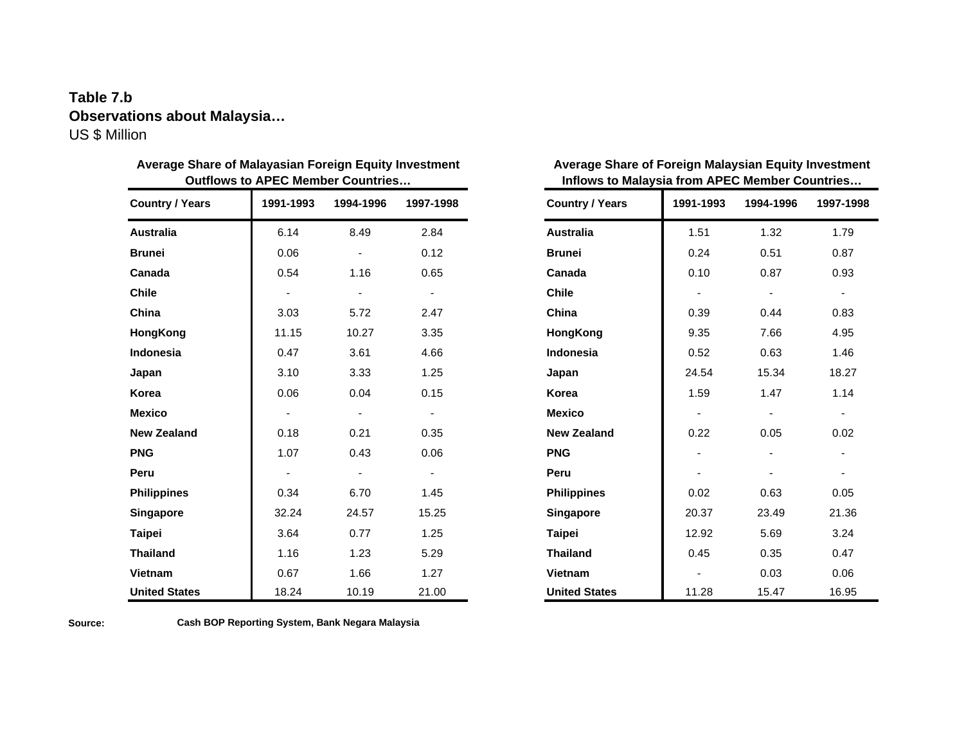# **Table 7.b Observations about Malaysia…** US \$ Million

| <b>Outflows to APEC Member Countries</b> |                          |                                                  |                          | Inflows to Malaysia from APEC Member Countries |                          |                |                |  |  |
|------------------------------------------|--------------------------|--------------------------------------------------|--------------------------|------------------------------------------------|--------------------------|----------------|----------------|--|--|
| <b>Country / Years</b>                   | 1991-1993                | <b>Country / Years</b><br>1994-1996<br>1997-1998 |                          | 1991-1993                                      | 1994-1996                | 1997-1998      |                |  |  |
| Australia                                | 6.14                     | 8.49                                             | 2.84                     | <b>Australia</b>                               | 1.51                     | 1.32           | 1.79           |  |  |
| <b>Brunei</b>                            | 0.06                     |                                                  | 0.12                     | <b>Brunei</b>                                  | 0.24                     | 0.51           | 0.87           |  |  |
| Canada                                   | 0.54                     | 1.16                                             | 0.65                     | Canada                                         | 0.10                     | 0.87           | 0.93           |  |  |
| <b>Chile</b>                             | $\blacksquare$           | $\blacksquare$                                   | $\overline{\phantom{a}}$ | <b>Chile</b>                                   | $\overline{\phantom{a}}$ | $\blacksquare$ | $\blacksquare$ |  |  |
| China                                    | 3.03                     | 5.72                                             | 2.47                     | China                                          | 0.39                     | 0.44           | 0.83           |  |  |
| HongKong                                 | 11.15                    | 10.27                                            | 3.35                     | HongKong                                       | 9.35                     | 7.66           | 4.95           |  |  |
| Indonesia                                | 0.47                     | 3.61                                             | 4.66                     | <b>Indonesia</b>                               | 0.52                     | 0.63           | 1.46           |  |  |
| Japan                                    | 3.10                     | 3.33                                             | 1.25                     | Japan                                          | 24.54                    | 15.34          | 18.27          |  |  |
| Korea                                    | 0.06                     | 0.04                                             | 0.15                     | Korea                                          | 1.59                     | 1.47           | 1.14           |  |  |
| <b>Mexico</b>                            | $\blacksquare$           |                                                  | $\blacksquare$           | <b>Mexico</b>                                  |                          |                |                |  |  |
| <b>New Zealand</b>                       | 0.18                     | 0.21                                             | 0.35                     | <b>New Zealand</b>                             | 0.22                     | 0.05           | 0.02           |  |  |
| <b>PNG</b>                               | 1.07                     | 0.43                                             | 0.06                     | <b>PNG</b>                                     |                          |                |                |  |  |
| Peru                                     | $\overline{\phantom{a}}$ |                                                  | $\blacksquare$           | Peru                                           |                          |                |                |  |  |
| <b>Philippines</b>                       | 0.34                     | 6.70                                             | 1.45                     | <b>Philippines</b>                             | 0.02                     | 0.63           | 0.05           |  |  |
| <b>Singapore</b>                         | 32.24                    | 24.57                                            | 15.25                    | Singapore                                      | 20.37                    | 23.49          | 21.36          |  |  |
| <b>Taipei</b>                            | 3.64                     | 0.77                                             | 1.25                     | <b>Taipei</b>                                  | 12.92                    | 5.69           | 3.24           |  |  |
| <b>Thailand</b>                          | 1.16                     | 1.23                                             | 5.29                     | <b>Thailand</b>                                | 0.45                     | 0.35           | 0.47           |  |  |
| Vietnam                                  | 0.67                     | 1.66                                             | 1.27                     | Vietnam                                        |                          | 0.03           | 0.06           |  |  |
| <b>United States</b>                     | 18.24                    | 10.19                                            | 21.00                    | <b>United States</b>                           | 11.28                    | 15.47          | 16.95          |  |  |

| Average Share of Malayasian Foreign Equity Investment |  |
|-------------------------------------------------------|--|
| <b>Outflows to APEC Member Countries</b>              |  |

| Average Share of Foreign Malaysian Equity Investment |  |  |  |  |  |  |  |
|------------------------------------------------------|--|--|--|--|--|--|--|
| Inflows to Malaysia from APEC Member Countries       |  |  |  |  |  |  |  |
|                                                      |  |  |  |  |  |  |  |

| <b>Country / Years</b> | 1991-1993 | 1994-1996 | 1997-1998 |  |
|------------------------|-----------|-----------|-----------|--|
| <b>Australia</b>       | 1.51      | 1.32      | 1.79      |  |
| <b>Brunei</b>          | 0.24      | 0.51      | 0.87      |  |
| Canada                 | 0.10      | 0.87      | 0.93      |  |
| <b>Chile</b>           |           |           |           |  |
| China                  | 0.39      | 0.44      | 0.83      |  |
| HongKong               | 9.35      | 7.66      | 4.95      |  |
| <b>Indonesia</b>       | 0.52      | 0.63      | 1.46      |  |
| Japan                  | 24.54     | 15.34     | 18.27     |  |
| Korea                  | 1.59      | 1.47      | 1.14      |  |
| <b>Mexico</b>          |           |           |           |  |
| <b>New Zealand</b>     | 0.22      | 0.05      | 0.02      |  |
| <b>PNG</b>             |           |           |           |  |
| Peru                   |           |           |           |  |
| <b>Philippines</b>     | 0.02      | 0.63      | 0.05      |  |
| <b>Singapore</b>       | 20.37     | 23.49     | 21.36     |  |
| <b>Taipei</b>          | 12.92     | 5.69      | 3.24      |  |
| <b>Thailand</b>        | 0.45      | 0.35      | 0.47      |  |
| <b>Vietnam</b>         |           | 0.03      | 0.06      |  |
| <b>United States</b>   | 11.28     | 15.47     | 16.95     |  |

**Source: Cash BOP Reporting System, Bank Negara Malaysia**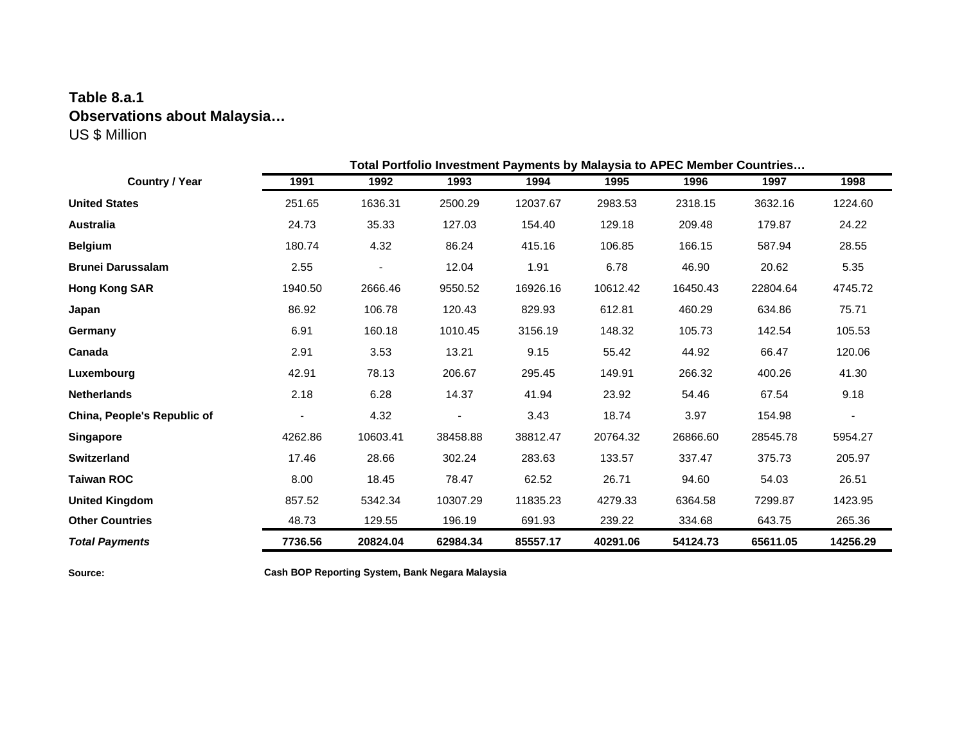# **Table 8.a.1 Observations about Malaysia…** US \$ Million

|                             | Total Portfolio Investment Payments by Malaysia to APEC Member Countries |          |          |          |          |          |          |          |
|-----------------------------|--------------------------------------------------------------------------|----------|----------|----------|----------|----------|----------|----------|
| <b>Country / Year</b>       | 1991                                                                     | 1992     | 1993     | 1994     | 1995     | 1996     | 1997     | 1998     |
| <b>United States</b>        | 251.65                                                                   | 1636.31  | 2500.29  | 12037.67 | 2983.53  | 2318.15  | 3632.16  | 1224.60  |
| Australia                   | 24.73                                                                    | 35.33    | 127.03   | 154.40   | 129.18   | 209.48   | 179.87   | 24.22    |
| <b>Belgium</b>              | 180.74                                                                   | 4.32     | 86.24    | 415.16   | 106.85   | 166.15   | 587.94   | 28.55    |
| <b>Brunei Darussalam</b>    | 2.55                                                                     |          | 12.04    | 1.91     | 6.78     | 46.90    | 20.62    | 5.35     |
| <b>Hong Kong SAR</b>        | 1940.50                                                                  | 2666.46  | 9550.52  | 16926.16 | 10612.42 | 16450.43 | 22804.64 | 4745.72  |
| Japan                       | 86.92                                                                    | 106.78   | 120.43   | 829.93   | 612.81   | 460.29   | 634.86   | 75.71    |
| Germany                     | 6.91                                                                     | 160.18   | 1010.45  | 3156.19  | 148.32   | 105.73   | 142.54   | 105.53   |
| Canada                      | 2.91                                                                     | 3.53     | 13.21    | 9.15     | 55.42    | 44.92    | 66.47    | 120.06   |
| Luxembourg                  | 42.91                                                                    | 78.13    | 206.67   | 295.45   | 149.91   | 266.32   | 400.26   | 41.30    |
| <b>Netherlands</b>          | 2.18                                                                     | 6.28     | 14.37    | 41.94    | 23.92    | 54.46    | 67.54    | 9.18     |
| China, People's Republic of |                                                                          | 4.32     |          | 3.43     | 18.74    | 3.97     | 154.98   |          |
| <b>Singapore</b>            | 4262.86                                                                  | 10603.41 | 38458.88 | 38812.47 | 20764.32 | 26866.60 | 28545.78 | 5954.27  |
| <b>Switzerland</b>          | 17.46                                                                    | 28.66    | 302.24   | 283.63   | 133.57   | 337.47   | 375.73   | 205.97   |
| <b>Taiwan ROC</b>           | 8.00                                                                     | 18.45    | 78.47    | 62.52    | 26.71    | 94.60    | 54.03    | 26.51    |
| <b>United Kingdom</b>       | 857.52                                                                   | 5342.34  | 10307.29 | 11835.23 | 4279.33  | 6364.58  | 7299.87  | 1423.95  |
| <b>Other Countries</b>      | 48.73                                                                    | 129.55   | 196.19   | 691.93   | 239.22   | 334.68   | 643.75   | 265.36   |
| <b>Total Payments</b>       | 7736.56                                                                  | 20824.04 | 62984.34 | 85557.17 | 40291.06 | 54124.73 | 65611.05 | 14256.29 |

**Source: Cash BOP Reporting System, Bank Negara Malaysia**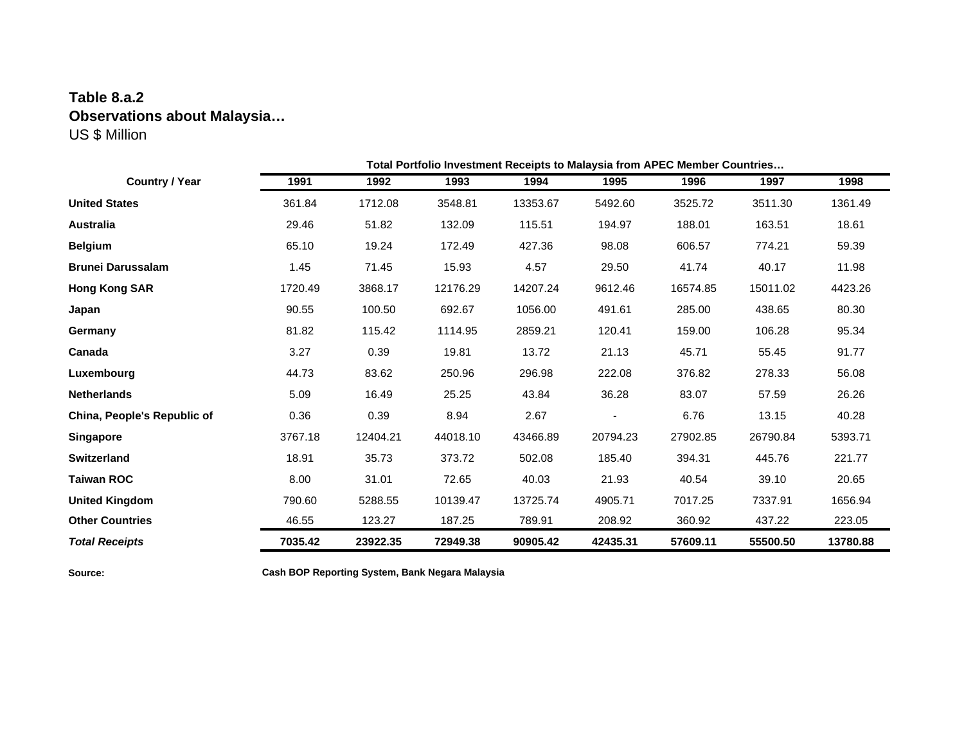## **Table 8.a.2 Observations about Malaysia…** US \$ Million

|                             | Total Portfolio Investment Receipts to Malaysia from APEC Member Countries |          |          |          |          |          |          |          |
|-----------------------------|----------------------------------------------------------------------------|----------|----------|----------|----------|----------|----------|----------|
| <b>Country / Year</b>       | 1991                                                                       | 1992     | 1993     | 1994     | 1995     | 1996     | 1997     | 1998     |
| <b>United States</b>        | 361.84                                                                     | 1712.08  | 3548.81  | 13353.67 | 5492.60  | 3525.72  | 3511.30  | 1361.49  |
| Australia                   | 29.46                                                                      | 51.82    | 132.09   | 115.51   | 194.97   | 188.01   | 163.51   | 18.61    |
| <b>Belgium</b>              | 65.10                                                                      | 19.24    | 172.49   | 427.36   | 98.08    | 606.57   | 774.21   | 59.39    |
| <b>Brunei Darussalam</b>    | 1.45                                                                       | 71.45    | 15.93    | 4.57     | 29.50    | 41.74    | 40.17    | 11.98    |
| <b>Hong Kong SAR</b>        | 1720.49                                                                    | 3868.17  | 12176.29 | 14207.24 | 9612.46  | 16574.85 | 15011.02 | 4423.26  |
| Japan                       | 90.55                                                                      | 100.50   | 692.67   | 1056.00  | 491.61   | 285.00   | 438.65   | 80.30    |
| Germany                     | 81.82                                                                      | 115.42   | 1114.95  | 2859.21  | 120.41   | 159.00   | 106.28   | 95.34    |
| Canada                      | 3.27                                                                       | 0.39     | 19.81    | 13.72    | 21.13    | 45.71    | 55.45    | 91.77    |
| Luxembourg                  | 44.73                                                                      | 83.62    | 250.96   | 296.98   | 222.08   | 376.82   | 278.33   | 56.08    |
| <b>Netherlands</b>          | 5.09                                                                       | 16.49    | 25.25    | 43.84    | 36.28    | 83.07    | 57.59    | 26.26    |
| China, People's Republic of | 0.36                                                                       | 0.39     | 8.94     | 2.67     |          | 6.76     | 13.15    | 40.28    |
| <b>Singapore</b>            | 3767.18                                                                    | 12404.21 | 44018.10 | 43466.89 | 20794.23 | 27902.85 | 26790.84 | 5393.71  |
| <b>Switzerland</b>          | 18.91                                                                      | 35.73    | 373.72   | 502.08   | 185.40   | 394.31   | 445.76   | 221.77   |
| <b>Taiwan ROC</b>           | 8.00                                                                       | 31.01    | 72.65    | 40.03    | 21.93    | 40.54    | 39.10    | 20.65    |
| <b>United Kingdom</b>       | 790.60                                                                     | 5288.55  | 10139.47 | 13725.74 | 4905.71  | 7017.25  | 7337.91  | 1656.94  |
| <b>Other Countries</b>      | 46.55                                                                      | 123.27   | 187.25   | 789.91   | 208.92   | 360.92   | 437.22   | 223.05   |
| <b>Total Receipts</b>       | 7035.42                                                                    | 23922.35 | 72949.38 | 90905.42 | 42435.31 | 57609.11 | 55500.50 | 13780.88 |

**Source: Cash BOP Reporting System, Bank Negara Malaysia**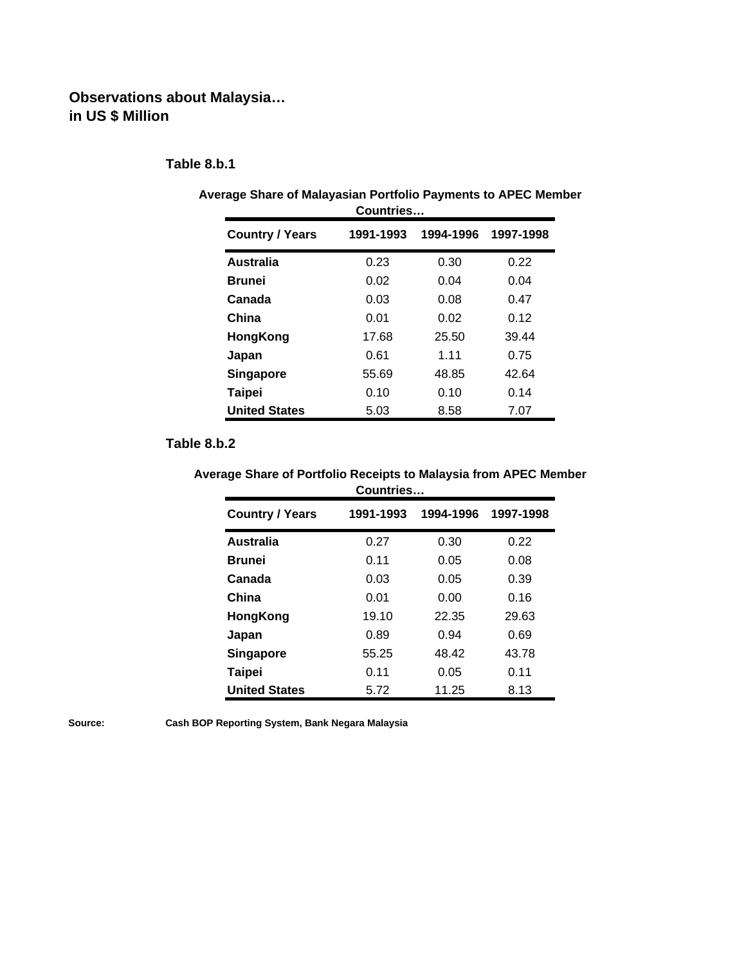## **Observations about Malaysia… in US \$ Million**

### **Table 8.b.1**

| 00011111 <del>0</del> 3 |           |           |           |  |  |  |  |
|-------------------------|-----------|-----------|-----------|--|--|--|--|
| <b>Country / Years</b>  | 1991-1993 | 1994-1996 | 1997-1998 |  |  |  |  |
| <b>Australia</b>        | 0.23      | 0.30      | 0.22      |  |  |  |  |
| <b>Brunei</b>           | 0.02      | 0.04      | 0.04      |  |  |  |  |
| Canada                  | 0.03      | 0.08      | 0.47      |  |  |  |  |
| China                   | 0.01      | 0.02      | 0.12      |  |  |  |  |
| HongKong                | 17.68     | 25.50     | 39.44     |  |  |  |  |
| Japan                   | 0.61      | 1.11      | 0.75      |  |  |  |  |
| Singapore               | 55.69     | 48.85     | 42.64     |  |  |  |  |
| <b>Taipei</b>           | 0.10      | 0.10      | 0.14      |  |  |  |  |
| <b>United States</b>    | 5.03      | 8.58      | 7.07      |  |  |  |  |

#### **Average Share of Malayasian Portfolio Payments to APEC Member Countries…**

### **Table 8.b.2**

#### **Average Share of Portfolio Receipts to Malaysia from APEC Member Countries…**

| ,,,,,,,,,,,,           |           |           |           |  |  |  |  |
|------------------------|-----------|-----------|-----------|--|--|--|--|
| <b>Country / Years</b> | 1991-1993 | 1994-1996 | 1997-1998 |  |  |  |  |
| Australia              | 0.27      | 0.30      | 0.22      |  |  |  |  |
| <b>Brunei</b>          | 0.11      | 0.05      | 0.08      |  |  |  |  |
| Canada                 | 0.03      | 0.05      | 0.39      |  |  |  |  |
| China                  | 0.01      | 0.00      | 0.16      |  |  |  |  |
| HongKong               | 19.10     | 22.35     | 29.63     |  |  |  |  |
| Japan                  | 0.89      | 0.94      | 0.69      |  |  |  |  |
| <b>Singapore</b>       | 55.25     | 48.42     | 43.78     |  |  |  |  |
| Taipei                 | 0.11      | 0.05      | 0.11      |  |  |  |  |
| <b>United States</b>   | 5.72      | 11.25     | 8.13      |  |  |  |  |

**Source: Cash BOP Reporting System, Bank Negara Malaysia**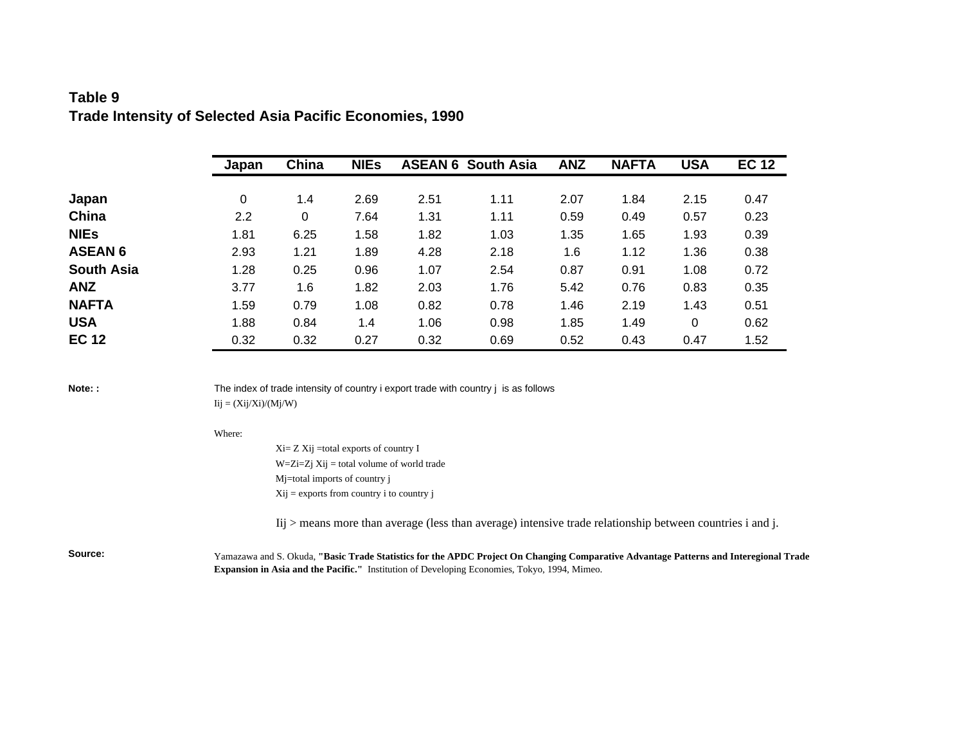### **Table 9 Trade Intensity of Selected Asia Pacific Economies, 1990**

|                   | Japan | China | <b>NIEs</b> |      | <b>ASEAN 6 South Asia</b> | <b>ANZ</b> | <b>NAFTA</b> | <b>USA</b> | <b>EC 12</b> |
|-------------------|-------|-------|-------------|------|---------------------------|------------|--------------|------------|--------------|
|                   |       |       |             |      |                           |            |              |            |              |
| Japan             | 0     | 1.4   | 2.69        | 2.51 | 1.11                      | 2.07       | 1.84         | 2.15       | 0.47         |
| China             | 2.2   | 0     | 7.64        | 1.31 | 1.11                      | 0.59       | 0.49         | 0.57       | 0.23         |
| <b>NIEs</b>       | 1.81  | 6.25  | 1.58        | 1.82 | 1.03                      | 1.35       | 1.65         | 1.93       | 0.39         |
| <b>ASEAN 6</b>    | 2.93  | 1.21  | 1.89        | 4.28 | 2.18                      | 1.6        | 1.12         | 1.36       | 0.38         |
| <b>South Asia</b> | 1.28  | 0.25  | 0.96        | 1.07 | 2.54                      | 0.87       | 0.91         | 1.08       | 0.72         |
| <b>ANZ</b>        | 3.77  | 1.6   | 1.82        | 2.03 | 1.76                      | 5.42       | 0.76         | 0.83       | 0.35         |
| <b>NAFTA</b>      | 1.59  | 0.79  | 1.08        | 0.82 | 0.78                      | 1.46       | 2.19         | 1.43       | 0.51         |
| <b>USA</b>        | 1.88  | 0.84  | 1.4         | 1.06 | 0.98                      | 1.85       | 1.49         | 0          | 0.62         |
| <b>EC 12</b>      | 0.32  | 0.32  | 0.27        | 0.32 | 0.69                      | 0.52       | 0.43         | 0.47       | 1.52         |

**Note:** : The index of trade intensity of country i export trade with country j is as follows  $Iij = (Xij/Xi)/(Mj/W)$ 

#### Where:

Xi= Z Xij =total exports of country I  $W=Zi=Zj$   $Xij =$  total volume of world trade Mj=total imports of country j Xij = exports from country i to country j

Iij > means more than average (less than average) intensive trade relationship between countries i and j.

**Source:** Yamazawa and S. Okuda, **"Basic Trade Statistics for the APDC Project On Changing Comparative Advantage Patterns and Interegional Trade Expansion in Asia and the Pacific."** Institution of Developing Economies, Tokyo, 1994, Mimeo.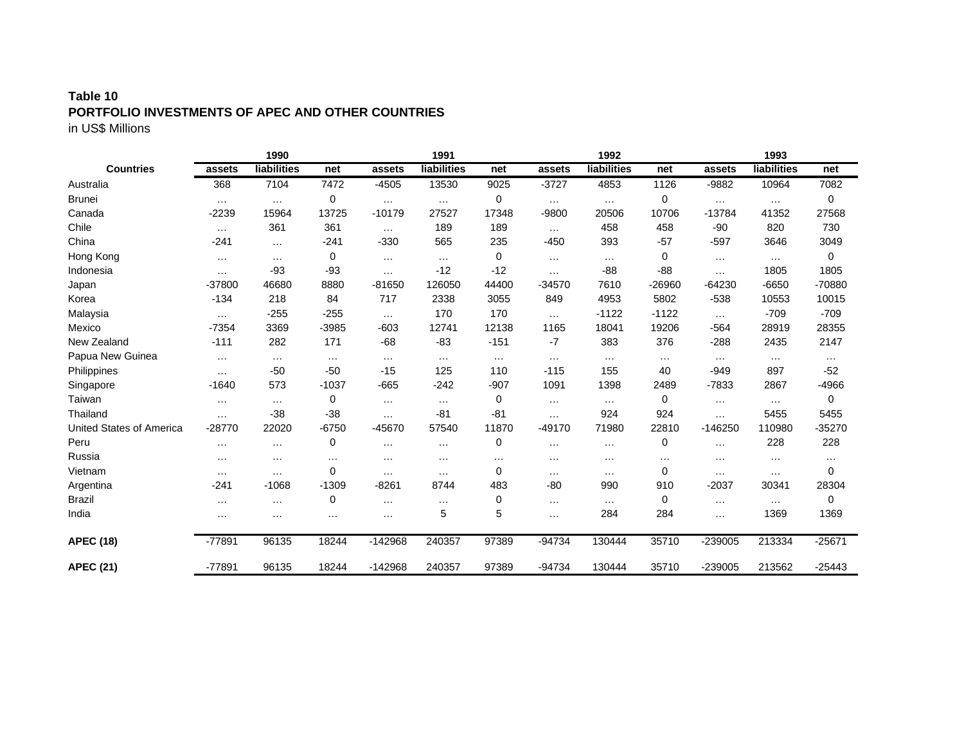### **Table 10 PORTFOLIO INVESTMENTS OF APEC AND OTHER COUNTRIES** in US\$ Millions

|                                 |          | 1990        |             |           | 1991        |          |          | 1992        |          |           | 1993        |          |
|---------------------------------|----------|-------------|-------------|-----------|-------------|----------|----------|-------------|----------|-----------|-------------|----------|
| <b>Countries</b>                | assets   | liabilities | net         | assets    | liabilities | net      | assets   | liabilities | net      | assets    | liabilities | net      |
| Australia                       | 368      | 7104        | 7472        | $-4505$   | 13530       | 9025     | $-3727$  | 4853        | 1126     | -9882     | 10964       | 7082     |
| <b>Brunei</b>                   | $\cdots$ | $\cdots$    | 0           | $\cdots$  | $\cdots$    | 0        | $\cdots$ | $\cdots$    | 0        | $\cdots$  | $\cdots$    | 0        |
| Canada                          | $-2239$  | 15964       | 13725       | $-10179$  | 27527       | 17348    | $-9800$  | 20506       | 10706    | $-13784$  | 41352       | 27568    |
| Chile                           | $\cdots$ | 361         | 361         | $\cdots$  | 189         | 189      | $\cdots$ | 458         | 458      | $-90$     | 820         | 730      |
| China                           | $-241$   | $\cdots$    | $-241$      | $-330$    | 565         | 235      | $-450$   | 393         | $-57$    | $-597$    | 3646        | 3049     |
| Hong Kong                       | $\cdots$ | $\cdots$    | 0           | $\cdots$  | $\cdots$    | 0        | $\cdots$ | $\cdots$    | 0        | $\cdots$  | $\cdots$    | 0        |
| Indonesia                       | $\cdots$ | $-93$       | $-93$       | $\cdots$  | $-12$       | $-12$    | $\cdots$ | $-88$       | -88      | $\cdots$  | 1805        | 1805     |
| Japan                           | -37800   | 46680       | 8880        | $-81650$  | 126050      | 44400    | $-34570$ | 7610        | $-26960$ | $-64230$  | $-6650$     | -70880   |
| Korea                           | $-134$   | 218         | 84          | 717       | 2338        | 3055     | 849      | 4953        | 5802     | $-538$    | 10553       | 10015    |
| Malaysia                        | $\cdots$ | $-255$      | $-255$      | $\cdots$  | 170         | 170      | $\cdots$ | $-1122$     | $-1122$  | $\cdots$  | $-709$      | $-709$   |
| Mexico                          | $-7354$  | 3369        | $-3985$     | $-603$    | 12741       | 12138    | 1165     | 18041       | 19206    | $-564$    | 28919       | 28355    |
| New Zealand                     | $-111$   | 282         | 171         | $-68$     | $-83$       | $-151$   | $-7$     | 383         | 376      | $-288$    | 2435        | 2147     |
| Papua New Guinea                | $\cdots$ | $\ldots$    | $\ldots$    | $\ldots$  | $\cdots$    | $\ldots$ | $\cdots$ | $\cdots$    | $\ldots$ | $\cdots$  | $\cdots$    | $\cdots$ |
| Philippines                     | $\cdots$ | $-50$       | $-50$       | $-15$     | 125         | 110      | $-115$   | 155         | 40       | $-949$    | 897         | $-52$    |
| Singapore                       | $-1640$  | 573         | $-1037$     | $-665$    | $-242$      | $-907$   | 1091     | 1398        | 2489     | $-7833$   | 2867        | $-4966$  |
| Taiwan                          | $\cdots$ | $\cdots$    | 0           | $\cdots$  | $\cdots$    | 0        | $\cdots$ | $\cdots$    | 0        | $\cdots$  | $\cdots$    | 0        |
| Thailand                        | $\cdots$ | $-38$       | $-38$       | $\cdots$  | $-81$       | $-81$    | $\cdots$ | 924         | 924      | $\cdots$  | 5455        | 5455     |
| <b>United States of America</b> | $-28770$ | 22020       | $-6750$     | -45670    | 57540       | 11870    | $-49170$ | 71980       | 22810    | $-146250$ | 110980      | $-35270$ |
| Peru                            | $\cdots$ | $\cdots$    | 0           | $\cdots$  | $\cdots$    | 0        | $\cdots$ | $\cdots$    | 0        | $\cdots$  | 228         | 228      |
| Russia                          | $\cdots$ | $\cdots$    | $\cdots$    | $\cdots$  | $\cdots$    | $\cdots$ | $\cdots$ | $\cdots$    | $\cdots$ | $\cdots$  | $\cdots$    | $\cdots$ |
| Vietnam                         | $\cdots$ | $\cdots$    | 0           | $\cdots$  | $\cdots$    | 0        | $\cdots$ | $\cdots$    | 0        | $\cdots$  | $\cdots$    | 0        |
| Argentina                       | $-241$   | $-1068$     | $-1309$     | $-8261$   | 8744        | 483      | $-80$    | 990         | 910      | $-2037$   | 30341       | 28304    |
| <b>Brazil</b>                   | $\cdots$ | $\cdots$    | $\mathbf 0$ | $\cdots$  | $\cdots$    | 0        | $\cdots$ | $\cdots$    | 0        | $\ldots$  | $\cdots$    | 0        |
| India                           | $\cdots$ | $\cdots$    | $\cdots$    | $\cdots$  | 5           | 5        | $\cdots$ | 284         | 284      | $\cdots$  | 1369        | 1369     |
| <b>APEC (18)</b>                | $-77891$ | 96135       | 18244       | $-142968$ | 240357      | 97389    | $-94734$ | 130444      | 35710    | $-239005$ | 213334      | $-25671$ |
| <b>APEC (21)</b>                | $-77891$ | 96135       | 18244       | $-142968$ | 240357      | 97389    | $-94734$ | 130444      | 35710    | $-239005$ | 213562      | $-25443$ |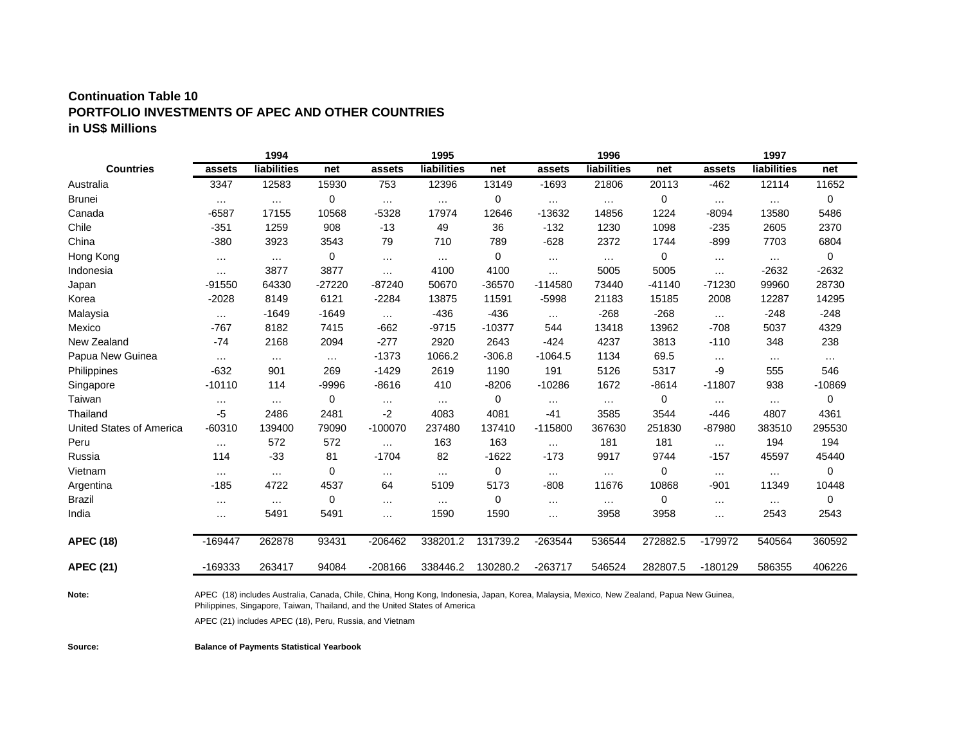### **Continuation Table 10 PORTFOLIO INVESTMENTS OF APEC AND OTHER COUNTRIES in US\$ Millions**

|                          |           | 1994        |          |           | 1995               |          |           | 1996               |          |           | 1997               |          |
|--------------------------|-----------|-------------|----------|-----------|--------------------|----------|-----------|--------------------|----------|-----------|--------------------|----------|
| <b>Countries</b>         | assets    | liabilities | net      | assets    | <b>liabilities</b> | net      | assets    | <b>liabilities</b> | net      | assets    | <b>liabilities</b> | net      |
| Australia                | 3347      | 12583       | 15930    | 753       | 12396              | 13149    | $-1693$   | 21806              | 20113    | $-462$    | 12114              | 11652    |
| <b>Brunei</b>            | $\cdots$  | $\cdots$    | 0        | $\cdots$  | $\cdots$           | 0        | $\cdots$  | $\cdots$           | 0        | $\cdots$  | $\cdots$           | 0        |
| Canada                   | $-6587$   | 17155       | 10568    | $-5328$   | 17974              | 12646    | $-13632$  | 14856              | 1224     | $-8094$   | 13580              | 5486     |
| Chile                    | $-351$    | 1259        | 908      | $-13$     | 49                 | 36       | $-132$    | 1230               | 1098     | $-235$    | 2605               | 2370     |
| China                    | $-380$    | 3923        | 3543     | 79        | 710                | 789      | $-628$    | 2372               | 1744     | $-899$    | 7703               | 6804     |
| Hong Kong                | $\cdots$  | $\cdots$    | 0        | $\cdots$  | $\cdots$           | 0        | $\cdots$  | $\cdots$           | 0        | $\cdots$  | $\cdots$           | 0        |
| Indonesia                | $\cdots$  | 3877        | 3877     | $\cdots$  | 4100               | 4100     | $\cdots$  | 5005               | 5005     | $\cdots$  | $-2632$            | $-2632$  |
| Japan                    | $-91550$  | 64330       | $-27220$ | $-87240$  | 50670              | -36570   | $-114580$ | 73440              | $-41140$ | $-71230$  | 99960              | 28730    |
| Korea                    | $-2028$   | 8149        | 6121     | $-2284$   | 13875              | 11591    | $-5998$   | 21183              | 15185    | 2008      | 12287              | 14295    |
| Malaysia                 | $\cdots$  | $-1649$     | $-1649$  | $\cdots$  | $-436$             | $-436$   | $\cdots$  | $-268$             | $-268$   | $\cdots$  | $-248$             | $-248$   |
| Mexico                   | $-767$    | 8182        | 7415     | $-662$    | $-9715$            | $-10377$ | 544       | 13418              | 13962    | $-708$    | 5037               | 4329     |
| New Zealand              | $-74$     | 2168        | 2094     | $-277$    | 2920               | 2643     | $-424$    | 4237               | 3813     | $-110$    | 348                | 238      |
| Papua New Guinea         | $\cdots$  | $\cdots$    | $\cdots$ | $-1373$   | 1066.2             | $-306.8$ | $-1064.5$ | 1134               | 69.5     | $\cdots$  | $\ldots$           | $\cdots$ |
| Philippines              | $-632$    | 901         | 269      | $-1429$   | 2619               | 1190     | 191       | 5126               | 5317     | -9        | 555                | 546      |
| Singapore                | $-10110$  | 114         | -9996    | $-8616$   | 410                | $-8206$  | $-10286$  | 1672               | $-8614$  | $-11807$  | 938                | $-10869$ |
| Taiwan                   | $\cdots$  | $\cdots$    | 0        | $\cdots$  | $\cdots$           | 0        | $\cdots$  | $\cdots$           | 0        | $\cdots$  | $\cdots$           | 0        |
| Thailand                 | $-5$      | 2486        | 2481     | -2        | 4083               | 4081     | $-41$     | 3585               | 3544     | $-446$    | 4807               | 4361     |
| United States of America | $-60310$  | 139400      | 79090    | $-100070$ | 237480             | 137410   | $-115800$ | 367630             | 251830   | -87980    | 383510             | 295530   |
| Peru                     | $\cdots$  | 572         | 572      | $\cdots$  | 163                | 163      | $\cdots$  | 181                | 181      | $\cdots$  | 194                | 194      |
| Russia                   | 114       | $-33$       | 81       | $-1704$   | 82                 | $-1622$  | $-173$    | 9917               | 9744     | $-157$    | 45597              | 45440    |
| Vietnam                  | $\cdots$  | $\cdots$    | 0        | $\cdots$  | $\cdots$           | 0        | $\cdots$  | $\cdots$           | 0        | $\cdots$  | $\cdots$           | 0        |
| Argentina                | $-185$    | 4722        | 4537     | 64        | 5109               | 5173     | $-808$    | 11676              | 10868    | $-901$    | 11349              | 10448    |
| <b>Brazil</b>            | $\cdots$  | $\cdots$    | 0        | $\cdots$  | $\cdots$           | 0        | $\cdots$  | $\cdots$           | 0        | $\cdots$  | $\cdots$           | 0        |
| India                    | $\cdots$  | 5491        | 5491     | $\cdots$  | 1590               | 1590     | $\cdots$  | 3958               | 3958     | $\cdots$  | 2543               | 2543     |
| <b>APEC (18)</b>         | $-169447$ | 262878      | 93431    | -206462   | 338201.2           | 131739.2 | $-263544$ | 536544             | 272882.5 | $-179972$ | 540564             | 360592   |
| <b>APEC (21)</b>         | -169333   | 263417      | 94084    | $-208166$ | 338446.2           | 130280.2 | $-263717$ | 546524             | 282807.5 | $-180129$ | 586355             | 406226   |

**Note:** 

APEC (18) includes Australia, Canada, Chile, China, Hong Kong, Indonesia, Japan, Korea, Malaysia, Mexico, New Zealand, Papua New Guinea, Philippines, Singapore, Taiwan, Thailand, and the United States of America

APEC (21) includes APEC (18), Peru, Russia, and Vietnam

**Source: Balance of Payments Statistical Yearbook**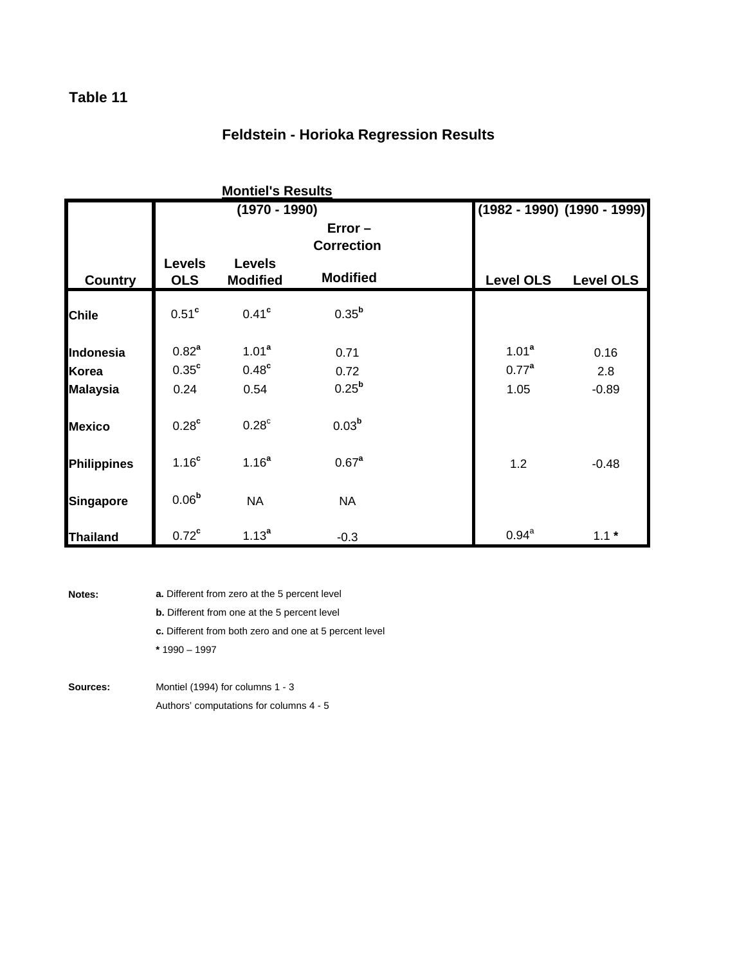### **Feldstein - Horioka Regression Results**

|                    |                             | <b>Montiel's Results</b>         |                                |                                 |                  |
|--------------------|-----------------------------|----------------------------------|--------------------------------|---------------------------------|------------------|
|                    |                             | $(1970 - 1990)$                  |                                | $(1982 - 1990)$ $(1990 - 1999)$ |                  |
|                    |                             |                                  | $Error -$<br><b>Correction</b> |                                 |                  |
| <b>Country</b>     | <b>Levels</b><br><b>OLS</b> | <b>Levels</b><br><b>Modified</b> | <b>Modified</b>                | <b>Level OLS</b>                | <b>Level OLS</b> |
| <b>Chile</b>       | 0.51 <sup>c</sup>           | 0.41 <sup>c</sup>                | $0.35^{b}$                     |                                 |                  |
| Indonesia          | $0.82^{a}$                  | 1.01 <sup>a</sup>                | 0.71                           | 1.01 <sup>a</sup>               | 0.16             |
| Korea              | 0.35 <sup>c</sup>           | 0.48 <sup>c</sup>                | 0.72                           | 0.77 <sup>a</sup>               | 2.8              |
| <b>Malaysia</b>    | 0.24                        | 0.54                             | $0.25^{b}$                     | 1.05                            | $-0.89$          |
| <b>Mexico</b>      | 0.28 <sup>c</sup>           | $0.28^{\circ}$                   | 0.03 <sup>b</sup>              |                                 |                  |
| <b>Philippines</b> | 1.16 <sup>c</sup>           | 1.16 <sup>a</sup>                | 0.67 <sup>a</sup>              | 1.2                             | $-0.48$          |
| <b>Singapore</b>   | 0.06 <sup>b</sup>           | <b>NA</b>                        | <b>NA</b>                      |                                 |                  |
| <b>Thailand</b>    | $0.72^c$                    | $1.13^{a}$                       | $-0.3$                         | $0.94^{a}$                      | $1.1*$           |

**Notes:**

- **a.** Different from zero at the 5 percent level
- **b.** Different from one at the 5 percent level
- **c.** Different from both zero and one at 5 percent level
- **\*** 1990 1997
- **Sources:** Montiel (1994) for columns 1 - 3 Authors' computations for columns 4 - 5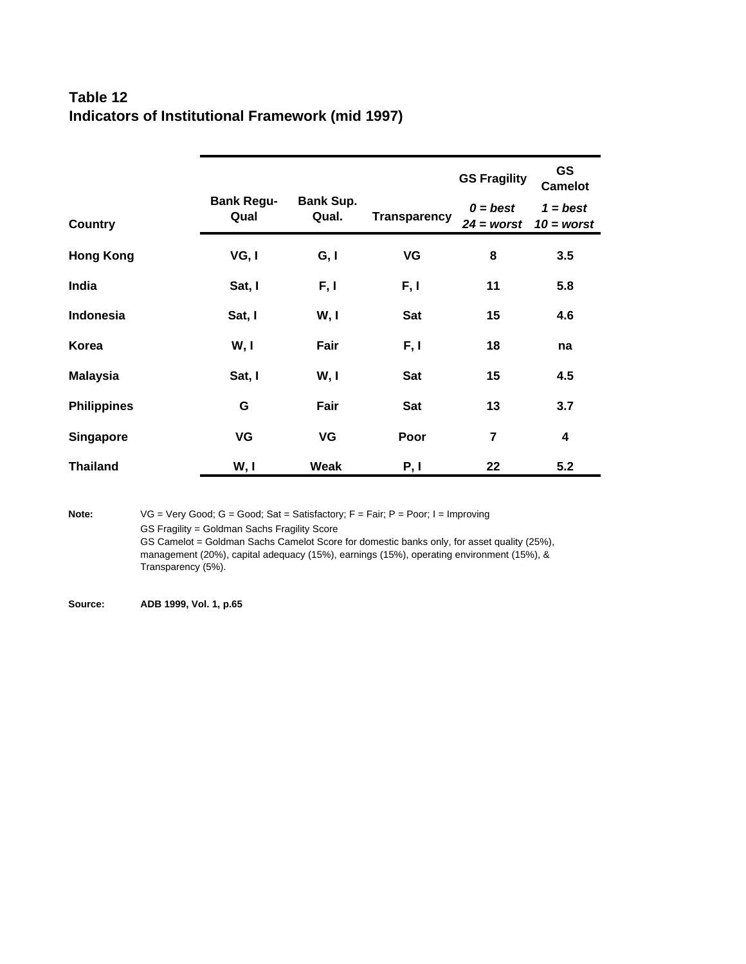### **Table 12 Indicators of Institutional Framework (mid 1997)**

|                    |                           |                           |                     | <b>GS Fragility</b>        | <b>GS</b><br><b>Camelot</b> |
|--------------------|---------------------------|---------------------------|---------------------|----------------------------|-----------------------------|
| <b>Country</b>     | <b>Bank Regu-</b><br>Qual | <b>Bank Sup.</b><br>Qual. | <b>Transparency</b> | $0 = best$<br>$24 =$ worst | $1 = best$<br>$10 =$ worst  |
| <b>Hong Kong</b>   | VG, I                     | G, I                      | VG                  | 8                          | 3.5                         |
| India              | Sat, I                    | F, I                      | F, I                | 11                         | 5.8                         |
| Indonesia          | Sat, I                    | W, I                      | Sat                 | 15                         | 4.6                         |
| Korea              | W, I                      | Fair                      | F, I                | 18                         | na                          |
| <b>Malaysia</b>    | Sat, I                    | W, I                      | Sat                 | 15                         | 4.5                         |
| <b>Philippines</b> | G                         | Fair                      | Sat                 | 13                         | 3.7                         |
| <b>Singapore</b>   | VG                        | VG                        | Poor                | $\overline{7}$             | $\overline{\mathbf{4}}$     |
| <b>Thailand</b>    | W, I                      | Weak                      | P, I                | 22                         | 5.2                         |

Note: VG = Very Good; G = Good; Sat = Satisfactory; F = Fair; P = Poor; I = Improving GS Fragility = Goldman Sachs Fragility Score GS Camelot = Goldman Sachs Camelot Score for domestic banks only, for asset quality (25%), management (20%), capital adequacy (15%), earnings (15%), operating environment (15%), & Transparency (5%).

**Source: ADB 1999, Vol. 1, p.65**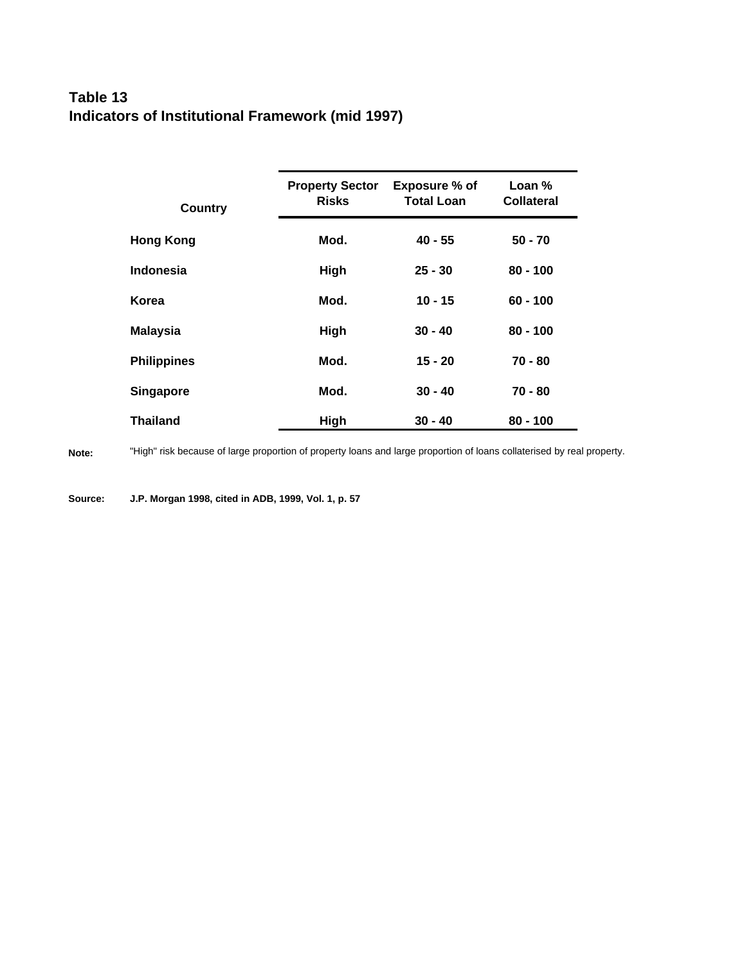## **Table 13 Indicators of Institutional Framework (mid 1997)**

| <b>Country</b>     | <b>Property Sector</b><br><b>Risks</b> | Exposure % of<br><b>Total Loan</b> | Loan %<br><b>Collateral</b> |
|--------------------|----------------------------------------|------------------------------------|-----------------------------|
| <b>Hong Kong</b>   | Mod.                                   | $40 - 55$                          | $50 - 70$                   |
| <b>Indonesia</b>   | High                                   | $25 - 30$                          | $80 - 100$                  |
| Korea              | Mod.                                   | $10 - 15$                          | $60 - 100$                  |
| <b>Malaysia</b>    | High                                   | $30 - 40$                          | $80 - 100$                  |
| <b>Philippines</b> | Mod.                                   | $15 - 20$                          | 70 - 80                     |
| <b>Singapore</b>   | Mod.                                   | $30 - 40$                          | $70 - 80$                   |
| Thailand           | High                                   | 30 - 40                            | $80 - 100$                  |

**Note:** "High" risk because of large proportion of property loans and large proportion of loans collaterised by real property.

**Source: J.P. Morgan 1998, cited in ADB, 1999, Vol. 1, p. 57**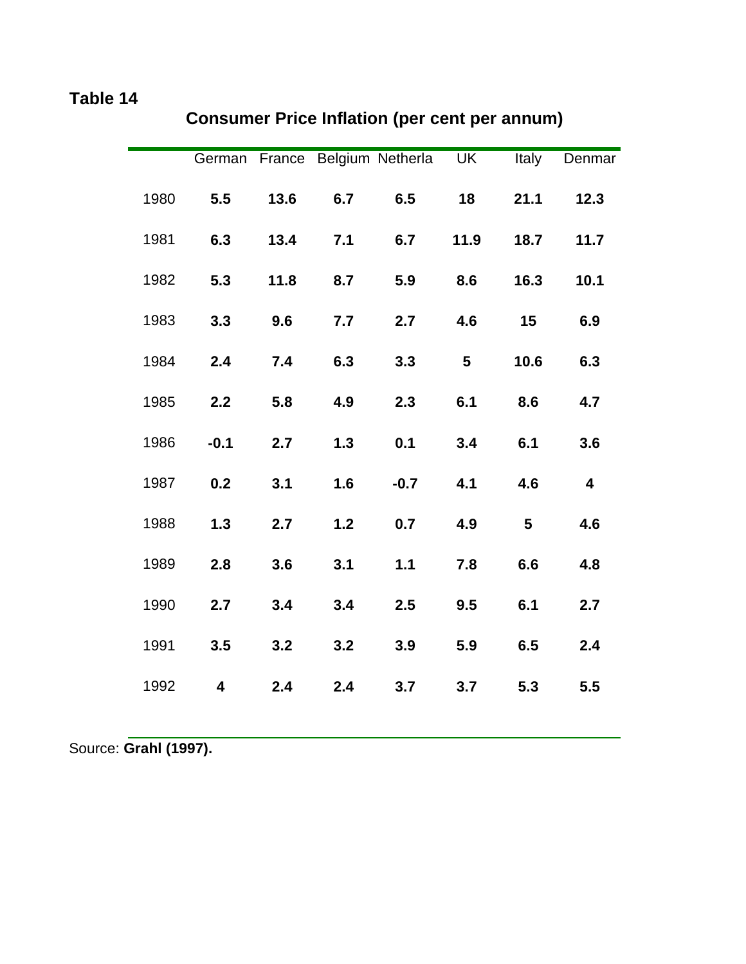|      |        |      |     | German France Belgium Netherla UK |      | <b>Italy</b> | Denmar |
|------|--------|------|-----|-----------------------------------|------|--------------|--------|
| 1980 | 5.5    | 13.6 | 6.7 | 6.5                               | 18   | 21.1         | 12.3   |
| 1981 | 6.3    | 13.4 | 7.1 | 6.7                               | 11.9 | 18.7         | 11.7   |
| 1982 | 5.3    | 11.8 | 8.7 | 5.9                               | 8.6  | 16.3         | 10.1   |
| 1983 | 3.3    | 9.6  | 7.7 | 2.7                               | 4.6  | 15           | 6.9    |
| 1984 | 2.4    | 7.4  | 6.3 | 3.3                               | 5    | 10.6         | 6.3    |
| 1985 | 2.2    | 5.8  | 4.9 | 2.3                               | 6.1  | 8.6          | 4.7    |
| 1986 | $-0.1$ | 2.7  | 1.3 | 0.1                               | 3.4  | 6.1          | 3.6    |
| 1987 | 0.2    | 3.1  | 1.6 | $-0.7$                            | 4.1  | 4.6          | 4      |
| 1988 | 1.3    | 2.7  | 1.2 | 0.7                               | 4.9  | 5            | 4.6    |
| 1989 | 2.8    | 3.6  | 3.1 | $1.1$                             | 7.8  | 6.6          | 4.8    |
| 1990 | 2.7    | 3.4  | 3.4 | 2.5                               | 9.5  | 6.1          | 2.7    |
| 1991 | 3.5    | 3.2  | 3.2 | 3.9                               | 5.9  | 6.5          | 2.4    |
| 1992 | 4      | 2.4  | 2.4 | 3.7                               | 3.7  | 5.3          | 5.5    |
|      |        |      |     |                                   |      |              |        |

# **Consumer Price Inflation (per cent per annum)**

Source: **Grahl (1997).**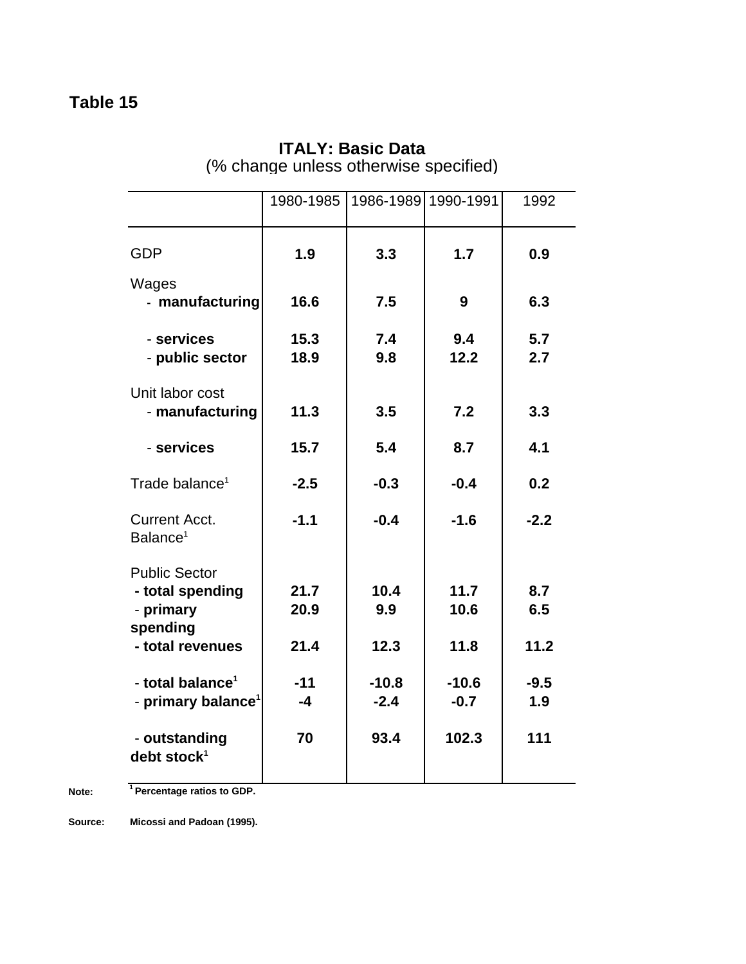|                                                                                       | 1980-1985            |                     | 1986-1989 1990-1991  | 1992               |
|---------------------------------------------------------------------------------------|----------------------|---------------------|----------------------|--------------------|
| <b>GDP</b>                                                                            | 1.9                  | 3.3                 | 1.7                  | 0.9                |
| Wages<br>- manufacturing                                                              | 16.6                 | 7.5                 | 9                    | 6.3                |
| - services<br>- public sector                                                         | 15.3<br>18.9         | 7.4<br>9.8          | 9.4<br>12.2          | 5.7<br>2.7         |
| Unit labor cost<br>- manufacturing                                                    | 11.3                 | 3.5                 | 7.2                  | 3.3                |
| - services                                                                            | 15.7                 | 5.4                 | 8.7                  | 4.1                |
| Trade balance <sup>1</sup>                                                            | $-2.5$               | $-0.3$              | $-0.4$               | 0.2                |
| <b>Current Acct.</b><br>Balance <sup>1</sup>                                          | $-1.1$               | $-0.4$              | $-1.6$               | $-2.2$             |
| <b>Public Sector</b><br>- total spending<br>- primary<br>spending<br>- total revenues | 21.7<br>20.9<br>21.4 | 10.4<br>9.9<br>12.3 | 11.7<br>10.6<br>11.8 | 8.7<br>6.5<br>11.2 |
| - total balance <sup>1</sup><br>- primary balance <sup>1</sup>                        | $-11$<br>$-4$        | $-10.8$<br>$-2.4$   | $-10.6$<br>$-0.7$    | $-9.5$<br>1.9      |
| - outstanding<br>debt stock <sup>1</sup>                                              | 70                   | 93.4                | 102.3                | 111                |

## **ITALY: Basic Data** (% change unless otherwise specified)

**Note: <sup>1</sup>Percentage ratios to GDP.**

**Source: Micossi and Padoan (1995).**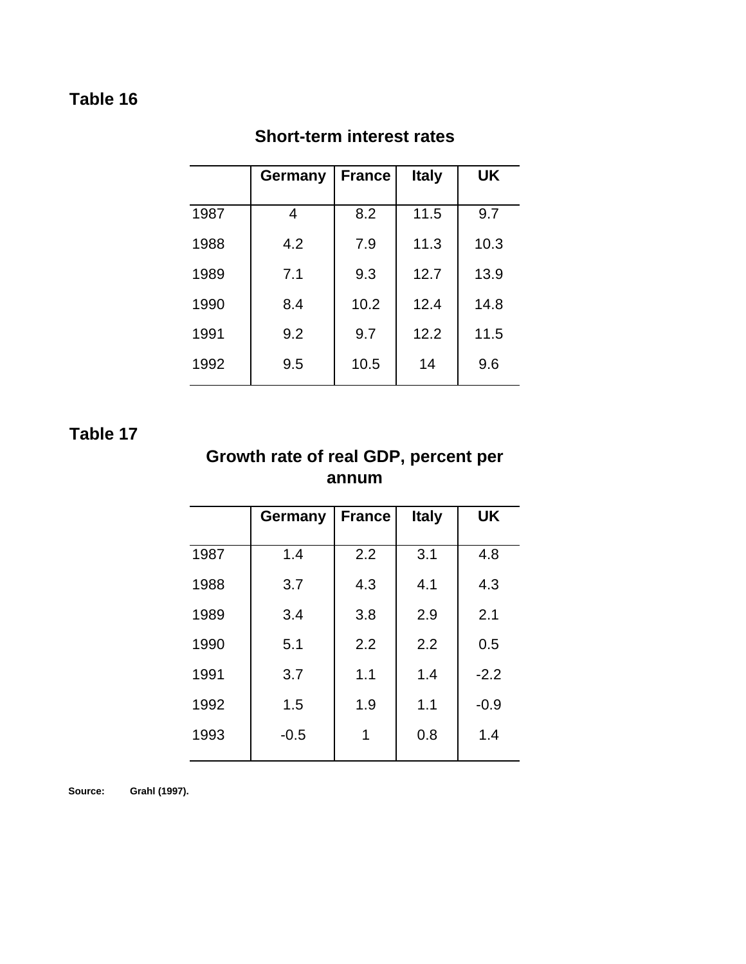|      | Germany | <b>France</b> | <b>Italy</b> | <b>UK</b> |
|------|---------|---------------|--------------|-----------|
| 1987 | 4       | 8.2           | 11.5         | 9.7       |
| 1988 | 4.2     | 7.9           | 11.3         | 10.3      |
| 1989 | 7.1     | 9.3           | 12.7         | 13.9      |
| 1990 | 8.4     | 10.2          | 12.4         | 14.8      |
| 1991 | 9.2     | 9.7           | 12.2         | 11.5      |
| 1992 | 9.5     | 10.5          | 14           | 9.6       |

## **Short-term interest rates**

## **Table 17**

## **Growth rate of real GDP, percent per annum**

|      | Germany | <b>France</b> | <b>Italy</b> | <b>UK</b> |
|------|---------|---------------|--------------|-----------|
| 1987 | 1.4     | 2.2           | 3.1          | 4.8       |
| 1988 | 3.7     | 4.3           | 4.1          | 4.3       |
| 1989 | 3.4     | 3.8           | 2.9          | 2.1       |
| 1990 | 5.1     | 2.2           | 2.2          | 0.5       |
| 1991 | 3.7     | 1.1           | 1.4          | $-2.2$    |
| 1992 | 1.5     | 1.9           | 1.1          | $-0.9$    |
| 1993 | $-0.5$  | 1             | 0.8          | 1.4       |

**Source: Grahl (1997).**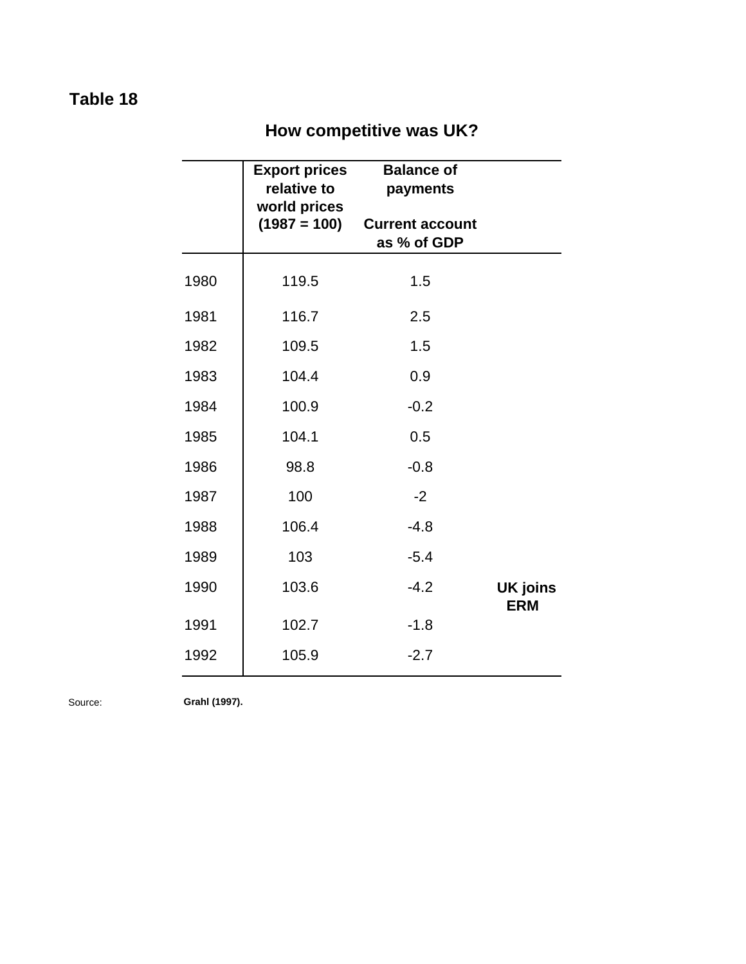# **How competitive was UK?**

|      | <b>Export prices</b><br>relative to<br>world prices | <b>Balance of</b><br>payments         |                               |
|------|-----------------------------------------------------|---------------------------------------|-------------------------------|
|      | $(1987 = 100)$                                      | <b>Current account</b><br>as % of GDP |                               |
| 1980 | 119.5                                               | 1.5                                   |                               |
| 1981 | 116.7                                               | 2.5                                   |                               |
| 1982 | 109.5                                               | 1.5                                   |                               |
| 1983 | 104.4                                               | 0.9                                   |                               |
| 1984 | 100.9                                               | $-0.2$                                |                               |
| 1985 | 104.1                                               | 0.5                                   |                               |
| 1986 | 98.8                                                | $-0.8$                                |                               |
| 1987 | 100                                                 | $-2$                                  |                               |
| 1988 | 106.4                                               | $-4.8$                                |                               |
| 1989 | 103                                                 | $-5.4$                                |                               |
| 1990 | 103.6                                               | $-4.2$                                | <b>UK joins</b><br><b>ERM</b> |
| 1991 | 102.7                                               | $-1.8$                                |                               |
| 1992 | 105.9                                               | $-2.7$                                |                               |

Source: **Grahl (1997).**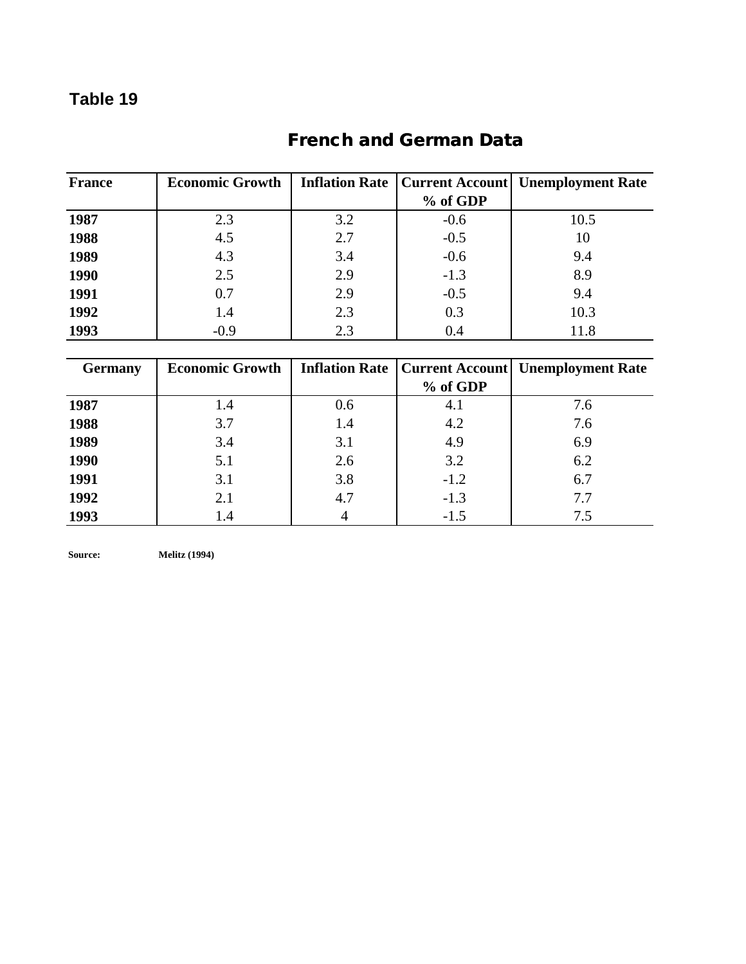# **French and German Data**

| <b>France</b> | <b>Economic Growth</b> |     |          | <b>Inflation Rate   Current Account   Unemployment Rate</b> |
|---------------|------------------------|-----|----------|-------------------------------------------------------------|
|               |                        |     | % of GDP |                                                             |
| 1987          | 2.3                    | 3.2 | $-0.6$   | 10.5                                                        |
| 1988          | 4.5                    | 2.7 | $-0.5$   | 10                                                          |
| 1989          | 4.3                    | 3.4 | $-0.6$   | 9.4                                                         |
| 1990          | 2.5                    | 2.9 | $-1.3$   | 8.9                                                         |
| 1991          | 0.7                    | 2.9 | $-0.5$   | 9.4                                                         |
| 1992          | 1.4                    | 2.3 | 0.3      | 10.3                                                        |
| 1993          | $-0.9$                 | 2.3 | 0.4      | 11.8                                                        |

| <b>Germany</b> | <b>Economic Growth</b> |     |          | <b>Inflation Rate   Current Account  Unemployment Rate</b> |
|----------------|------------------------|-----|----------|------------------------------------------------------------|
|                |                        |     | % of GDP |                                                            |
| 1987           | 1.4                    | 0.6 | 4.1      | 7.6                                                        |
| 1988           | 3.7                    | 1.4 | 4.2      | 7.6                                                        |
| 1989           | 3.4                    | 3.1 | 4.9      | 6.9                                                        |
| 1990           | 5.1                    | 2.6 | 3.2      | 6.2                                                        |
| 1991           | 3.1                    | 3.8 | $-1.2$   | 6.7                                                        |
| 1992           | 2.1                    | 4.7 | $-1.3$   | 7.7                                                        |
| 1993           | 1.4                    |     | $-1.5$   | 7.5                                                        |

**Source: Melitz (1994)**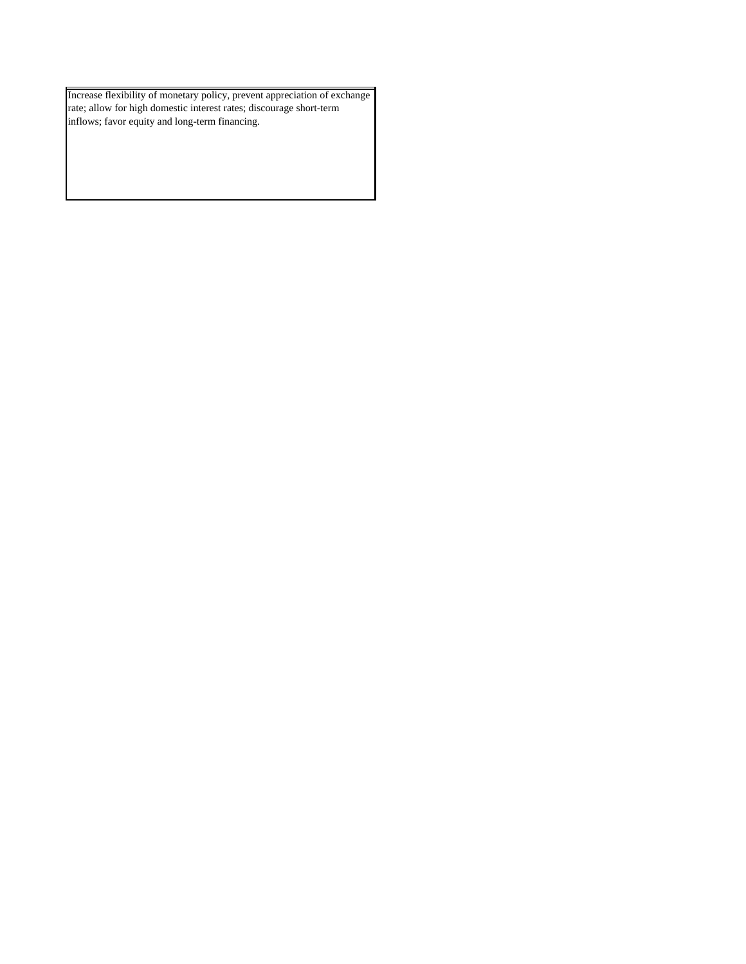Increase flexibility of monetary policy, prevent appreciation of exchange rate; allow for high domestic interest rates; discourage short-term inflows; favor equity and long-term financing.